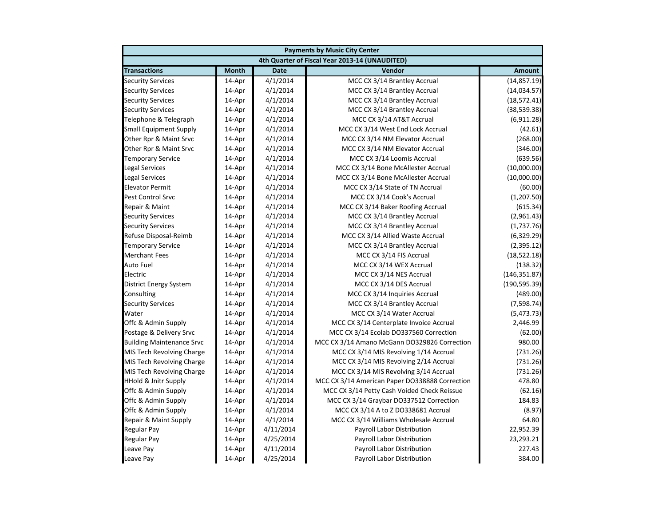| <b>Payments by Music City Center</b> |              |             |                                                |               |
|--------------------------------------|--------------|-------------|------------------------------------------------|---------------|
|                                      |              |             | 4th Quarter of Fiscal Year 2013-14 (UNAUDITED) |               |
| <b>Transactions</b>                  | <b>Month</b> | <b>Date</b> | Vendor                                         | <b>Amount</b> |
| <b>Security Services</b>             | 14-Apr       | 4/1/2014    | MCC CX 3/14 Brantley Accrual                   | (14, 857.19)  |
| <b>Security Services</b>             | 14-Apr       | 4/1/2014    | MCC CX 3/14 Brantley Accrual                   | (14, 034.57)  |
| <b>Security Services</b>             | 14-Apr       | 4/1/2014    | MCC CX 3/14 Brantley Accrual                   | (18, 572.41)  |
| <b>Security Services</b>             | 14-Apr       | 4/1/2014    | MCC CX 3/14 Brantley Accrual                   | (38, 539.38)  |
| Telephone & Telegraph                | 14-Apr       | 4/1/2014    | MCC CX 3/14 AT&T Accrual                       | (6,911.28)    |
| <b>Small Equipment Supply</b>        | 14-Apr       | 4/1/2014    | MCC CX 3/14 West End Lock Accrual              | (42.61)       |
| Other Rpr & Maint Srvc               | 14-Apr       | 4/1/2014    | MCC CX 3/14 NM Elevator Accrual                | (268.00)      |
| Other Rpr & Maint Srvc               | 14-Apr       | 4/1/2014    | MCC CX 3/14 NM Elevator Accrual                | (346.00)      |
| <b>Temporary Service</b>             | 14-Apr       | 4/1/2014    | MCC CX 3/14 Loomis Accrual                     | (639.56)      |
| <b>Legal Services</b>                | 14-Apr       | 4/1/2014    | MCC CX 3/14 Bone McAllester Accrual            | (10,000.00)   |
| <b>Legal Services</b>                | 14-Apr       | 4/1/2014    | MCC CX 3/14 Bone McAllester Accrual            | (10,000.00)   |
| <b>Elevator Permit</b>               | 14-Apr       | 4/1/2014    | MCC CX 3/14 State of TN Accrual                | (60.00)       |
| <b>Pest Control Srvc</b>             | 14-Apr       | 4/1/2014    | MCC CX 3/14 Cook's Accrual                     | (1,207.50)    |
| Repair & Maint                       | 14-Apr       | 4/1/2014    | MCC CX 3/14 Baker Roofing Accrual              | (615.34)      |
| <b>Security Services</b>             | 14-Apr       | 4/1/2014    | MCC CX 3/14 Brantley Accrual                   | (2,961.43)    |
| <b>Security Services</b>             | 14-Apr       | 4/1/2014    | MCC CX 3/14 Brantley Accrual                   | (1,737.76)    |
| Refuse Disposal-Reimb                | 14-Apr       | 4/1/2014    | MCC CX 3/14 Allied Waste Accrual               | (6,329.29)    |
| <b>Temporary Service</b>             | 14-Apr       | 4/1/2014    | MCC CX 3/14 Brantley Accrual                   | (2,395.12)    |
| <b>Merchant Fees</b>                 | 14-Apr       | 4/1/2014    | MCC CX 3/14 FIS Accrual                        | (18, 522.18)  |
| Auto Fuel                            | 14-Apr       | 4/1/2014    | MCC CX 3/14 WEX Accrual                        | (138.32)      |
| Electric                             | 14-Apr       | 4/1/2014    | MCC CX 3/14 NES Accrual                        | (146, 351.87) |
| <b>District Energy System</b>        | 14-Apr       | 4/1/2014    | MCC CX 3/14 DES Accrual                        | (190, 595.39) |
| Consulting                           | 14-Apr       | 4/1/2014    | MCC CX 3/14 Inquiries Accrual                  | (489.00)      |
| <b>Security Services</b>             | 14-Apr       | 4/1/2014    | MCC CX 3/14 Brantley Accrual                   | (7, 598.74)   |
| Water                                | 14-Apr       | 4/1/2014    | MCC CX 3/14 Water Accrual                      | (5,473.73)    |
| Offc & Admin Supply                  | 14-Apr       | 4/1/2014    | MCC CX 3/14 Centerplate Invoice Accrual        | 2,446.99      |
| Postage & Delivery Srvc              | 14-Apr       | 4/1/2014    | MCC CX 3/14 Ecolab DO337560 Correction         | (62.00)       |
| <b>Building Maintenance Srvc</b>     | 14-Apr       | 4/1/2014    | MCC CX 3/14 Amano McGann DO329826 Correction   | 980.00        |
| MIS Tech Revolving Charge            | 14-Apr       | 4/1/2014    | MCC CX 3/14 MIS Revolving 1/14 Accrual         | (731.26)      |
| MIS Tech Revolving Charge            | 14-Apr       | 4/1/2014    | MCC CX 3/14 MIS Revolving 2/14 Accrual         | (731.26)      |
| MIS Tech Revolving Charge            | 14-Apr       | 4/1/2014    | MCC CX 3/14 MIS Revolving 3/14 Accrual         | (731.26)      |
| <b>HHold &amp; Jnitr Supply</b>      | 14-Apr       | 4/1/2014    | MCC CX 3/14 American Paper DO338888 Correction | 478.80        |
| Offc & Admin Supply                  | 14-Apr       | 4/1/2014    | MCC CX 3/14 Petty Cash Voided Check Reissue    | (62.16)       |
| Offc & Admin Supply                  | 14-Apr       | 4/1/2014    | MCC CX 3/14 Graybar DO337512 Correction        | 184.83        |
| Offc & Admin Supply                  | 14-Apr       | 4/1/2014    | MCC CX 3/14 A to Z DO338681 Accrual            | (8.97)        |
| Repair & Maint Supply                | 14-Apr       | 4/1/2014    | MCC CX 3/14 Williams Wholesale Accrual         | 64.80         |
| <b>Regular Pay</b>                   | 14-Apr       | 4/11/2014   | Payroll Labor Distribution                     | 22,952.39     |
| <b>Regular Pay</b>                   | 14-Apr       | 4/25/2014   | Payroll Labor Distribution                     | 23,293.21     |
| Leave Pay                            | 14-Apr       | 4/11/2014   | Payroll Labor Distribution                     | 227.43        |
| Leave Pay                            | 14-Apr       | 4/25/2014   | Payroll Labor Distribution                     | 384.00        |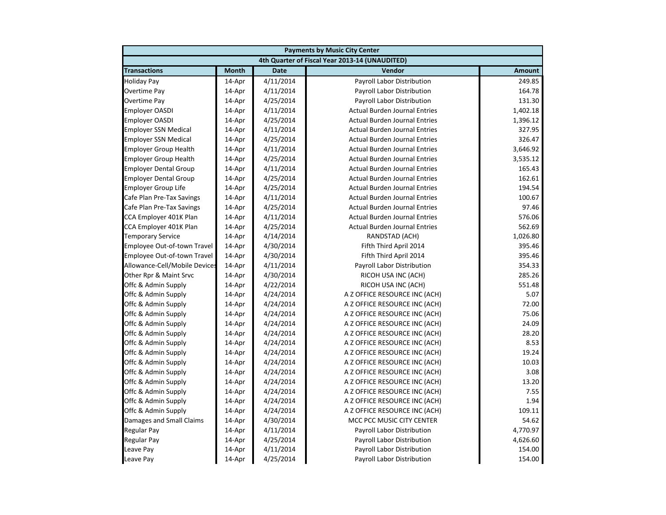| <b>Payments by Music City Center</b> |              |             |                                                |               |
|--------------------------------------|--------------|-------------|------------------------------------------------|---------------|
|                                      |              |             | 4th Quarter of Fiscal Year 2013-14 (UNAUDITED) |               |
| <b>Transactions</b>                  | <b>Month</b> | <b>Date</b> | Vendor                                         | <b>Amount</b> |
| <b>Holiday Pay</b>                   | 14-Apr       | 4/11/2014   | Payroll Labor Distribution                     | 249.85        |
| Overtime Pay                         | 14-Apr       | 4/11/2014   | Payroll Labor Distribution                     | 164.78        |
| Overtime Pay                         | 14-Apr       | 4/25/2014   | Payroll Labor Distribution                     | 131.30        |
| <b>Employer OASDI</b>                | 14-Apr       | 4/11/2014   | <b>Actual Burden Journal Entries</b>           | 1,402.18      |
| <b>Employer OASDI</b>                | 14-Apr       | 4/25/2014   | <b>Actual Burden Journal Entries</b>           | 1,396.12      |
| <b>Employer SSN Medical</b>          | 14-Apr       | 4/11/2014   | <b>Actual Burden Journal Entries</b>           | 327.95        |
| <b>Employer SSN Medical</b>          | 14-Apr       | 4/25/2014   | <b>Actual Burden Journal Entries</b>           | 326.47        |
| <b>Employer Group Health</b>         | 14-Apr       | 4/11/2014   | <b>Actual Burden Journal Entries</b>           | 3,646.92      |
| <b>Employer Group Health</b>         | 14-Apr       | 4/25/2014   | <b>Actual Burden Journal Entries</b>           | 3,535.12      |
| <b>Employer Dental Group</b>         | 14-Apr       | 4/11/2014   | <b>Actual Burden Journal Entries</b>           | 165.43        |
| <b>Employer Dental Group</b>         | 14-Apr       | 4/25/2014   | <b>Actual Burden Journal Entries</b>           | 162.61        |
| <b>Employer Group Life</b>           | 14-Apr       | 4/25/2014   | <b>Actual Burden Journal Entries</b>           | 194.54        |
| Cafe Plan Pre-Tax Savings            | 14-Apr       | 4/11/2014   | <b>Actual Burden Journal Entries</b>           | 100.67        |
| Cafe Plan Pre-Tax Savings            | 14-Apr       | 4/25/2014   | <b>Actual Burden Journal Entries</b>           | 97.46         |
| CCA Employer 401K Plan               | 14-Apr       | 4/11/2014   | <b>Actual Burden Journal Entries</b>           | 576.06        |
| CCA Employer 401K Plan               | 14-Apr       | 4/25/2014   | <b>Actual Burden Journal Entries</b>           | 562.69        |
| <b>Temporary Service</b>             | 14-Apr       | 4/14/2014   | RANDSTAD (ACH)                                 | 1,026.80      |
| Employee Out-of-town Travel          | 14-Apr       | 4/30/2014   | Fifth Third April 2014                         | 395.46        |
| Employee Out-of-town Travel          | 14-Apr       | 4/30/2014   | Fifth Third April 2014                         | 395.46        |
| Allowance-Cell/Mobile Devices        | 14-Apr       | 4/11/2014   | Payroll Labor Distribution                     | 354.33        |
| Other Rpr & Maint Srvc               | 14-Apr       | 4/30/2014   | RICOH USA INC (ACH)                            | 285.26        |
| Offc & Admin Supply                  | 14-Apr       | 4/22/2014   | RICOH USA INC (ACH)                            | 551.48        |
| Offc & Admin Supply                  | 14-Apr       | 4/24/2014   | A Z OFFICE RESOURCE INC (ACH)                  | 5.07          |
| Offc & Admin Supply                  | 14-Apr       | 4/24/2014   | A Z OFFICE RESOURCE INC (ACH)                  | 72.00         |
| Offc & Admin Supply                  | 14-Apr       | 4/24/2014   | A Z OFFICE RESOURCE INC (ACH)                  | 75.06         |
| Offc & Admin Supply                  | 14-Apr       | 4/24/2014   | A Z OFFICE RESOURCE INC (ACH)                  | 24.09         |
| Offc & Admin Supply                  | 14-Apr       | 4/24/2014   | A Z OFFICE RESOURCE INC (ACH)                  | 28.20         |
| Offc & Admin Supply                  | 14-Apr       | 4/24/2014   | A Z OFFICE RESOURCE INC (ACH)                  | 8.53          |
| Offc & Admin Supply                  | 14-Apr       | 4/24/2014   | A Z OFFICE RESOURCE INC (ACH)                  | 19.24         |
| Offc & Admin Supply                  | 14-Apr       | 4/24/2014   | A Z OFFICE RESOURCE INC (ACH)                  | 10.03         |
| Offc & Admin Supply                  | 14-Apr       | 4/24/2014   | A Z OFFICE RESOURCE INC (ACH)                  | 3.08          |
| Offc & Admin Supply                  | 14-Apr       | 4/24/2014   | A Z OFFICE RESOURCE INC (ACH)                  | 13.20         |
| Offc & Admin Supply                  | 14-Apr       | 4/24/2014   | A Z OFFICE RESOURCE INC (ACH)                  | 7.55          |
| Offc & Admin Supply                  | 14-Apr       | 4/24/2014   | A Z OFFICE RESOURCE INC (ACH)                  | 1.94          |
| Offc & Admin Supply                  | 14-Apr       | 4/24/2014   | A Z OFFICE RESOURCE INC (ACH)                  | 109.11        |
| Damages and Small Claims             | 14-Apr       | 4/30/2014   | MCC PCC MUSIC CITY CENTER                      | 54.62         |
| <b>Regular Pay</b>                   | 14-Apr       | 4/11/2014   | Payroll Labor Distribution                     | 4,770.97      |
| <b>Regular Pay</b>                   | 14-Apr       | 4/25/2014   | Payroll Labor Distribution                     | 4,626.60      |
| Leave Pay                            | 14-Apr       | 4/11/2014   | Payroll Labor Distribution                     | 154.00        |
| Leave Pay                            | 14-Apr       | 4/25/2014   | Payroll Labor Distribution                     | 154.00        |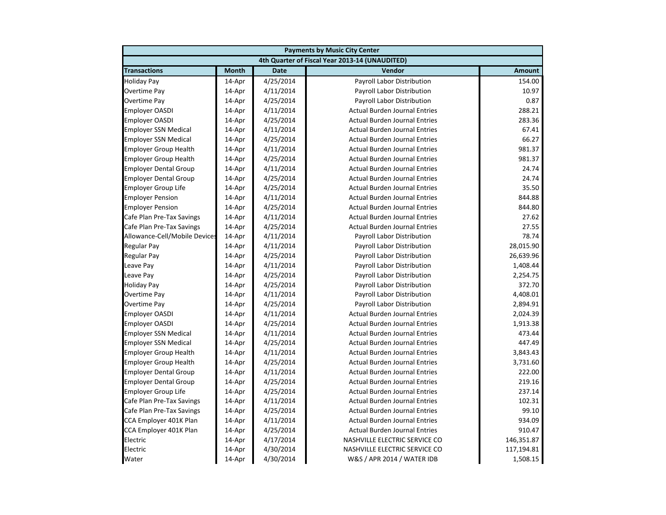|                               | <b>Payments by Music City Center</b> |             |                                                |               |  |
|-------------------------------|--------------------------------------|-------------|------------------------------------------------|---------------|--|
|                               |                                      |             | 4th Quarter of Fiscal Year 2013-14 (UNAUDITED) |               |  |
| <b>Transactions</b>           | <b>Month</b>                         | <b>Date</b> | Vendor                                         | <b>Amount</b> |  |
| <b>Holiday Pay</b>            | 14-Apr                               | 4/25/2014   | Payroll Labor Distribution                     | 154.00        |  |
| Overtime Pay                  | 14-Apr                               | 4/11/2014   | Payroll Labor Distribution                     | 10.97         |  |
| Overtime Pay                  | 14-Apr                               | 4/25/2014   | Payroll Labor Distribution                     | 0.87          |  |
| <b>Employer OASDI</b>         | 14-Apr                               | 4/11/2014   | <b>Actual Burden Journal Entries</b>           | 288.21        |  |
| <b>Employer OASDI</b>         | 14-Apr                               | 4/25/2014   | <b>Actual Burden Journal Entries</b>           | 283.36        |  |
| <b>Employer SSN Medical</b>   | 14-Apr                               | 4/11/2014   | <b>Actual Burden Journal Entries</b>           | 67.41         |  |
| <b>Employer SSN Medical</b>   | 14-Apr                               | 4/25/2014   | <b>Actual Burden Journal Entries</b>           | 66.27         |  |
| <b>Employer Group Health</b>  | 14-Apr                               | 4/11/2014   | <b>Actual Burden Journal Entries</b>           | 981.37        |  |
| <b>Employer Group Health</b>  | 14-Apr                               | 4/25/2014   | <b>Actual Burden Journal Entries</b>           | 981.37        |  |
| <b>Employer Dental Group</b>  | 14-Apr                               | 4/11/2014   | <b>Actual Burden Journal Entries</b>           | 24.74         |  |
| <b>Employer Dental Group</b>  | 14-Apr                               | 4/25/2014   | <b>Actual Burden Journal Entries</b>           | 24.74         |  |
| <b>Employer Group Life</b>    | 14-Apr                               | 4/25/2014   | <b>Actual Burden Journal Entries</b>           | 35.50         |  |
| <b>Employer Pension</b>       | 14-Apr                               | 4/11/2014   | <b>Actual Burden Journal Entries</b>           | 844.88        |  |
| <b>Employer Pension</b>       | 14-Apr                               | 4/25/2014   | <b>Actual Burden Journal Entries</b>           | 844.80        |  |
| Cafe Plan Pre-Tax Savings     | 14-Apr                               | 4/11/2014   | <b>Actual Burden Journal Entries</b>           | 27.62         |  |
| Cafe Plan Pre-Tax Savings     | 14-Apr                               | 4/25/2014   | <b>Actual Burden Journal Entries</b>           | 27.55         |  |
| Allowance-Cell/Mobile Devices | 14-Apr                               | 4/11/2014   | Payroll Labor Distribution                     | 78.74         |  |
| <b>Regular Pay</b>            | 14-Apr                               | 4/11/2014   | Payroll Labor Distribution                     | 28,015.90     |  |
| <b>Regular Pay</b>            | 14-Apr                               | 4/25/2014   | Payroll Labor Distribution                     | 26,639.96     |  |
| Leave Pay                     | 14-Apr                               | 4/11/2014   | Payroll Labor Distribution                     | 1,408.44      |  |
| Leave Pay                     | 14-Apr                               | 4/25/2014   | Payroll Labor Distribution                     | 2,254.75      |  |
| <b>Holiday Pay</b>            | 14-Apr                               | 4/25/2014   | Payroll Labor Distribution                     | 372.70        |  |
| <b>Overtime Pay</b>           | 14-Apr                               | 4/11/2014   | Payroll Labor Distribution                     | 4,408.01      |  |
| <b>Overtime Pay</b>           | 14-Apr                               | 4/25/2014   | Payroll Labor Distribution                     | 2,894.91      |  |
| <b>Employer OASDI</b>         | 14-Apr                               | 4/11/2014   | <b>Actual Burden Journal Entries</b>           | 2,024.39      |  |
| <b>Employer OASDI</b>         | 14-Apr                               | 4/25/2014   | <b>Actual Burden Journal Entries</b>           | 1,913.38      |  |
| <b>Employer SSN Medical</b>   | 14-Apr                               | 4/11/2014   | <b>Actual Burden Journal Entries</b>           | 473.44        |  |
| <b>Employer SSN Medical</b>   | 14-Apr                               | 4/25/2014   | <b>Actual Burden Journal Entries</b>           | 447.49        |  |
| <b>Employer Group Health</b>  | 14-Apr                               | 4/11/2014   | <b>Actual Burden Journal Entries</b>           | 3,843.43      |  |
| <b>Employer Group Health</b>  | 14-Apr                               | 4/25/2014   | <b>Actual Burden Journal Entries</b>           | 3,731.60      |  |
| <b>Employer Dental Group</b>  | 14-Apr                               | 4/11/2014   | <b>Actual Burden Journal Entries</b>           | 222.00        |  |
| <b>Employer Dental Group</b>  | 14-Apr                               | 4/25/2014   | <b>Actual Burden Journal Entries</b>           | 219.16        |  |
| <b>Employer Group Life</b>    | 14-Apr                               | 4/25/2014   | <b>Actual Burden Journal Entries</b>           | 237.14        |  |
| Cafe Plan Pre-Tax Savings     | 14-Apr                               | 4/11/2014   | <b>Actual Burden Journal Entries</b>           | 102.31        |  |
| Cafe Plan Pre-Tax Savings     | 14-Apr                               | 4/25/2014   | <b>Actual Burden Journal Entries</b>           | 99.10         |  |
| CCA Employer 401K Plan        | 14-Apr                               | 4/11/2014   | <b>Actual Burden Journal Entries</b>           | 934.09        |  |
| CCA Employer 401K Plan        | 14-Apr                               | 4/25/2014   | <b>Actual Burden Journal Entries</b>           | 910.47        |  |
| Electric                      | 14-Apr                               | 4/17/2014   | NASHVILLE ELECTRIC SERVICE CO                  | 146,351.87    |  |
| Electric                      | 14-Apr                               | 4/30/2014   | NASHVILLE ELECTRIC SERVICE CO                  | 117,194.81    |  |
| Water                         | 14-Apr                               | 4/30/2014   | W&S / APR 2014 / WATER IDB                     | 1,508.15      |  |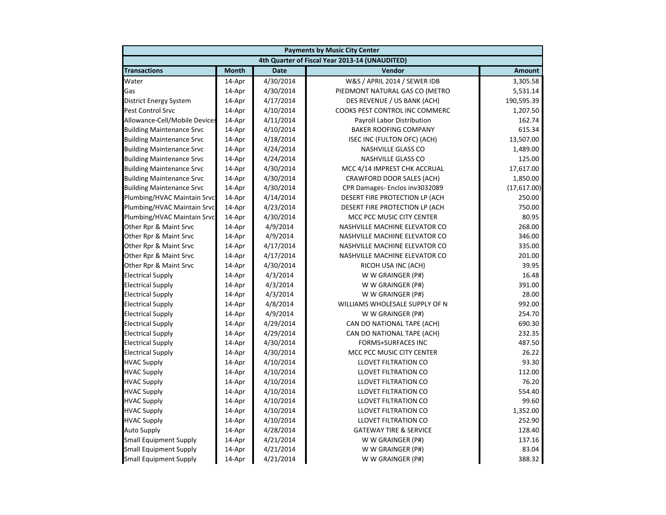|                                  | <b>Payments by Music City Center</b> |             |                                                |               |  |
|----------------------------------|--------------------------------------|-------------|------------------------------------------------|---------------|--|
|                                  |                                      |             | 4th Quarter of Fiscal Year 2013-14 (UNAUDITED) |               |  |
| <b>Transactions</b>              | <b>Month</b>                         | <b>Date</b> | Vendor                                         | <b>Amount</b> |  |
| Water                            | 14-Apr                               | 4/30/2014   | W&S / APRIL 2014 / SEWER IDB                   | 3,305.58      |  |
| Gas                              | 14-Apr                               | 4/30/2014   | PIEDMONT NATURAL GAS CO (METRO                 | 5,531.14      |  |
| District Energy System           | 14-Apr                               | 4/17/2014   | DES REVENUE / US BANK (ACH)                    | 190,595.39    |  |
| Pest Control Srvc                | 14-Apr                               | 4/10/2014   | COOKS PEST CONTROL INC COMMERC                 | 1,207.50      |  |
| Allowance-Cell/Mobile Devices    | 14-Apr                               | 4/11/2014   | Payroll Labor Distribution                     | 162.74        |  |
| <b>Building Maintenance Srvc</b> | 14-Apr                               | 4/10/2014   | <b>BAKER ROOFING COMPANY</b>                   | 615.34        |  |
| <b>Building Maintenance Srvc</b> | 14-Apr                               | 4/18/2014   | ISEC INC (FULTON OFC) (ACH)                    | 13,507.00     |  |
| <b>Building Maintenance Srvc</b> | 14-Apr                               | 4/24/2014   | <b>NASHVILLE GLASS CO</b>                      | 1,489.00      |  |
| <b>Building Maintenance Srvc</b> | 14-Apr                               | 4/24/2014   | NASHVILLE GLASS CO                             | 125.00        |  |
| <b>Building Maintenance Srvc</b> | 14-Apr                               | 4/30/2014   | MCC 4/14 IMPREST CHK ACCRUAL                   | 17,617.00     |  |
| <b>Building Maintenance Srvc</b> | 14-Apr                               | 4/30/2014   | CRAWFORD DOOR SALES (ACH)                      | 1,850.00      |  |
| <b>Building Maintenance Srvc</b> | 14-Apr                               | 4/30/2014   | CPR Damages- Enclos inv3032089                 | (17,617.00)   |  |
| Plumbing/HVAC Maintain Srvc      | 14-Apr                               | 4/14/2014   | DESERT FIRE PROTECTION LP (ACH                 | 250.00        |  |
| Plumbing/HVAC Maintain Srvc      | 14-Apr                               | 4/23/2014   | DESERT FIRE PROTECTION LP (ACH                 | 750.00        |  |
| Plumbing/HVAC Maintain Srvc      | 14-Apr                               | 4/30/2014   | MCC PCC MUSIC CITY CENTER                      | 80.95         |  |
| Other Rpr & Maint Srvc           | 14-Apr                               | 4/9/2014    | NASHVILLE MACHINE ELEVATOR CO                  | 268.00        |  |
| Other Rpr & Maint Srvc           | 14-Apr                               | 4/9/2014    | NASHVILLE MACHINE ELEVATOR CO                  | 346.00        |  |
| Other Rpr & Maint Srvc           | 14-Apr                               | 4/17/2014   | NASHVILLE MACHINE ELEVATOR CO                  | 335.00        |  |
| Other Rpr & Maint Srvc           | 14-Apr                               | 4/17/2014   | NASHVILLE MACHINE ELEVATOR CO                  | 201.00        |  |
| Other Rpr & Maint Srvc           | 14-Apr                               | 4/30/2014   | RICOH USA INC (ACH)                            | 39.95         |  |
| <b>Electrical Supply</b>         | 14-Apr                               | 4/3/2014    | W W GRAINGER (P#)                              | 16.48         |  |
| <b>Electrical Supply</b>         | 14-Apr                               | 4/3/2014    | W W GRAINGER (P#)                              | 391.00        |  |
| <b>Electrical Supply</b>         | 14-Apr                               | 4/3/2014    | W W GRAINGER (P#)                              | 28.00         |  |
| <b>Electrical Supply</b>         | 14-Apr                               | 4/8/2014    | WILLIAMS WHOLESALE SUPPLY OF N                 | 992.00        |  |
| <b>Electrical Supply</b>         | 14-Apr                               | 4/9/2014    | W W GRAINGER (P#)                              | 254.70        |  |
| <b>Electrical Supply</b>         | 14-Apr                               | 4/29/2014   | CAN DO NATIONAL TAPE (ACH)                     | 690.30        |  |
| <b>Electrical Supply</b>         | 14-Apr                               | 4/29/2014   | CAN DO NATIONAL TAPE (ACH)                     | 232.35        |  |
| <b>Electrical Supply</b>         | 14-Apr                               | 4/30/2014   | <b>FORMS+SURFACES INC</b>                      | 487.50        |  |
| <b>Electrical Supply</b>         | 14-Apr                               | 4/30/2014   | MCC PCC MUSIC CITY CENTER                      | 26.22         |  |
| <b>HVAC Supply</b>               | 14-Apr                               | 4/10/2014   | <b>LLOVET FILTRATION CO</b>                    | 93.30         |  |
| <b>HVAC Supply</b>               | 14-Apr                               | 4/10/2014   | <b>LLOVET FILTRATION CO</b>                    | 112.00        |  |
| <b>HVAC Supply</b>               | 14-Apr                               | 4/10/2014   | LLOVET FILTRATION CO                           | 76.20         |  |
| <b>HVAC Supply</b>               | 14-Apr                               | 4/10/2014   | LLOVET FILTRATION CO                           | 554.40        |  |
| <b>HVAC Supply</b>               | 14-Apr                               | 4/10/2014   | LLOVET FILTRATION CO                           | 99.60         |  |
| <b>HVAC Supply</b>               | 14-Apr                               | 4/10/2014   | LLOVET FILTRATION CO                           | 1,352.00      |  |
| <b>HVAC Supply</b>               | 14-Apr                               | 4/10/2014   | LLOVET FILTRATION CO                           | 252.90        |  |
| <b>Auto Supply</b>               | 14-Apr                               | 4/28/2014   | <b>GATEWAY TIRE &amp; SERVICE</b>              | 128.40        |  |
| <b>Small Equipment Supply</b>    | 14-Apr                               | 4/21/2014   | W W GRAINGER (P#)                              | 137.16        |  |
| <b>Small Equipment Supply</b>    | 14-Apr                               | 4/21/2014   | W W GRAINGER (P#)                              | 83.04         |  |
| <b>Small Equipment Supply</b>    | 14-Apr                               | 4/21/2014   | W W GRAINGER (P#)                              | 388.32        |  |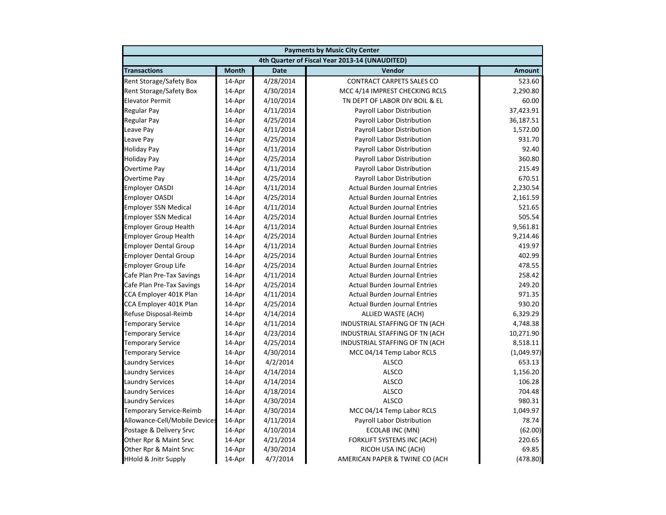|                                 | <b>Payments by Music City Center</b> |             |                                                |               |  |
|---------------------------------|--------------------------------------|-------------|------------------------------------------------|---------------|--|
|                                 |                                      |             | 4th Quarter of Fiscal Year 2013-14 (UNAUDITED) |               |  |
| <b>Transactions</b>             | <b>Month</b>                         | <b>Date</b> | Vendor                                         | <b>Amount</b> |  |
| Rent Storage/Safety Box         | 14-Apr                               | 4/28/2014   | <b>CONTRACT CARPETS SALES CO</b>               | 523.60        |  |
| <b>Rent Storage/Safety Box</b>  | 14-Apr                               | 4/30/2014   | MCC 4/14 IMPREST CHECKING RCLS                 | 2,290.80      |  |
| <b>Elevator Permit</b>          | 14-Apr                               | 4/10/2014   | TN DEPT OF LABOR DIV BOIL & EL                 | 60.00         |  |
| <b>Regular Pay</b>              | 14-Apr                               | 4/11/2014   | Payroll Labor Distribution                     | 37,423.91     |  |
| <b>Regular Pay</b>              | 14-Apr                               | 4/25/2014   | Payroll Labor Distribution                     | 36,187.51     |  |
| Leave Pay                       | 14-Apr                               | 4/11/2014   | Payroll Labor Distribution                     | 1,572.00      |  |
| Leave Pay                       | 14-Apr                               | 4/25/2014   | Payroll Labor Distribution                     | 931.70        |  |
| <b>Holiday Pay</b>              | 14-Apr                               | 4/11/2014   | Payroll Labor Distribution                     | 92.40         |  |
| <b>Holiday Pay</b>              | 14-Apr                               | 4/25/2014   | Payroll Labor Distribution                     | 360.80        |  |
| <b>Overtime Pay</b>             | 14-Apr                               | 4/11/2014   | Payroll Labor Distribution                     | 215.49        |  |
| Overtime Pay                    | 14-Apr                               | 4/25/2014   | Payroll Labor Distribution                     | 670.51        |  |
| <b>Employer OASDI</b>           | 14-Apr                               | 4/11/2014   | <b>Actual Burden Journal Entries</b>           | 2,230.54      |  |
| <b>Employer OASDI</b>           | 14-Apr                               | 4/25/2014   | <b>Actual Burden Journal Entries</b>           | 2,161.59      |  |
| <b>Employer SSN Medical</b>     | 14-Apr                               | 4/11/2014   | <b>Actual Burden Journal Entries</b>           | 521.65        |  |
| <b>Employer SSN Medical</b>     | 14-Apr                               | 4/25/2014   | <b>Actual Burden Journal Entries</b>           | 505.54        |  |
| <b>Employer Group Health</b>    | 14-Apr                               | 4/11/2014   | <b>Actual Burden Journal Entries</b>           | 9,561.81      |  |
| <b>Employer Group Health</b>    | 14-Apr                               | 4/25/2014   | <b>Actual Burden Journal Entries</b>           | 9,214.46      |  |
| <b>Employer Dental Group</b>    | 14-Apr                               | 4/11/2014   | <b>Actual Burden Journal Entries</b>           | 419.97        |  |
| <b>Employer Dental Group</b>    | 14-Apr                               | 4/25/2014   | <b>Actual Burden Journal Entries</b>           | 402.99        |  |
| <b>Employer Group Life</b>      | 14-Apr                               | 4/25/2014   | <b>Actual Burden Journal Entries</b>           | 478.55        |  |
| Cafe Plan Pre-Tax Savings       | 14-Apr                               | 4/11/2014   | <b>Actual Burden Journal Entries</b>           | 258.42        |  |
| Cafe Plan Pre-Tax Savings       | 14-Apr                               | 4/25/2014   | <b>Actual Burden Journal Entries</b>           | 249.20        |  |
| CCA Employer 401K Plan          | 14-Apr                               | 4/11/2014   | <b>Actual Burden Journal Entries</b>           | 971.35        |  |
| CCA Employer 401K Plan          | 14-Apr                               | 4/25/2014   | <b>Actual Burden Journal Entries</b>           | 930.20        |  |
| Refuse Disposal-Reimb           | 14-Apr                               | 4/14/2014   | ALLIED WASTE (ACH)                             | 6,329.29      |  |
| <b>Temporary Service</b>        | 14-Apr                               | 4/11/2014   | INDUSTRIAL STAFFING OF TN (ACH                 | 4,748.38      |  |
| <b>Temporary Service</b>        | 14-Apr                               | 4/23/2014   | INDUSTRIAL STAFFING OF TN (ACH                 | 10,271.90     |  |
| <b>Temporary Service</b>        | 14-Apr                               | 4/25/2014   | INDUSTRIAL STAFFING OF TN (ACH                 | 8,518.11      |  |
| <b>Temporary Service</b>        | 14-Apr                               | 4/30/2014   | MCC 04/14 Temp Labor RCLS                      | (1,049.97)    |  |
| <b>Laundry Services</b>         | 14-Apr                               | 4/2/2014    | <b>ALSCO</b>                                   | 653.13        |  |
| <b>Laundry Services</b>         | 14-Apr                               | 4/14/2014   | <b>ALSCO</b>                                   | 1,156.20      |  |
| <b>Laundry Services</b>         | 14-Apr                               | 4/14/2014   | <b>ALSCO</b>                                   | 106.28        |  |
| <b>Laundry Services</b>         | 14-Apr                               | 4/18/2014   | <b>ALSCO</b>                                   | 704.48        |  |
| <b>Laundry Services</b>         | 14-Apr                               | 4/30/2014   | <b>ALSCO</b>                                   | 980.31        |  |
| <b>Temporary Service-Reimb</b>  | 14-Apr                               | 4/30/2014   | MCC 04/14 Temp Labor RCLS                      | 1,049.97      |  |
| Allowance-Cell/Mobile Devices   | 14-Apr                               | 4/11/2014   | Payroll Labor Distribution                     | 78.74         |  |
| Postage & Delivery Srvc         | 14-Apr                               | 4/10/2014   | ECOLAB INC (MN)                                | (62.00)       |  |
| Other Rpr & Maint Srvc          | 14-Apr                               | 4/21/2014   | FORKLIFT SYSTEMS INC (ACH)                     | 220.65        |  |
| Other Rpr & Maint Srvc          | 14-Apr                               | 4/30/2014   | RICOH USA INC (ACH)                            | 69.85         |  |
| <b>HHold &amp; Jnitr Supply</b> | 14-Apr                               | 4/7/2014    | AMERICAN PAPER & TWINE CO (ACH                 | (478.80)      |  |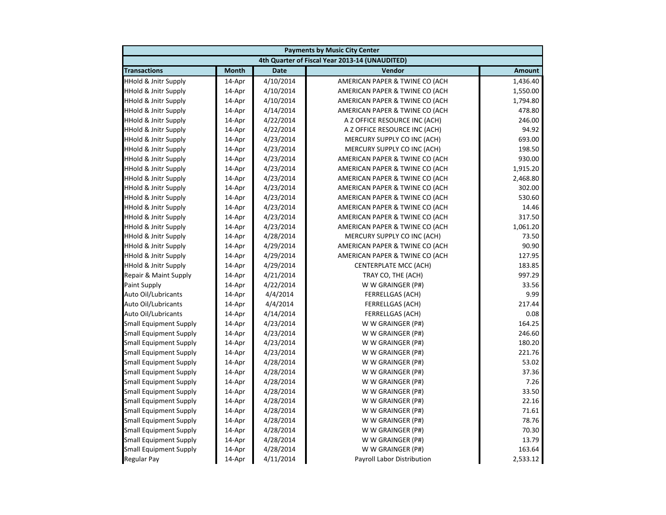|                                 | <b>Payments by Music City Center</b> |             |                                                |               |  |
|---------------------------------|--------------------------------------|-------------|------------------------------------------------|---------------|--|
|                                 |                                      |             | 4th Quarter of Fiscal Year 2013-14 (UNAUDITED) |               |  |
| <b>Transactions</b>             | <b>Month</b>                         | <b>Date</b> | Vendor                                         | <b>Amount</b> |  |
| <b>HHold &amp; Jnitr Supply</b> | 14-Apr                               | 4/10/2014   | AMERICAN PAPER & TWINE CO (ACH                 | 1,436.40      |  |
| <b>HHold &amp; Jnitr Supply</b> | 14-Apr                               | 4/10/2014   | AMERICAN PAPER & TWINE CO (ACH                 | 1,550.00      |  |
| <b>HHold &amp; Jnitr Supply</b> | 14-Apr                               | 4/10/2014   | AMERICAN PAPER & TWINE CO (ACH                 | 1,794.80      |  |
| <b>HHold &amp; Jnitr Supply</b> | 14-Apr                               | 4/14/2014   | AMERICAN PAPER & TWINE CO (ACH                 | 478.80        |  |
| <b>HHold &amp; Jnitr Supply</b> | 14-Apr                               | 4/22/2014   | A Z OFFICE RESOURCE INC (ACH)                  | 246.00        |  |
| <b>HHold &amp; Jnitr Supply</b> | 14-Apr                               | 4/22/2014   | A Z OFFICE RESOURCE INC (ACH)                  | 94.92         |  |
| <b>HHold &amp; Jnitr Supply</b> | 14-Apr                               | 4/23/2014   | MERCURY SUPPLY CO INC (ACH)                    | 693.00        |  |
| <b>HHold &amp; Jnitr Supply</b> | 14-Apr                               | 4/23/2014   | MERCURY SUPPLY CO INC (ACH)                    | 198.50        |  |
| HHold & Jnitr Supply            | 14-Apr                               | 4/23/2014   | AMERICAN PAPER & TWINE CO (ACH                 | 930.00        |  |
| <b>HHold &amp; Jnitr Supply</b> | 14-Apr                               | 4/23/2014   | AMERICAN PAPER & TWINE CO (ACH                 | 1,915.20      |  |
| <b>HHold &amp; Jnitr Supply</b> | 14-Apr                               | 4/23/2014   | AMERICAN PAPER & TWINE CO (ACH                 | 2,468.80      |  |
| <b>HHold &amp; Jnitr Supply</b> | 14-Apr                               | 4/23/2014   | AMERICAN PAPER & TWINE CO (ACH                 | 302.00        |  |
| <b>HHold &amp; Jnitr Supply</b> | 14-Apr                               | 4/23/2014   | AMERICAN PAPER & TWINE CO (ACH                 | 530.60        |  |
| <b>HHold &amp; Jnitr Supply</b> | 14-Apr                               | 4/23/2014   | AMERICAN PAPER & TWINE CO (ACH                 | 14.46         |  |
| <b>HHold &amp; Jnitr Supply</b> | 14-Apr                               | 4/23/2014   | AMERICAN PAPER & TWINE CO (ACH                 | 317.50        |  |
| <b>HHold &amp; Jnitr Supply</b> | 14-Apr                               | 4/23/2014   | AMERICAN PAPER & TWINE CO (ACH                 | 1,061.20      |  |
| <b>HHold &amp; Jnitr Supply</b> | 14-Apr                               | 4/28/2014   | MERCURY SUPPLY CO INC (ACH)                    | 73.50         |  |
| <b>HHold &amp; Jnitr Supply</b> | 14-Apr                               | 4/29/2014   | AMERICAN PAPER & TWINE CO (ACH                 | 90.90         |  |
| <b>HHold &amp; Jnitr Supply</b> | 14-Apr                               | 4/29/2014   | AMERICAN PAPER & TWINE CO (ACH                 | 127.95        |  |
| <b>HHold &amp; Jnitr Supply</b> | 14-Apr                               | 4/29/2014   | CENTERPLATE MCC (ACH)                          | 183.85        |  |
| Repair & Maint Supply           | 14-Apr                               | 4/21/2014   | TRAY CO, THE (ACH)                             | 997.29        |  |
| Paint Supply                    | 14-Apr                               | 4/22/2014   | W W GRAINGER (P#)                              | 33.56         |  |
| Auto Oil/Lubricants             | 14-Apr                               | 4/4/2014    | <b>FERRELLGAS (ACH)</b>                        | 9.99          |  |
| Auto Oil/Lubricants             | 14-Apr                               | 4/4/2014    | <b>FERRELLGAS (ACH)</b>                        | 217.44        |  |
| Auto Oil/Lubricants             | 14-Apr                               | 4/14/2014   | <b>FERRELLGAS (ACH)</b>                        | 0.08          |  |
| <b>Small Equipment Supply</b>   | 14-Apr                               | 4/23/2014   | W W GRAINGER (P#)                              | 164.25        |  |
| <b>Small Equipment Supply</b>   | 14-Apr                               | 4/23/2014   | W W GRAINGER (P#)                              | 246.60        |  |
| <b>Small Equipment Supply</b>   | 14-Apr                               | 4/23/2014   | W W GRAINGER (P#)                              | 180.20        |  |
| <b>Small Equipment Supply</b>   | 14-Apr                               | 4/23/2014   | W W GRAINGER (P#)                              | 221.76        |  |
| Small Equipment Supply          | 14-Apr                               | 4/28/2014   | W W GRAINGER (P#)                              | 53.02         |  |
| <b>Small Equipment Supply</b>   | 14-Apr                               | 4/28/2014   | W W GRAINGER (P#)                              | 37.36         |  |
| <b>Small Equipment Supply</b>   | 14-Apr                               | 4/28/2014   | W W GRAINGER (P#)                              | 7.26          |  |
| <b>Small Equipment Supply</b>   | 14-Apr                               | 4/28/2014   | W W GRAINGER (P#)                              | 33.50         |  |
| <b>Small Equipment Supply</b>   | 14-Apr                               | 4/28/2014   | W W GRAINGER (P#)                              | 22.16         |  |
| <b>Small Equipment Supply</b>   | 14-Apr                               | 4/28/2014   | W W GRAINGER (P#)                              | 71.61         |  |
| <b>Small Equipment Supply</b>   | 14-Apr                               | 4/28/2014   | W W GRAINGER (P#)                              | 78.76         |  |
| <b>Small Equipment Supply</b>   | 14-Apr                               | 4/28/2014   | W W GRAINGER (P#)                              | 70.30         |  |
| <b>Small Equipment Supply</b>   | 14-Apr                               | 4/28/2014   | W W GRAINGER (P#)                              | 13.79         |  |
| <b>Small Equipment Supply</b>   | 14-Apr                               | 4/28/2014   | W W GRAINGER (P#)                              | 163.64        |  |
| Regular Pay                     | 14-Apr                               | 4/11/2014   | Payroll Labor Distribution                     | 2,533.12      |  |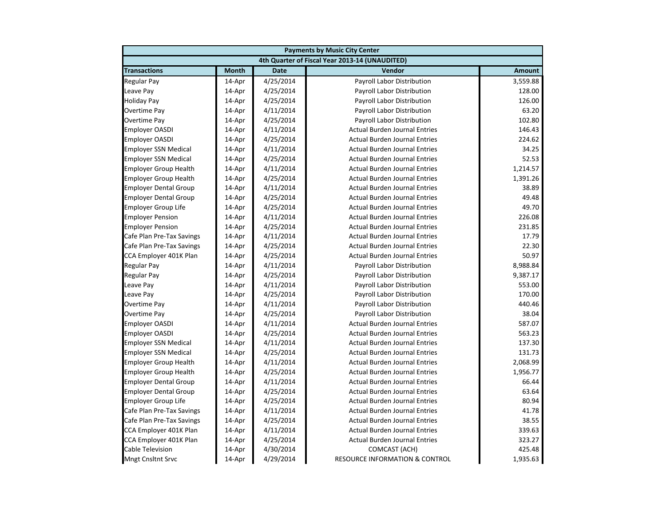|                              | <b>Payments by Music City Center</b> |             |                                                |               |  |
|------------------------------|--------------------------------------|-------------|------------------------------------------------|---------------|--|
|                              |                                      |             | 4th Quarter of Fiscal Year 2013-14 (UNAUDITED) |               |  |
| <b>Transactions</b>          | <b>Month</b>                         | <b>Date</b> | Vendor                                         | <b>Amount</b> |  |
| Regular Pay                  | 14-Apr                               | 4/25/2014   | Payroll Labor Distribution                     | 3,559.88      |  |
| Leave Pay                    | 14-Apr                               | 4/25/2014   | Payroll Labor Distribution                     | 128.00        |  |
| <b>Holiday Pay</b>           | 14-Apr                               | 4/25/2014   | Payroll Labor Distribution                     | 126.00        |  |
| Overtime Pay                 | 14-Apr                               | 4/11/2014   | Payroll Labor Distribution                     | 63.20         |  |
| Overtime Pay                 | 14-Apr                               | 4/25/2014   | Payroll Labor Distribution                     | 102.80        |  |
| <b>Employer OASDI</b>        | 14-Apr                               | 4/11/2014   | <b>Actual Burden Journal Entries</b>           | 146.43        |  |
| <b>Employer OASDI</b>        | 14-Apr                               | 4/25/2014   | <b>Actual Burden Journal Entries</b>           | 224.62        |  |
| <b>Employer SSN Medical</b>  | 14-Apr                               | 4/11/2014   | <b>Actual Burden Journal Entries</b>           | 34.25         |  |
| <b>Employer SSN Medical</b>  | 14-Apr                               | 4/25/2014   | <b>Actual Burden Journal Entries</b>           | 52.53         |  |
| <b>Employer Group Health</b> | 14-Apr                               | 4/11/2014   | <b>Actual Burden Journal Entries</b>           | 1,214.57      |  |
| Employer Group Health        | 14-Apr                               | 4/25/2014   | <b>Actual Burden Journal Entries</b>           | 1,391.26      |  |
| <b>Employer Dental Group</b> | 14-Apr                               | 4/11/2014   | <b>Actual Burden Journal Entries</b>           | 38.89         |  |
| <b>Employer Dental Group</b> | 14-Apr                               | 4/25/2014   | <b>Actual Burden Journal Entries</b>           | 49.48         |  |
| <b>Employer Group Life</b>   | 14-Apr                               | 4/25/2014   | <b>Actual Burden Journal Entries</b>           | 49.70         |  |
| <b>Employer Pension</b>      | 14-Apr                               | 4/11/2014   | <b>Actual Burden Journal Entries</b>           | 226.08        |  |
| <b>Employer Pension</b>      | 14-Apr                               | 4/25/2014   | <b>Actual Burden Journal Entries</b>           | 231.85        |  |
| Cafe Plan Pre-Tax Savings    | 14-Apr                               | 4/11/2014   | <b>Actual Burden Journal Entries</b>           | 17.79         |  |
| Cafe Plan Pre-Tax Savings    | 14-Apr                               | 4/25/2014   | <b>Actual Burden Journal Entries</b>           | 22.30         |  |
| CCA Employer 401K Plan       | 14-Apr                               | 4/25/2014   | <b>Actual Burden Journal Entries</b>           | 50.97         |  |
| Regular Pay                  | 14-Apr                               | 4/11/2014   | Payroll Labor Distribution                     | 8,988.84      |  |
| <b>Regular Pay</b>           | 14-Apr                               | 4/25/2014   | Payroll Labor Distribution                     | 9,387.17      |  |
| Leave Pay                    | 14-Apr                               | 4/11/2014   | Payroll Labor Distribution                     | 553.00        |  |
| Leave Pay                    | 14-Apr                               | 4/25/2014   | Payroll Labor Distribution                     | 170.00        |  |
| Overtime Pay                 | 14-Apr                               | 4/11/2014   | Payroll Labor Distribution                     | 440.46        |  |
| Overtime Pay                 | 14-Apr                               | 4/25/2014   | Payroll Labor Distribution                     | 38.04         |  |
| <b>Employer OASDI</b>        | 14-Apr                               | 4/11/2014   | <b>Actual Burden Journal Entries</b>           | 587.07        |  |
| <b>Employer OASDI</b>        | 14-Apr                               | 4/25/2014   | <b>Actual Burden Journal Entries</b>           | 563.23        |  |
| <b>Employer SSN Medical</b>  | 14-Apr                               | 4/11/2014   | <b>Actual Burden Journal Entries</b>           | 137.30        |  |
| <b>Employer SSN Medical</b>  | 14-Apr                               | 4/25/2014   | <b>Actual Burden Journal Entries</b>           | 131.73        |  |
| <b>Employer Group Health</b> | 14-Apr                               | 4/11/2014   | <b>Actual Burden Journal Entries</b>           | 2,068.99      |  |
| <b>Employer Group Health</b> | 14-Apr                               | 4/25/2014   | <b>Actual Burden Journal Entries</b>           | 1,956.77      |  |
| <b>Employer Dental Group</b> | 14-Apr                               | 4/11/2014   | <b>Actual Burden Journal Entries</b>           | 66.44         |  |
| <b>Employer Dental Group</b> | 14-Apr                               | 4/25/2014   | <b>Actual Burden Journal Entries</b>           | 63.64         |  |
| <b>Employer Group Life</b>   | 14-Apr                               | 4/25/2014   | <b>Actual Burden Journal Entries</b>           | 80.94         |  |
| Cafe Plan Pre-Tax Savings    | 14-Apr                               | 4/11/2014   | <b>Actual Burden Journal Entries</b>           | 41.78         |  |
| Cafe Plan Pre-Tax Savings    | 14-Apr                               | 4/25/2014   | <b>Actual Burden Journal Entries</b>           | 38.55         |  |
| CCA Employer 401K Plan       | 14-Apr                               | 4/11/2014   | <b>Actual Burden Journal Entries</b>           | 339.63        |  |
| CCA Employer 401K Plan       | 14-Apr                               | 4/25/2014   | <b>Actual Burden Journal Entries</b>           | 323.27        |  |
| <b>Cable Television</b>      | 14-Apr                               | 4/30/2014   | COMCAST (ACH)                                  | 425.48        |  |
| <b>Mngt Cnsltnt Srvc</b>     | 14-Apr                               | 4/29/2014   | <b>RESOURCE INFORMATION &amp; CONTROL</b>      | 1,935.63      |  |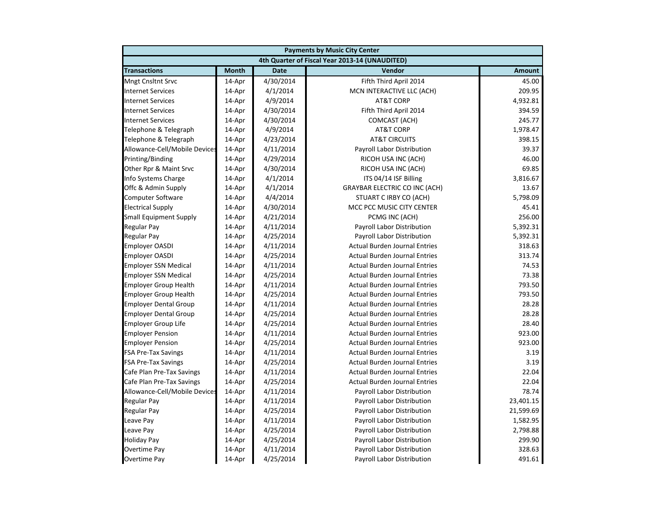|                               |              |             | <b>Payments by Music City Center</b>           |               |
|-------------------------------|--------------|-------------|------------------------------------------------|---------------|
|                               |              |             | 4th Quarter of Fiscal Year 2013-14 (UNAUDITED) |               |
| <b>Transactions</b>           | <b>Month</b> | <b>Date</b> | Vendor                                         | <b>Amount</b> |
| <b>Mngt Cnsltnt Srvc</b>      | 14-Apr       | 4/30/2014   | Fifth Third April 2014                         | 45.00         |
| <b>Internet Services</b>      | 14-Apr       | 4/1/2014    | MCN INTERACTIVE LLC (ACH)                      | 209.95        |
| <b>Internet Services</b>      | 14-Apr       | 4/9/2014    | <b>AT&amp;T CORP</b>                           | 4,932.81      |
| <b>Internet Services</b>      | 14-Apr       | 4/30/2014   | Fifth Third April 2014                         | 394.59        |
| <b>Internet Services</b>      | 14-Apr       | 4/30/2014   | COMCAST (ACH)                                  | 245.77        |
| Telephone & Telegraph         | 14-Apr       | 4/9/2014    | <b>AT&amp;T CORP</b>                           | 1,978.47      |
| Telephone & Telegraph         | 14-Apr       | 4/23/2014   | <b>AT&amp;T CIRCUITS</b>                       | 398.15        |
| Allowance-Cell/Mobile Devices | 14-Apr       | 4/11/2014   | Payroll Labor Distribution                     | 39.37         |
| Printing/Binding              | 14-Apr       | 4/29/2014   | RICOH USA INC (ACH)                            | 46.00         |
| Other Rpr & Maint Srvc        | 14-Apr       | 4/30/2014   | RICOH USA INC (ACH)                            | 69.85         |
| Info Systems Charge           | 14-Apr       | 4/1/2014    | ITS 04/14 ISF Billing                          | 3,816.67      |
| Offc & Admin Supply           | 14-Apr       | 4/1/2014    | <b>GRAYBAR ELECTRIC CO INC (ACH)</b>           | 13.67         |
| <b>Computer Software</b>      | 14-Apr       | 4/4/2014    | STUART C IRBY CO (ACH)                         | 5,798.09      |
| <b>Electrical Supply</b>      | 14-Apr       | 4/30/2014   | MCC PCC MUSIC CITY CENTER                      | 45.41         |
| <b>Small Equipment Supply</b> | 14-Apr       | 4/21/2014   | PCMG INC (ACH)                                 | 256.00        |
| <b>Regular Pay</b>            | 14-Apr       | 4/11/2014   | Payroll Labor Distribution                     | 5,392.31      |
| <b>Regular Pay</b>            | 14-Apr       | 4/25/2014   | Payroll Labor Distribution                     | 5,392.31      |
| <b>Employer OASDI</b>         | 14-Apr       | 4/11/2014   | <b>Actual Burden Journal Entries</b>           | 318.63        |
| <b>Employer OASDI</b>         | 14-Apr       | 4/25/2014   | <b>Actual Burden Journal Entries</b>           | 313.74        |
| <b>Employer SSN Medical</b>   | 14-Apr       | 4/11/2014   | <b>Actual Burden Journal Entries</b>           | 74.53         |
| <b>Employer SSN Medical</b>   | 14-Apr       | 4/25/2014   | <b>Actual Burden Journal Entries</b>           | 73.38         |
| <b>Employer Group Health</b>  | 14-Apr       | 4/11/2014   | <b>Actual Burden Journal Entries</b>           | 793.50        |
| <b>Employer Group Health</b>  | 14-Apr       | 4/25/2014   | <b>Actual Burden Journal Entries</b>           | 793.50        |
| <b>Employer Dental Group</b>  | 14-Apr       | 4/11/2014   | <b>Actual Burden Journal Entries</b>           | 28.28         |
| <b>Employer Dental Group</b>  | 14-Apr       | 4/25/2014   | <b>Actual Burden Journal Entries</b>           | 28.28         |
| <b>Employer Group Life</b>    | 14-Apr       | 4/25/2014   | <b>Actual Burden Journal Entries</b>           | 28.40         |
| <b>Employer Pension</b>       | 14-Apr       | 4/11/2014   | <b>Actual Burden Journal Entries</b>           | 923.00        |
| <b>Employer Pension</b>       | 14-Apr       | 4/25/2014   | <b>Actual Burden Journal Entries</b>           | 923.00        |
| <b>FSA Pre-Tax Savings</b>    | 14-Apr       | 4/11/2014   | <b>Actual Burden Journal Entries</b>           | 3.19          |
| <b>FSA Pre-Tax Savings</b>    | 14-Apr       | 4/25/2014   | <b>Actual Burden Journal Entries</b>           | 3.19          |
| Cafe Plan Pre-Tax Savings     | 14-Apr       | 4/11/2014   | <b>Actual Burden Journal Entries</b>           | 22.04         |
| Cafe Plan Pre-Tax Savings     | 14-Apr       | 4/25/2014   | <b>Actual Burden Journal Entries</b>           | 22.04         |
| Allowance-Cell/Mobile Devices | 14-Apr       | 4/11/2014   | Payroll Labor Distribution                     | 78.74         |
| <b>Regular Pay</b>            | 14-Apr       | 4/11/2014   | Payroll Labor Distribution                     | 23,401.15     |
| <b>Regular Pay</b>            | 14-Apr       | 4/25/2014   | Payroll Labor Distribution                     | 21,599.69     |
| Leave Pay                     | 14-Apr       | 4/11/2014   | Payroll Labor Distribution                     | 1,582.95      |
| Leave Pay                     | 14-Apr       | 4/25/2014   | Payroll Labor Distribution                     | 2,798.88      |
| <b>Holiday Pay</b>            | 14-Apr       | 4/25/2014   | <b>Payroll Labor Distribution</b>              | 299.90        |
| Overtime Pay                  | 14-Apr       | 4/11/2014   | Payroll Labor Distribution                     | 328.63        |
| <b>Overtime Pay</b>           | 14-Apr       | 4/25/2014   | Payroll Labor Distribution                     | 491.61        |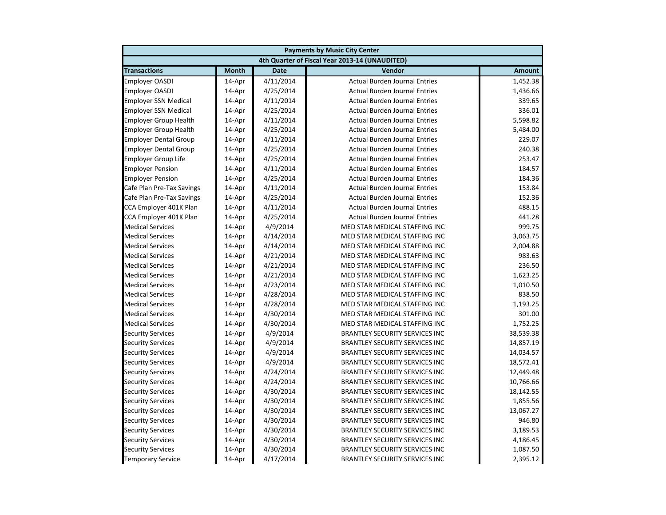| <b>Payments by Music City Center</b> |              |             |                                                |               |
|--------------------------------------|--------------|-------------|------------------------------------------------|---------------|
|                                      |              |             | 4th Quarter of Fiscal Year 2013-14 (UNAUDITED) |               |
| <b>Transactions</b>                  | <b>Month</b> | <b>Date</b> | Vendor                                         | <b>Amount</b> |
| <b>Employer OASDI</b>                | 14-Apr       | 4/11/2014   | <b>Actual Burden Journal Entries</b>           | 1,452.38      |
| <b>Employer OASDI</b>                | 14-Apr       | 4/25/2014   | <b>Actual Burden Journal Entries</b>           | 1,436.66      |
| <b>Employer SSN Medical</b>          | 14-Apr       | 4/11/2014   | <b>Actual Burden Journal Entries</b>           | 339.65        |
| <b>Employer SSN Medical</b>          | 14-Apr       | 4/25/2014   | <b>Actual Burden Journal Entries</b>           | 336.01        |
| <b>Employer Group Health</b>         | 14-Apr       | 4/11/2014   | <b>Actual Burden Journal Entries</b>           | 5,598.82      |
| <b>Employer Group Health</b>         | 14-Apr       | 4/25/2014   | <b>Actual Burden Journal Entries</b>           | 5,484.00      |
| <b>Employer Dental Group</b>         | 14-Apr       | 4/11/2014   | <b>Actual Burden Journal Entries</b>           | 229.07        |
| <b>Employer Dental Group</b>         | 14-Apr       | 4/25/2014   | <b>Actual Burden Journal Entries</b>           | 240.38        |
| <b>Employer Group Life</b>           | 14-Apr       | 4/25/2014   | <b>Actual Burden Journal Entries</b>           | 253.47        |
| <b>Employer Pension</b>              | 14-Apr       | 4/11/2014   | <b>Actual Burden Journal Entries</b>           | 184.57        |
| <b>Employer Pension</b>              | 14-Apr       | 4/25/2014   | <b>Actual Burden Journal Entries</b>           | 184.36        |
| Cafe Plan Pre-Tax Savings            | 14-Apr       | 4/11/2014   | <b>Actual Burden Journal Entries</b>           | 153.84        |
| Cafe Plan Pre-Tax Savings            | 14-Apr       | 4/25/2014   | <b>Actual Burden Journal Entries</b>           | 152.36        |
| CCA Employer 401K Plan               | 14-Apr       | 4/11/2014   | <b>Actual Burden Journal Entries</b>           | 488.15        |
| CCA Employer 401K Plan               | 14-Apr       | 4/25/2014   | <b>Actual Burden Journal Entries</b>           | 441.28        |
| <b>Medical Services</b>              | 14-Apr       | 4/9/2014    | MED STAR MEDICAL STAFFING INC                  | 999.75        |
| <b>Medical Services</b>              | 14-Apr       | 4/14/2014   | MED STAR MEDICAL STAFFING INC                  | 3,063.75      |
| <b>Medical Services</b>              | 14-Apr       | 4/14/2014   | MED STAR MEDICAL STAFFING INC                  | 2,004.88      |
| <b>Medical Services</b>              | 14-Apr       | 4/21/2014   | MED STAR MEDICAL STAFFING INC                  | 983.63        |
| <b>Medical Services</b>              | 14-Apr       | 4/21/2014   | MED STAR MEDICAL STAFFING INC                  | 236.50        |
| <b>Medical Services</b>              | 14-Apr       | 4/21/2014   | MED STAR MEDICAL STAFFING INC                  | 1,623.25      |
| <b>Medical Services</b>              | 14-Apr       | 4/23/2014   | MED STAR MEDICAL STAFFING INC                  | 1,010.50      |
| <b>Medical Services</b>              | 14-Apr       | 4/28/2014   | MED STAR MEDICAL STAFFING INC                  | 838.50        |
| <b>Medical Services</b>              | 14-Apr       | 4/28/2014   | MED STAR MEDICAL STAFFING INC                  | 1,193.25      |
| <b>Medical Services</b>              | 14-Apr       | 4/30/2014   | MED STAR MEDICAL STAFFING INC                  | 301.00        |
| <b>Medical Services</b>              | 14-Apr       | 4/30/2014   | MED STAR MEDICAL STAFFING INC                  | 1,752.25      |
| <b>Security Services</b>             | 14-Apr       | 4/9/2014    | <b>BRANTLEY SECURITY SERVICES INC</b>          | 38,539.38     |
| <b>Security Services</b>             | 14-Apr       | 4/9/2014    | <b>BRANTLEY SECURITY SERVICES INC</b>          | 14,857.19     |
| <b>Security Services</b>             | 14-Apr       | 4/9/2014    | <b>BRANTLEY SECURITY SERVICES INC</b>          | 14,034.57     |
| <b>Security Services</b>             | 14-Apr       | 4/9/2014    | <b>BRANTLEY SECURITY SERVICES INC</b>          | 18,572.41     |
| <b>Security Services</b>             | 14-Apr       | 4/24/2014   | <b>BRANTLEY SECURITY SERVICES INC</b>          | 12,449.48     |
| <b>Security Services</b>             | 14-Apr       | 4/24/2014   | <b>BRANTLEY SECURITY SERVICES INC</b>          | 10,766.66     |
| <b>Security Services</b>             | 14-Apr       | 4/30/2014   | <b>BRANTLEY SECURITY SERVICES INC</b>          | 18,142.55     |
| <b>Security Services</b>             | 14-Apr       | 4/30/2014   | <b>BRANTLEY SECURITY SERVICES INC</b>          | 1,855.56      |
| <b>Security Services</b>             | 14-Apr       | 4/30/2014   | <b>BRANTLEY SECURITY SERVICES INC</b>          | 13,067.27     |
| <b>Security Services</b>             | 14-Apr       | 4/30/2014   | <b>BRANTLEY SECURITY SERVICES INC</b>          | 946.80        |
| <b>Security Services</b>             | 14-Apr       | 4/30/2014   | <b>BRANTLEY SECURITY SERVICES INC</b>          | 3,189.53      |
| <b>Security Services</b>             | 14-Apr       | 4/30/2014   | <b>BRANTLEY SECURITY SERVICES INC</b>          | 4,186.45      |
| <b>Security Services</b>             | 14-Apr       | 4/30/2014   | <b>BRANTLEY SECURITY SERVICES INC</b>          | 1,087.50      |
| <b>Temporary Service</b>             | 14-Apr       | 4/17/2014   | <b>BRANTLEY SECURITY SERVICES INC</b>          | 2,395.12      |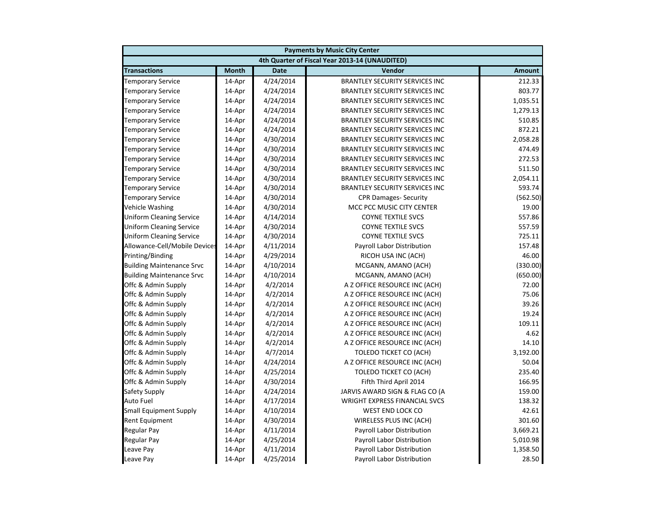|                                  |              |             | <b>Payments by Music City Center</b>           |               |
|----------------------------------|--------------|-------------|------------------------------------------------|---------------|
|                                  |              |             | 4th Quarter of Fiscal Year 2013-14 (UNAUDITED) |               |
| <b>Transactions</b>              | <b>Month</b> | <b>Date</b> | Vendor                                         | <b>Amount</b> |
| <b>Temporary Service</b>         | 14-Apr       | 4/24/2014   | <b>BRANTLEY SECURITY SERVICES INC</b>          | 212.33        |
| <b>Temporary Service</b>         | 14-Apr       | 4/24/2014   | <b>BRANTLEY SECURITY SERVICES INC</b>          | 803.77        |
| <b>Temporary Service</b>         | 14-Apr       | 4/24/2014   | <b>BRANTLEY SECURITY SERVICES INC</b>          | 1,035.51      |
| <b>Temporary Service</b>         | 14-Apr       | 4/24/2014   | <b>BRANTLEY SECURITY SERVICES INC</b>          | 1,279.13      |
| <b>Temporary Service</b>         | 14-Apr       | 4/24/2014   | <b>BRANTLEY SECURITY SERVICES INC</b>          | 510.85        |
| <b>Temporary Service</b>         | 14-Apr       | 4/24/2014   | <b>BRANTLEY SECURITY SERVICES INC</b>          | 872.21        |
| <b>Temporary Service</b>         | 14-Apr       | 4/30/2014   | <b>BRANTLEY SECURITY SERVICES INC</b>          | 2,058.28      |
| <b>Temporary Service</b>         | 14-Apr       | 4/30/2014   | <b>BRANTLEY SECURITY SERVICES INC</b>          | 474.49        |
| <b>Temporary Service</b>         | 14-Apr       | 4/30/2014   | <b>BRANTLEY SECURITY SERVICES INC</b>          | 272.53        |
| <b>Temporary Service</b>         | 14-Apr       | 4/30/2014   | <b>BRANTLEY SECURITY SERVICES INC</b>          | 511.50        |
| <b>Temporary Service</b>         | 14-Apr       | 4/30/2014   | <b>BRANTLEY SECURITY SERVICES INC</b>          | 2,054.11      |
| <b>Temporary Service</b>         | 14-Apr       | 4/30/2014   | <b>BRANTLEY SECURITY SERVICES INC</b>          | 593.74        |
| <b>Temporary Service</b>         | 14-Apr       | 4/30/2014   | <b>CPR Damages- Security</b>                   | (562.50)      |
| Vehicle Washing                  | 14-Apr       | 4/30/2014   | MCC PCC MUSIC CITY CENTER                      | 19.00         |
| <b>Uniform Cleaning Service</b>  | 14-Apr       | 4/14/2014   | <b>COYNE TEXTILE SVCS</b>                      | 557.86        |
| <b>Uniform Cleaning Service</b>  | 14-Apr       | 4/30/2014   | <b>COYNE TEXTILE SVCS</b>                      | 557.59        |
| <b>Uniform Cleaning Service</b>  | 14-Apr       | 4/30/2014   | <b>COYNE TEXTILE SVCS</b>                      | 725.11        |
| Allowance-Cell/Mobile Devices    | 14-Apr       | 4/11/2014   | Payroll Labor Distribution                     | 157.48        |
| Printing/Binding                 | 14-Apr       | 4/29/2014   | RICOH USA INC (ACH)                            | 46.00         |
| <b>Building Maintenance Srvc</b> | 14-Apr       | 4/10/2014   | MCGANN, AMANO (ACH)                            | (330.00)      |
| <b>Building Maintenance Srvc</b> | 14-Apr       | 4/10/2014   | MCGANN, AMANO (ACH)                            | (650.00)      |
| Offc & Admin Supply              | 14-Apr       | 4/2/2014    | A Z OFFICE RESOURCE INC (ACH)                  | 72.00         |
| Offc & Admin Supply              | 14-Apr       | 4/2/2014    | A Z OFFICE RESOURCE INC (ACH)                  | 75.06         |
| Offc & Admin Supply              | 14-Apr       | 4/2/2014    | A Z OFFICE RESOURCE INC (ACH)                  | 39.26         |
| Offc & Admin Supply              | 14-Apr       | 4/2/2014    | A Z OFFICE RESOURCE INC (ACH)                  | 19.24         |
| Offc & Admin Supply              | 14-Apr       | 4/2/2014    | A Z OFFICE RESOURCE INC (ACH)                  | 109.11        |
| Offc & Admin Supply              | 14-Apr       | 4/2/2014    | A Z OFFICE RESOURCE INC (ACH)                  | 4.62          |
| Offc & Admin Supply              | 14-Apr       | 4/2/2014    | A Z OFFICE RESOURCE INC (ACH)                  | 14.10         |
| Offc & Admin Supply              | 14-Apr       | 4/7/2014    | <b>TOLEDO TICKET CO (ACH)</b>                  | 3,192.00      |
| Offc & Admin Supply              | 14-Apr       | 4/24/2014   | A Z OFFICE RESOURCE INC (ACH)                  | 50.04         |
| Offc & Admin Supply              | 14-Apr       | 4/25/2014   | <b>TOLEDO TICKET CO (ACH)</b>                  | 235.40        |
| Offc & Admin Supply              | 14-Apr       | 4/30/2014   | Fifth Third April 2014                         | 166.95        |
| Safety Supply                    | 14-Apr       | 4/24/2014   | JARVIS AWARD SIGN & FLAG CO (A                 | 159.00        |
| <b>Auto Fuel</b>                 | 14-Apr       | 4/17/2014   | <b>WRIGHT EXPRESS FINANCIAL SVCS</b>           | 138.32        |
| <b>Small Equipment Supply</b>    | 14-Apr       | 4/10/2014   | WEST END LOCK CO                               | 42.61         |
| <b>Rent Equipment</b>            | 14-Apr       | 4/30/2014   | WIRELESS PLUS INC (ACH)                        | 301.60        |
| <b>Regular Pay</b>               | 14-Apr       | 4/11/2014   | Payroll Labor Distribution                     | 3,669.21      |
| <b>Regular Pay</b>               | 14-Apr       | 4/25/2014   | <b>Payroll Labor Distribution</b>              | 5,010.98      |
| Leave Pay                        | 14-Apr       | 4/11/2014   | Payroll Labor Distribution                     | 1,358.50      |
| Leave Pay                        | 14-Apr       | 4/25/2014   | <b>Payroll Labor Distribution</b>              | 28.50         |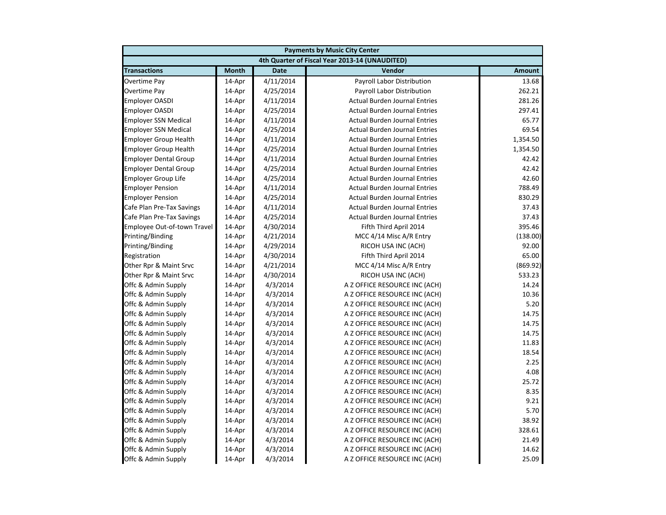| <b>Payments by Music City Center</b> |              |             |                                                |               |
|--------------------------------------|--------------|-------------|------------------------------------------------|---------------|
|                                      |              |             | 4th Quarter of Fiscal Year 2013-14 (UNAUDITED) |               |
| <b>Transactions</b>                  | <b>Month</b> | <b>Date</b> | Vendor                                         | <b>Amount</b> |
| Overtime Pay                         | 14-Apr       | 4/11/2014   | Payroll Labor Distribution                     | 13.68         |
| Overtime Pay                         | 14-Apr       | 4/25/2014   | Payroll Labor Distribution                     | 262.21        |
| <b>Employer OASDI</b>                | 14-Apr       | 4/11/2014   | <b>Actual Burden Journal Entries</b>           | 281.26        |
| <b>Employer OASDI</b>                | 14-Apr       | 4/25/2014   | <b>Actual Burden Journal Entries</b>           | 297.41        |
| <b>Employer SSN Medical</b>          | 14-Apr       | 4/11/2014   | <b>Actual Burden Journal Entries</b>           | 65.77         |
| <b>Employer SSN Medical</b>          | 14-Apr       | 4/25/2014   | <b>Actual Burden Journal Entries</b>           | 69.54         |
| <b>Employer Group Health</b>         | 14-Apr       | 4/11/2014   | <b>Actual Burden Journal Entries</b>           | 1,354.50      |
| <b>Employer Group Health</b>         | 14-Apr       | 4/25/2014   | <b>Actual Burden Journal Entries</b>           | 1,354.50      |
| <b>Employer Dental Group</b>         | 14-Apr       | 4/11/2014   | <b>Actual Burden Journal Entries</b>           | 42.42         |
| <b>Employer Dental Group</b>         | 14-Apr       | 4/25/2014   | <b>Actual Burden Journal Entries</b>           | 42.42         |
| <b>Employer Group Life</b>           | 14-Apr       | 4/25/2014   | <b>Actual Burden Journal Entries</b>           | 42.60         |
| <b>Employer Pension</b>              | 14-Apr       | 4/11/2014   | <b>Actual Burden Journal Entries</b>           | 788.49        |
| <b>Employer Pension</b>              | 14-Apr       | 4/25/2014   | <b>Actual Burden Journal Entries</b>           | 830.29        |
| Cafe Plan Pre-Tax Savings            | 14-Apr       | 4/11/2014   | <b>Actual Burden Journal Entries</b>           | 37.43         |
| Cafe Plan Pre-Tax Savings            | 14-Apr       | 4/25/2014   | <b>Actual Burden Journal Entries</b>           | 37.43         |
| Employee Out-of-town Travel          | 14-Apr       | 4/30/2014   | Fifth Third April 2014                         | 395.46        |
| Printing/Binding                     | 14-Apr       | 4/21/2014   | MCC 4/14 Misc A/R Entry                        | (138.00)      |
| Printing/Binding                     | 14-Apr       | 4/29/2014   | RICOH USA INC (ACH)                            | 92.00         |
| Registration                         | 14-Apr       | 4/30/2014   | Fifth Third April 2014                         | 65.00         |
| Other Rpr & Maint Srvc               | 14-Apr       | 4/21/2014   | MCC 4/14 Misc A/R Entry                        | (869.92)      |
| Other Rpr & Maint Srvc               | 14-Apr       | 4/30/2014   | RICOH USA INC (ACH)                            | 533.23        |
| Offc & Admin Supply                  | 14-Apr       | 4/3/2014    | A Z OFFICE RESOURCE INC (ACH)                  | 14.24         |
| Offc & Admin Supply                  | 14-Apr       | 4/3/2014    | A Z OFFICE RESOURCE INC (ACH)                  | 10.36         |
| Offc & Admin Supply                  | 14-Apr       | 4/3/2014    | A Z OFFICE RESOURCE INC (ACH)                  | 5.20          |
| Offc & Admin Supply                  | 14-Apr       | 4/3/2014    | A Z OFFICE RESOURCE INC (ACH)                  | 14.75         |
| Offc & Admin Supply                  | 14-Apr       | 4/3/2014    | A Z OFFICE RESOURCE INC (ACH)                  | 14.75         |
| Offc & Admin Supply                  | 14-Apr       | 4/3/2014    | A Z OFFICE RESOURCE INC (ACH)                  | 14.75         |
| Offc & Admin Supply                  | 14-Apr       | 4/3/2014    | A Z OFFICE RESOURCE INC (ACH)                  | 11.83         |
| Offc & Admin Supply                  | 14-Apr       | 4/3/2014    | A Z OFFICE RESOURCE INC (ACH)                  | 18.54         |
| Offc & Admin Supply                  | 14-Apr       | 4/3/2014    | A Z OFFICE RESOURCE INC (ACH)                  | 2.25          |
| Offc & Admin Supply                  | 14-Apr       | 4/3/2014    | A Z OFFICE RESOURCE INC (ACH)                  | 4.08          |
| Offc & Admin Supply                  | 14-Apr       | 4/3/2014    | A Z OFFICE RESOURCE INC (ACH)                  | 25.72         |
| Offc & Admin Supply                  | 14-Apr       | 4/3/2014    | A Z OFFICE RESOURCE INC (ACH)                  | 8.35          |
| Offc & Admin Supply                  | 14-Apr       | 4/3/2014    | A Z OFFICE RESOURCE INC (ACH)                  | 9.21          |
| Offc & Admin Supply                  | 14-Apr       | 4/3/2014    | A Z OFFICE RESOURCE INC (ACH)                  | 5.70          |
| Offc & Admin Supply                  | 14-Apr       | 4/3/2014    | A Z OFFICE RESOURCE INC (ACH)                  | 38.92         |
| Offc & Admin Supply                  | 14-Apr       | 4/3/2014    | A Z OFFICE RESOURCE INC (ACH)                  | 328.61        |
| Offc & Admin Supply                  | 14-Apr       | 4/3/2014    | A Z OFFICE RESOURCE INC (ACH)                  | 21.49         |
| Offc & Admin Supply                  | 14-Apr       | 4/3/2014    | A Z OFFICE RESOURCE INC (ACH)                  | 14.62         |
| Offc & Admin Supply                  | 14-Apr       | 4/3/2014    | A Z OFFICE RESOURCE INC (ACH)                  | 25.09         |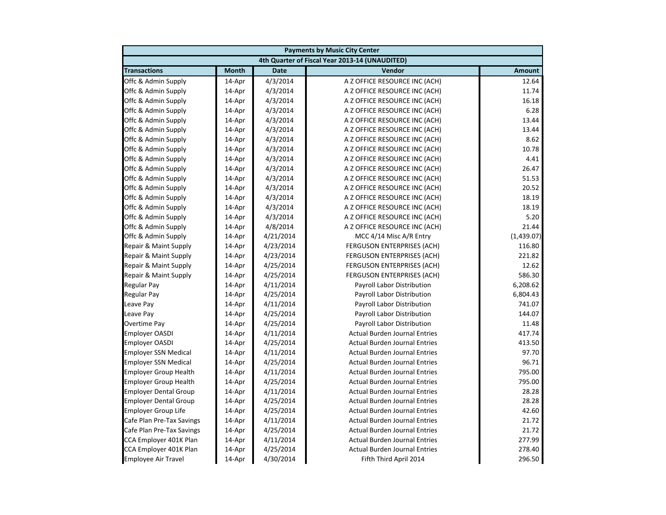|                              | <b>Payments by Music City Center</b> |             |                                                |               |  |
|------------------------------|--------------------------------------|-------------|------------------------------------------------|---------------|--|
|                              |                                      |             | 4th Quarter of Fiscal Year 2013-14 (UNAUDITED) |               |  |
| <b>Transactions</b>          | <b>Month</b>                         | <b>Date</b> | Vendor                                         | <b>Amount</b> |  |
| Offc & Admin Supply          | 14-Apr                               | 4/3/2014    | A Z OFFICE RESOURCE INC (ACH)                  | 12.64         |  |
| Offc & Admin Supply          | 14-Apr                               | 4/3/2014    | A Z OFFICE RESOURCE INC (ACH)                  | 11.74         |  |
| Offc & Admin Supply          | 14-Apr                               | 4/3/2014    | A Z OFFICE RESOURCE INC (ACH)                  | 16.18         |  |
| Offc & Admin Supply          | 14-Apr                               | 4/3/2014    | A Z OFFICE RESOURCE INC (ACH)                  | 6.28          |  |
| Offc & Admin Supply          | 14-Apr                               | 4/3/2014    | A Z OFFICE RESOURCE INC (ACH)                  | 13.44         |  |
| Offc & Admin Supply          | 14-Apr                               | 4/3/2014    | A Z OFFICE RESOURCE INC (ACH)                  | 13.44         |  |
| Offc & Admin Supply          | 14-Apr                               | 4/3/2014    | A Z OFFICE RESOURCE INC (ACH)                  | 8.62          |  |
| Offc & Admin Supply          | 14-Apr                               | 4/3/2014    | A Z OFFICE RESOURCE INC (ACH)                  | 10.78         |  |
| Offc & Admin Supply          | 14-Apr                               | 4/3/2014    | A Z OFFICE RESOURCE INC (ACH)                  | 4.41          |  |
| Offc & Admin Supply          | 14-Apr                               | 4/3/2014    | A Z OFFICE RESOURCE INC (ACH)                  | 26.47         |  |
| Offc & Admin Supply          | 14-Apr                               | 4/3/2014    | A Z OFFICE RESOURCE INC (ACH)                  | 51.53         |  |
| Offc & Admin Supply          | 14-Apr                               | 4/3/2014    | A Z OFFICE RESOURCE INC (ACH)                  | 20.52         |  |
| Offc & Admin Supply          | 14-Apr                               | 4/3/2014    | A Z OFFICE RESOURCE INC (ACH)                  | 18.19         |  |
| Offc & Admin Supply          | 14-Apr                               | 4/3/2014    | A Z OFFICE RESOURCE INC (ACH)                  | 18.19         |  |
| Offc & Admin Supply          | 14-Apr                               | 4/3/2014    | A Z OFFICE RESOURCE INC (ACH)                  | 5.20          |  |
| Offc & Admin Supply          | 14-Apr                               | 4/8/2014    | A Z OFFICE RESOURCE INC (ACH)                  | 21.44         |  |
| Offc & Admin Supply          | 14-Apr                               | 4/21/2014   | MCC 4/14 Misc A/R Entry                        | (1,439.07)    |  |
| Repair & Maint Supply        | 14-Apr                               | 4/23/2014   | <b>FERGUSON ENTERPRISES (ACH)</b>              | 116.80        |  |
| Repair & Maint Supply        | 14-Apr                               | 4/23/2014   | <b>FERGUSON ENTERPRISES (ACH)</b>              | 221.82        |  |
| Repair & Maint Supply        | 14-Apr                               | 4/25/2014   | <b>FERGUSON ENTERPRISES (ACH)</b>              | 12.62         |  |
| Repair & Maint Supply        | 14-Apr                               | 4/25/2014   | <b>FERGUSON ENTERPRISES (ACH)</b>              | 586.30        |  |
| Regular Pay                  | 14-Apr                               | 4/11/2014   | Payroll Labor Distribution                     | 6,208.62      |  |
| Regular Pay                  | 14-Apr                               | 4/25/2014   | Payroll Labor Distribution                     | 6,804.43      |  |
| Leave Pay                    | 14-Apr                               | 4/11/2014   | Payroll Labor Distribution                     | 741.07        |  |
| Leave Pay                    | 14-Apr                               | 4/25/2014   | Payroll Labor Distribution                     | 144.07        |  |
| Overtime Pay                 | 14-Apr                               | 4/25/2014   | Payroll Labor Distribution                     | 11.48         |  |
| <b>Employer OASDI</b>        | 14-Apr                               | 4/11/2014   | <b>Actual Burden Journal Entries</b>           | 417.74        |  |
| <b>Employer OASDI</b>        | 14-Apr                               | 4/25/2014   | <b>Actual Burden Journal Entries</b>           | 413.50        |  |
| <b>Employer SSN Medical</b>  | 14-Apr                               | 4/11/2014   | <b>Actual Burden Journal Entries</b>           | 97.70         |  |
| <b>Employer SSN Medical</b>  | 14-Apr                               | 4/25/2014   | <b>Actual Burden Journal Entries</b>           | 96.71         |  |
| <b>Employer Group Health</b> | 14-Apr                               | 4/11/2014   | <b>Actual Burden Journal Entries</b>           | 795.00        |  |
| <b>Employer Group Health</b> | 14-Apr                               | 4/25/2014   | <b>Actual Burden Journal Entries</b>           | 795.00        |  |
| <b>Employer Dental Group</b> | 14-Apr                               | 4/11/2014   | <b>Actual Burden Journal Entries</b>           | 28.28         |  |
| <b>Employer Dental Group</b> | 14-Apr                               | 4/25/2014   | <b>Actual Burden Journal Entries</b>           | 28.28         |  |
| <b>Employer Group Life</b>   | 14-Apr                               | 4/25/2014   | <b>Actual Burden Journal Entries</b>           | 42.60         |  |
| Cafe Plan Pre-Tax Savings    | 14-Apr                               | 4/11/2014   | <b>Actual Burden Journal Entries</b>           | 21.72         |  |
| Cafe Plan Pre-Tax Savings    | 14-Apr                               | 4/25/2014   | <b>Actual Burden Journal Entries</b>           | 21.72         |  |
| CCA Employer 401K Plan       | 14-Apr                               | 4/11/2014   | <b>Actual Burden Journal Entries</b>           | 277.99        |  |
| CCA Employer 401K Plan       | 14-Apr                               | 4/25/2014   | <b>Actual Burden Journal Entries</b>           | 278.40        |  |
| <b>Employee Air Travel</b>   | 14-Apr                               | 4/30/2014   | Fifth Third April 2014                         | 296.50        |  |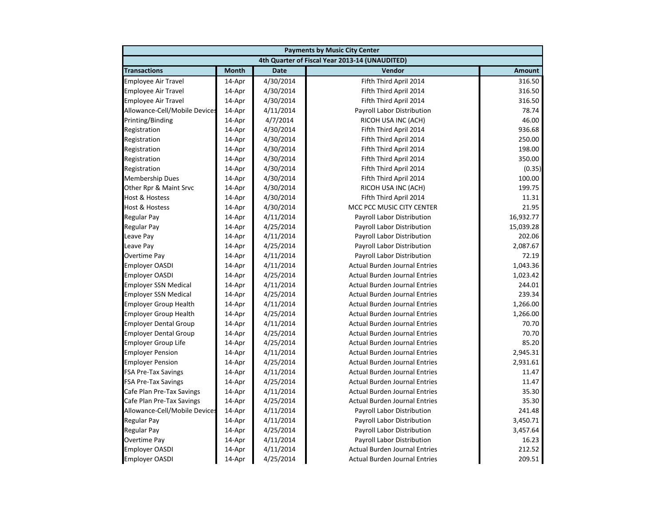| <b>Payments by Music City Center</b> |              |             |                                                |               |
|--------------------------------------|--------------|-------------|------------------------------------------------|---------------|
|                                      |              |             | 4th Quarter of Fiscal Year 2013-14 (UNAUDITED) |               |
| <b>Transactions</b>                  | <b>Month</b> | <b>Date</b> | Vendor                                         | <b>Amount</b> |
| <b>Employee Air Travel</b>           | 14-Apr       | 4/30/2014   | Fifth Third April 2014                         | 316.50        |
| <b>Employee Air Travel</b>           | 14-Apr       | 4/30/2014   | Fifth Third April 2014                         | 316.50        |
| <b>Employee Air Travel</b>           | 14-Apr       | 4/30/2014   | Fifth Third April 2014                         | 316.50        |
| Allowance-Cell/Mobile Devices        | 14-Apr       | 4/11/2014   | Payroll Labor Distribution                     | 78.74         |
| Printing/Binding                     | 14-Apr       | 4/7/2014    | RICOH USA INC (ACH)                            | 46.00         |
| Registration                         | 14-Apr       | 4/30/2014   | Fifth Third April 2014                         | 936.68        |
| Registration                         | 14-Apr       | 4/30/2014   | Fifth Third April 2014                         | 250.00        |
| Registration                         | 14-Apr       | 4/30/2014   | Fifth Third April 2014                         | 198.00        |
| Registration                         | 14-Apr       | 4/30/2014   | Fifth Third April 2014                         | 350.00        |
| Registration                         | 14-Apr       | 4/30/2014   | Fifth Third April 2014                         | (0.35)        |
| <b>Membership Dues</b>               | 14-Apr       | 4/30/2014   | Fifth Third April 2014                         | 100.00        |
| Other Rpr & Maint Srvc               | 14-Apr       | 4/30/2014   | RICOH USA INC (ACH)                            | 199.75        |
| Host & Hostess                       | 14-Apr       | 4/30/2014   | Fifth Third April 2014                         | 11.31         |
| <b>Host &amp; Hostess</b>            | 14-Apr       | 4/30/2014   | MCC PCC MUSIC CITY CENTER                      | 21.95         |
| <b>Regular Pay</b>                   | 14-Apr       | 4/11/2014   | Payroll Labor Distribution                     | 16,932.77     |
| <b>Regular Pay</b>                   | 14-Apr       | 4/25/2014   | Payroll Labor Distribution                     | 15,039.28     |
| Leave Pay                            | 14-Apr       | 4/11/2014   | Payroll Labor Distribution                     | 202.06        |
| Leave Pay                            | 14-Apr       | 4/25/2014   | Payroll Labor Distribution                     | 2,087.67      |
| <b>Overtime Pay</b>                  | 14-Apr       | 4/11/2014   | Payroll Labor Distribution                     | 72.19         |
| <b>Employer OASDI</b>                | 14-Apr       | 4/11/2014   | <b>Actual Burden Journal Entries</b>           | 1,043.36      |
| <b>Employer OASDI</b>                | 14-Apr       | 4/25/2014   | <b>Actual Burden Journal Entries</b>           | 1,023.42      |
| <b>Employer SSN Medical</b>          | 14-Apr       | 4/11/2014   | <b>Actual Burden Journal Entries</b>           | 244.01        |
| <b>Employer SSN Medical</b>          | 14-Apr       | 4/25/2014   | <b>Actual Burden Journal Entries</b>           | 239.34        |
| <b>Employer Group Health</b>         | 14-Apr       | 4/11/2014   | <b>Actual Burden Journal Entries</b>           | 1,266.00      |
| <b>Employer Group Health</b>         | 14-Apr       | 4/25/2014   | <b>Actual Burden Journal Entries</b>           | 1,266.00      |
| <b>Employer Dental Group</b>         | 14-Apr       | 4/11/2014   | <b>Actual Burden Journal Entries</b>           | 70.70         |
| <b>Employer Dental Group</b>         | 14-Apr       | 4/25/2014   | <b>Actual Burden Journal Entries</b>           | 70.70         |
| <b>Employer Group Life</b>           | 14-Apr       | 4/25/2014   | <b>Actual Burden Journal Entries</b>           | 85.20         |
| <b>Employer Pension</b>              | 14-Apr       | 4/11/2014   | <b>Actual Burden Journal Entries</b>           | 2,945.31      |
| <b>Employer Pension</b>              | 14-Apr       | 4/25/2014   | <b>Actual Burden Journal Entries</b>           | 2,931.61      |
| <b>FSA Pre-Tax Savings</b>           | 14-Apr       | 4/11/2014   | <b>Actual Burden Journal Entries</b>           | 11.47         |
| <b>FSA Pre-Tax Savings</b>           | 14-Apr       | 4/25/2014   | <b>Actual Burden Journal Entries</b>           | 11.47         |
| Cafe Plan Pre-Tax Savings            | 14-Apr       | 4/11/2014   | <b>Actual Burden Journal Entries</b>           | 35.30         |
| Cafe Plan Pre-Tax Savings            | 14-Apr       | 4/25/2014   | <b>Actual Burden Journal Entries</b>           | 35.30         |
| Allowance-Cell/Mobile Devices        | 14-Apr       | 4/11/2014   | Payroll Labor Distribution                     | 241.48        |
| <b>Regular Pay</b>                   | 14-Apr       | 4/11/2014   | Payroll Labor Distribution                     | 3,450.71      |
| <b>Regular Pay</b>                   | 14-Apr       | 4/25/2014   | Payroll Labor Distribution                     | 3,457.64      |
| Overtime Pay                         | 14-Apr       | 4/11/2014   | Payroll Labor Distribution                     | 16.23         |
| <b>Employer OASDI</b>                | 14-Apr       | 4/11/2014   | <b>Actual Burden Journal Entries</b>           | 212.52        |
| <b>Employer OASDI</b>                | 14-Apr       | 4/25/2014   | <b>Actual Burden Journal Entries</b>           | 209.51        |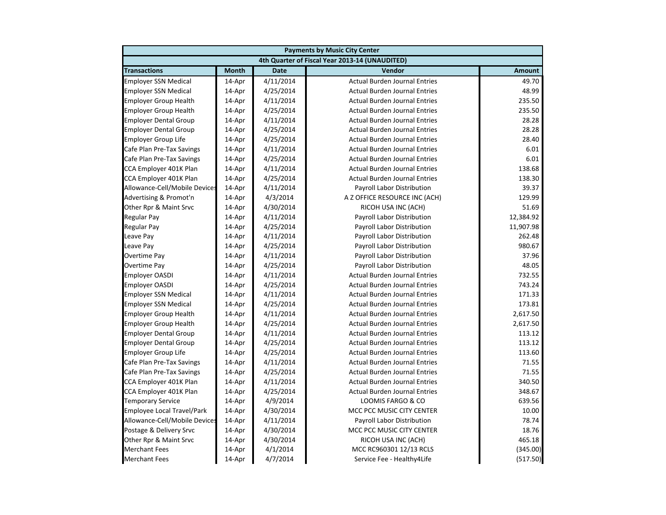| <b>Payments by Music City Center</b> |              |             |                                                |               |
|--------------------------------------|--------------|-------------|------------------------------------------------|---------------|
|                                      |              |             | 4th Quarter of Fiscal Year 2013-14 (UNAUDITED) |               |
| <b>Transactions</b>                  | <b>Month</b> | <b>Date</b> | Vendor                                         | <b>Amount</b> |
| <b>Employer SSN Medical</b>          | 14-Apr       | 4/11/2014   | <b>Actual Burden Journal Entries</b>           | 49.70         |
| <b>Employer SSN Medical</b>          | 14-Apr       | 4/25/2014   | <b>Actual Burden Journal Entries</b>           | 48.99         |
| <b>Employer Group Health</b>         | 14-Apr       | 4/11/2014   | <b>Actual Burden Journal Entries</b>           | 235.50        |
| <b>Employer Group Health</b>         | 14-Apr       | 4/25/2014   | <b>Actual Burden Journal Entries</b>           | 235.50        |
| <b>Employer Dental Group</b>         | 14-Apr       | 4/11/2014   | <b>Actual Burden Journal Entries</b>           | 28.28         |
| <b>Employer Dental Group</b>         | 14-Apr       | 4/25/2014   | <b>Actual Burden Journal Entries</b>           | 28.28         |
| <b>Employer Group Life</b>           | 14-Apr       | 4/25/2014   | <b>Actual Burden Journal Entries</b>           | 28.40         |
| Cafe Plan Pre-Tax Savings            | 14-Apr       | 4/11/2014   | <b>Actual Burden Journal Entries</b>           | 6.01          |
| Cafe Plan Pre-Tax Savings            | 14-Apr       | 4/25/2014   | <b>Actual Burden Journal Entries</b>           | 6.01          |
| CCA Employer 401K Plan               | 14-Apr       | 4/11/2014   | <b>Actual Burden Journal Entries</b>           | 138.68        |
| CCA Employer 401K Plan               | 14-Apr       | 4/25/2014   | <b>Actual Burden Journal Entries</b>           | 138.30        |
| Allowance-Cell/Mobile Devices        | 14-Apr       | 4/11/2014   | Payroll Labor Distribution                     | 39.37         |
| Advertising & Promot'n               | 14-Apr       | 4/3/2014    | A Z OFFICE RESOURCE INC (ACH)                  | 129.99        |
| Other Rpr & Maint Srvc               | 14-Apr       | 4/30/2014   | RICOH USA INC (ACH)                            | 51.69         |
| Regular Pay                          | 14-Apr       | 4/11/2014   | Payroll Labor Distribution                     | 12,384.92     |
| <b>Regular Pay</b>                   | 14-Apr       | 4/25/2014   | Payroll Labor Distribution                     | 11,907.98     |
| Leave Pay                            | 14-Apr       | 4/11/2014   | Payroll Labor Distribution                     | 262.48        |
| Leave Pay                            | 14-Apr       | 4/25/2014   | Payroll Labor Distribution                     | 980.67        |
| Overtime Pay                         | 14-Apr       | 4/11/2014   | Payroll Labor Distribution                     | 37.96         |
| Overtime Pay                         | 14-Apr       | 4/25/2014   | Payroll Labor Distribution                     | 48.05         |
| <b>Employer OASDI</b>                | 14-Apr       | 4/11/2014   | <b>Actual Burden Journal Entries</b>           | 732.55        |
| <b>Employer OASDI</b>                | 14-Apr       | 4/25/2014   | <b>Actual Burden Journal Entries</b>           | 743.24        |
| <b>Employer SSN Medical</b>          | 14-Apr       | 4/11/2014   | <b>Actual Burden Journal Entries</b>           | 171.33        |
| <b>Employer SSN Medical</b>          | 14-Apr       | 4/25/2014   | <b>Actual Burden Journal Entries</b>           | 173.81        |
| <b>Employer Group Health</b>         | 14-Apr       | 4/11/2014   | <b>Actual Burden Journal Entries</b>           | 2,617.50      |
| <b>Employer Group Health</b>         | 14-Apr       | 4/25/2014   | <b>Actual Burden Journal Entries</b>           | 2,617.50      |
| <b>Employer Dental Group</b>         | 14-Apr       | 4/11/2014   | <b>Actual Burden Journal Entries</b>           | 113.12        |
| <b>Employer Dental Group</b>         | 14-Apr       | 4/25/2014   | <b>Actual Burden Journal Entries</b>           | 113.12        |
| <b>Employer Group Life</b>           | 14-Apr       | 4/25/2014   | <b>Actual Burden Journal Entries</b>           | 113.60        |
| Cafe Plan Pre-Tax Savings            | 14-Apr       | 4/11/2014   | <b>Actual Burden Journal Entries</b>           | 71.55         |
| Cafe Plan Pre-Tax Savings            | 14-Apr       | 4/25/2014   | <b>Actual Burden Journal Entries</b>           | 71.55         |
| CCA Employer 401K Plan               | 14-Apr       | 4/11/2014   | <b>Actual Burden Journal Entries</b>           | 340.50        |
| CCA Employer 401K Plan               | 14-Apr       | 4/25/2014   | <b>Actual Burden Journal Entries</b>           | 348.67        |
| <b>Temporary Service</b>             | 14-Apr       | 4/9/2014    | LOOMIS FARGO & CO                              | 639.56        |
| <b>Employee Local Travel/Park</b>    | 14-Apr       | 4/30/2014   | MCC PCC MUSIC CITY CENTER                      | 10.00         |
| Allowance-Cell/Mobile Devices        | 14-Apr       | 4/11/2014   | Payroll Labor Distribution                     | 78.74         |
| Postage & Delivery Srvc              | 14-Apr       | 4/30/2014   | MCC PCC MUSIC CITY CENTER                      | 18.76         |
| Other Rpr & Maint Srvc               | 14-Apr       | 4/30/2014   | RICOH USA INC (ACH)                            | 465.18        |
| <b>Merchant Fees</b>                 | 14-Apr       | 4/1/2014    | MCC RC960301 12/13 RCLS                        | (345.00)      |
| <b>Merchant Fees</b>                 | 14-Apr       | 4/7/2014    | Service Fee - Healthy4Life                     | (517.50)      |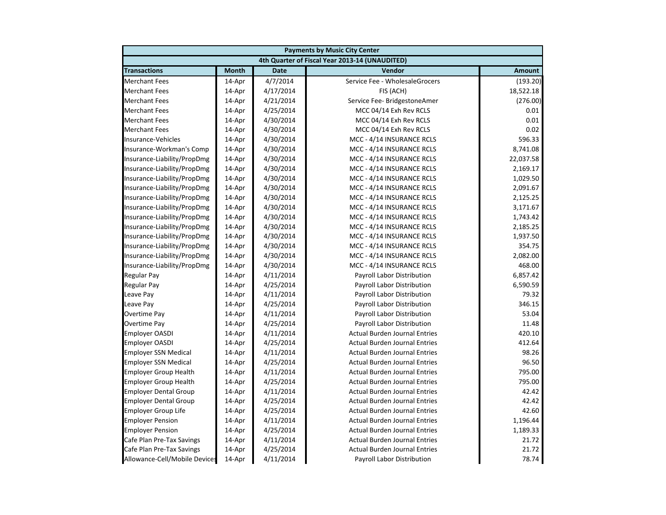|                               | <b>Payments by Music City Center</b> |             |                                                |               |  |
|-------------------------------|--------------------------------------|-------------|------------------------------------------------|---------------|--|
|                               |                                      |             | 4th Quarter of Fiscal Year 2013-14 (UNAUDITED) |               |  |
| <b>Transactions</b>           | <b>Month</b>                         | <b>Date</b> | Vendor                                         | <b>Amount</b> |  |
| <b>Merchant Fees</b>          | 14-Apr                               | 4/7/2014    | Service Fee - WholesaleGrocers                 | (193.20)      |  |
| <b>Merchant Fees</b>          | 14-Apr                               | 4/17/2014   | FIS (ACH)                                      | 18,522.18     |  |
| <b>Merchant Fees</b>          | 14-Apr                               | 4/21/2014   | Service Fee- BridgestoneAmer                   | (276.00)      |  |
| <b>Merchant Fees</b>          | 14-Apr                               | 4/25/2014   | MCC 04/14 Exh Rev RCLS                         | 0.01          |  |
| <b>Merchant Fees</b>          | 14-Apr                               | 4/30/2014   | MCC 04/14 Exh Rev RCLS                         | 0.01          |  |
| <b>Merchant Fees</b>          | 14-Apr                               | 4/30/2014   | MCC 04/14 Exh Rev RCLS                         | 0.02          |  |
| Insurance-Vehicles            | 14-Apr                               | 4/30/2014   | MCC - 4/14 INSURANCE RCLS                      | 596.33        |  |
| Insurance-Workman's Comp      | 14-Apr                               | 4/30/2014   | MCC - 4/14 INSURANCE RCLS                      | 8,741.08      |  |
| Insurance-Liability/PropDmg   | 14-Apr                               | 4/30/2014   | MCC - 4/14 INSURANCE RCLS                      | 22,037.58     |  |
| Insurance-Liability/PropDmg   | 14-Apr                               | 4/30/2014   | MCC - 4/14 INSURANCE RCLS                      | 2,169.17      |  |
| Insurance-Liability/PropDmg   | 14-Apr                               | 4/30/2014   | MCC - 4/14 INSURANCE RCLS                      | 1,029.50      |  |
| Insurance-Liability/PropDmg   | 14-Apr                               | 4/30/2014   | MCC - 4/14 INSURANCE RCLS                      | 2,091.67      |  |
| Insurance-Liability/PropDmg   | 14-Apr                               | 4/30/2014   | MCC - 4/14 INSURANCE RCLS                      | 2,125.25      |  |
| Insurance-Liability/PropDmg   | 14-Apr                               | 4/30/2014   | MCC - 4/14 INSURANCE RCLS                      | 3,171.67      |  |
| Insurance-Liability/PropDmg   | 14-Apr                               | 4/30/2014   | MCC - 4/14 INSURANCE RCLS                      | 1,743.42      |  |
| Insurance-Liability/PropDmg   | 14-Apr                               | 4/30/2014   | MCC - 4/14 INSURANCE RCLS                      | 2,185.25      |  |
| Insurance-Liability/PropDmg   | 14-Apr                               | 4/30/2014   | MCC - 4/14 INSURANCE RCLS                      | 1,937.50      |  |
| Insurance-Liability/PropDmg   | 14-Apr                               | 4/30/2014   | MCC - 4/14 INSURANCE RCLS                      | 354.75        |  |
| Insurance-Liability/PropDmg   | 14-Apr                               | 4/30/2014   | MCC - 4/14 INSURANCE RCLS                      | 2,082.00      |  |
| Insurance-Liability/PropDmg   | 14-Apr                               | 4/30/2014   | MCC - 4/14 INSURANCE RCLS                      | 468.00        |  |
| <b>Regular Pay</b>            | 14-Apr                               | 4/11/2014   | Payroll Labor Distribution                     | 6,857.42      |  |
| <b>Regular Pay</b>            | 14-Apr                               | 4/25/2014   | Payroll Labor Distribution                     | 6,590.59      |  |
| Leave Pay                     | 14-Apr                               | 4/11/2014   | Payroll Labor Distribution                     | 79.32         |  |
| Leave Pay                     | 14-Apr                               | 4/25/2014   | Payroll Labor Distribution                     | 346.15        |  |
| Overtime Pay                  | 14-Apr                               | 4/11/2014   | Payroll Labor Distribution                     | 53.04         |  |
| Overtime Pay                  | 14-Apr                               | 4/25/2014   | Payroll Labor Distribution                     | 11.48         |  |
| <b>Employer OASDI</b>         | 14-Apr                               | 4/11/2014   | <b>Actual Burden Journal Entries</b>           | 420.10        |  |
| Employer OASDI                | 14-Apr                               | 4/25/2014   | <b>Actual Burden Journal Entries</b>           | 412.64        |  |
| <b>Employer SSN Medical</b>   | 14-Apr                               | 4/11/2014   | <b>Actual Burden Journal Entries</b>           | 98.26         |  |
| <b>Employer SSN Medical</b>   | 14-Apr                               | 4/25/2014   | <b>Actual Burden Journal Entries</b>           | 96.50         |  |
| <b>Employer Group Health</b>  | 14-Apr                               | 4/11/2014   | <b>Actual Burden Journal Entries</b>           | 795.00        |  |
| <b>Employer Group Health</b>  | 14-Apr                               | 4/25/2014   | <b>Actual Burden Journal Entries</b>           | 795.00        |  |
| <b>Employer Dental Group</b>  | 14-Apr                               | 4/11/2014   | <b>Actual Burden Journal Entries</b>           | 42.42         |  |
| <b>Employer Dental Group</b>  | 14-Apr                               | 4/25/2014   | <b>Actual Burden Journal Entries</b>           | 42.42         |  |
| <b>Employer Group Life</b>    | 14-Apr                               | 4/25/2014   | <b>Actual Burden Journal Entries</b>           | 42.60         |  |
| <b>Employer Pension</b>       | 14-Apr                               | 4/11/2014   | <b>Actual Burden Journal Entries</b>           | 1,196.44      |  |
| <b>Employer Pension</b>       | 14-Apr                               | 4/25/2014   | <b>Actual Burden Journal Entries</b>           | 1,189.33      |  |
| Cafe Plan Pre-Tax Savings     | 14-Apr                               | 4/11/2014   | <b>Actual Burden Journal Entries</b>           | 21.72         |  |
| Cafe Plan Pre-Tax Savings     | 14-Apr                               | 4/25/2014   | <b>Actual Burden Journal Entries</b>           | 21.72         |  |
| Allowance-Cell/Mobile Devices | 14-Apr                               | 4/11/2014   | Payroll Labor Distribution                     | 78.74         |  |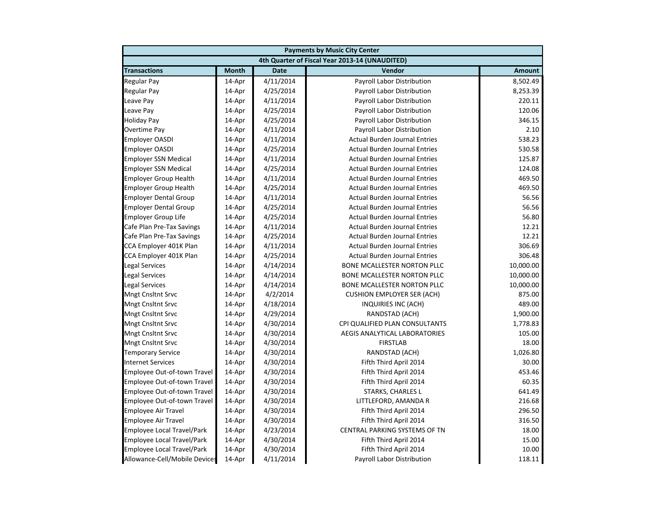|                                   |              |             | <b>Payments by Music City Center</b>           |               |
|-----------------------------------|--------------|-------------|------------------------------------------------|---------------|
|                                   |              |             | 4th Quarter of Fiscal Year 2013-14 (UNAUDITED) |               |
| <b>Transactions</b>               | <b>Month</b> | <b>Date</b> | Vendor                                         | <b>Amount</b> |
| <b>Regular Pay</b>                | 14-Apr       | 4/11/2014   | Payroll Labor Distribution                     | 8,502.49      |
| <b>Regular Pay</b>                | 14-Apr       | 4/25/2014   | Payroll Labor Distribution                     | 8,253.39      |
| Leave Pay                         | 14-Apr       | 4/11/2014   | Payroll Labor Distribution                     | 220.11        |
| Leave Pay                         | 14-Apr       | 4/25/2014   | Payroll Labor Distribution                     | 120.06        |
| <b>Holiday Pay</b>                | 14-Apr       | 4/25/2014   | Payroll Labor Distribution                     | 346.15        |
| Overtime Pay                      | 14-Apr       | 4/11/2014   | Payroll Labor Distribution                     | 2.10          |
| <b>Employer OASDI</b>             | 14-Apr       | 4/11/2014   | <b>Actual Burden Journal Entries</b>           | 538.23        |
| <b>Employer OASDI</b>             | 14-Apr       | 4/25/2014   | <b>Actual Burden Journal Entries</b>           | 530.58        |
| <b>Employer SSN Medical</b>       | 14-Apr       | 4/11/2014   | <b>Actual Burden Journal Entries</b>           | 125.87        |
| <b>Employer SSN Medical</b>       | 14-Apr       | 4/25/2014   | <b>Actual Burden Journal Entries</b>           | 124.08        |
| Employer Group Health             | 14-Apr       | 4/11/2014   | <b>Actual Burden Journal Entries</b>           | 469.50        |
| <b>Employer Group Health</b>      | 14-Apr       | 4/25/2014   | <b>Actual Burden Journal Entries</b>           | 469.50        |
| <b>Employer Dental Group</b>      | 14-Apr       | 4/11/2014   | <b>Actual Burden Journal Entries</b>           | 56.56         |
| <b>Employer Dental Group</b>      | 14-Apr       | 4/25/2014   | <b>Actual Burden Journal Entries</b>           | 56.56         |
| <b>Employer Group Life</b>        | 14-Apr       | 4/25/2014   | <b>Actual Burden Journal Entries</b>           | 56.80         |
| Cafe Plan Pre-Tax Savings         | 14-Apr       | 4/11/2014   | <b>Actual Burden Journal Entries</b>           | 12.21         |
| Cafe Plan Pre-Tax Savings         | 14-Apr       | 4/25/2014   | <b>Actual Burden Journal Entries</b>           | 12.21         |
| CCA Employer 401K Plan            | 14-Apr       | 4/11/2014   | <b>Actual Burden Journal Entries</b>           | 306.69        |
| CCA Employer 401K Plan            | 14-Apr       | 4/25/2014   | <b>Actual Burden Journal Entries</b>           | 306.48        |
| Legal Services                    | 14-Apr       | 4/14/2014   | BONE MCALLESTER NORTON PLLC                    | 10,000.00     |
| <b>Legal Services</b>             | 14-Apr       | 4/14/2014   | BONE MCALLESTER NORTON PLLC                    | 10,000.00     |
| <b>Legal Services</b>             | 14-Apr       | 4/14/2014   | BONE MCALLESTER NORTON PLLC                    | 10,000.00     |
| <b>Mngt Cnsltnt Srvc</b>          | 14-Apr       | 4/2/2014    | <b>CUSHION EMPLOYER SER (ACH)</b>              | 875.00        |
| <b>Mngt Cnsltnt Srvc</b>          | 14-Apr       | 4/18/2014   | INQUIRIES INC (ACH)                            | 489.00        |
| <b>Mngt Cnsltnt Srvc</b>          | 14-Apr       | 4/29/2014   | RANDSTAD (ACH)                                 | 1,900.00      |
| <b>Mngt Cnsltnt Srvc</b>          | 14-Apr       | 4/30/2014   | CPI QUALIFIED PLAN CONSULTANTS                 | 1,778.83      |
| <b>Mngt Cnsltnt Srvc</b>          | 14-Apr       | 4/30/2014   | AEGIS ANALYTICAL LABORATORIES                  | 105.00        |
| Mngt Cnsltnt Srvc                 | 14-Apr       | 4/30/2014   | <b>FIRSTLAB</b>                                | 18.00         |
| <b>Temporary Service</b>          | 14-Apr       | 4/30/2014   | RANDSTAD (ACH)                                 | 1,026.80      |
| <b>Internet Services</b>          | 14-Apr       | 4/30/2014   | Fifth Third April 2014                         | 30.00         |
| Employee Out-of-town Travel       | 14-Apr       | 4/30/2014   | Fifth Third April 2014                         | 453.46        |
| Employee Out-of-town Travel       | 14-Apr       | 4/30/2014   | Fifth Third April 2014                         | 60.35         |
| Employee Out-of-town Travel       | 14-Apr       | 4/30/2014   | <b>STARKS, CHARLES L</b>                       | 641.49        |
| Employee Out-of-town Travel       | 14-Apr       | 4/30/2014   | LITTLEFORD, AMANDA R                           | 216.68        |
| <b>Employee Air Travel</b>        | 14-Apr       | 4/30/2014   | Fifth Third April 2014                         | 296.50        |
| <b>Employee Air Travel</b>        | 14-Apr       | 4/30/2014   | Fifth Third April 2014                         | 316.50        |
| Employee Local Travel/Park        | 14-Apr       | 4/23/2014   | CENTRAL PARKING SYSTEMS OF TN                  | 18.00         |
| <b>Employee Local Travel/Park</b> | 14-Apr       | 4/30/2014   | Fifth Third April 2014                         | 15.00         |
| <b>Employee Local Travel/Park</b> | 14-Apr       | 4/30/2014   | Fifth Third April 2014                         | 10.00         |
| Allowance-Cell/Mobile Devices     | 14-Apr       | 4/11/2014   | <b>Payroll Labor Distribution</b>              | 118.11        |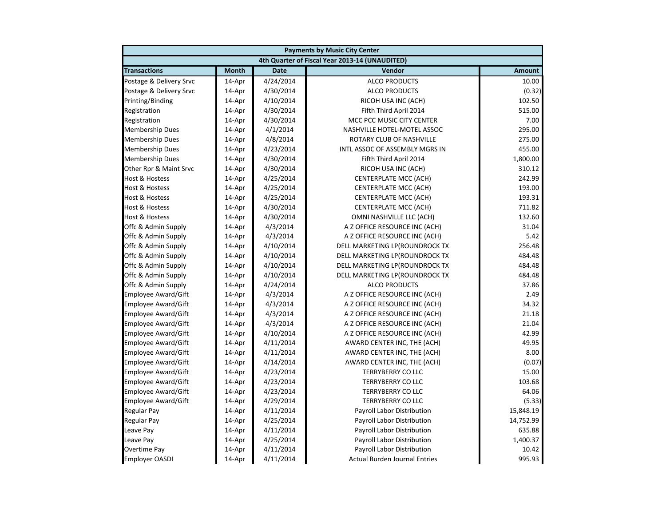| <b>Payments by Music City Center</b> |              |             |                                                |               |
|--------------------------------------|--------------|-------------|------------------------------------------------|---------------|
|                                      |              |             | 4th Quarter of Fiscal Year 2013-14 (UNAUDITED) |               |
| <b>Transactions</b>                  | <b>Month</b> | <b>Date</b> | Vendor                                         | <b>Amount</b> |
| Postage & Delivery Srvc              | 14-Apr       | 4/24/2014   | <b>ALCO PRODUCTS</b>                           | 10.00         |
| Postage & Delivery Srvc              | 14-Apr       | 4/30/2014   | <b>ALCO PRODUCTS</b>                           | (0.32)        |
| Printing/Binding                     | 14-Apr       | 4/10/2014   | RICOH USA INC (ACH)                            | 102.50        |
| Registration                         | 14-Apr       | 4/30/2014   | Fifth Third April 2014                         | 515.00        |
| Registration                         | 14-Apr       | 4/30/2014   | MCC PCC MUSIC CITY CENTER                      | 7.00          |
| <b>Membership Dues</b>               | 14-Apr       | 4/1/2014    | NASHVILLE HOTEL-MOTEL ASSOC                    | 295.00        |
| <b>Membership Dues</b>               | 14-Apr       | 4/8/2014    | ROTARY CLUB OF NASHVILLE                       | 275.00        |
| <b>Membership Dues</b>               | 14-Apr       | 4/23/2014   | <b>INTL ASSOC OF ASSEMBLY MGRS IN</b>          | 455.00        |
| <b>Membership Dues</b>               | 14-Apr       | 4/30/2014   | Fifth Third April 2014                         | 1,800.00      |
| Other Rpr & Maint Srvc               | 14-Apr       | 4/30/2014   | RICOH USA INC (ACH)                            | 310.12        |
| <b>Host &amp; Hostess</b>            | 14-Apr       | 4/25/2014   | <b>CENTERPLATE MCC (ACH)</b>                   | 242.99        |
| <b>Host &amp; Hostess</b>            | 14-Apr       | 4/25/2014   | <b>CENTERPLATE MCC (ACH)</b>                   | 193.00        |
| <b>Host &amp; Hostess</b>            | 14-Apr       | 4/25/2014   | <b>CENTERPLATE MCC (ACH)</b>                   | 193.31        |
| Host & Hostess                       | 14-Apr       | 4/30/2014   | <b>CENTERPLATE MCC (ACH)</b>                   | 711.82        |
| <b>Host &amp; Hostess</b>            | 14-Apr       | 4/30/2014   | OMNI NASHVILLE LLC (ACH)                       | 132.60        |
| Offc & Admin Supply                  | 14-Apr       | 4/3/2014    | A Z OFFICE RESOURCE INC (ACH)                  | 31.04         |
| Offc & Admin Supply                  | 14-Apr       | 4/3/2014    | A Z OFFICE RESOURCE INC (ACH)                  | 5.42          |
| Offc & Admin Supply                  | 14-Apr       | 4/10/2014   | DELL MARKETING LP(ROUNDROCK TX                 | 256.48        |
| Offc & Admin Supply                  | 14-Apr       | 4/10/2014   | DELL MARKETING LP(ROUNDROCK TX                 | 484.48        |
| Offc & Admin Supply                  | 14-Apr       | 4/10/2014   | DELL MARKETING LP(ROUNDROCK TX                 | 484.48        |
| Offc & Admin Supply                  | 14-Apr       | 4/10/2014   | DELL MARKETING LP(ROUNDROCK TX                 | 484.48        |
| Offc & Admin Supply                  | 14-Apr       | 4/24/2014   | <b>ALCO PRODUCTS</b>                           | 37.86         |
| <b>Employee Award/Gift</b>           | 14-Apr       | 4/3/2014    | A Z OFFICE RESOURCE INC (ACH)                  | 2.49          |
| <b>Employee Award/Gift</b>           | 14-Apr       | 4/3/2014    | A Z OFFICE RESOURCE INC (ACH)                  | 34.32         |
| Employee Award/Gift                  | 14-Apr       | 4/3/2014    | A Z OFFICE RESOURCE INC (ACH)                  | 21.18         |
| <b>Employee Award/Gift</b>           | 14-Apr       | 4/3/2014    | A Z OFFICE RESOURCE INC (ACH)                  | 21.04         |
| <b>Employee Award/Gift</b>           | 14-Apr       | 4/10/2014   | A Z OFFICE RESOURCE INC (ACH)                  | 42.99         |
| Employee Award/Gift                  | 14-Apr       | 4/11/2014   | AWARD CENTER INC, THE (ACH)                    | 49.95         |
| <b>Employee Award/Gift</b>           | 14-Apr       | 4/11/2014   | AWARD CENTER INC, THE (ACH)                    | 8.00          |
| <b>Employee Award/Gift</b>           | 14-Apr       | 4/14/2014   | AWARD CENTER INC, THE (ACH)                    | (0.07)        |
| Employee Award/Gift                  | 14-Apr       | 4/23/2014   | <b>TERRYBERRY CO LLC</b>                       | 15.00         |
| Employee Award/Gift                  | 14-Apr       | 4/23/2014   | <b>TERRYBERRY CO LLC</b>                       | 103.68        |
| <b>Employee Award/Gift</b>           | 14-Apr       | 4/23/2014   | <b>TERRYBERRY CO LLC</b>                       | 64.06         |
| <b>Employee Award/Gift</b>           | 14-Apr       | 4/29/2014   | <b>TERRYBERRY CO LLC</b>                       | (5.33)        |
| <b>Regular Pay</b>                   | 14-Apr       | 4/11/2014   | Payroll Labor Distribution                     | 15,848.19     |
| Regular Pay                          | 14-Apr       | 4/25/2014   | Payroll Labor Distribution                     | 14,752.99     |
| Leave Pay                            | 14-Apr       | 4/11/2014   | Payroll Labor Distribution                     | 635.88        |
| Leave Pay                            | 14-Apr       | 4/25/2014   | Payroll Labor Distribution                     | 1,400.37      |
| Overtime Pay                         | 14-Apr       | 4/11/2014   | Payroll Labor Distribution                     | 10.42         |
| <b>Employer OASDI</b>                | 14-Apr       | 4/11/2014   | <b>Actual Burden Journal Entries</b>           | 995.93        |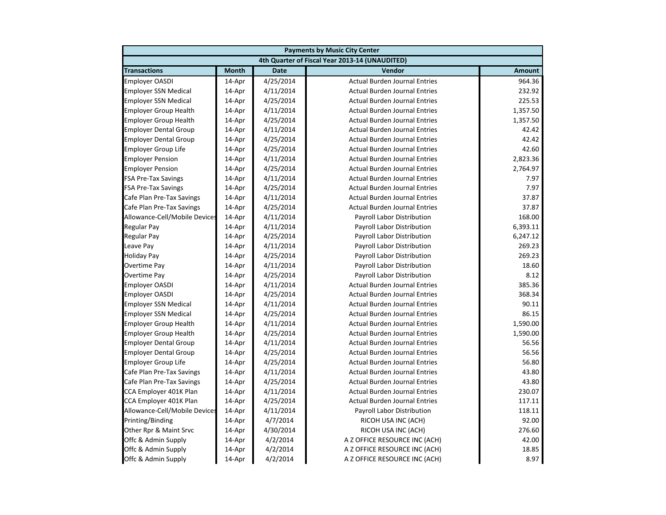|                               | <b>Payments by Music City Center</b> |             |                                                |               |  |
|-------------------------------|--------------------------------------|-------------|------------------------------------------------|---------------|--|
|                               |                                      |             | 4th Quarter of Fiscal Year 2013-14 (UNAUDITED) |               |  |
| <b>Transactions</b>           | <b>Month</b>                         | <b>Date</b> | Vendor                                         | <b>Amount</b> |  |
| <b>Employer OASDI</b>         | 14-Apr                               | 4/25/2014   | <b>Actual Burden Journal Entries</b>           | 964.36        |  |
| <b>Employer SSN Medical</b>   | 14-Apr                               | 4/11/2014   | <b>Actual Burden Journal Entries</b>           | 232.92        |  |
| <b>Employer SSN Medical</b>   | 14-Apr                               | 4/25/2014   | <b>Actual Burden Journal Entries</b>           | 225.53        |  |
| <b>Employer Group Health</b>  | 14-Apr                               | 4/11/2014   | <b>Actual Burden Journal Entries</b>           | 1,357.50      |  |
| <b>Employer Group Health</b>  | 14-Apr                               | 4/25/2014   | <b>Actual Burden Journal Entries</b>           | 1,357.50      |  |
| <b>Employer Dental Group</b>  | 14-Apr                               | 4/11/2014   | <b>Actual Burden Journal Entries</b>           | 42.42         |  |
| <b>Employer Dental Group</b>  | 14-Apr                               | 4/25/2014   | <b>Actual Burden Journal Entries</b>           | 42.42         |  |
| <b>Employer Group Life</b>    | 14-Apr                               | 4/25/2014   | <b>Actual Burden Journal Entries</b>           | 42.60         |  |
| <b>Employer Pension</b>       | 14-Apr                               | 4/11/2014   | <b>Actual Burden Journal Entries</b>           | 2,823.36      |  |
| <b>Employer Pension</b>       | 14-Apr                               | 4/25/2014   | <b>Actual Burden Journal Entries</b>           | 2,764.97      |  |
| <b>FSA Pre-Tax Savings</b>    | 14-Apr                               | 4/11/2014   | <b>Actual Burden Journal Entries</b>           | 7.97          |  |
| <b>FSA Pre-Tax Savings</b>    | 14-Apr                               | 4/25/2014   | <b>Actual Burden Journal Entries</b>           | 7.97          |  |
| Cafe Plan Pre-Tax Savings     | 14-Apr                               | 4/11/2014   | <b>Actual Burden Journal Entries</b>           | 37.87         |  |
| Cafe Plan Pre-Tax Savings     | 14-Apr                               | 4/25/2014   | <b>Actual Burden Journal Entries</b>           | 37.87         |  |
| Allowance-Cell/Mobile Devices | 14-Apr                               | 4/11/2014   | Payroll Labor Distribution                     | 168.00        |  |
| <b>Regular Pay</b>            | 14-Apr                               | 4/11/2014   | Payroll Labor Distribution                     | 6,393.11      |  |
| <b>Regular Pay</b>            | 14-Apr                               | 4/25/2014   | Payroll Labor Distribution                     | 6,247.12      |  |
| Leave Pay                     | 14-Apr                               | 4/11/2014   | Payroll Labor Distribution                     | 269.23        |  |
| <b>Holiday Pay</b>            | 14-Apr                               | 4/25/2014   | Payroll Labor Distribution                     | 269.23        |  |
| Overtime Pay                  | 14-Apr                               | 4/11/2014   | Payroll Labor Distribution                     | 18.60         |  |
| Overtime Pay                  | 14-Apr                               | 4/25/2014   | Payroll Labor Distribution                     | 8.12          |  |
| <b>Employer OASDI</b>         | 14-Apr                               | 4/11/2014   | <b>Actual Burden Journal Entries</b>           | 385.36        |  |
| <b>Employer OASDI</b>         | 14-Apr                               | 4/25/2014   | <b>Actual Burden Journal Entries</b>           | 368.34        |  |
| <b>Employer SSN Medical</b>   | 14-Apr                               | 4/11/2014   | <b>Actual Burden Journal Entries</b>           | 90.11         |  |
| <b>Employer SSN Medical</b>   | 14-Apr                               | 4/25/2014   | <b>Actual Burden Journal Entries</b>           | 86.15         |  |
| <b>Employer Group Health</b>  | 14-Apr                               | 4/11/2014   | <b>Actual Burden Journal Entries</b>           | 1,590.00      |  |
| <b>Employer Group Health</b>  | 14-Apr                               | 4/25/2014   | <b>Actual Burden Journal Entries</b>           | 1,590.00      |  |
| <b>Employer Dental Group</b>  | 14-Apr                               | 4/11/2014   | <b>Actual Burden Journal Entries</b>           | 56.56         |  |
| <b>Employer Dental Group</b>  | 14-Apr                               | 4/25/2014   | <b>Actual Burden Journal Entries</b>           | 56.56         |  |
| <b>Employer Group Life</b>    | 14-Apr                               | 4/25/2014   | <b>Actual Burden Journal Entries</b>           | 56.80         |  |
| Cafe Plan Pre-Tax Savings     | 14-Apr                               | 4/11/2014   | <b>Actual Burden Journal Entries</b>           | 43.80         |  |
| Cafe Plan Pre-Tax Savings     | 14-Apr                               | 4/25/2014   | <b>Actual Burden Journal Entries</b>           | 43.80         |  |
| CCA Employer 401K Plan        | 14-Apr                               | 4/11/2014   | <b>Actual Burden Journal Entries</b>           | 230.07        |  |
| CCA Employer 401K Plan        | 14-Apr                               | 4/25/2014   | <b>Actual Burden Journal Entries</b>           | 117.11        |  |
| Allowance-Cell/Mobile Devices | 14-Apr                               | 4/11/2014   | Payroll Labor Distribution                     | 118.11        |  |
| Printing/Binding              | 14-Apr                               | 4/7/2014    | RICOH USA INC (ACH)                            | 92.00         |  |
| Other Rpr & Maint Srvc        | 14-Apr                               | 4/30/2014   | RICOH USA INC (ACH)                            | 276.60        |  |
| Offc & Admin Supply           | 14-Apr                               | 4/2/2014    | A Z OFFICE RESOURCE INC (ACH)                  | 42.00         |  |
| Offc & Admin Supply           | 14-Apr                               | 4/2/2014    | A Z OFFICE RESOURCE INC (ACH)                  | 18.85         |  |
| Offc & Admin Supply           | 14-Apr                               | 4/2/2014    | A Z OFFICE RESOURCE INC (ACH)                  | 8.97          |  |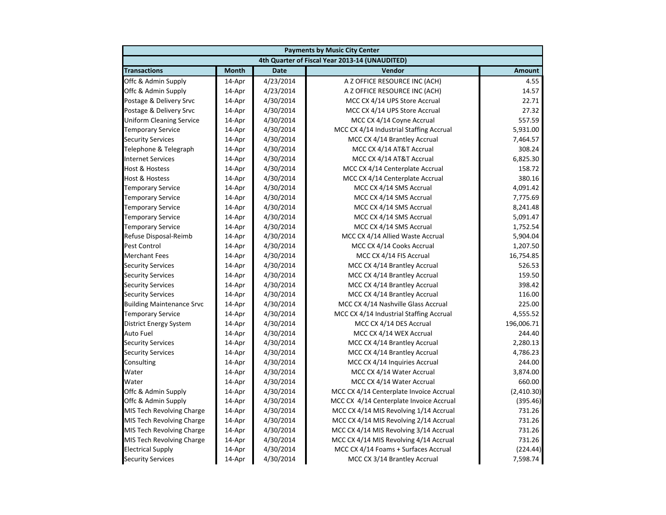|                                  | <b>Payments by Music City Center</b> |             |                                                |               |  |
|----------------------------------|--------------------------------------|-------------|------------------------------------------------|---------------|--|
|                                  |                                      |             | 4th Quarter of Fiscal Year 2013-14 (UNAUDITED) |               |  |
| <b>Transactions</b>              | <b>Month</b>                         | <b>Date</b> | Vendor                                         | <b>Amount</b> |  |
| Offc & Admin Supply              | 14-Apr                               | 4/23/2014   | A Z OFFICE RESOURCE INC (ACH)                  | 4.55          |  |
| Offc & Admin Supply              | 14-Apr                               | 4/23/2014   | A Z OFFICE RESOURCE INC (ACH)                  | 14.57         |  |
| Postage & Delivery Srvc          | 14-Apr                               | 4/30/2014   | MCC CX 4/14 UPS Store Accrual                  | 22.71         |  |
| Postage & Delivery Srvc          | 14-Apr                               | 4/30/2014   | MCC CX 4/14 UPS Store Accrual                  | 27.32         |  |
| <b>Uniform Cleaning Service</b>  | 14-Apr                               | 4/30/2014   | MCC CX 4/14 Coyne Accrual                      | 557.59        |  |
| <b>Temporary Service</b>         | 14-Apr                               | 4/30/2014   | MCC CX 4/14 Industrial Staffing Accrual        | 5,931.00      |  |
| <b>Security Services</b>         | 14-Apr                               | 4/30/2014   | MCC CX 4/14 Brantley Accrual                   | 7,464.57      |  |
| Telephone & Telegraph            | 14-Apr                               | 4/30/2014   | MCC CX 4/14 AT&T Accrual                       | 308.24        |  |
| <b>Internet Services</b>         | 14-Apr                               | 4/30/2014   | MCC CX 4/14 AT&T Accrual                       | 6,825.30      |  |
| <b>Host &amp; Hostess</b>        | 14-Apr                               | 4/30/2014   | MCC CX 4/14 Centerplate Accrual                | 158.72        |  |
| <b>Host &amp; Hostess</b>        | 14-Apr                               | 4/30/2014   | MCC CX 4/14 Centerplate Accrual                | 380.16        |  |
| <b>Temporary Service</b>         | 14-Apr                               | 4/30/2014   | MCC CX 4/14 SMS Accrual                        | 4,091.42      |  |
| <b>Temporary Service</b>         | 14-Apr                               | 4/30/2014   | MCC CX 4/14 SMS Accrual                        | 7,775.69      |  |
| <b>Temporary Service</b>         | 14-Apr                               | 4/30/2014   | MCC CX 4/14 SMS Accrual                        | 8,241.48      |  |
| <b>Temporary Service</b>         | 14-Apr                               | 4/30/2014   | MCC CX 4/14 SMS Accrual                        | 5,091.47      |  |
| <b>Temporary Service</b>         | 14-Apr                               | 4/30/2014   | MCC CX 4/14 SMS Accrual                        | 1,752.54      |  |
| Refuse Disposal-Reimb            | 14-Apr                               | 4/30/2014   | MCC CX 4/14 Allied Waste Accrual               | 5,904.04      |  |
| <b>Pest Control</b>              | 14-Apr                               | 4/30/2014   | MCC CX 4/14 Cooks Accrual                      | 1,207.50      |  |
| <b>Merchant Fees</b>             | 14-Apr                               | 4/30/2014   | MCC CX 4/14 FIS Accrual                        | 16,754.85     |  |
| <b>Security Services</b>         | 14-Apr                               | 4/30/2014   | MCC CX 4/14 Brantley Accrual                   | 526.53        |  |
| <b>Security Services</b>         | 14-Apr                               | 4/30/2014   | MCC CX 4/14 Brantley Accrual                   | 159.50        |  |
| <b>Security Services</b>         | 14-Apr                               | 4/30/2014   | MCC CX 4/14 Brantley Accrual                   | 398.42        |  |
| <b>Security Services</b>         | 14-Apr                               | 4/30/2014   | MCC CX 4/14 Brantley Accrual                   | 116.00        |  |
| <b>Building Maintenance Srvc</b> | 14-Apr                               | 4/30/2014   | MCC CX 4/14 Nashville Glass Accrual            | 225.00        |  |
| <b>Temporary Service</b>         | 14-Apr                               | 4/30/2014   | MCC CX 4/14 Industrial Staffing Accrual        | 4,555.52      |  |
| District Energy System           | 14-Apr                               | 4/30/2014   | MCC CX 4/14 DES Accrual                        | 196,006.71    |  |
| Auto Fuel                        | 14-Apr                               | 4/30/2014   | MCC CX 4/14 WEX Accrual                        | 244.40        |  |
| <b>Security Services</b>         | 14-Apr                               | 4/30/2014   | MCC CX 4/14 Brantley Accrual                   | 2,280.13      |  |
| <b>Security Services</b>         | 14-Apr                               | 4/30/2014   | MCC CX 4/14 Brantley Accrual                   | 4,786.23      |  |
| Consulting                       | 14-Apr                               | 4/30/2014   | MCC CX 4/14 Inquiries Accrual                  | 244.00        |  |
| Water                            | 14-Apr                               | 4/30/2014   | MCC CX 4/14 Water Accrual                      | 3,874.00      |  |
| Water                            | 14-Apr                               | 4/30/2014   | MCC CX 4/14 Water Accrual                      | 660.00        |  |
| Offc & Admin Supply              | 14-Apr                               | 4/30/2014   | MCC CX 4/14 Centerplate Invoice Accrual        | (2,410.30)    |  |
| Offc & Admin Supply              | 14-Apr                               | 4/30/2014   | MCC CX 4/14 Centerplate Invoice Accrual        | (395.46)      |  |
| MIS Tech Revolving Charge        | 14-Apr                               | 4/30/2014   | MCC CX 4/14 MIS Revolving 1/14 Accrual         | 731.26        |  |
| MIS Tech Revolving Charge        | 14-Apr                               | 4/30/2014   | MCC CX 4/14 MIS Revolving 2/14 Accrual         | 731.26        |  |
| MIS Tech Revolving Charge        | 14-Apr                               | 4/30/2014   | MCC CX 4/14 MIS Revolving 3/14 Accrual         | 731.26        |  |
| MIS Tech Revolving Charge        | 14-Apr                               | 4/30/2014   | MCC CX 4/14 MIS Revolving 4/14 Accrual         | 731.26        |  |
| <b>Electrical Supply</b>         | 14-Apr                               | 4/30/2014   | MCC CX 4/14 Foams + Surfaces Accrual           | (224.44)      |  |
| <b>Security Services</b>         | 14-Apr                               | 4/30/2014   | MCC CX 3/14 Brantley Accrual                   | 7,598.74      |  |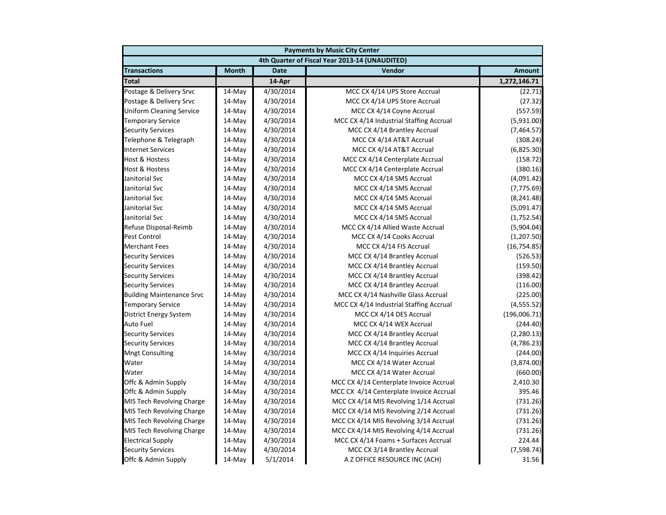|                                  |              |             | <b>Payments by Music City Center</b>           |               |  |  |  |
|----------------------------------|--------------|-------------|------------------------------------------------|---------------|--|--|--|
|                                  |              |             | 4th Quarter of Fiscal Year 2013-14 (UNAUDITED) |               |  |  |  |
| <b>Transactions</b>              | <b>Month</b> | <b>Date</b> | Vendor                                         | <b>Amount</b> |  |  |  |
| <b>Total</b>                     |              | 14-Apr      |                                                | 1,272,146.71  |  |  |  |
| Postage & Delivery Srvc          | 14-May       | 4/30/2014   | MCC CX 4/14 UPS Store Accrual                  | (22.71)       |  |  |  |
| Postage & Delivery Srvc          | 14-May       | 4/30/2014   | MCC CX 4/14 UPS Store Accrual                  | (27.32)       |  |  |  |
| <b>Uniform Cleaning Service</b>  | 14-May       | 4/30/2014   | MCC CX 4/14 Coyne Accrual                      | (557.59)      |  |  |  |
| <b>Temporary Service</b>         | 14-May       | 4/30/2014   | MCC CX 4/14 Industrial Staffing Accrual        | (5,931.00)    |  |  |  |
| <b>Security Services</b>         | $14$ -May    | 4/30/2014   | MCC CX 4/14 Brantley Accrual                   | (7,464.57)    |  |  |  |
| Telephone & Telegraph            | 14-May       | 4/30/2014   | MCC CX 4/14 AT&T Accrual                       | (308.24)      |  |  |  |
| <b>Internet Services</b>         | 14-May       | 4/30/2014   | MCC CX 4/14 AT&T Accrual                       | (6,825.30)    |  |  |  |
| <b>Host &amp; Hostess</b>        | 14-May       | 4/30/2014   | MCC CX 4/14 Centerplate Accrual                | (158.72)      |  |  |  |
| <b>Host &amp; Hostess</b>        | 14-May       | 4/30/2014   | MCC CX 4/14 Centerplate Accrual                | (380.16)      |  |  |  |
| Janitorial Svc                   | 14-May       | 4/30/2014   | MCC CX 4/14 SMS Accrual                        | (4,091.42)    |  |  |  |
| Janitorial Svc                   | $14$ -May    | 4/30/2014   | MCC CX 4/14 SMS Accrual                        | (7, 775.69)   |  |  |  |
| Janitorial Svc                   | 14-May       | 4/30/2014   | MCC CX 4/14 SMS Accrual                        | (8, 241.48)   |  |  |  |
| Janitorial Svc                   | 14-May       | 4/30/2014   | MCC CX 4/14 SMS Accrual                        | (5,091.47)    |  |  |  |
| Janitorial Svc                   | 14-May       | 4/30/2014   | MCC CX 4/14 SMS Accrual                        | (1,752.54)    |  |  |  |
| Refuse Disposal-Reimb            | 14-May       | 4/30/2014   | MCC CX 4/14 Allied Waste Accrual               | (5,904.04)    |  |  |  |
| <b>Pest Control</b>              | 14-May       | 4/30/2014   | MCC CX 4/14 Cooks Accrual                      | (1,207.50)    |  |  |  |
| <b>Merchant Fees</b>             | 14-May       | 4/30/2014   | MCC CX 4/14 FIS Accrual                        | (16, 754.85)  |  |  |  |
| <b>Security Services</b>         | 14-May       | 4/30/2014   | MCC CX 4/14 Brantley Accrual                   | (526.53)      |  |  |  |
| <b>Security Services</b>         | 14-May       | 4/30/2014   | MCC CX 4/14 Brantley Accrual                   | (159.50)      |  |  |  |
| <b>Security Services</b>         | 14-May       | 4/30/2014   | MCC CX 4/14 Brantley Accrual                   | (398.42)      |  |  |  |
| <b>Security Services</b>         | 14-May       | 4/30/2014   | MCC CX 4/14 Brantley Accrual                   | (116.00)      |  |  |  |
| <b>Building Maintenance Srvc</b> | 14-May       | 4/30/2014   | MCC CX 4/14 Nashville Glass Accrual            | (225.00)      |  |  |  |
| <b>Temporary Service</b>         | 14-May       | 4/30/2014   | MCC CX 4/14 Industrial Staffing Accrual        | (4, 555.52)   |  |  |  |
| <b>District Energy System</b>    | 14-May       | 4/30/2014   | MCC CX 4/14 DES Accrual                        | (196,006.71)  |  |  |  |
| <b>Auto Fuel</b>                 | 14-May       | 4/30/2014   | MCC CX 4/14 WEX Accrual                        | (244.40)      |  |  |  |
| <b>Security Services</b>         | 14-May       | 4/30/2014   | MCC CX 4/14 Brantley Accrual                   | (2, 280.13)   |  |  |  |
| <b>Security Services</b>         | 14-May       | 4/30/2014   | MCC CX 4/14 Brantley Accrual                   | (4,786.23)    |  |  |  |
| <b>Mngt Consulting</b>           | 14-May       | 4/30/2014   | MCC CX 4/14 Inquiries Accrual                  | (244.00)      |  |  |  |
| Water                            | 14-May       | 4/30/2014   | MCC CX 4/14 Water Accrual                      | (3,874.00)    |  |  |  |
| Water                            | 14-May       | 4/30/2014   | MCC CX 4/14 Water Accrual                      | (660.00)      |  |  |  |
| Offc & Admin Supply              | $14$ -May    | 4/30/2014   | MCC CX 4/14 Centerplate Invoice Accrual        | 2,410.30      |  |  |  |
| Offc & Admin Supply              | 14-May       | 4/30/2014   | MCC CX 4/14 Centerplate Invoice Accrual        | 395.46        |  |  |  |
| MIS Tech Revolving Charge        | 14-May       | 4/30/2014   | MCC CX 4/14 MIS Revolving 1/14 Accrual         | (731.26)      |  |  |  |
| MIS Tech Revolving Charge        | 14-May       | 4/30/2014   | MCC CX 4/14 MIS Revolving 2/14 Accrual         | (731.26)      |  |  |  |
| MIS Tech Revolving Charge        | 14-May       | 4/30/2014   | MCC CX 4/14 MIS Revolving 3/14 Accrual         | (731.26)      |  |  |  |
| MIS Tech Revolving Charge        | 14-May       | 4/30/2014   | MCC CX 4/14 MIS Revolving 4/14 Accrual         | (731.26)      |  |  |  |
| <b>Electrical Supply</b>         | 14-May       | 4/30/2014   | MCC CX 4/14 Foams + Surfaces Accrual           | 224.44        |  |  |  |
| <b>Security Services</b>         | 14-May       | 4/30/2014   | MCC CX 3/14 Brantley Accrual                   | (7,598.74)    |  |  |  |
| Offc & Admin Supply              | 14-May       | 5/1/2014    | A Z OFFICE RESOURCE INC (ACH)                  | 31.56         |  |  |  |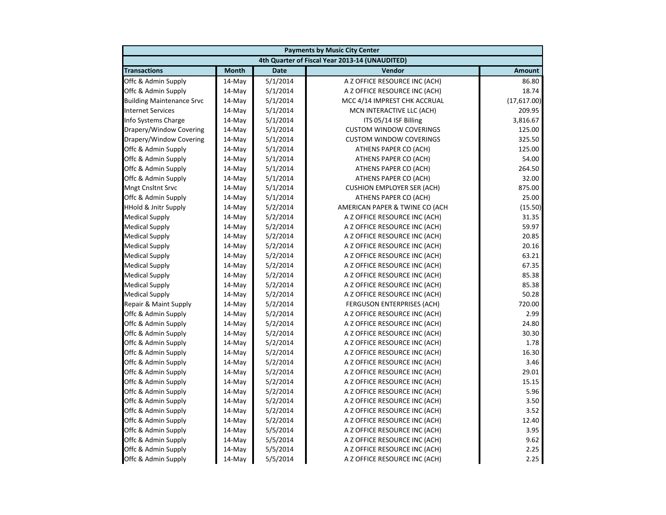| <b>Payments by Music City Center</b> |              |             |                                                |               |
|--------------------------------------|--------------|-------------|------------------------------------------------|---------------|
|                                      |              |             | 4th Quarter of Fiscal Year 2013-14 (UNAUDITED) |               |
| <b>Transactions</b>                  | <b>Month</b> | <b>Date</b> | Vendor                                         | <b>Amount</b> |
| Offc & Admin Supply                  | 14-May       | 5/1/2014    | A Z OFFICE RESOURCE INC (ACH)                  | 86.80         |
| Offc & Admin Supply                  | 14-May       | 5/1/2014    | A Z OFFICE RESOURCE INC (ACH)                  | 18.74         |
| <b>Building Maintenance Srvc</b>     | 14-May       | 5/1/2014    | MCC 4/14 IMPREST CHK ACCRUAL                   | (17,617.00)   |
| <b>Internet Services</b>             | 14-May       | 5/1/2014    | MCN INTERACTIVE LLC (ACH)                      | 209.95        |
| Info Systems Charge                  | 14-May       | 5/1/2014    | ITS 05/14 ISF Billing                          | 3,816.67      |
| Drapery/Window Covering              | 14-May       | 5/1/2014    | <b>CUSTOM WINDOW COVERINGS</b>                 | 125.00        |
| Drapery/Window Covering              | 14-May       | 5/1/2014    | <b>CUSTOM WINDOW COVERINGS</b>                 | 325.50        |
| Offc & Admin Supply                  | 14-May       | 5/1/2014    | ATHENS PAPER CO (ACH)                          | 125.00        |
| Offc & Admin Supply                  | 14-May       | 5/1/2014    | ATHENS PAPER CO (ACH)                          | 54.00         |
| Offc & Admin Supply                  | 14-May       | 5/1/2014    | ATHENS PAPER CO (ACH)                          | 264.50        |
| Offc & Admin Supply                  | 14-May       | 5/1/2014    | ATHENS PAPER CO (ACH)                          | 32.00         |
| <b>Mngt Cnsltnt Srvc</b>             | 14-May       | 5/1/2014    | <b>CUSHION EMPLOYER SER (ACH)</b>              | 875.00        |
| Offc & Admin Supply                  | 14-May       | 5/1/2014    | ATHENS PAPER CO (ACH)                          | 25.00         |
| <b>HHold &amp; Jnitr Supply</b>      | 14-May       | 5/2/2014    | AMERICAN PAPER & TWINE CO (ACH                 | (15.50)       |
| <b>Medical Supply</b>                | 14-May       | 5/2/2014    | A Z OFFICE RESOURCE INC (ACH)                  | 31.35         |
| <b>Medical Supply</b>                | $14-May$     | 5/2/2014    | A Z OFFICE RESOURCE INC (ACH)                  | 59.97         |
| <b>Medical Supply</b>                | 14-May       | 5/2/2014    | A Z OFFICE RESOURCE INC (ACH)                  | 20.85         |
| <b>Medical Supply</b>                | 14-May       | 5/2/2014    | A Z OFFICE RESOURCE INC (ACH)                  | 20.16         |
| <b>Medical Supply</b>                | 14-May       | 5/2/2014    | A Z OFFICE RESOURCE INC (ACH)                  | 63.21         |
| <b>Medical Supply</b>                | 14-May       | 5/2/2014    | A Z OFFICE RESOURCE INC (ACH)                  | 67.35         |
| <b>Medical Supply</b>                | 14-May       | 5/2/2014    | A Z OFFICE RESOURCE INC (ACH)                  | 85.38         |
| <b>Medical Supply</b>                | 14-May       | 5/2/2014    | A Z OFFICE RESOURCE INC (ACH)                  | 85.38         |
| <b>Medical Supply</b>                | $14-May$     | 5/2/2014    | A Z OFFICE RESOURCE INC (ACH)                  | 50.28         |
| Repair & Maint Supply                | 14-May       | 5/2/2014    | FERGUSON ENTERPRISES (ACH)                     | 720.00        |
| Offc & Admin Supply                  | 14-May       | 5/2/2014    | A Z OFFICE RESOURCE INC (ACH)                  | 2.99          |
| Offc & Admin Supply                  | 14-May       | 5/2/2014    | A Z OFFICE RESOURCE INC (ACH)                  | 24.80         |
| Offc & Admin Supply                  | 14-May       | 5/2/2014    | A Z OFFICE RESOURCE INC (ACH)                  | 30.30         |
| Offc & Admin Supply                  | 14-May       | 5/2/2014    | A Z OFFICE RESOURCE INC (ACH)                  | 1.78          |
| Offc & Admin Supply                  | 14-May       | 5/2/2014    | A Z OFFICE RESOURCE INC (ACH)                  | 16.30         |
| Offc & Admin Supply                  | 14-May       | 5/2/2014    | A Z OFFICE RESOURCE INC (ACH)                  | 3.46          |
| Offc & Admin Supply                  | $14-May$     | 5/2/2014    | A Z OFFICE RESOURCE INC (ACH)                  | 29.01         |
| Offc & Admin Supply                  | 14-May       | 5/2/2014    | A Z OFFICE RESOURCE INC (ACH)                  | 15.15         |
| Offc & Admin Supply                  | 14-May       | 5/2/2014    | A Z OFFICE RESOURCE INC (ACH)                  | 5.96          |
| Offc & Admin Supply                  | 14-May       | 5/2/2014    | A Z OFFICE RESOURCE INC (ACH)                  | 3.50          |
| Offc & Admin Supply                  | 14-May       | 5/2/2014    | A Z OFFICE RESOURCE INC (ACH)                  | 3.52          |
| Offc & Admin Supply                  | 14-May       | 5/2/2014    | A Z OFFICE RESOURCE INC (ACH)                  | 12.40         |
| Offc & Admin Supply                  | 14-May       | 5/5/2014    | A Z OFFICE RESOURCE INC (ACH)                  | 3.95          |
| Offc & Admin Supply                  | 14-May       | 5/5/2014    | A Z OFFICE RESOURCE INC (ACH)                  | 9.62          |
| Offc & Admin Supply                  | $14$ -May    | 5/5/2014    | A Z OFFICE RESOURCE INC (ACH)                  | 2.25          |
| Offc & Admin Supply                  | 14-May       | 5/5/2014    | A Z OFFICE RESOURCE INC (ACH)                  | 2.25          |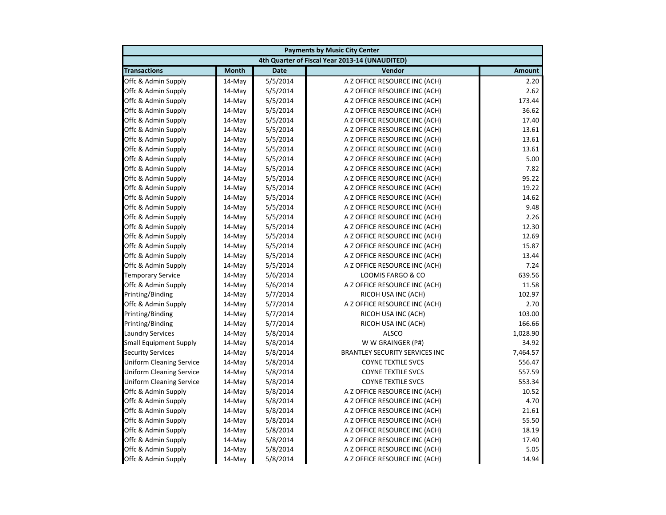|                                 | <b>Payments by Music City Center</b> |             |                                                |               |  |
|---------------------------------|--------------------------------------|-------------|------------------------------------------------|---------------|--|
|                                 |                                      |             | 4th Quarter of Fiscal Year 2013-14 (UNAUDITED) |               |  |
| <b>Transactions</b>             | <b>Month</b>                         | <b>Date</b> | Vendor                                         | <b>Amount</b> |  |
| Offc & Admin Supply             | $14$ -May                            | 5/5/2014    | A Z OFFICE RESOURCE INC (ACH)                  | 2.20          |  |
| Offc & Admin Supply             | $14$ -May                            | 5/5/2014    | A Z OFFICE RESOURCE INC (ACH)                  | 2.62          |  |
| Offc & Admin Supply             | 14-May                               | 5/5/2014    | A Z OFFICE RESOURCE INC (ACH)                  | 173.44        |  |
| Offc & Admin Supply             | 14-May                               | 5/5/2014    | A Z OFFICE RESOURCE INC (ACH)                  | 36.62         |  |
| Offc & Admin Supply             | 14-May                               | 5/5/2014    | A Z OFFICE RESOURCE INC (ACH)                  | 17.40         |  |
| Offc & Admin Supply             | 14-May                               | 5/5/2014    | A Z OFFICE RESOURCE INC (ACH)                  | 13.61         |  |
| Offc & Admin Supply             | 14-May                               | 5/5/2014    | A Z OFFICE RESOURCE INC (ACH)                  | 13.61         |  |
| Offc & Admin Supply             | 14-May                               | 5/5/2014    | A Z OFFICE RESOURCE INC (ACH)                  | 13.61         |  |
| Offc & Admin Supply             | 14-May                               | 5/5/2014    | A Z OFFICE RESOURCE INC (ACH)                  | 5.00          |  |
| Offc & Admin Supply             | 14-May                               | 5/5/2014    | A Z OFFICE RESOURCE INC (ACH)                  | 7.82          |  |
| Offc & Admin Supply             | 14-May                               | 5/5/2014    | A Z OFFICE RESOURCE INC (ACH)                  | 95.22         |  |
| Offc & Admin Supply             | 14-May                               | 5/5/2014    | A Z OFFICE RESOURCE INC (ACH)                  | 19.22         |  |
| Offc & Admin Supply             | 14-May                               | 5/5/2014    | A Z OFFICE RESOURCE INC (ACH)                  | 14.62         |  |
| Offc & Admin Supply             | 14-May                               | 5/5/2014    | A Z OFFICE RESOURCE INC (ACH)                  | 9.48          |  |
| Offc & Admin Supply             | 14-May                               | 5/5/2014    | A Z OFFICE RESOURCE INC (ACH)                  | 2.26          |  |
| Offc & Admin Supply             | 14-May                               | 5/5/2014    | A Z OFFICE RESOURCE INC (ACH)                  | 12.30         |  |
| Offc & Admin Supply             | 14-May                               | 5/5/2014    | A Z OFFICE RESOURCE INC (ACH)                  | 12.69         |  |
| Offc & Admin Supply             | 14-May                               | 5/5/2014    | A Z OFFICE RESOURCE INC (ACH)                  | 15.87         |  |
| Offc & Admin Supply             | 14-May                               | 5/5/2014    | A Z OFFICE RESOURCE INC (ACH)                  | 13.44         |  |
| Offc & Admin Supply             | 14-May                               | 5/5/2014    | A Z OFFICE RESOURCE INC (ACH)                  | 7.24          |  |
| <b>Temporary Service</b>        | 14-May                               | 5/6/2014    | LOOMIS FARGO & CO                              | 639.56        |  |
| Offc & Admin Supply             | 14-May                               | 5/6/2014    | A Z OFFICE RESOURCE INC (ACH)                  | 11.58         |  |
| Printing/Binding                | 14-May                               | 5/7/2014    | RICOH USA INC (ACH)                            | 102.97        |  |
| Offc & Admin Supply             | 14-May                               | 5/7/2014    | A Z OFFICE RESOURCE INC (ACH)                  | 2.70          |  |
| Printing/Binding                | 14-May                               | 5/7/2014    | RICOH USA INC (ACH)                            | 103.00        |  |
| Printing/Binding                | 14-May                               | 5/7/2014    | RICOH USA INC (ACH)                            | 166.66        |  |
| <b>Laundry Services</b>         | 14-May                               | 5/8/2014    | <b>ALSCO</b>                                   | 1,028.90      |  |
| <b>Small Equipment Supply</b>   | 14-May                               | 5/8/2014    | W W GRAINGER (P#)                              | 34.92         |  |
| <b>Security Services</b>        | 14-May                               | 5/8/2014    | <b>BRANTLEY SECURITY SERVICES INC</b>          | 7,464.57      |  |
| Uniform Cleaning Service        | $14$ -May                            | 5/8/2014    | <b>COYNE TEXTILE SVCS</b>                      | 556.47        |  |
| Uniform Cleaning Service        | 14-May                               | 5/8/2014    | <b>COYNE TEXTILE SVCS</b>                      | 557.59        |  |
| <b>Uniform Cleaning Service</b> | 14-May                               | 5/8/2014    | <b>COYNE TEXTILE SVCS</b>                      | 553.34        |  |
| Offc & Admin Supply             | 14-May                               | 5/8/2014    | A Z OFFICE RESOURCE INC (ACH)                  | 10.52         |  |
| Offc & Admin Supply             | 14-May                               | 5/8/2014    | A Z OFFICE RESOURCE INC (ACH)                  | 4.70          |  |
| Offc & Admin Supply             | 14-May                               | 5/8/2014    | A Z OFFICE RESOURCE INC (ACH)                  | 21.61         |  |
| Offc & Admin Supply             | 14-May                               | 5/8/2014    | A Z OFFICE RESOURCE INC (ACH)                  | 55.50         |  |
| Offc & Admin Supply             | 14-May                               | 5/8/2014    | A Z OFFICE RESOURCE INC (ACH)                  | 18.19         |  |
| Offc & Admin Supply             | 14-May                               | 5/8/2014    | A Z OFFICE RESOURCE INC (ACH)                  | 17.40         |  |
| Offc & Admin Supply             | 14-May                               | 5/8/2014    | A Z OFFICE RESOURCE INC (ACH)                  | 5.05          |  |
| Offc & Admin Supply             | 14-May                               | 5/8/2014    | A Z OFFICE RESOURCE INC (ACH)                  | 14.94         |  |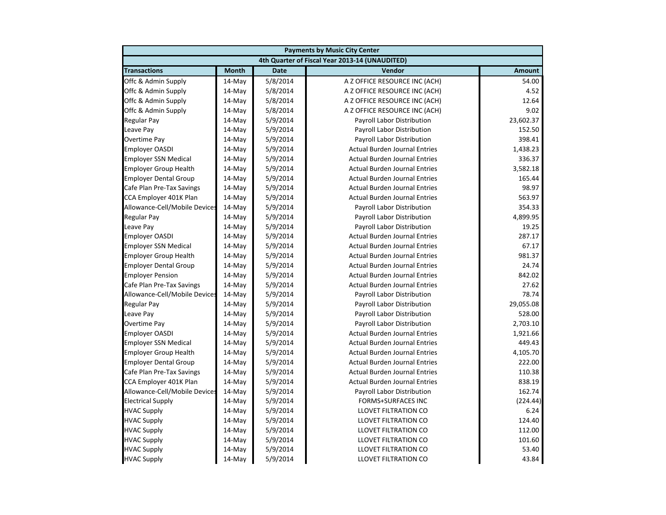|                               | <b>Payments by Music City Center</b> |             |                                                |               |  |
|-------------------------------|--------------------------------------|-------------|------------------------------------------------|---------------|--|
|                               |                                      |             | 4th Quarter of Fiscal Year 2013-14 (UNAUDITED) |               |  |
| <b>Transactions</b>           | <b>Month</b>                         | <b>Date</b> | Vendor                                         | <b>Amount</b> |  |
| Offc & Admin Supply           | 14-May                               | 5/8/2014    | A Z OFFICE RESOURCE INC (ACH)                  | 54.00         |  |
| Offc & Admin Supply           | 14-May                               | 5/8/2014    | A Z OFFICE RESOURCE INC (ACH)                  | 4.52          |  |
| Offc & Admin Supply           | 14-May                               | 5/8/2014    | A Z OFFICE RESOURCE INC (ACH)                  | 12.64         |  |
| Offc & Admin Supply           | 14-May                               | 5/8/2014    | A Z OFFICE RESOURCE INC (ACH)                  | 9.02          |  |
| Regular Pay                   | 14-May                               | 5/9/2014    | Payroll Labor Distribution                     | 23,602.37     |  |
| Leave Pay                     | 14-May                               | 5/9/2014    | Payroll Labor Distribution                     | 152.50        |  |
| Overtime Pay                  | 14-May                               | 5/9/2014    | Payroll Labor Distribution                     | 398.41        |  |
| <b>Employer OASDI</b>         | 14-May                               | 5/9/2014    | <b>Actual Burden Journal Entries</b>           | 1,438.23      |  |
| <b>Employer SSN Medical</b>   | 14-May                               | 5/9/2014    | <b>Actual Burden Journal Entries</b>           | 336.37        |  |
| <b>Employer Group Health</b>  | 14-May                               | 5/9/2014    | <b>Actual Burden Journal Entries</b>           | 3,582.18      |  |
| <b>Employer Dental Group</b>  | 14-May                               | 5/9/2014    | <b>Actual Burden Journal Entries</b>           | 165.44        |  |
| Cafe Plan Pre-Tax Savings     | 14-May                               | 5/9/2014    | <b>Actual Burden Journal Entries</b>           | 98.97         |  |
| CCA Employer 401K Plan        | 14-May                               | 5/9/2014    | <b>Actual Burden Journal Entries</b>           | 563.97        |  |
| Allowance-Cell/Mobile Devices | 14-May                               | 5/9/2014    | Payroll Labor Distribution                     | 354.33        |  |
| Regular Pay                   | $14$ -May                            | 5/9/2014    | Payroll Labor Distribution                     | 4,899.95      |  |
| Leave Pay                     | 14-May                               | 5/9/2014    | Payroll Labor Distribution                     | 19.25         |  |
| <b>Employer OASDI</b>         | 14-May                               | 5/9/2014    | <b>Actual Burden Journal Entries</b>           | 287.17        |  |
| <b>Employer SSN Medical</b>   | 14-May                               | 5/9/2014    | <b>Actual Burden Journal Entries</b>           | 67.17         |  |
| <b>Employer Group Health</b>  | 14-May                               | 5/9/2014    | <b>Actual Burden Journal Entries</b>           | 981.37        |  |
| <b>Employer Dental Group</b>  | $14$ -May                            | 5/9/2014    | <b>Actual Burden Journal Entries</b>           | 24.74         |  |
| <b>Employer Pension</b>       | 14-May                               | 5/9/2014    | <b>Actual Burden Journal Entries</b>           | 842.02        |  |
| Cafe Plan Pre-Tax Savings     | 14-May                               | 5/9/2014    | <b>Actual Burden Journal Entries</b>           | 27.62         |  |
| Allowance-Cell/Mobile Devices | 14-May                               | 5/9/2014    | Payroll Labor Distribution                     | 78.74         |  |
| <b>Regular Pay</b>            | 14-May                               | 5/9/2014    | Payroll Labor Distribution                     | 29,055.08     |  |
| Leave Pay                     | 14-May                               | 5/9/2014    | Payroll Labor Distribution                     | 528.00        |  |
| Overtime Pay                  | 14-May                               | 5/9/2014    | Payroll Labor Distribution                     | 2,703.10      |  |
| <b>Employer OASDI</b>         | 14-May                               | 5/9/2014    | <b>Actual Burden Journal Entries</b>           | 1,921.66      |  |
| <b>Employer SSN Medical</b>   | 14-May                               | 5/9/2014    | <b>Actual Burden Journal Entries</b>           | 449.43        |  |
| <b>Employer Group Health</b>  | 14-May                               | 5/9/2014    | <b>Actual Burden Journal Entries</b>           | 4,105.70      |  |
| <b>Employer Dental Group</b>  | 14-May                               | 5/9/2014    | <b>Actual Burden Journal Entries</b>           | 222.00        |  |
| Cafe Plan Pre-Tax Savings     | $14$ -May                            | 5/9/2014    | <b>Actual Burden Journal Entries</b>           | 110.38        |  |
| CCA Employer 401K Plan        | 14-May                               | 5/9/2014    | <b>Actual Burden Journal Entries</b>           | 838.19        |  |
| Allowance-Cell/Mobile Devices | 14-May                               | 5/9/2014    | Payroll Labor Distribution                     | 162.74        |  |
| <b>Electrical Supply</b>      | 14-May                               | 5/9/2014    | <b>FORMS+SURFACES INC</b>                      | (224.44)      |  |
| <b>HVAC Supply</b>            | 14-May                               | 5/9/2014    | LLOVET FILTRATION CO                           | 6.24          |  |
| <b>HVAC Supply</b>            | $14$ -May                            | 5/9/2014    | LLOVET FILTRATION CO                           | 124.40        |  |
| <b>HVAC Supply</b>            | 14-May                               | 5/9/2014    | LLOVET FILTRATION CO                           | 112.00        |  |
| <b>HVAC Supply</b>            | 14-May                               | 5/9/2014    | LLOVET FILTRATION CO                           | 101.60        |  |
| <b>HVAC Supply</b>            | 14-May                               | 5/9/2014    | LLOVET FILTRATION CO                           | 53.40         |  |
| <b>HVAC Supply</b>            | 14-May                               | 5/9/2014    | <b>LLOVET FILTRATION CO</b>                    | 43.84         |  |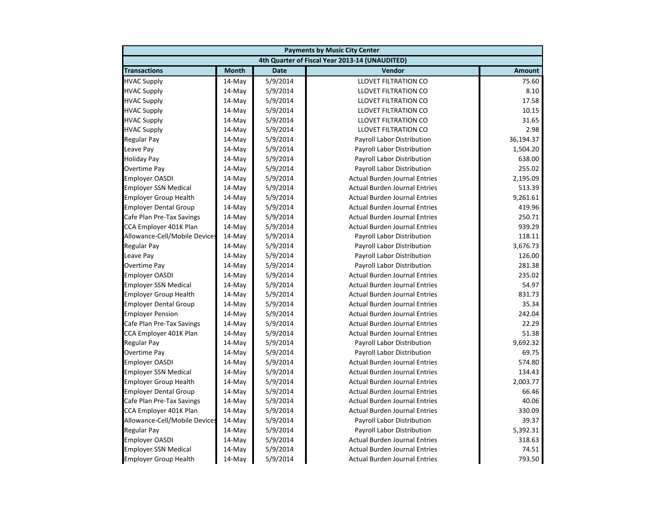| <b>Payments by Music City Center</b> |              |             |                                                |               |
|--------------------------------------|--------------|-------------|------------------------------------------------|---------------|
|                                      |              |             | 4th Quarter of Fiscal Year 2013-14 (UNAUDITED) |               |
| <b>Transactions</b>                  | <b>Month</b> | <b>Date</b> | Vendor                                         | <b>Amount</b> |
| <b>HVAC Supply</b>                   | 14-May       | 5/9/2014    | <b>LLOVET FILTRATION CO</b>                    | 75.60         |
| <b>HVAC Supply</b>                   | 14-May       | 5/9/2014    | LLOVET FILTRATION CO                           | 8.10          |
| <b>HVAC Supply</b>                   | 14-May       | 5/9/2014    | <b>LLOVET FILTRATION CO</b>                    | 17.58         |
| <b>HVAC Supply</b>                   | 14-May       | 5/9/2014    | LLOVET FILTRATION CO                           | 10.15         |
| <b>HVAC Supply</b>                   | 14-May       | 5/9/2014    | LLOVET FILTRATION CO                           | 31.65         |
| <b>HVAC Supply</b>                   | 14-May       | 5/9/2014    | LLOVET FILTRATION CO                           | 2.98          |
| <b>Regular Pay</b>                   | 14-May       | 5/9/2014    | <b>Payroll Labor Distribution</b>              | 36,194.37     |
| Leave Pay                            | $14-May$     | 5/9/2014    | Payroll Labor Distribution                     | 1,504.20      |
| <b>Holiday Pay</b>                   | 14-May       | 5/9/2014    | Payroll Labor Distribution                     | 638.00        |
| <b>Overtime Pay</b>                  | 14-May       | 5/9/2014    | Payroll Labor Distribution                     | 255.02        |
| <b>Employer OASDI</b>                | 14-May       | 5/9/2014    | <b>Actual Burden Journal Entries</b>           | 2,195.09      |
| <b>Employer SSN Medical</b>          | 14-May       | 5/9/2014    | <b>Actual Burden Journal Entries</b>           | 513.39        |
| <b>Employer Group Health</b>         | 14-May       | 5/9/2014    | <b>Actual Burden Journal Entries</b>           | 9,261.61      |
| <b>Employer Dental Group</b>         | 14-May       | 5/9/2014    | <b>Actual Burden Journal Entries</b>           | 419.96        |
| Cafe Plan Pre-Tax Savings            | 14-May       | 5/9/2014    | <b>Actual Burden Journal Entries</b>           | 250.71        |
| CCA Employer 401K Plan               | 14-May       | 5/9/2014    | <b>Actual Burden Journal Entries</b>           | 939.29        |
| Allowance-Cell/Mobile Devices        | 14-May       | 5/9/2014    | Payroll Labor Distribution                     | 118.11        |
| <b>Regular Pay</b>                   | 14-May       | 5/9/2014    | Payroll Labor Distribution                     | 3,676.73      |
| Leave Pay                            | 14-May       | 5/9/2014    | Payroll Labor Distribution                     | 126.00        |
| <b>Overtime Pay</b>                  | 14-May       | 5/9/2014    | Payroll Labor Distribution                     | 281.38        |
| <b>Employer OASDI</b>                | 14-May       | 5/9/2014    | <b>Actual Burden Journal Entries</b>           | 235.02        |
| <b>Employer SSN Medical</b>          | 14-May       | 5/9/2014    | <b>Actual Burden Journal Entries</b>           | 54.97         |
| <b>Employer Group Health</b>         | $14-May$     | 5/9/2014    | <b>Actual Burden Journal Entries</b>           | 831.73        |
| <b>Employer Dental Group</b>         | 14-May       | 5/9/2014    | <b>Actual Burden Journal Entries</b>           | 35.34         |
| <b>Employer Pension</b>              | 14-May       | 5/9/2014    | <b>Actual Burden Journal Entries</b>           | 242.04        |
| Cafe Plan Pre-Tax Savings            | 14-May       | 5/9/2014    | <b>Actual Burden Journal Entries</b>           | 22.29         |
| CCA Employer 401K Plan               | 14-May       | 5/9/2014    | <b>Actual Burden Journal Entries</b>           | 51.38         |
| <b>Regular Pay</b>                   | 14-May       | 5/9/2014    | Payroll Labor Distribution                     | 9,692.32      |
| <b>Overtime Pay</b>                  | 14-May       | 5/9/2014    | Payroll Labor Distribution                     | 69.75         |
| <b>Employer OASDI</b>                | 14-May       | 5/9/2014    | <b>Actual Burden Journal Entries</b>           | 574.80        |
| <b>Employer SSN Medical</b>          | $14-May$     | 5/9/2014    | <b>Actual Burden Journal Entries</b>           | 134.43        |
| <b>Employer Group Health</b>         | 14-May       | 5/9/2014    | <b>Actual Burden Journal Entries</b>           | 2,003.77      |
| <b>Employer Dental Group</b>         | 14-May       | 5/9/2014    | <b>Actual Burden Journal Entries</b>           | 66.46         |
| Cafe Plan Pre-Tax Savings            | 14-May       | 5/9/2014    | <b>Actual Burden Journal Entries</b>           | 40.06         |
| CCA Employer 401K Plan               | 14-May       | 5/9/2014    | <b>Actual Burden Journal Entries</b>           | 330.09        |
| Allowance-Cell/Mobile Devices        | 14-May       | 5/9/2014    | Payroll Labor Distribution                     | 39.37         |
| <b>Regular Pay</b>                   | 14-May       | 5/9/2014    | Payroll Labor Distribution                     | 5,392.31      |
| <b>Employer OASDI</b>                | 14-May       | 5/9/2014    | <b>Actual Burden Journal Entries</b>           | 318.63        |
| <b>Employer SSN Medical</b>          | $14$ -May    | 5/9/2014    | <b>Actual Burden Journal Entries</b>           | 74.51         |
| <b>Employer Group Health</b>         | $14$ -May    | 5/9/2014    | <b>Actual Burden Journal Entries</b>           | 793.50        |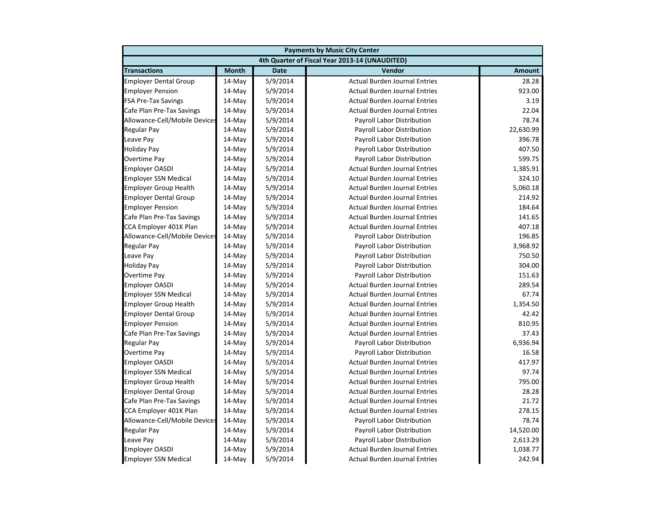|                               | <b>Payments by Music City Center</b> |             |                                                |               |  |
|-------------------------------|--------------------------------------|-------------|------------------------------------------------|---------------|--|
|                               |                                      |             | 4th Quarter of Fiscal Year 2013-14 (UNAUDITED) |               |  |
| <b>Transactions</b>           | <b>Month</b>                         | <b>Date</b> | Vendor                                         | <b>Amount</b> |  |
| <b>Employer Dental Group</b>  | $14$ -May                            | 5/9/2014    | <b>Actual Burden Journal Entries</b>           | 28.28         |  |
| <b>Employer Pension</b>       | $14$ -May                            | 5/9/2014    | <b>Actual Burden Journal Entries</b>           | 923.00        |  |
| <b>FSA Pre-Tax Savings</b>    | 14-May                               | 5/9/2014    | <b>Actual Burden Journal Entries</b>           | 3.19          |  |
| Cafe Plan Pre-Tax Savings     | 14-May                               | 5/9/2014    | <b>Actual Burden Journal Entries</b>           | 22.04         |  |
| Allowance-Cell/Mobile Devices | 14-May                               | 5/9/2014    | Payroll Labor Distribution                     | 78.74         |  |
| Regular Pay                   | 14-May                               | 5/9/2014    | Payroll Labor Distribution                     | 22,630.99     |  |
| Leave Pay                     | 14-May                               | 5/9/2014    | Payroll Labor Distribution                     | 396.78        |  |
| <b>Holiday Pay</b>            | 14-May                               | 5/9/2014    | Payroll Labor Distribution                     | 407.50        |  |
| Overtime Pay                  | 14-May                               | 5/9/2014    | Payroll Labor Distribution                     | 599.75        |  |
| <b>Employer OASDI</b>         | 14-May                               | 5/9/2014    | <b>Actual Burden Journal Entries</b>           | 1,385.91      |  |
| <b>Employer SSN Medical</b>   | $14$ -May                            | 5/9/2014    | <b>Actual Burden Journal Entries</b>           | 324.10        |  |
| <b>Employer Group Health</b>  | 14-May                               | 5/9/2014    | <b>Actual Burden Journal Entries</b>           | 5,060.18      |  |
| <b>Employer Dental Group</b>  | 14-May                               | 5/9/2014    | <b>Actual Burden Journal Entries</b>           | 214.92        |  |
| <b>Employer Pension</b>       | 14-May                               | 5/9/2014    | <b>Actual Burden Journal Entries</b>           | 184.64        |  |
| Cafe Plan Pre-Tax Savings     | 14-May                               | 5/9/2014    | <b>Actual Burden Journal Entries</b>           | 141.65        |  |
| CCA Employer 401K Plan        | 14-May                               | 5/9/2014    | <b>Actual Burden Journal Entries</b>           | 407.18        |  |
| Allowance-Cell/Mobile Devices | 14-May                               | 5/9/2014    | Payroll Labor Distribution                     | 196.85        |  |
| Regular Pay                   | 14-May                               | 5/9/2014    | Payroll Labor Distribution                     | 3,968.92      |  |
| Leave Pay                     | 14-May                               | 5/9/2014    | Payroll Labor Distribution                     | 750.50        |  |
| <b>Holiday Pay</b>            | $14$ -May                            | 5/9/2014    | Payroll Labor Distribution                     | 304.00        |  |
| Overtime Pay                  | 14-May                               | 5/9/2014    | Payroll Labor Distribution                     | 151.63        |  |
| <b>Employer OASDI</b>         | 14-May                               | 5/9/2014    | <b>Actual Burden Journal Entries</b>           | 289.54        |  |
| <b>Employer SSN Medical</b>   | 14-May                               | 5/9/2014    | <b>Actual Burden Journal Entries</b>           | 67.74         |  |
| <b>Employer Group Health</b>  | 14-May                               | 5/9/2014    | <b>Actual Burden Journal Entries</b>           | 1,354.50      |  |
| <b>Employer Dental Group</b>  | 14-May                               | 5/9/2014    | <b>Actual Burden Journal Entries</b>           | 42.42         |  |
| <b>Employer Pension</b>       | 14-May                               | 5/9/2014    | <b>Actual Burden Journal Entries</b>           | 810.95        |  |
| Cafe Plan Pre-Tax Savings     | 14-May                               | 5/9/2014    | <b>Actual Burden Journal Entries</b>           | 37.43         |  |
| Regular Pay                   | 14-May                               | 5/9/2014    | Payroll Labor Distribution                     | 6,936.94      |  |
| Overtime Pay                  | 14-May                               | 5/9/2014    | Payroll Labor Distribution                     | 16.58         |  |
| <b>Employer OASDI</b>         | $14$ -May                            | 5/9/2014    | <b>Actual Burden Journal Entries</b>           | 417.97        |  |
| <b>Employer SSN Medical</b>   | 14-May                               | 5/9/2014    | <b>Actual Burden Journal Entries</b>           | 97.74         |  |
| <b>Employer Group Health</b>  | 14-May                               | 5/9/2014    | <b>Actual Burden Journal Entries</b>           | 795.00        |  |
| <b>Employer Dental Group</b>  | 14-May                               | 5/9/2014    | <b>Actual Burden Journal Entries</b>           | 28.28         |  |
| Cafe Plan Pre-Tax Savings     | 14-May                               | 5/9/2014    | <b>Actual Burden Journal Entries</b>           | 21.72         |  |
| CCA Employer 401K Plan        | 14-May                               | 5/9/2014    | <b>Actual Burden Journal Entries</b>           | 278.15        |  |
| Allowance-Cell/Mobile Devices | 14-May                               | 5/9/2014    | Payroll Labor Distribution                     | 78.74         |  |
| <b>Regular Pay</b>            | 14-May                               | 5/9/2014    | Payroll Labor Distribution                     | 14,520.00     |  |
| Leave Pay                     | 14-May                               | 5/9/2014    | <b>Payroll Labor Distribution</b>              | 2,613.29      |  |
| <b>Employer OASDI</b>         | $14$ -May                            | 5/9/2014    | <b>Actual Burden Journal Entries</b>           | 1,038.77      |  |
| <b>Employer SSN Medical</b>   | 14-May                               | 5/9/2014    | <b>Actual Burden Journal Entries</b>           | 242.94        |  |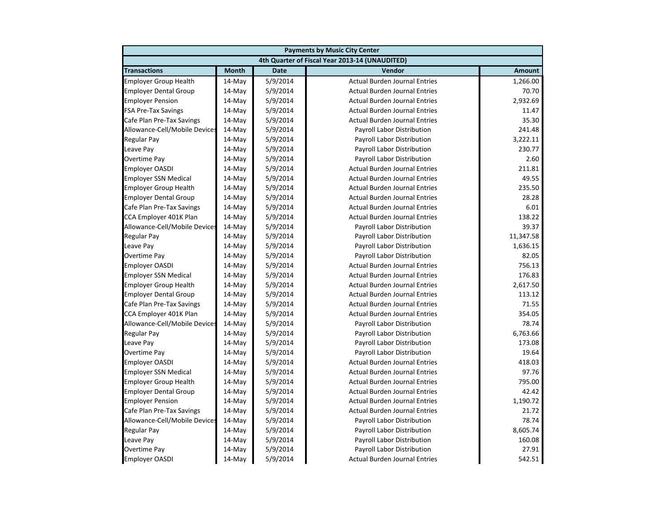|                               | <b>Payments by Music City Center</b> |             |                                                |               |  |
|-------------------------------|--------------------------------------|-------------|------------------------------------------------|---------------|--|
|                               |                                      |             | 4th Quarter of Fiscal Year 2013-14 (UNAUDITED) |               |  |
| <b>Transactions</b>           | <b>Month</b>                         | <b>Date</b> | Vendor                                         | <b>Amount</b> |  |
| <b>Employer Group Health</b>  | $14$ -May                            | 5/9/2014    | <b>Actual Burden Journal Entries</b>           | 1,266.00      |  |
| <b>Employer Dental Group</b>  | $14$ -May                            | 5/9/2014    | <b>Actual Burden Journal Entries</b>           | 70.70         |  |
| <b>Employer Pension</b>       | 14-May                               | 5/9/2014    | <b>Actual Burden Journal Entries</b>           | 2,932.69      |  |
| <b>FSA Pre-Tax Savings</b>    | 14-May                               | 5/9/2014    | <b>Actual Burden Journal Entries</b>           | 11.47         |  |
| Cafe Plan Pre-Tax Savings     | 14-May                               | 5/9/2014    | <b>Actual Burden Journal Entries</b>           | 35.30         |  |
| Allowance-Cell/Mobile Devices | 14-May                               | 5/9/2014    | Payroll Labor Distribution                     | 241.48        |  |
| Regular Pay                   | 14-May                               | 5/9/2014    | Payroll Labor Distribution                     | 3,222.11      |  |
| Leave Pay                     | 14-May                               | 5/9/2014    | Payroll Labor Distribution                     | 230.77        |  |
| Overtime Pay                  | 14-May                               | 5/9/2014    | Payroll Labor Distribution                     | 2.60          |  |
| <b>Employer OASDI</b>         | 14-May                               | 5/9/2014    | <b>Actual Burden Journal Entries</b>           | 211.81        |  |
| <b>Employer SSN Medical</b>   | $14$ -May                            | 5/9/2014    | <b>Actual Burden Journal Entries</b>           | 49.55         |  |
| <b>Employer Group Health</b>  | 14-May                               | 5/9/2014    | <b>Actual Burden Journal Entries</b>           | 235.50        |  |
| <b>Employer Dental Group</b>  | 14-May                               | 5/9/2014    | <b>Actual Burden Journal Entries</b>           | 28.28         |  |
| Cafe Plan Pre-Tax Savings     | 14-May                               | 5/9/2014    | <b>Actual Burden Journal Entries</b>           | 6.01          |  |
| CCA Employer 401K Plan        | 14-May                               | 5/9/2014    | <b>Actual Burden Journal Entries</b>           | 138.22        |  |
| Allowance-Cell/Mobile Devices | 14-May                               | 5/9/2014    | Payroll Labor Distribution                     | 39.37         |  |
| <b>Regular Pay</b>            | 14-May                               | 5/9/2014    | Payroll Labor Distribution                     | 11,347.58     |  |
| Leave Pay                     | 14-May                               | 5/9/2014    | Payroll Labor Distribution                     | 1,636.15      |  |
| Overtime Pay                  | 14-May                               | 5/9/2014    | Payroll Labor Distribution                     | 82.05         |  |
| <b>Employer OASDI</b>         | $14$ -May                            | 5/9/2014    | <b>Actual Burden Journal Entries</b>           | 756.13        |  |
| <b>Employer SSN Medical</b>   | 14-May                               | 5/9/2014    | <b>Actual Burden Journal Entries</b>           | 176.83        |  |
| <b>Employer Group Health</b>  | 14-May                               | 5/9/2014    | <b>Actual Burden Journal Entries</b>           | 2,617.50      |  |
| <b>Employer Dental Group</b>  | 14-May                               | 5/9/2014    | <b>Actual Burden Journal Entries</b>           | 113.12        |  |
| Cafe Plan Pre-Tax Savings     | 14-May                               | 5/9/2014    | <b>Actual Burden Journal Entries</b>           | 71.55         |  |
| CCA Employer 401K Plan        | 14-May                               | 5/9/2014    | <b>Actual Burden Journal Entries</b>           | 354.05        |  |
| Allowance-Cell/Mobile Devices | 14-May                               | 5/9/2014    | Payroll Labor Distribution                     | 78.74         |  |
| Regular Pay                   | 14-May                               | 5/9/2014    | Payroll Labor Distribution                     | 6,763.66      |  |
| Leave Pay                     | 14-May                               | 5/9/2014    | Payroll Labor Distribution                     | 173.08        |  |
| Overtime Pay                  | 14-May                               | 5/9/2014    | Payroll Labor Distribution                     | 19.64         |  |
| <b>Employer OASDI</b>         | $14$ -May                            | 5/9/2014    | <b>Actual Burden Journal Entries</b>           | 418.03        |  |
| <b>Employer SSN Medical</b>   | 14-May                               | 5/9/2014    | <b>Actual Burden Journal Entries</b>           | 97.76         |  |
| <b>Employer Group Health</b>  | 14-May                               | 5/9/2014    | <b>Actual Burden Journal Entries</b>           | 795.00        |  |
| <b>Employer Dental Group</b>  | 14-May                               | 5/9/2014    | <b>Actual Burden Journal Entries</b>           | 42.42         |  |
| <b>Employer Pension</b>       | 14-May                               | 5/9/2014    | <b>Actual Burden Journal Entries</b>           | 1,190.72      |  |
| Cafe Plan Pre-Tax Savings     | 14-May                               | 5/9/2014    | <b>Actual Burden Journal Entries</b>           | 21.72         |  |
| Allowance-Cell/Mobile Devices | 14-May                               | 5/9/2014    | Payroll Labor Distribution                     | 78.74         |  |
| Regular Pay                   | 14-May                               | 5/9/2014    | Payroll Labor Distribution                     | 8,605.74      |  |
| Leave Pay                     | 14-May                               | 5/9/2014    | Payroll Labor Distribution                     | 160.08        |  |
| Overtime Pay                  | 14-May                               | 5/9/2014    | Payroll Labor Distribution                     | 27.91         |  |
| <b>Employer OASDI</b>         | 14-May                               | 5/9/2014    | <b>Actual Burden Journal Entries</b>           | 542.51        |  |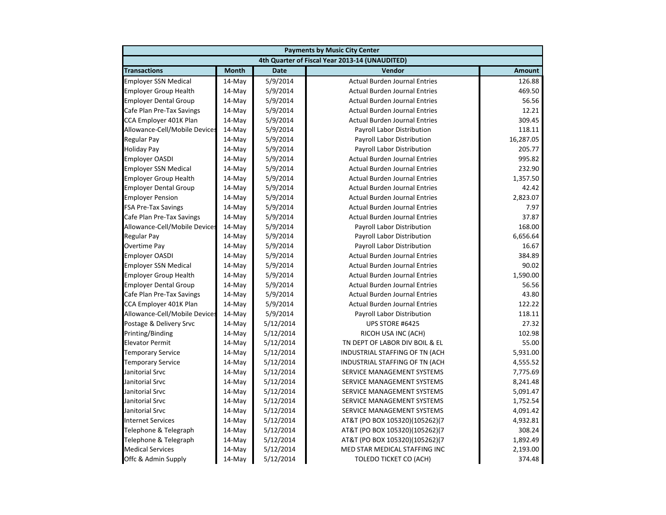| <b>Payments by Music City Center</b> |              |             |                                                |               |
|--------------------------------------|--------------|-------------|------------------------------------------------|---------------|
|                                      |              |             | 4th Quarter of Fiscal Year 2013-14 (UNAUDITED) |               |
| <b>Transactions</b>                  | <b>Month</b> | <b>Date</b> | Vendor                                         | <b>Amount</b> |
| <b>Employer SSN Medical</b>          | 14-May       | 5/9/2014    | <b>Actual Burden Journal Entries</b>           | 126.88        |
| <b>Employer Group Health</b>         | 14-May       | 5/9/2014    | <b>Actual Burden Journal Entries</b>           | 469.50        |
| <b>Employer Dental Group</b>         | 14-May       | 5/9/2014    | <b>Actual Burden Journal Entries</b>           | 56.56         |
| Cafe Plan Pre-Tax Savings            | 14-May       | 5/9/2014    | <b>Actual Burden Journal Entries</b>           | 12.21         |
| CCA Employer 401K Plan               | 14-May       | 5/9/2014    | <b>Actual Burden Journal Entries</b>           | 309.45        |
| Allowance-Cell/Mobile Devices        | 14-May       | 5/9/2014    | <b>Payroll Labor Distribution</b>              | 118.11        |
| <b>Regular Pay</b>                   | 14-May       | 5/9/2014    | Payroll Labor Distribution                     | 16,287.05     |
| <b>Holiday Pay</b>                   | 14-May       | 5/9/2014    | Payroll Labor Distribution                     | 205.77        |
| <b>Employer OASDI</b>                | 14-May       | 5/9/2014    | <b>Actual Burden Journal Entries</b>           | 995.82        |
| <b>Employer SSN Medical</b>          | 14-May       | 5/9/2014    | <b>Actual Burden Journal Entries</b>           | 232.90        |
| <b>Employer Group Health</b>         | 14-May       | 5/9/2014    | <b>Actual Burden Journal Entries</b>           | 1,357.50      |
| <b>Employer Dental Group</b>         | 14-May       | 5/9/2014    | <b>Actual Burden Journal Entries</b>           | 42.42         |
| <b>Employer Pension</b>              | 14-May       | 5/9/2014    | <b>Actual Burden Journal Entries</b>           | 2,823.07      |
| <b>FSA Pre-Tax Savings</b>           | 14-May       | 5/9/2014    | <b>Actual Burden Journal Entries</b>           | 7.97          |
| Cafe Plan Pre-Tax Savings            | 14-May       | 5/9/2014    | <b>Actual Burden Journal Entries</b>           | 37.87         |
| Allowance-Cell/Mobile Devices        | $14$ -May    | 5/9/2014    | Payroll Labor Distribution                     | 168.00        |
| <b>Regular Pay</b>                   | 14-May       | 5/9/2014    | Payroll Labor Distribution                     | 6,656.64      |
| Overtime Pay                         | 14-May       | 5/9/2014    | Payroll Labor Distribution                     | 16.67         |
| <b>Employer OASDI</b>                | 14-May       | 5/9/2014    | <b>Actual Burden Journal Entries</b>           | 384.89        |
| <b>Employer SSN Medical</b>          | 14-May       | 5/9/2014    | <b>Actual Burden Journal Entries</b>           | 90.02         |
| <b>Employer Group Health</b>         | 14-May       | 5/9/2014    | <b>Actual Burden Journal Entries</b>           | 1,590.00      |
| <b>Employer Dental Group</b>         | 14-May       | 5/9/2014    | <b>Actual Burden Journal Entries</b>           | 56.56         |
| Cafe Plan Pre-Tax Savings            | $14$ -May    | 5/9/2014    | <b>Actual Burden Journal Entries</b>           | 43.80         |
| CCA Employer 401K Plan               | 14-May       | 5/9/2014    | <b>Actual Burden Journal Entries</b>           | 122.22        |
| Allowance-Cell/Mobile Devices        | 14-May       | 5/9/2014    | Payroll Labor Distribution                     | 118.11        |
| Postage & Delivery Srvc              | 14-May       | 5/12/2014   | UPS STORE #6425                                | 27.32         |
| Printing/Binding                     | 14-May       | 5/12/2014   | RICOH USA INC (ACH)                            | 102.98        |
| <b>Elevator Permit</b>               | 14-May       | 5/12/2014   | TN DEPT OF LABOR DIV BOIL & EL                 | 55.00         |
| <b>Temporary Service</b>             | 14-May       | 5/12/2014   | INDUSTRIAL STAFFING OF TN (ACH                 | 5,931.00      |
| <b>Temporary Service</b>             | 14-May       | 5/12/2014   | INDUSTRIAL STAFFING OF TN (ACH                 | 4,555.52      |
| Janitorial Srvc                      | $14$ -May    | 5/12/2014   | SERVICE MANAGEMENT SYSTEMS                     | 7,775.69      |
| Janitorial Srvc                      | 14-May       | 5/12/2014   | SERVICE MANAGEMENT SYSTEMS                     | 8,241.48      |
| Janitorial Srvc                      | 14-May       | 5/12/2014   | SERVICE MANAGEMENT SYSTEMS                     | 5,091.47      |
| Janitorial Srvc                      | 14-May       | 5/12/2014   | SERVICE MANAGEMENT SYSTEMS                     | 1,752.54      |
| Janitorial Srvc                      | 14-May       | 5/12/2014   | SERVICE MANAGEMENT SYSTEMS                     | 4,091.42      |
| <b>Internet Services</b>             | 14-May       | 5/12/2014   | AT&T (PO BOX 105320)(105262)(7                 | 4,932.81      |
| Telephone & Telegraph                | 14-May       | 5/12/2014   | AT&T (PO BOX 105320)(105262)(7                 | 308.24        |
| Telephone & Telegraph                | 14-May       | 5/12/2014   | AT&T (PO BOX 105320)(105262)(7                 | 1,892.49      |
| <b>Medical Services</b>              | 14-May       | 5/12/2014   | MED STAR MEDICAL STAFFING INC                  | 2,193.00      |
| Offc & Admin Supply                  | 14-May       | 5/12/2014   | <b>TOLEDO TICKET CO (ACH)</b>                  | 374.48        |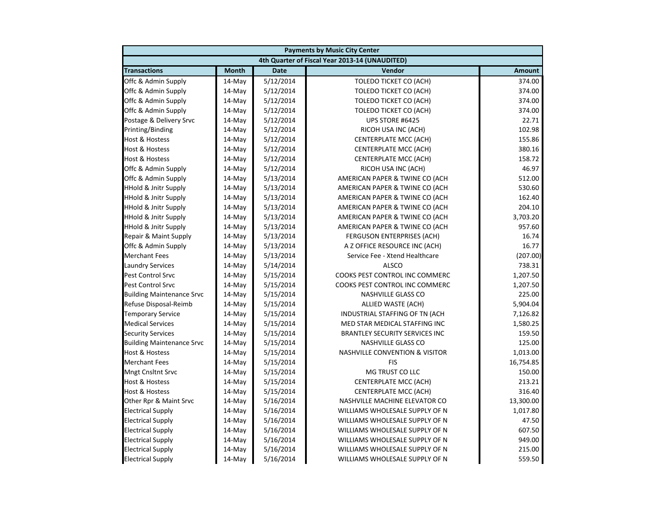|                                  | <b>Payments by Music City Center</b> |             |                                                |               |  |
|----------------------------------|--------------------------------------|-------------|------------------------------------------------|---------------|--|
|                                  |                                      |             | 4th Quarter of Fiscal Year 2013-14 (UNAUDITED) |               |  |
| <b>Transactions</b>              | <b>Month</b>                         | <b>Date</b> | Vendor                                         | <b>Amount</b> |  |
| Offc & Admin Supply              | 14-May                               | 5/12/2014   | <b>TOLEDO TICKET CO (ACH)</b>                  | 374.00        |  |
| Offc & Admin Supply              | 14-May                               | 5/12/2014   | <b>TOLEDO TICKET CO (ACH)</b>                  | 374.00        |  |
| Offc & Admin Supply              | 14-May                               | 5/12/2014   | <b>TOLEDO TICKET CO (ACH)</b>                  | 374.00        |  |
| Offc & Admin Supply              | 14-May                               | 5/12/2014   | <b>TOLEDO TICKET CO (ACH)</b>                  | 374.00        |  |
| Postage & Delivery Srvc          | 14-May                               | 5/12/2014   | UPS STORE #6425                                | 22.71         |  |
| Printing/Binding                 | 14-May                               | 5/12/2014   | RICOH USA INC (ACH)                            | 102.98        |  |
| <b>Host &amp; Hostess</b>        | 14-May                               | 5/12/2014   | <b>CENTERPLATE MCC (ACH)</b>                   | 155.86        |  |
| <b>Host &amp; Hostess</b>        | 14-May                               | 5/12/2014   | CENTERPLATE MCC (ACH)                          | 380.16        |  |
| <b>Host &amp; Hostess</b>        | 14-May                               | 5/12/2014   | CENTERPLATE MCC (ACH)                          | 158.72        |  |
| Offc & Admin Supply              | 14-May                               | 5/12/2014   | RICOH USA INC (ACH)                            | 46.97         |  |
| Offc & Admin Supply              | 14-May                               | 5/13/2014   | AMERICAN PAPER & TWINE CO (ACH                 | 512.00        |  |
| <b>HHold &amp; Jnitr Supply</b>  | $14-May$                             | 5/13/2014   | AMERICAN PAPER & TWINE CO (ACH                 | 530.60        |  |
| <b>HHold &amp; Jnitr Supply</b>  | 14-May                               | 5/13/2014   | AMERICAN PAPER & TWINE CO (ACH                 | 162.40        |  |
| <b>HHold &amp; Jnitr Supply</b>  | 14-May                               | 5/13/2014   | AMERICAN PAPER & TWINE CO (ACH                 | 204.10        |  |
| <b>HHold &amp; Jnitr Supply</b>  | 14-May                               | 5/13/2014   | AMERICAN PAPER & TWINE CO (ACH                 | 3,703.20      |  |
| <b>HHold &amp; Jnitr Supply</b>  | 14-May                               | 5/13/2014   | AMERICAN PAPER & TWINE CO (ACH                 | 957.60        |  |
| Repair & Maint Supply            | 14-May                               | 5/13/2014   | FERGUSON ENTERPRISES (ACH)                     | 16.74         |  |
| Offc & Admin Supply              | $14$ -May                            | 5/13/2014   | A Z OFFICE RESOURCE INC (ACH)                  | 16.77         |  |
| <b>Merchant Fees</b>             | 14-May                               | 5/13/2014   | Service Fee - Xtend Healthcare                 | (207.00)      |  |
| <b>Laundry Services</b>          | 14-May                               | 5/14/2014   | <b>ALSCO</b>                                   | 738.31        |  |
| Pest Control Srvc                | 14-May                               | 5/15/2014   | COOKS PEST CONTROL INC COMMERC                 | 1,207.50      |  |
| <b>Pest Control Srvc</b>         | 14-May                               | 5/15/2014   | COOKS PEST CONTROL INC COMMERC                 | 1,207.50      |  |
| <b>Building Maintenance Srvc</b> | 14-May                               | 5/15/2014   | NASHVILLE GLASS CO                             | 225.00        |  |
| Refuse Disposal-Reimb            | 14-May                               | 5/15/2014   | ALLIED WASTE (ACH)                             | 5,904.04      |  |
| <b>Temporary Service</b>         | 14-May                               | 5/15/2014   | INDUSTRIAL STAFFING OF TN (ACH                 | 7,126.82      |  |
| <b>Medical Services</b>          | 14-May                               | 5/15/2014   | MED STAR MEDICAL STAFFING INC                  | 1,580.25      |  |
| <b>Security Services</b>         | 14-May                               | 5/15/2014   | <b>BRANTLEY SECURITY SERVICES INC</b>          | 159.50        |  |
| <b>Building Maintenance Srvc</b> | 14-May                               | 5/15/2014   | NASHVILLE GLASS CO                             | 125.00        |  |
| <b>Host &amp; Hostess</b>        | 14-May                               | 5/15/2014   | <b>NASHVILLE CONVENTION &amp; VISITOR</b>      | 1,013.00      |  |
| <b>Merchant Fees</b>             | $14-May$                             | 5/15/2014   | <b>FIS</b>                                     | 16,754.85     |  |
| <b>Mngt Cnsltnt Srvc</b>         | 14-May                               | 5/15/2014   | MG TRUST CO LLC                                | 150.00        |  |
| <b>Host &amp; Hostess</b>        | 14-May                               | 5/15/2014   | <b>CENTERPLATE MCC (ACH)</b>                   | 213.21        |  |
| <b>Host &amp; Hostess</b>        | 14-May                               | 5/15/2014   | CENTERPLATE MCC (ACH)                          | 316.40        |  |
| Other Rpr & Maint Srvc           | 14-May                               | 5/16/2014   | NASHVILLE MACHINE ELEVATOR CO                  | 13,300.00     |  |
| <b>Electrical Supply</b>         | 14-May                               | 5/16/2014   | WILLIAMS WHOLESALE SUPPLY OF N                 | 1,017.80      |  |
| <b>Electrical Supply</b>         | $14$ -May                            | 5/16/2014   | WILLIAMS WHOLESALE SUPPLY OF N                 | 47.50         |  |
| <b>Electrical Supply</b>         | 14-May                               | 5/16/2014   | WILLIAMS WHOLESALE SUPPLY OF N                 | 607.50        |  |
| <b>Electrical Supply</b>         | 14-May                               | 5/16/2014   | WILLIAMS WHOLESALE SUPPLY OF N                 | 949.00        |  |
| <b>Electrical Supply</b>         | 14-May                               | 5/16/2014   | WILLIAMS WHOLESALE SUPPLY OF N                 | 215.00        |  |
| <b>Electrical Supply</b>         | 14-May                               | 5/16/2014   | WILLIAMS WHOLESALE SUPPLY OF N                 | 559.50        |  |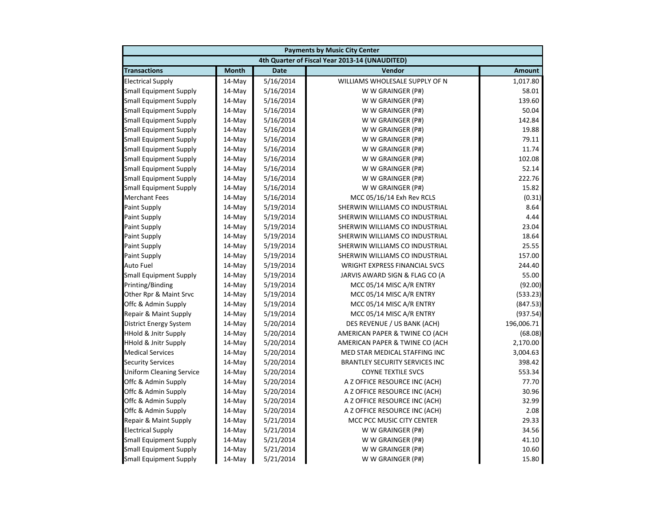|                                 | <b>Payments by Music City Center</b> |             |                                                |               |  |
|---------------------------------|--------------------------------------|-------------|------------------------------------------------|---------------|--|
|                                 |                                      |             | 4th Quarter of Fiscal Year 2013-14 (UNAUDITED) |               |  |
| <b>Transactions</b>             | <b>Month</b>                         | <b>Date</b> | Vendor                                         | <b>Amount</b> |  |
| <b>Electrical Supply</b>        | 14-May                               | 5/16/2014   | WILLIAMS WHOLESALE SUPPLY OF N                 | 1,017.80      |  |
| <b>Small Equipment Supply</b>   | 14-May                               | 5/16/2014   | W W GRAINGER (P#)                              | 58.01         |  |
| <b>Small Equipment Supply</b>   | 14-May                               | 5/16/2014   | W W GRAINGER (P#)                              | 139.60        |  |
| <b>Small Equipment Supply</b>   | 14-May                               | 5/16/2014   | W W GRAINGER (P#)                              | 50.04         |  |
| <b>Small Equipment Supply</b>   | 14-May                               | 5/16/2014   | W W GRAINGER (P#)                              | 142.84        |  |
| <b>Small Equipment Supply</b>   | 14-May                               | 5/16/2014   | W W GRAINGER (P#)                              | 19.88         |  |
| <b>Small Equipment Supply</b>   | 14-May                               | 5/16/2014   | W W GRAINGER (P#)                              | 79.11         |  |
| <b>Small Equipment Supply</b>   | 14-May                               | 5/16/2014   | W W GRAINGER (P#)                              | 11.74         |  |
| <b>Small Equipment Supply</b>   | 14-May                               | 5/16/2014   | W W GRAINGER (P#)                              | 102.08        |  |
| <b>Small Equipment Supply</b>   | 14-May                               | 5/16/2014   | W W GRAINGER (P#)                              | 52.14         |  |
| <b>Small Equipment Supply</b>   | 14-May                               | 5/16/2014   | W W GRAINGER (P#)                              | 222.76        |  |
| <b>Small Equipment Supply</b>   | 14-May                               | 5/16/2014   | W W GRAINGER (P#)                              | 15.82         |  |
| <b>Merchant Fees</b>            | 14-May                               | 5/16/2014   | MCC 05/16/14 Exh Rev RCLS                      | (0.31)        |  |
| <b>Paint Supply</b>             | 14-May                               | 5/19/2014   | SHERWIN WILLIAMS CO INDUSTRIAL                 | 8.64          |  |
| <b>Paint Supply</b>             | 14-May                               | 5/19/2014   | SHERWIN WILLIAMS CO INDUSTRIAL                 | 4.44          |  |
| <b>Paint Supply</b>             | 14-May                               | 5/19/2014   | SHERWIN WILLIAMS CO INDUSTRIAL                 | 23.04         |  |
| <b>Paint Supply</b>             | 14-May                               | 5/19/2014   | SHERWIN WILLIAMS CO INDUSTRIAL                 | 18.64         |  |
| <b>Paint Supply</b>             | 14-May                               | 5/19/2014   | SHERWIN WILLIAMS CO INDUSTRIAL                 | 25.55         |  |
| <b>Paint Supply</b>             | 14-May                               | 5/19/2014   | SHERWIN WILLIAMS CO INDUSTRIAL                 | 157.00        |  |
| <b>Auto Fuel</b>                | 14-May                               | 5/19/2014   | <b>WRIGHT EXPRESS FINANCIAL SVCS</b>           | 244.40        |  |
| <b>Small Equipment Supply</b>   | 14-May                               | 5/19/2014   | JARVIS AWARD SIGN & FLAG CO (A                 | 55.00         |  |
| Printing/Binding                | 14-May                               | 5/19/2014   | MCC 05/14 MISC A/R ENTRY                       | (92.00)       |  |
| Other Rpr & Maint Srvc          | 14-May                               | 5/19/2014   | MCC 05/14 MISC A/R ENTRY                       | (533.23)      |  |
| Offc & Admin Supply             | 14-May                               | 5/19/2014   | MCC 05/14 MISC A/R ENTRY                       | (847.53)      |  |
| Repair & Maint Supply           | 14-May                               | 5/19/2014   | MCC 05/14 MISC A/R ENTRY                       | (937.54)      |  |
| <b>District Energy System</b>   | 14-May                               | 5/20/2014   | DES REVENUE / US BANK (ACH)                    | 196,006.71    |  |
| <b>HHold &amp; Jnitr Supply</b> | 14-May                               | 5/20/2014   | AMERICAN PAPER & TWINE CO (ACH                 | (68.08)       |  |
| <b>HHold &amp; Jnitr Supply</b> | 14-May                               | 5/20/2014   | AMERICAN PAPER & TWINE CO (ACH                 | 2,170.00      |  |
| <b>Medical Services</b>         | 14-May                               | 5/20/2014   | MED STAR MEDICAL STAFFING INC                  | 3,004.63      |  |
| <b>Security Services</b>        | 14-May                               | 5/20/2014   | <b>BRANTLEY SECURITY SERVICES INC</b>          | 398.42        |  |
| <b>Uniform Cleaning Service</b> | 14-May                               | 5/20/2014   | <b>COYNE TEXTILE SVCS</b>                      | 553.34        |  |
| Offc & Admin Supply             | 14-May                               | 5/20/2014   | A Z OFFICE RESOURCE INC (ACH)                  | 77.70         |  |
| Offc & Admin Supply             | 14-May                               | 5/20/2014   | A Z OFFICE RESOURCE INC (ACH)                  | 30.96         |  |
| Offc & Admin Supply             | 14-May                               | 5/20/2014   | A Z OFFICE RESOURCE INC (ACH)                  | 32.99         |  |
| Offc & Admin Supply             | 14-May                               | 5/20/2014   | A Z OFFICE RESOURCE INC (ACH)                  | 2.08          |  |
| Repair & Maint Supply           | 14-May                               | 5/21/2014   | MCC PCC MUSIC CITY CENTER                      | 29.33         |  |
| <b>Electrical Supply</b>        | 14-May                               | 5/21/2014   | W W GRAINGER (P#)                              | 34.56         |  |
| <b>Small Equipment Supply</b>   | 14-May                               | 5/21/2014   | W W GRAINGER (P#)                              | 41.10         |  |
| Small Equipment Supply          | 14-May                               | 5/21/2014   | W W GRAINGER (P#)                              | 10.60         |  |
| <b>Small Equipment Supply</b>   | 14-May                               | 5/21/2014   | W W GRAINGER (P#)                              | 15.80         |  |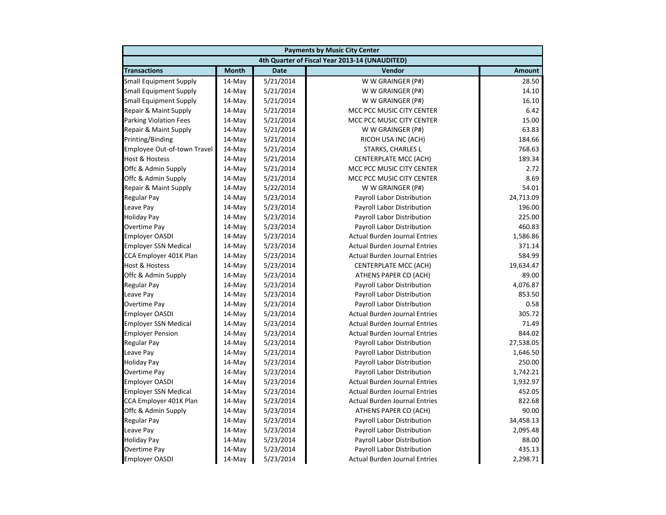|                               | <b>Payments by Music City Center</b> |             |                                                |               |  |
|-------------------------------|--------------------------------------|-------------|------------------------------------------------|---------------|--|
|                               |                                      |             | 4th Quarter of Fiscal Year 2013-14 (UNAUDITED) |               |  |
| <b>Transactions</b>           | <b>Month</b>                         | <b>Date</b> | Vendor                                         | <b>Amount</b> |  |
| <b>Small Equipment Supply</b> | 14-May                               | 5/21/2014   | W W GRAINGER (P#)                              | 28.50         |  |
| <b>Small Equipment Supply</b> | 14-May                               | 5/21/2014   | W W GRAINGER (P#)                              | 14.10         |  |
| <b>Small Equipment Supply</b> | 14-May                               | 5/21/2014   | W W GRAINGER (P#)                              | 16.10         |  |
| Repair & Maint Supply         | 14-May                               | 5/21/2014   | MCC PCC MUSIC CITY CENTER                      | 6.42          |  |
| <b>Parking Violation Fees</b> | 14-May                               | 5/21/2014   | MCC PCC MUSIC CITY CENTER                      | 15.00         |  |
| Repair & Maint Supply         | 14-May                               | 5/21/2014   | W W GRAINGER (P#)                              | 63.83         |  |
| Printing/Binding              | 14-May                               | 5/21/2014   | RICOH USA INC (ACH)                            | 184.66        |  |
| Employee Out-of-town Travel   | 14-May                               | 5/21/2014   | STARKS, CHARLES L                              | 768.63        |  |
| <b>Host &amp; Hostess</b>     | 14-May                               | 5/21/2014   | <b>CENTERPLATE MCC (ACH)</b>                   | 189.34        |  |
| Offc & Admin Supply           | 14-May                               | 5/21/2014   | MCC PCC MUSIC CITY CENTER                      | 2.72          |  |
| Offc & Admin Supply           | 14-May                               | 5/21/2014   | MCC PCC MUSIC CITY CENTER                      | 8.69          |  |
| Repair & Maint Supply         | 14-May                               | 5/22/2014   | W W GRAINGER (P#)                              | 54.01         |  |
| <b>Regular Pay</b>            | 14-May                               | 5/23/2014   | Payroll Labor Distribution                     | 24,713.09     |  |
| Leave Pay                     | 14-May                               | 5/23/2014   | Payroll Labor Distribution                     | 196.00        |  |
| <b>Holiday Pay</b>            | 14-May                               | 5/23/2014   | Payroll Labor Distribution                     | 225.00        |  |
| Overtime Pay                  | $14-May$                             | 5/23/2014   | Payroll Labor Distribution                     | 460.83        |  |
| <b>Employer OASDI</b>         | 14-May                               | 5/23/2014   | <b>Actual Burden Journal Entries</b>           | 1,586.86      |  |
| <b>Employer SSN Medical</b>   | 14-May                               | 5/23/2014   | <b>Actual Burden Journal Entries</b>           | 371.14        |  |
| CCA Employer 401K Plan        | 14-May                               | 5/23/2014   | <b>Actual Burden Journal Entries</b>           | 584.99        |  |
| Host & Hostess                | 14-May                               | 5/23/2014   | <b>CENTERPLATE MCC (ACH)</b>                   | 19,634.47     |  |
| Offc & Admin Supply           | 14-May                               | 5/23/2014   | ATHENS PAPER CO (ACH)                          | 89.00         |  |
| <b>Regular Pay</b>            | 14-May                               | 5/23/2014   | Payroll Labor Distribution                     | 4,076.87      |  |
| Leave Pay                     | $14-May$                             | 5/23/2014   | Payroll Labor Distribution                     | 853.50        |  |
| Overtime Pay                  | 14-May                               | 5/23/2014   | Payroll Labor Distribution                     | 0.58          |  |
| <b>Employer OASDI</b>         | 14-May                               | 5/23/2014   | <b>Actual Burden Journal Entries</b>           | 305.72        |  |
| <b>Employer SSN Medical</b>   | 14-May                               | 5/23/2014   | Actual Burden Journal Entries                  | 71.49         |  |
| <b>Employer Pension</b>       | 14-May                               | 5/23/2014   | <b>Actual Burden Journal Entries</b>           | 844.02        |  |
| <b>Regular Pay</b>            | 14-May                               | 5/23/2014   | Payroll Labor Distribution                     | 27,538.05     |  |
| Leave Pay                     | 14-May                               | 5/23/2014   | Payroll Labor Distribution                     | 1,646.50      |  |
| <b>Holiday Pay</b>            | 14-May                               | 5/23/2014   | Payroll Labor Distribution                     | 250.00        |  |
| Overtime Pay                  | $14-May$                             | 5/23/2014   | Payroll Labor Distribution                     | 1,742.21      |  |
| <b>Employer OASDI</b>         | 14-May                               | 5/23/2014   | <b>Actual Burden Journal Entries</b>           | 1,932.97      |  |
| <b>Employer SSN Medical</b>   | 14-May                               | 5/23/2014   | <b>Actual Burden Journal Entries</b>           | 452.05        |  |
| CCA Employer 401K Plan        | 14-May                               | 5/23/2014   | <b>Actual Burden Journal Entries</b>           | 822.68        |  |
| Offc & Admin Supply           | 14-May                               | 5/23/2014   | ATHENS PAPER CO (ACH)                          | 90.00         |  |
| Regular Pay                   | 14-May                               | 5/23/2014   | Payroll Labor Distribution                     | 34,458.13     |  |
| Leave Pay                     | 14-May                               | 5/23/2014   | Payroll Labor Distribution                     | 2,095.48      |  |
| <b>Holiday Pay</b>            | 14-May                               | 5/23/2014   | Payroll Labor Distribution                     | 88.00         |  |
| Overtime Pay                  | 14-May                               | 5/23/2014   | Payroll Labor Distribution                     | 435.13        |  |
| <b>Employer OASDI</b>         | $14$ -May                            | 5/23/2014   | <b>Actual Burden Journal Entries</b>           | 2,298.71      |  |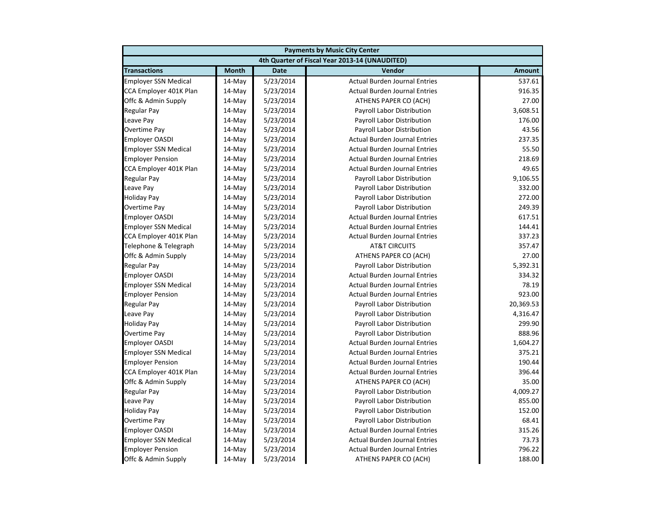| <b>Payments by Music City Center</b> |              |             |                                                |               |
|--------------------------------------|--------------|-------------|------------------------------------------------|---------------|
|                                      |              |             | 4th Quarter of Fiscal Year 2013-14 (UNAUDITED) |               |
| <b>Transactions</b>                  | <b>Month</b> | <b>Date</b> | Vendor                                         | <b>Amount</b> |
| <b>Employer SSN Medical</b>          | $14$ -May    | 5/23/2014   | <b>Actual Burden Journal Entries</b>           | 537.61        |
| CCA Employer 401K Plan               | 14-May       | 5/23/2014   | <b>Actual Burden Journal Entries</b>           | 916.35        |
| Offc & Admin Supply                  | 14-May       | 5/23/2014   | ATHENS PAPER CO (ACH)                          | 27.00         |
| <b>Regular Pay</b>                   | 14-May       | 5/23/2014   | Payroll Labor Distribution                     | 3,608.51      |
| Leave Pay                            | 14-May       | 5/23/2014   | Payroll Labor Distribution                     | 176.00        |
| <b>Overtime Pay</b>                  | 14-May       | 5/23/2014   | Payroll Labor Distribution                     | 43.56         |
| <b>Employer OASDI</b>                | 14-May       | 5/23/2014   | <b>Actual Burden Journal Entries</b>           | 237.35        |
| <b>Employer SSN Medical</b>          | 14-May       | 5/23/2014   | <b>Actual Burden Journal Entries</b>           | 55.50         |
| <b>Employer Pension</b>              | 14-May       | 5/23/2014   | <b>Actual Burden Journal Entries</b>           | 218.69        |
| CCA Employer 401K Plan               | 14-May       | 5/23/2014   | <b>Actual Burden Journal Entries</b>           | 49.65         |
| <b>Regular Pay</b>                   | $14$ -May    | 5/23/2014   | Payroll Labor Distribution                     | 9,106.55      |
| Leave Pay                            | 14-May       | 5/23/2014   | Payroll Labor Distribution                     | 332.00        |
| <b>Holiday Pay</b>                   | 14-May       | 5/23/2014   | Payroll Labor Distribution                     | 272.00        |
| Overtime Pay                         | 14-May       | 5/23/2014   | Payroll Labor Distribution                     | 249.39        |
| <b>Employer OASDI</b>                | 14-May       | 5/23/2014   | <b>Actual Burden Journal Entries</b>           | 617.51        |
| <b>Employer SSN Medical</b>          | 14-May       | 5/23/2014   | <b>Actual Burden Journal Entries</b>           | 144.41        |
| CCA Employer 401K Plan               | 14-May       | 5/23/2014   | <b>Actual Burden Journal Entries</b>           | 337.23        |
| Telephone & Telegraph                | 14-May       | 5/23/2014   | <b>AT&amp;T CIRCUITS</b>                       | 357.47        |
| Offc & Admin Supply                  | 14-May       | 5/23/2014   | ATHENS PAPER CO (ACH)                          | 27.00         |
| <b>Regular Pay</b>                   | $14$ -May    | 5/23/2014   | <b>Payroll Labor Distribution</b>              | 5,392.31      |
| <b>Employer OASDI</b>                | 14-May       | 5/23/2014   | <b>Actual Burden Journal Entries</b>           | 334.32        |
| <b>Employer SSN Medical</b>          | 14-May       | 5/23/2014   | <b>Actual Burden Journal Entries</b>           | 78.19         |
| <b>Employer Pension</b>              | 14-May       | 5/23/2014   | <b>Actual Burden Journal Entries</b>           | 923.00        |
| <b>Regular Pay</b>                   | 14-May       | 5/23/2014   | Payroll Labor Distribution                     | 20,369.53     |
| Leave Pay                            | 14-May       | 5/23/2014   | Payroll Labor Distribution                     | 4,316.47      |
| <b>Holiday Pay</b>                   | 14-May       | 5/23/2014   | Payroll Labor Distribution                     | 299.90        |
| <b>Overtime Pay</b>                  | 14-May       | 5/23/2014   | Payroll Labor Distribution                     | 888.96        |
| <b>Employer OASDI</b>                | 14-May       | 5/23/2014   | <b>Actual Burden Journal Entries</b>           | 1,604.27      |
| <b>Employer SSN Medical</b>          | 14-May       | 5/23/2014   | <b>Actual Burden Journal Entries</b>           | 375.21        |
| <b>Employer Pension</b>              | $14$ -May    | 5/23/2014   | <b>Actual Burden Journal Entries</b>           | 190.44        |
| CCA Employer 401K Plan               | 14-May       | 5/23/2014   | <b>Actual Burden Journal Entries</b>           | 396.44        |
| Offc & Admin Supply                  | 14-May       | 5/23/2014   | ATHENS PAPER CO (ACH)                          | 35.00         |
| <b>Regular Pay</b>                   | 14-May       | 5/23/2014   | Payroll Labor Distribution                     | 4,009.27      |
| Leave Pay                            | 14-May       | 5/23/2014   | Payroll Labor Distribution                     | 855.00        |
| <b>Holiday Pay</b>                   | 14-May       | 5/23/2014   | Payroll Labor Distribution                     | 152.00        |
| Overtime Pay                         | 14-May       | 5/23/2014   | Payroll Labor Distribution                     | 68.41         |
| <b>Employer OASDI</b>                | 14-May       | 5/23/2014   | <b>Actual Burden Journal Entries</b>           | 315.26        |
| <b>Employer SSN Medical</b>          | 14-May       | 5/23/2014   | <b>Actual Burden Journal Entries</b>           | 73.73         |
| <b>Employer Pension</b>              | 14-May       | 5/23/2014   | <b>Actual Burden Journal Entries</b>           | 796.22        |
| Offc & Admin Supply                  | 14-May       | 5/23/2014   | ATHENS PAPER CO (ACH)                          | 188.00        |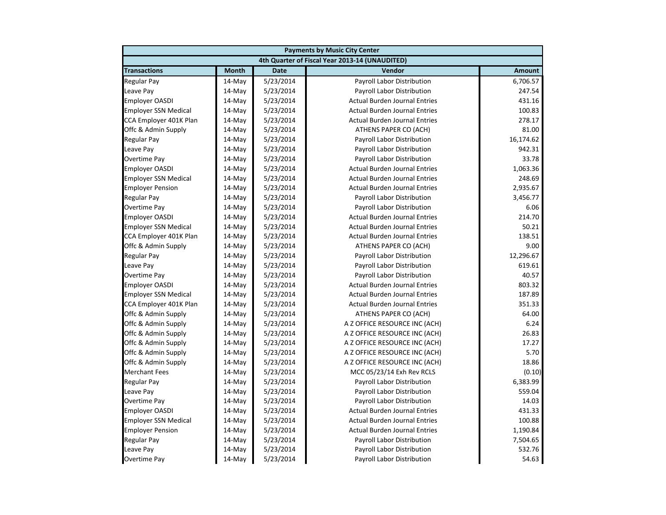| <b>Payments by Music City Center</b> |              |             |                                                |               |
|--------------------------------------|--------------|-------------|------------------------------------------------|---------------|
|                                      |              |             | 4th Quarter of Fiscal Year 2013-14 (UNAUDITED) |               |
| <b>Transactions</b>                  | <b>Month</b> | <b>Date</b> | Vendor                                         | <b>Amount</b> |
| <b>Regular Pay</b>                   | 14-May       | 5/23/2014   | Payroll Labor Distribution                     | 6,706.57      |
| Leave Pay                            | 14-May       | 5/23/2014   | Payroll Labor Distribution                     | 247.54        |
| <b>Employer OASDI</b>                | 14-May       | 5/23/2014   | <b>Actual Burden Journal Entries</b>           | 431.16        |
| <b>Employer SSN Medical</b>          | 14-May       | 5/23/2014   | <b>Actual Burden Journal Entries</b>           | 100.83        |
| CCA Employer 401K Plan               | 14-May       | 5/23/2014   | <b>Actual Burden Journal Entries</b>           | 278.17        |
| Offc & Admin Supply                  | 14-May       | 5/23/2014   | ATHENS PAPER CO (ACH)                          | 81.00         |
| <b>Regular Pay</b>                   | 14-May       | 5/23/2014   | Payroll Labor Distribution                     | 16,174.62     |
| Leave Pay                            | $14$ -May    | 5/23/2014   | Payroll Labor Distribution                     | 942.31        |
| <b>Overtime Pay</b>                  | 14-May       | 5/23/2014   | Payroll Labor Distribution                     | 33.78         |
| <b>Employer OASDI</b>                | 14-May       | 5/23/2014   | <b>Actual Burden Journal Entries</b>           | 1,063.36      |
| <b>Employer SSN Medical</b>          | 14-May       | 5/23/2014   | <b>Actual Burden Journal Entries</b>           | 248.69        |
| <b>Employer Pension</b>              | 14-May       | 5/23/2014   | <b>Actual Burden Journal Entries</b>           | 2,935.67      |
| <b>Regular Pay</b>                   | 14-May       | 5/23/2014   | Payroll Labor Distribution                     | 3,456.77      |
| <b>Overtime Pay</b>                  | 14-May       | 5/23/2014   | Payroll Labor Distribution                     | 6.06          |
| <b>Employer OASDI</b>                | 14-May       | 5/23/2014   | <b>Actual Burden Journal Entries</b>           | 214.70        |
| <b>Employer SSN Medical</b>          | $14$ -May    | 5/23/2014   | <b>Actual Burden Journal Entries</b>           | 50.21         |
| CCA Employer 401K Plan               | 14-May       | 5/23/2014   | <b>Actual Burden Journal Entries</b>           | 138.51        |
| Offc & Admin Supply                  | 14-May       | 5/23/2014   | ATHENS PAPER CO (ACH)                          | 9.00          |
| <b>Regular Pay</b>                   | 14-May       | 5/23/2014   | Payroll Labor Distribution                     | 12,296.67     |
| Leave Pay                            | 14-May       | 5/23/2014   | Payroll Labor Distribution                     | 619.61        |
| <b>Overtime Pay</b>                  | 14-May       | 5/23/2014   | Payroll Labor Distribution                     | 40.57         |
| <b>Employer OASDI</b>                | 14-May       | 5/23/2014   | <b>Actual Burden Journal Entries</b>           | 803.32        |
| <b>Employer SSN Medical</b>          | $14$ -May    | 5/23/2014   | <b>Actual Burden Journal Entries</b>           | 187.89        |
| CCA Employer 401K Plan               | 14-May       | 5/23/2014   | <b>Actual Burden Journal Entries</b>           | 351.33        |
| Offc & Admin Supply                  | 14-May       | 5/23/2014   | ATHENS PAPER CO (ACH)                          | 64.00         |
| Offc & Admin Supply                  | 14-May       | 5/23/2014   | A Z OFFICE RESOURCE INC (ACH)                  | 6.24          |
| Offc & Admin Supply                  | 14-May       | 5/23/2014   | A Z OFFICE RESOURCE INC (ACH)                  | 26.83         |
| Offc & Admin Supply                  | 14-May       | 5/23/2014   | A Z OFFICE RESOURCE INC (ACH)                  | 17.27         |
| Offc & Admin Supply                  | 14-May       | 5/23/2014   | A Z OFFICE RESOURCE INC (ACH)                  | 5.70          |
| Offc & Admin Supply                  | 14-May       | 5/23/2014   | A Z OFFICE RESOURCE INC (ACH)                  | 18.86         |
| <b>Merchant Fees</b>                 | $14$ -May    | 5/23/2014   | MCC 05/23/14 Exh Rev RCLS                      | (0.10)        |
| <b>Regular Pay</b>                   | 14-May       | 5/23/2014   | Payroll Labor Distribution                     | 6,383.99      |
| Leave Pay                            | 14-May       | 5/23/2014   | Payroll Labor Distribution                     | 559.04        |
| <b>Overtime Pay</b>                  | 14-May       | 5/23/2014   | Payroll Labor Distribution                     | 14.03         |
| <b>Employer OASDI</b>                | 14-May       | 5/23/2014   | <b>Actual Burden Journal Entries</b>           | 431.33        |
| <b>Employer SSN Medical</b>          | 14-May       | 5/23/2014   | <b>Actual Burden Journal Entries</b>           | 100.88        |
| <b>Employer Pension</b>              | 14-May       | 5/23/2014   | <b>Actual Burden Journal Entries</b>           | 1,190.84      |
| <b>Regular Pay</b>                   | 14-May       | 5/23/2014   | <b>Payroll Labor Distribution</b>              | 7,504.65      |
| Leave Pay                            | 14-May       | 5/23/2014   | Payroll Labor Distribution                     | 532.76        |
| Overtime Pay                         | 14-May       | 5/23/2014   | <b>Payroll Labor Distribution</b>              | 54.63         |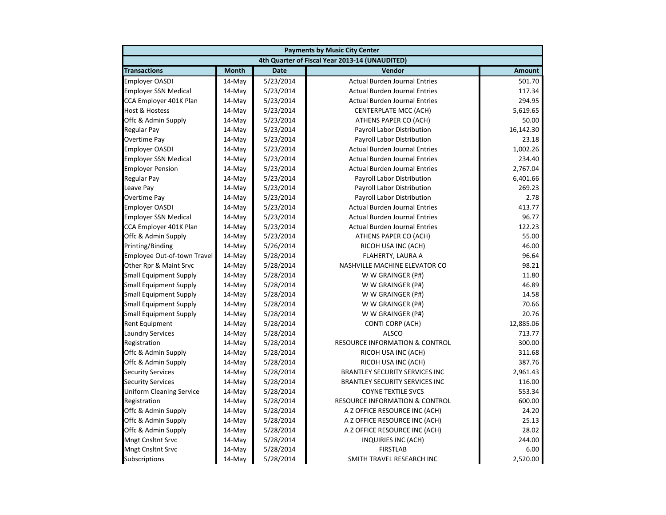| <b>Payments by Music City Center</b> |              |             |                                                |               |
|--------------------------------------|--------------|-------------|------------------------------------------------|---------------|
|                                      |              |             | 4th Quarter of Fiscal Year 2013-14 (UNAUDITED) |               |
| <b>Transactions</b>                  | <b>Month</b> | <b>Date</b> | Vendor                                         | <b>Amount</b> |
| <b>Employer OASDI</b>                | 14-May       | 5/23/2014   | <b>Actual Burden Journal Entries</b>           | 501.70        |
| <b>Employer SSN Medical</b>          | 14-May       | 5/23/2014   | <b>Actual Burden Journal Entries</b>           | 117.34        |
| CCA Employer 401K Plan               | 14-May       | 5/23/2014   | <b>Actual Burden Journal Entries</b>           | 294.95        |
| Host & Hostess                       | 14-May       | 5/23/2014   | <b>CENTERPLATE MCC (ACH)</b>                   | 5,619.65      |
| Offc & Admin Supply                  | 14-May       | 5/23/2014   | ATHENS PAPER CO (ACH)                          | 50.00         |
| Regular Pay                          | 14-May       | 5/23/2014   | Payroll Labor Distribution                     | 16,142.30     |
| Overtime Pay                         | 14-May       | 5/23/2014   | Payroll Labor Distribution                     | 23.18         |
| <b>Employer OASDI</b>                | $14$ -May    | 5/23/2014   | <b>Actual Burden Journal Entries</b>           | 1.002.26      |
| <b>Employer SSN Medical</b>          | 14-May       | 5/23/2014   | <b>Actual Burden Journal Entries</b>           | 234.40        |
| <b>Employer Pension</b>              | 14-May       | 5/23/2014   | <b>Actual Burden Journal Entries</b>           | 2,767.04      |
| Regular Pay                          | 14-May       | 5/23/2014   | Payroll Labor Distribution                     | 6,401.66      |
| Leave Pay                            | 14-May       | 5/23/2014   | Payroll Labor Distribution                     | 269.23        |
| Overtime Pay                         | 14-May       | 5/23/2014   | Payroll Labor Distribution                     | 2.78          |
| <b>Employer OASDI</b>                | 14-May       | 5/23/2014   | <b>Actual Burden Journal Entries</b>           | 413.77        |
| <b>Employer SSN Medical</b>          | 14-May       | 5/23/2014   | <b>Actual Burden Journal Entries</b>           | 96.77         |
| CCA Employer 401K Plan               | 14-May       | 5/23/2014   | <b>Actual Burden Journal Entries</b>           | 122.23        |
| Offc & Admin Supply                  | 14-May       | 5/23/2014   | ATHENS PAPER CO (ACH)                          | 55.00         |
| Printing/Binding                     | 14-May       | 5/26/2014   | RICOH USA INC (ACH)                            | 46.00         |
| Employee Out-of-town Travel          | 14-May       | 5/28/2014   | FLAHERTY, LAURA A                              | 96.64         |
| Other Rpr & Maint Srvc               | 14-May       | 5/28/2014   | NASHVILLE MACHINE ELEVATOR CO                  | 98.21         |
| <b>Small Equipment Supply</b>        | 14-May       | 5/28/2014   | W W GRAINGER (P#)                              | 11.80         |
| <b>Small Equipment Supply</b>        | 14-May       | 5/28/2014   | W W GRAINGER (P#)                              | 46.89         |
| <b>Small Equipment Supply</b>        | $14$ -May    | 5/28/2014   | W W GRAINGER (P#)                              | 14.58         |
| <b>Small Equipment Supply</b>        | 14-May       | 5/28/2014   | W W GRAINGER (P#)                              | 70.66         |
| <b>Small Equipment Supply</b>        | 14-May       | 5/28/2014   | W W GRAINGER (P#)                              | 20.76         |
| Rent Equipment                       | 14-May       | 5/28/2014   | CONTI CORP (ACH)                               | 12,885.06     |
| <b>Laundry Services</b>              | 14-May       | 5/28/2014   | <b>ALSCO</b>                                   | 713.77        |
| Registration                         | 14-May       | 5/28/2014   | <b>RESOURCE INFORMATION &amp; CONTROL</b>      | 300.00        |
| Offc & Admin Supply                  | 14-May       | 5/28/2014   | RICOH USA INC (ACH)                            | 311.68        |
| Offc & Admin Supply                  | 14-May       | 5/28/2014   | RICOH USA INC (ACH)                            | 387.76        |
| <b>Security Services</b>             | $14$ -May    | 5/28/2014   | <b>BRANTLEY SECURITY SERVICES INC</b>          | 2,961.43      |
| <b>Security Services</b>             | 14-May       | 5/28/2014   | <b>BRANTLEY SECURITY SERVICES INC</b>          | 116.00        |
| <b>Uniform Cleaning Service</b>      | 14-May       | 5/28/2014   | <b>COYNE TEXTILE SVCS</b>                      | 553.34        |
| Registration                         | 14-May       | 5/28/2014   | <b>RESOURCE INFORMATION &amp; CONTROL</b>      | 600.00        |
| Offc & Admin Supply                  | 14-May       | 5/28/2014   | A Z OFFICE RESOURCE INC (ACH)                  | 24.20         |
| Offc & Admin Supply                  | 14-May       | 5/28/2014   | A Z OFFICE RESOURCE INC (ACH)                  | 25.13         |
| Offc & Admin Supply                  | 14-May       | 5/28/2014   | A Z OFFICE RESOURCE INC (ACH)                  | 28.02         |
| <b>Mngt Cnsltnt Srvc</b>             | 14-May       | 5/28/2014   | INQUIRIES INC (ACH)                            | 244.00        |
| <b>Mngt Cnsltnt Srvc</b>             | 14-May       | 5/28/2014   | <b>FIRSTLAB</b>                                | 6.00          |
| <b>Subscriptions</b>                 | 14-May       | 5/28/2014   | SMITH TRAVEL RESEARCH INC                      | 2,520.00      |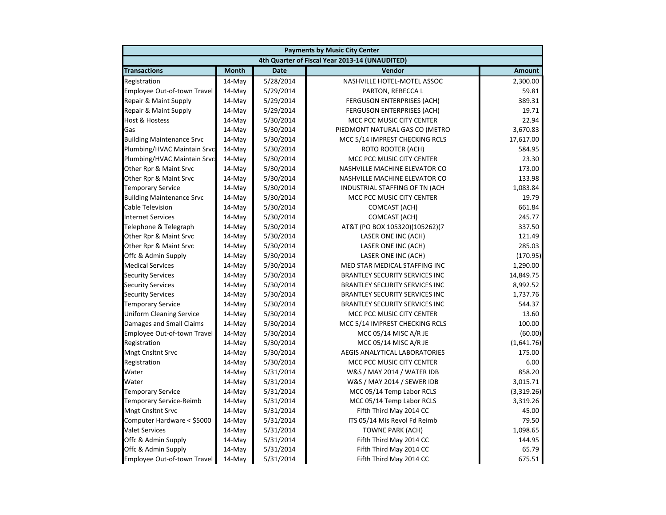| <b>Payments by Music City Center</b> |              |             |                                                |               |
|--------------------------------------|--------------|-------------|------------------------------------------------|---------------|
|                                      |              |             | 4th Quarter of Fiscal Year 2013-14 (UNAUDITED) |               |
| <b>Transactions</b>                  | <b>Month</b> | <b>Date</b> | Vendor                                         | <b>Amount</b> |
| Registration                         | 14-May       | 5/28/2014   | NASHVILLE HOTEL-MOTEL ASSOC                    | 2,300.00      |
| Employee Out-of-town Travel          | 14-May       | 5/29/2014   | PARTON, REBECCA L                              | 59.81         |
| Repair & Maint Supply                | 14-May       | 5/29/2014   | FERGUSON ENTERPRISES (ACH)                     | 389.31        |
| Repair & Maint Supply                | 14-May       | 5/29/2014   | <b>FERGUSON ENTERPRISES (ACH)</b>              | 19.71         |
| <b>Host &amp; Hostess</b>            | 14-May       | 5/30/2014   | MCC PCC MUSIC CITY CENTER                      | 22.94         |
| Gas                                  | 14-May       | 5/30/2014   | PIEDMONT NATURAL GAS CO (METRO                 | 3,670.83      |
| <b>Building Maintenance Srvc</b>     | 14-May       | 5/30/2014   | MCC 5/14 IMPREST CHECKING RCLS                 | 17,617.00     |
| Plumbing/HVAC Maintain Srvc          | 14-May       | 5/30/2014   | <b>ROTO ROOTER (ACH)</b>                       | 584.95        |
| Plumbing/HVAC Maintain Srvc          | 14-May       | 5/30/2014   | MCC PCC MUSIC CITY CENTER                      | 23.30         |
| Other Rpr & Maint Srvc               | 14-May       | 5/30/2014   | NASHVILLE MACHINE ELEVATOR CO                  | 173.00        |
| Other Rpr & Maint Srvc               | 14-May       | 5/30/2014   | NASHVILLE MACHINE ELEVATOR CO                  | 133.98        |
| <b>Temporary Service</b>             | 14-May       | 5/30/2014   | INDUSTRIAL STAFFING OF TN (ACH                 | 1,083.84      |
| <b>Building Maintenance Srvc</b>     | 14-May       | 5/30/2014   | MCC PCC MUSIC CITY CENTER                      | 19.79         |
| <b>Cable Television</b>              | 14-May       | 5/30/2014   | COMCAST (ACH)                                  | 661.84        |
| <b>Internet Services</b>             | 14-May       | 5/30/2014   | COMCAST (ACH)                                  | 245.77        |
| Telephone & Telegraph                | 14-May       | 5/30/2014   | AT&T (PO BOX 105320)(105262)(7                 | 337.50        |
| Other Rpr & Maint Srvc               | 14-May       | 5/30/2014   | LASER ONE INC (ACH)                            | 121.49        |
| Other Rpr & Maint Srvc               | 14-May       | 5/30/2014   | LASER ONE INC (ACH)                            | 285.03        |
| Offc & Admin Supply                  | 14-May       | 5/30/2014   | LASER ONE INC (ACH)                            | (170.95)      |
| <b>Medical Services</b>              | $14$ -May    | 5/30/2014   | MED STAR MEDICAL STAFFING INC                  | 1,290.00      |
| <b>Security Services</b>             | 14-May       | 5/30/2014   | <b>BRANTLEY SECURITY SERVICES INC</b>          | 14,849.75     |
| <b>Security Services</b>             | 14-May       | 5/30/2014   | <b>BRANTLEY SECURITY SERVICES INC</b>          | 8,992.52      |
| <b>Security Services</b>             | 14-May       | 5/30/2014   | <b>BRANTLEY SECURITY SERVICES INC</b>          | 1,737.76      |
| <b>Temporary Service</b>             | 14-May       | 5/30/2014   | <b>BRANTLEY SECURITY SERVICES INC</b>          | 544.37        |
| <b>Uniform Cleaning Service</b>      | 14-May       | 5/30/2014   | MCC PCC MUSIC CITY CENTER                      | 13.60         |
| Damages and Small Claims             | 14-May       | 5/30/2014   | MCC 5/14 IMPREST CHECKING RCLS                 | 100.00        |
| Employee Out-of-town Travel          | 14-May       | 5/30/2014   | MCC 05/14 MISC A/R JE                          | (60.00)       |
| Registration                         | 14-May       | 5/30/2014   | MCC 05/14 MISC A/R JE                          | (1,641.76)    |
| <b>Mngt Cnsltnt Srvc</b>             | 14-May       | 5/30/2014   | AEGIS ANALYTICAL LABORATORIES                  | 175.00        |
| Registration                         | $14$ -May    | 5/30/2014   | MCC PCC MUSIC CITY CENTER                      | 6.00          |
| Water                                | 14-May       | 5/31/2014   | W&S / MAY 2014 / WATER IDB                     | 858.20        |
| Water                                | 14-May       | 5/31/2014   | W&S / MAY 2014 / SEWER IDB                     | 3,015.71      |
| <b>Temporary Service</b>             | 14-May       | 5/31/2014   | MCC 05/14 Temp Labor RCLS                      | (3,319.26)    |
| <b>Temporary Service-Reimb</b>       | 14-May       | 5/31/2014   | MCC 05/14 Temp Labor RCLS                      | 3,319.26      |
| <b>Mngt Cnsltnt Srvc</b>             | 14-May       | 5/31/2014   | Fifth Third May 2014 CC                        | 45.00         |
| Computer Hardware < \$5000           | 14-May       | 5/31/2014   | ITS 05/14 Mis Revol Fd Reimb                   | 79.50         |
| <b>Valet Services</b>                | 14-May       | 5/31/2014   | <b>TOWNE PARK (ACH)</b>                        | 1,098.65      |
| Offc & Admin Supply                  | 14-May       | 5/31/2014   | Fifth Third May 2014 CC                        | 144.95        |
| Offc & Admin Supply                  | 14-May       | 5/31/2014   | Fifth Third May 2014 CC                        | 65.79         |
| Employee Out-of-town Travel          | 14-May       | 5/31/2014   | Fifth Third May 2014 CC                        | 675.51        |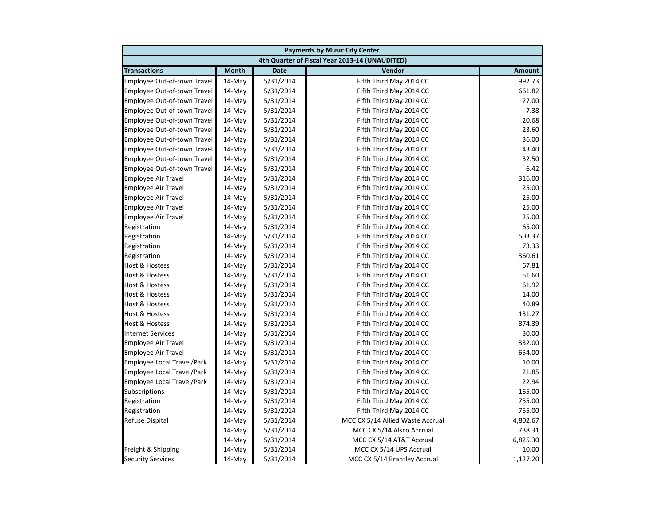| <b>Payments by Music City Center</b> |              |             |                                                |               |
|--------------------------------------|--------------|-------------|------------------------------------------------|---------------|
|                                      |              |             | 4th Quarter of Fiscal Year 2013-14 (UNAUDITED) |               |
| <b>Transactions</b>                  | <b>Month</b> | <b>Date</b> | Vendor                                         | <b>Amount</b> |
| Employee Out-of-town Travel          | 14-May       | 5/31/2014   | Fifth Third May 2014 CC                        | 992.73        |
| Employee Out-of-town Travel          | 14-May       | 5/31/2014   | Fifth Third May 2014 CC                        | 661.82        |
| Employee Out-of-town Travel          | 14-May       | 5/31/2014   | Fifth Third May 2014 CC                        | 27.00         |
| Employee Out-of-town Travel          | 14-May       | 5/31/2014   | Fifth Third May 2014 CC                        | 7.38          |
| Employee Out-of-town Travel          | 14-May       | 5/31/2014   | Fifth Third May 2014 CC                        | 20.68         |
| Employee Out-of-town Travel          | 14-May       | 5/31/2014   | Fifth Third May 2014 CC                        | 23.60         |
| Employee Out-of-town Travel          | 14-May       | 5/31/2014   | Fifth Third May 2014 CC                        | 36.00         |
| Employee Out-of-town Travel          | 14-May       | 5/31/2014   | Fifth Third May 2014 CC                        | 43.40         |
| Employee Out-of-town Travel          | 14-May       | 5/31/2014   | Fifth Third May 2014 CC                        | 32.50         |
| Employee Out-of-town Travel          | 14-May       | 5/31/2014   | Fifth Third May 2014 CC                        | 6.42          |
| <b>Employee Air Travel</b>           | 14-May       | 5/31/2014   | Fifth Third May 2014 CC                        | 316.00        |
| <b>Employee Air Travel</b>           | 14-May       | 5/31/2014   | Fifth Third May 2014 CC                        | 25.00         |
| <b>Employee Air Travel</b>           | 14-May       | 5/31/2014   | Fifth Third May 2014 CC                        | 25.00         |
| <b>Employee Air Travel</b>           | 14-May       | 5/31/2014   | Fifth Third May 2014 CC                        | 25.00         |
| <b>Employee Air Travel</b>           | 14-May       | 5/31/2014   | Fifth Third May 2014 CC                        | 25.00         |
| Registration                         | 14-May       | 5/31/2014   | Fifth Third May 2014 CC                        | 65.00         |
| Registration                         | 14-May       | 5/31/2014   | Fifth Third May 2014 CC                        | 503.37        |
| Registration                         | 14-May       | 5/31/2014   | Fifth Third May 2014 CC                        | 73.33         |
| Registration                         | 14-May       | 5/31/2014   | Fifth Third May 2014 CC                        | 360.61        |
| <b>Host &amp; Hostess</b>            | 14-May       | 5/31/2014   | Fifth Third May 2014 CC                        | 67.81         |
| <b>Host &amp; Hostess</b>            | 14-May       | 5/31/2014   | Fifth Third May 2014 CC                        | 51.60         |
| <b>Host &amp; Hostess</b>            | 14-May       | 5/31/2014   | Fifth Third May 2014 CC                        | 61.92         |
| Host & Hostess                       | 14-May       | 5/31/2014   | Fifth Third May 2014 CC                        | 14.00         |
| Host & Hostess                       | 14-May       | 5/31/2014   | Fifth Third May 2014 CC                        | 40.89         |
| <b>Host &amp; Hostess</b>            | 14-May       | 5/31/2014   | Fifth Third May 2014 CC                        | 131.27        |
| <b>Host &amp; Hostess</b>            | 14-May       | 5/31/2014   | Fifth Third May 2014 CC                        | 874.39        |
| <b>Internet Services</b>             | 14-May       | 5/31/2014   | Fifth Third May 2014 CC                        | 30.00         |
| <b>Employee Air Travel</b>           | 14-May       | 5/31/2014   | Fifth Third May 2014 CC                        | 332.00        |
| <b>Employee Air Travel</b>           | 14-May       | 5/31/2014   | Fifth Third May 2014 CC                        | 654.00        |
| Employee Local Travel/Park           | 14-May       | 5/31/2014   | Fifth Third May 2014 CC                        | 10.00         |
| Employee Local Travel/Park           | $14$ -May    | 5/31/2014   | Fifth Third May 2014 CC                        | 21.85         |
| Employee Local Travel/Park           | 14-May       | 5/31/2014   | Fifth Third May 2014 CC                        | 22.94         |
| <b>Subscriptions</b>                 | 14-May       | 5/31/2014   | Fifth Third May 2014 CC                        | 165.00        |
| Registration                         | 14-May       | 5/31/2014   | Fifth Third May 2014 CC                        | 755.00        |
| Registration                         | 14-May       | 5/31/2014   | Fifth Third May 2014 CC                        | 755.00        |
| <b>Refuse Dispital</b>               | 14-May       | 5/31/2014   | MCC CX 5/14 Allied Waste Accrual               | 4,802.67      |
|                                      | 14-May       | 5/31/2014   | MCC CX 5/14 Alsco Accrual                      | 738.31        |
|                                      | 14-May       | 5/31/2014   | MCC CX 5/14 AT&T Accrual                       | 6,825.30      |
| Freight & Shipping                   | 14-May       | 5/31/2014   | MCC CX 5/14 UPS Accrual                        | 10.00         |
| <b>Security Services</b>             | 14-May       | 5/31/2014   | MCC CX 5/14 Brantley Accrual                   | 1,127.20      |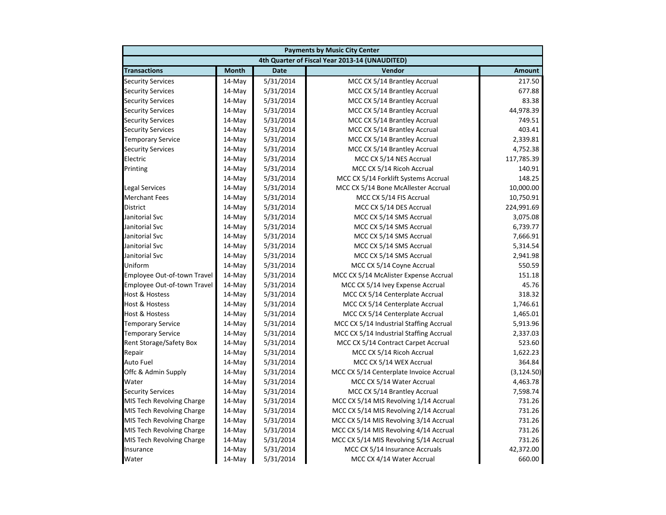| <b>Payments by Music City Center</b> |              |             |                                                |               |  |
|--------------------------------------|--------------|-------------|------------------------------------------------|---------------|--|
|                                      |              |             | 4th Quarter of Fiscal Year 2013-14 (UNAUDITED) |               |  |
| <b>Transactions</b>                  | <b>Month</b> | <b>Date</b> | Vendor                                         | <b>Amount</b> |  |
| <b>Security Services</b>             | $14$ -May    | 5/31/2014   | MCC CX 5/14 Brantley Accrual                   | 217.50        |  |
| <b>Security Services</b>             | 14-May       | 5/31/2014   | MCC CX 5/14 Brantley Accrual                   | 677.88        |  |
| <b>Security Services</b>             | 14-May       | 5/31/2014   | MCC CX 5/14 Brantley Accrual                   | 83.38         |  |
| <b>Security Services</b>             | 14-May       | 5/31/2014   | MCC CX 5/14 Brantley Accrual                   | 44,978.39     |  |
| <b>Security Services</b>             | 14-May       | 5/31/2014   | MCC CX 5/14 Brantley Accrual                   | 749.51        |  |
| <b>Security Services</b>             | 14-May       | 5/31/2014   | MCC CX 5/14 Brantley Accrual                   | 403.41        |  |
| <b>Temporary Service</b>             | 14-May       | 5/31/2014   | MCC CX 5/14 Brantley Accrual                   | 2,339.81      |  |
| <b>Security Services</b>             | 14-May       | 5/31/2014   | MCC CX 5/14 Brantley Accrual                   | 4,752.38      |  |
| Electric                             | 14-May       | 5/31/2014   | MCC CX 5/14 NES Accrual                        | 117,785.39    |  |
| Printing                             | 14-May       | 5/31/2014   | MCC CX 5/14 Ricoh Accrual                      | 140.91        |  |
|                                      | $14$ -May    | 5/31/2014   | MCC CX 5/14 Forklift Systems Accrual           | 148.25        |  |
| <b>Legal Services</b>                | 14-May       | 5/31/2014   | MCC CX 5/14 Bone McAllester Accrual            | 10,000.00     |  |
| <b>Merchant Fees</b>                 | 14-May       | 5/31/2014   | MCC CX 5/14 FIS Accrual                        | 10,750.91     |  |
| <b>District</b>                      | 14-May       | 5/31/2014   | MCC CX 5/14 DES Accrual                        | 224,991.69    |  |
| Janitorial Svc                       | 14-May       | 5/31/2014   | MCC CX 5/14 SMS Accrual                        | 3,075.08      |  |
| Janitorial Svc                       | 14-May       | 5/31/2014   | MCC CX 5/14 SMS Accrual                        | 6,739.77      |  |
| Janitorial Svc                       | 14-May       | 5/31/2014   | MCC CX 5/14 SMS Accrual                        | 7,666.91      |  |
| Janitorial Svc                       | 14-May       | 5/31/2014   | MCC CX 5/14 SMS Accrual                        | 5,314.54      |  |
| Janitorial Svc                       | 14-May       | 5/31/2014   | MCC CX 5/14 SMS Accrual                        | 2,941.98      |  |
| Uniform                              | $14$ -May    | 5/31/2014   | MCC CX 5/14 Coyne Accrual                      | 550.59        |  |
| Employee Out-of-town Travel          | 14-May       | 5/31/2014   | MCC CX 5/14 McAlister Expense Accrual          | 151.18        |  |
| Employee Out-of-town Travel          | 14-May       | 5/31/2014   | MCC CX 5/14 Ivey Expense Accrual               | 45.76         |  |
| <b>Host &amp; Hostess</b>            | 14-May       | 5/31/2014   | MCC CX 5/14 Centerplate Accrual                | 318.32        |  |
| <b>Host &amp; Hostess</b>            | 14-May       | 5/31/2014   | MCC CX 5/14 Centerplate Accrual                | 1,746.61      |  |
| <b>Host &amp; Hostess</b>            | 14-May       | 5/31/2014   | MCC CX 5/14 Centerplate Accrual                | 1,465.01      |  |
| <b>Temporary Service</b>             | 14-May       | 5/31/2014   | MCC CX 5/14 Industrial Staffing Accrual        | 5,913.96      |  |
| <b>Temporary Service</b>             | 14-May       | 5/31/2014   | MCC CX 5/14 Industrial Staffing Accrual        | 2,337.03      |  |
| Rent Storage/Safety Box              | 14-May       | 5/31/2014   | MCC CX 5/14 Contract Carpet Accrual            | 523.60        |  |
| Repair                               | 14-May       | 5/31/2014   | MCC CX 5/14 Ricoh Accrual                      | 1,622.23      |  |
| <b>Auto Fuel</b>                     | $14$ -May    | 5/31/2014   | MCC CX 5/14 WEX Accrual                        | 364.84        |  |
| Offc & Admin Supply                  | 14-May       | 5/31/2014   | MCC CX 5/14 Centerplate Invoice Accrual        | (3, 124.50)   |  |
| Water                                | 14-May       | 5/31/2014   | MCC CX 5/14 Water Accrual                      | 4,463.78      |  |
| <b>Security Services</b>             | 14-May       | 5/31/2014   | MCC CX 5/14 Brantley Accrual                   | 7,598.74      |  |
| MIS Tech Revolving Charge            | 14-May       | 5/31/2014   | MCC CX 5/14 MIS Revolving 1/14 Accrual         | 731.26        |  |
| MIS Tech Revolving Charge            | 14-May       | 5/31/2014   | MCC CX 5/14 MIS Revolving 2/14 Accrual         | 731.26        |  |
| MIS Tech Revolving Charge            | 14-May       | 5/31/2014   | MCC CX 5/14 MIS Revolving 3/14 Accrual         | 731.26        |  |
| MIS Tech Revolving Charge            | 14-May       | 5/31/2014   | MCC CX 5/14 MIS Revolving 4/14 Accrual         | 731.26        |  |
| MIS Tech Revolving Charge            | $14$ -May    | 5/31/2014   | MCC CX 5/14 MIS Revolving 5/14 Accrual         | 731.26        |  |
| Insurance                            | 14-May       | 5/31/2014   | MCC CX 5/14 Insurance Accruals                 | 42,372.00     |  |
| Water                                | 14-May       | 5/31/2014   | MCC CX 4/14 Water Accrual                      | 660.00        |  |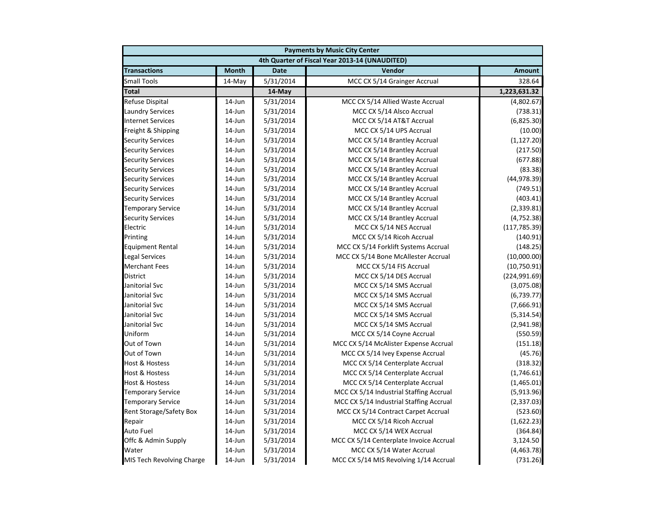| <b>Payments by Music City Center</b> |              |             |                                                |               |
|--------------------------------------|--------------|-------------|------------------------------------------------|---------------|
|                                      |              |             | 4th Quarter of Fiscal Year 2013-14 (UNAUDITED) |               |
| <b>Transactions</b>                  | <b>Month</b> | <b>Date</b> | Vendor                                         | <b>Amount</b> |
| <b>Small Tools</b>                   | 14-May       | 5/31/2014   | MCC CX 5/14 Grainger Accrual                   | 328.64        |
| <b>Total</b>                         |              | 14-May      |                                                | 1,223,631.32  |
| Refuse Dispital                      | 14-Jun       | 5/31/2014   | MCC CX 5/14 Allied Waste Accrual               | (4,802.67)    |
| <b>Laundry Services</b>              | $14$ -Jun    | 5/31/2014   | MCC CX 5/14 Alsco Accrual                      | (738.31)      |
| <b>Internet Services</b>             | 14-Jun       | 5/31/2014   | MCC CX 5/14 AT&T Accrual                       | (6,825.30)    |
| Freight & Shipping                   | 14-Jun       | 5/31/2014   | MCC CX 5/14 UPS Accrual                        | (10.00)       |
| <b>Security Services</b>             | 14-Jun       | 5/31/2014   | MCC CX 5/14 Brantley Accrual                   | (1, 127.20)   |
| <b>Security Services</b>             | 14-Jun       | 5/31/2014   | MCC CX 5/14 Brantley Accrual                   | (217.50)      |
| <b>Security Services</b>             | 14-Jun       | 5/31/2014   | MCC CX 5/14 Brantley Accrual                   | (677.88)      |
| <b>Security Services</b>             | 14-Jun       | 5/31/2014   | MCC CX 5/14 Brantley Accrual                   | (83.38)       |
| <b>Security Services</b>             | $14$ -Jun    | 5/31/2014   | MCC CX 5/14 Brantley Accrual                   | (44, 978.39)  |
| <b>Security Services</b>             | 14-Jun       | 5/31/2014   | MCC CX 5/14 Brantley Accrual                   | (749.51)      |
| <b>Security Services</b>             | 14-Jun       | 5/31/2014   | MCC CX 5/14 Brantley Accrual                   | (403.41)      |
| <b>Temporary Service</b>             | 14-Jun       | 5/31/2014   | MCC CX 5/14 Brantley Accrual                   | (2, 339.81)   |
| <b>Security Services</b>             | 14-Jun       | 5/31/2014   | MCC CX 5/14 Brantley Accrual                   | (4, 752.38)   |
| Electric                             | 14-Jun       | 5/31/2014   | MCC CX 5/14 NES Accrual                        | (117, 785.39) |
| Printing                             | 14-Jun       | 5/31/2014   | MCC CX 5/14 Ricoh Accrual                      | (140.91)      |
| <b>Equipment Rental</b>              | 14-Jun       | 5/31/2014   | MCC CX 5/14 Forklift Systems Accrual           | (148.25)      |
| <b>Legal Services</b>                | 14-Jun       | 5/31/2014   | MCC CX 5/14 Bone McAllester Accrual            | (10,000.00)   |
| <b>Merchant Fees</b>                 | 14-Jun       | 5/31/2014   | MCC CX 5/14 FIS Accrual                        | (10,750.91)   |
| <b>District</b>                      | 14-Jun       | 5/31/2014   | MCC CX 5/14 DES Accrual                        | (224, 991.69) |
| Janitorial Svc                       | $14$ -Jun    | 5/31/2014   | MCC CX 5/14 SMS Accrual                        | (3,075.08)    |
| Janitorial Svc                       | 14-Jun       | 5/31/2014   | MCC CX 5/14 SMS Accrual                        | (6,739.77)    |
| Janitorial Svc                       | 14-Jun       | 5/31/2014   | MCC CX 5/14 SMS Accrual                        | (7,666.91)    |
| Janitorial Svc                       | 14-Jun       | 5/31/2014   | MCC CX 5/14 SMS Accrual                        | (5,314.54)    |
| Janitorial Svc                       | 14-Jun       | 5/31/2014   | MCC CX 5/14 SMS Accrual                        | (2,941.98)    |
| Uniform                              | 14-Jun       | 5/31/2014   | MCC CX 5/14 Coyne Accrual                      | (550.59)      |
| Out of Town                          | 14-Jun       | 5/31/2014   | MCC CX 5/14 McAlister Expense Accrual          | (151.18)      |
| Out of Town                          | 14-Jun       | 5/31/2014   | MCC CX 5/14 Ivey Expense Accrual               | (45.76)       |
| <b>Host &amp; Hostess</b>            | 14-Jun       | 5/31/2014   | MCC CX 5/14 Centerplate Accrual                | (318.32)      |
| <b>Host &amp; Hostess</b>            | 14-Jun       | 5/31/2014   | MCC CX 5/14 Centerplate Accrual                | (1,746.61)    |
| <b>Host &amp; Hostess</b>            | 14-Jun       | 5/31/2014   | MCC CX 5/14 Centerplate Accrual                | (1,465.01)    |
| <b>Temporary Service</b>             | 14-Jun       | 5/31/2014   | MCC CX 5/14 Industrial Staffing Accrual        | (5,913.96)    |
| <b>Temporary Service</b>             | 14-Jun       | 5/31/2014   | MCC CX 5/14 Industrial Staffing Accrual        | (2,337.03)    |
| Rent Storage/Safety Box              | 14-Jun       | 5/31/2014   | MCC CX 5/14 Contract Carpet Accrual            | (523.60)      |
| Repair                               | 14-Jun       | 5/31/2014   | MCC CX 5/14 Ricoh Accrual                      | (1,622.23)    |
| <b>Auto Fuel</b>                     | 14-Jun       | 5/31/2014   | MCC CX 5/14 WEX Accrual                        | (364.84)      |
| Offc & Admin Supply                  | 14-Jun       | 5/31/2014   | MCC CX 5/14 Centerplate Invoice Accrual        | 3,124.50      |
| Water                                | 14-Jun       | 5/31/2014   | MCC CX 5/14 Water Accrual                      | (4,463.78)    |
| MIS Tech Revolving Charge            | 14-Jun       | 5/31/2014   | MCC CX 5/14 MIS Revolving 1/14 Accrual         | (731.26)      |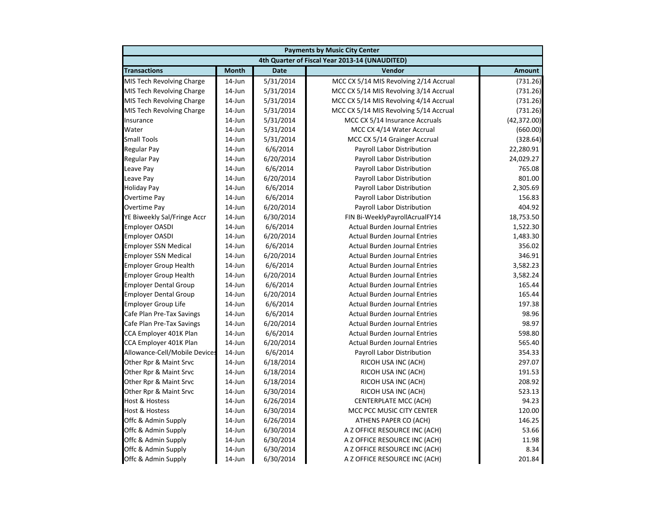| <b>Payments by Music City Center</b> |              |             |                                                |               |
|--------------------------------------|--------------|-------------|------------------------------------------------|---------------|
|                                      |              |             | 4th Quarter of Fiscal Year 2013-14 (UNAUDITED) |               |
| <b>Transactions</b>                  | <b>Month</b> | <b>Date</b> | Vendor                                         | <b>Amount</b> |
| MIS Tech Revolving Charge            | $14$ -Jun    | 5/31/2014   | MCC CX 5/14 MIS Revolving 2/14 Accrual         | (731.26)      |
| MIS Tech Revolving Charge            | $14$ -Jun    | 5/31/2014   | MCC CX 5/14 MIS Revolving 3/14 Accrual         | (731.26)      |
| MIS Tech Revolving Charge            | 14-Jun       | 5/31/2014   | MCC CX 5/14 MIS Revolving 4/14 Accrual         | (731.26)      |
| MIS Tech Revolving Charge            | 14-Jun       | 5/31/2014   | MCC CX 5/14 MIS Revolving 5/14 Accrual         | (731.26)      |
| Insurance                            | 14-Jun       | 5/31/2014   | MCC CX 5/14 Insurance Accruals                 | (42, 372.00)  |
| Water                                | 14-Jun       | 5/31/2014   | MCC CX 4/14 Water Accrual                      | (660.00)      |
| <b>Small Tools</b>                   | 14-Jun       | 5/31/2014   | MCC CX 5/14 Grainger Accrual                   | (328.64)      |
| <b>Regular Pay</b>                   | $14$ -Jun    | 6/6/2014    | Payroll Labor Distribution                     | 22,280.91     |
| Regular Pay                          | $14$ -Jun    | 6/20/2014   | Payroll Labor Distribution                     | 24,029.27     |
| Leave Pay                            | 14-Jun       | 6/6/2014    | Payroll Labor Distribution                     | 765.08        |
| Leave Pay                            | 14-Jun       | 6/20/2014   | Payroll Labor Distribution                     | 801.00        |
| <b>Holiday Pay</b>                   | $14$ -Jun    | 6/6/2014    | Payroll Labor Distribution                     | 2,305.69      |
| Overtime Pay                         | 14-Jun       | 6/6/2014    | Payroll Labor Distribution                     | 156.83        |
| Overtime Pay                         | 14-Jun       | 6/20/2014   | Payroll Labor Distribution                     | 404.92        |
| YE Biweekly Sal/Fringe Accr          | 14-Jun       | 6/30/2014   | FIN Bi-WeeklyPayrollAcrualFY14                 | 18,753.50     |
| <b>Employer OASDI</b>                | 14-Jun       | 6/6/2014    | <b>Actual Burden Journal Entries</b>           | 1,522.30      |
| <b>Employer OASDI</b>                | 14-Jun       | 6/20/2014   | <b>Actual Burden Journal Entries</b>           | 1,483.30      |
| <b>Employer SSN Medical</b>          | $14$ -Jun    | 6/6/2014    | <b>Actual Burden Journal Entries</b>           | 356.02        |
| <b>Employer SSN Medical</b>          | 14-Jun       | 6/20/2014   | <b>Actual Burden Journal Entries</b>           | 346.91        |
| <b>Employer Group Health</b>         | 14-Jun       | 6/6/2014    | <b>Actual Burden Journal Entries</b>           | 3,582.23      |
| <b>Employer Group Health</b>         | 14-Jun       | 6/20/2014   | <b>Actual Burden Journal Entries</b>           | 3,582.24      |
| <b>Employer Dental Group</b>         | $14$ -Jun    | 6/6/2014    | <b>Actual Burden Journal Entries</b>           | 165.44        |
| <b>Employer Dental Group</b>         | 14-Jun       | 6/20/2014   | <b>Actual Burden Journal Entries</b>           | 165.44        |
| Employer Group Life                  | 14-Jun       | 6/6/2014    | <b>Actual Burden Journal Entries</b>           | 197.38        |
| Cafe Plan Pre-Tax Savings            | 14-Jun       | 6/6/2014    | <b>Actual Burden Journal Entries</b>           | 98.96         |
| Cafe Plan Pre-Tax Savings            | $14$ -Jun    | 6/20/2014   | <b>Actual Burden Journal Entries</b>           | 98.97         |
| CCA Employer 401K Plan               | $14$ -Jun    | 6/6/2014    | <b>Actual Burden Journal Entries</b>           | 598.80        |
| CCA Employer 401K Plan               | 14-Jun       | 6/20/2014   | <b>Actual Burden Journal Entries</b>           | 565.40        |
| Allowance-Cell/Mobile Devices        | 14-Jun       | 6/6/2014    | Payroll Labor Distribution                     | 354.33        |
| Other Rpr & Maint Srvc               | $14$ -Jun    | 6/18/2014   | RICOH USA INC (ACH)                            | 297.07        |
| Other Rpr & Maint Srvc               | $14$ -Jun    | 6/18/2014   | RICOH USA INC (ACH)                            | 191.53        |
| Other Rpr & Maint Srvc               | 14-Jun       | 6/18/2014   | RICOH USA INC (ACH)                            | 208.92        |
| Other Rpr & Maint Srvc               | 14-Jun       | 6/30/2014   | RICOH USA INC (ACH)                            | 523.13        |
| Host & Hostess                       | 14-Jun       | 6/26/2014   | <b>CENTERPLATE MCC (ACH)</b>                   | 94.23         |
| <b>Host &amp; Hostess</b>            | 14-Jun       | 6/30/2014   | MCC PCC MUSIC CITY CENTER                      | 120.00        |
| Offc & Admin Supply                  | 14-Jun       | 6/26/2014   | ATHENS PAPER CO (ACH)                          | 146.25        |
| Offc & Admin Supply                  | $14$ -Jun    | 6/30/2014   | A Z OFFICE RESOURCE INC (ACH)                  | 53.66         |
| Offc & Admin Supply                  | 14-Jun       | 6/30/2014   | A Z OFFICE RESOURCE INC (ACH)                  | 11.98         |
| Offc & Admin Supply                  | 14-Jun       | 6/30/2014   | A Z OFFICE RESOURCE INC (ACH)                  | 8.34          |
| Offc & Admin Supply                  | 14-Jun       | 6/30/2014   | A Z OFFICE RESOURCE INC (ACH)                  | 201.84        |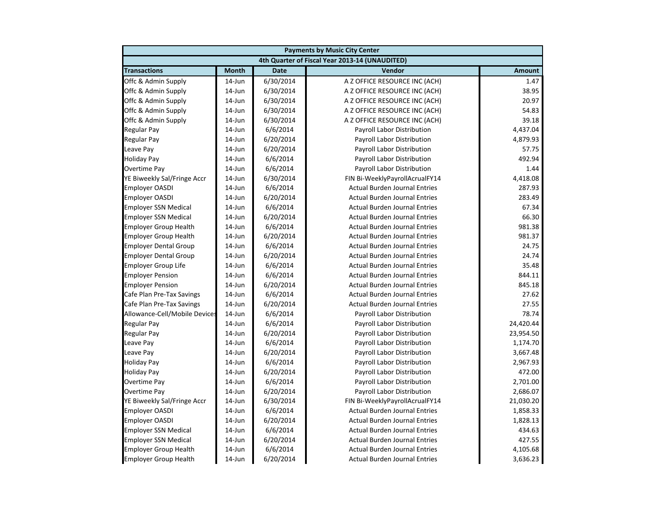|                               | <b>Payments by Music City Center</b> |             |                                                |               |  |
|-------------------------------|--------------------------------------|-------------|------------------------------------------------|---------------|--|
|                               |                                      |             | 4th Quarter of Fiscal Year 2013-14 (UNAUDITED) |               |  |
| <b>Transactions</b>           | <b>Month</b>                         | <b>Date</b> | Vendor                                         | <b>Amount</b> |  |
| Offc & Admin Supply           | $14$ -Jun                            | 6/30/2014   | A Z OFFICE RESOURCE INC (ACH)                  | 1.47          |  |
| Offc & Admin Supply           | 14-Jun                               | 6/30/2014   | A Z OFFICE RESOURCE INC (ACH)                  | 38.95         |  |
| Offc & Admin Supply           | 14-Jun                               | 6/30/2014   | A Z OFFICE RESOURCE INC (ACH)                  | 20.97         |  |
| Offc & Admin Supply           | 14-Jun                               | 6/30/2014   | A Z OFFICE RESOURCE INC (ACH)                  | 54.83         |  |
| Offc & Admin Supply           | 14-Jun                               | 6/30/2014   | A Z OFFICE RESOURCE INC (ACH)                  | 39.18         |  |
| Regular Pay                   | 14-Jun                               | 6/6/2014    | Payroll Labor Distribution                     | 4,437.04      |  |
| <b>Regular Pay</b>            | $14$ -Jun                            | 6/20/2014   | Payroll Labor Distribution                     | 4,879.93      |  |
| Leave Pay                     | $14$ -Jun                            | 6/20/2014   | Payroll Labor Distribution                     | 57.75         |  |
| <b>Holiday Pay</b>            | $14$ -Jun                            | 6/6/2014    | Payroll Labor Distribution                     | 492.94        |  |
| <b>Overtime Pay</b>           | 14-Jun                               | 6/6/2014    | Payroll Labor Distribution                     | 1.44          |  |
| YE Biweekly Sal/Fringe Accr   | $14$ -Jun                            | 6/30/2014   | FIN Bi-WeeklyPayrollAcrualFY14                 | 4,418.08      |  |
| <b>Employer OASDI</b>         | $14$ -Jun                            | 6/6/2014    | <b>Actual Burden Journal Entries</b>           | 287.93        |  |
| <b>Employer OASDI</b>         | 14-Jun                               | 6/20/2014   | <b>Actual Burden Journal Entries</b>           | 283.49        |  |
| <b>Employer SSN Medical</b>   | 14-Jun                               | 6/6/2014    | <b>Actual Burden Journal Entries</b>           | 67.34         |  |
| <b>Employer SSN Medical</b>   | 14-Jun                               | 6/20/2014   | <b>Actual Burden Journal Entries</b>           | 66.30         |  |
| <b>Employer Group Health</b>  | $14$ -Jun                            | 6/6/2014    | <b>Actual Burden Journal Entries</b>           | 981.38        |  |
| <b>Employer Group Health</b>  | 14-Jun                               | 6/20/2014   | <b>Actual Burden Journal Entries</b>           | 981.37        |  |
| <b>Employer Dental Group</b>  | $14$ -Jun                            | 6/6/2014    | <b>Actual Burden Journal Entries</b>           | 24.75         |  |
| <b>Employer Dental Group</b>  | $14$ -Jun                            | 6/20/2014   | <b>Actual Burden Journal Entries</b>           | 24.74         |  |
| <b>Employer Group Life</b>    | $14$ -Jun                            | 6/6/2014    | <b>Actual Burden Journal Entries</b>           | 35.48         |  |
| <b>Employer Pension</b>       | 14-Jun                               | 6/6/2014    | <b>Actual Burden Journal Entries</b>           | 844.11        |  |
| <b>Employer Pension</b>       | $14$ -Jun                            | 6/20/2014   | <b>Actual Burden Journal Entries</b>           | 845.18        |  |
| Cafe Plan Pre-Tax Savings     | 14-Jun                               | 6/6/2014    | <b>Actual Burden Journal Entries</b>           | 27.62         |  |
| Cafe Plan Pre-Tax Savings     | 14-Jun                               | 6/20/2014   | <b>Actual Burden Journal Entries</b>           | 27.55         |  |
| Allowance-Cell/Mobile Devices | 14-Jun                               | 6/6/2014    | Payroll Labor Distribution                     | 78.74         |  |
| <b>Regular Pay</b>            | $14$ -Jun                            | 6/6/2014    | Payroll Labor Distribution                     | 24,420.44     |  |
| <b>Regular Pay</b>            | $14$ -Jun                            | 6/20/2014   | Payroll Labor Distribution                     | 23,954.50     |  |
| Leave Pay                     | 14-Jun                               | 6/6/2014    | Payroll Labor Distribution                     | 1,174.70      |  |
| Leave Pay                     | $14$ -Jun                            | 6/20/2014   | Payroll Labor Distribution                     | 3,667.48      |  |
| <b>Holiday Pay</b>            | $14$ -Jun                            | 6/6/2014    | Payroll Labor Distribution                     | 2,967.93      |  |
| <b>Holiday Pay</b>            | $14$ -Jun                            | 6/20/2014   | Payroll Labor Distribution                     | 472.00        |  |
| Overtime Pay                  | 14-Jun                               | 6/6/2014    | Payroll Labor Distribution                     | 2,701.00      |  |
| Overtime Pay                  | 14-Jun                               | 6/20/2014   | Payroll Labor Distribution                     | 2,686.07      |  |
| YE Biweekly Sal/Fringe Accr   | 14-Jun                               | 6/30/2014   | FIN Bi-WeeklyPayrollAcrualFY14                 | 21,030.20     |  |
| <b>Employer OASDI</b>         | 14-Jun                               | 6/6/2014    | <b>Actual Burden Journal Entries</b>           | 1,858.33      |  |
| <b>Employer OASDI</b>         | $14$ -Jun                            | 6/20/2014   | <b>Actual Burden Journal Entries</b>           | 1,828.13      |  |
| <b>Employer SSN Medical</b>   | $14$ -Jun                            | 6/6/2014    | <b>Actual Burden Journal Entries</b>           | 434.63        |  |
| <b>Employer SSN Medical</b>   | $14$ -Jun                            | 6/20/2014   | <b>Actual Burden Journal Entries</b>           | 427.55        |  |
| <b>Employer Group Health</b>  | 14-Jun                               | 6/6/2014    | <b>Actual Burden Journal Entries</b>           | 4,105.68      |  |
| <b>Employer Group Health</b>  | $14$ -Jun                            | 6/20/2014   | <b>Actual Burden Journal Entries</b>           | 3,636.23      |  |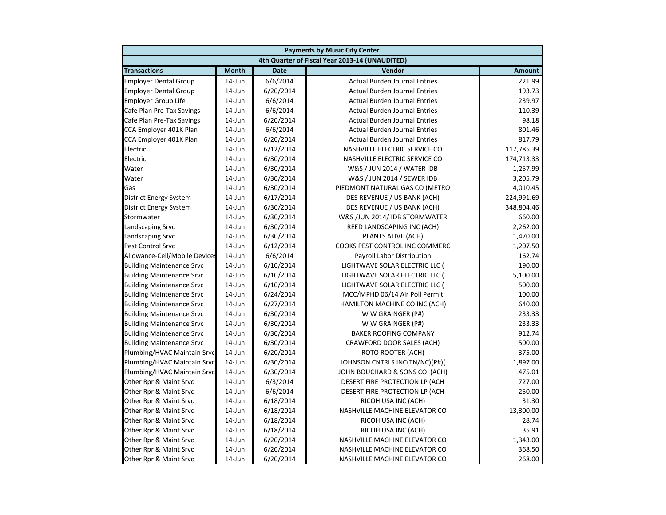|                                  |              |             | <b>Payments by Music City Center</b>           |               |
|----------------------------------|--------------|-------------|------------------------------------------------|---------------|
|                                  |              |             | 4th Quarter of Fiscal Year 2013-14 (UNAUDITED) |               |
| <b>Transactions</b>              | <b>Month</b> | <b>Date</b> | Vendor                                         | <b>Amount</b> |
| <b>Employer Dental Group</b>     | $14$ -Jun    | 6/6/2014    | <b>Actual Burden Journal Entries</b>           | 221.99        |
| <b>Employer Dental Group</b>     | 14-Jun       | 6/20/2014   | <b>Actual Burden Journal Entries</b>           | 193.73        |
| <b>Employer Group Life</b>       | 14-Jun       | 6/6/2014    | <b>Actual Burden Journal Entries</b>           | 239.97        |
| Cafe Plan Pre-Tax Savings        | 14-Jun       | 6/6/2014    | <b>Actual Burden Journal Entries</b>           | 110.39        |
| Cafe Plan Pre-Tax Savings        | $14$ -Jun    | 6/20/2014   | <b>Actual Burden Journal Entries</b>           | 98.18         |
| CCA Employer 401K Plan           | $14$ -Jun    | 6/6/2014    | <b>Actual Burden Journal Entries</b>           | 801.46        |
| CCA Employer 401K Plan           | $14$ -Jun    | 6/20/2014   | <b>Actual Burden Journal Entries</b>           | 817.79        |
| Electric                         | 14-Jun       | 6/12/2014   | NASHVILLE ELECTRIC SERVICE CO                  | 117,785.39    |
| Electric                         | 14-Jun       | 6/30/2014   | NASHVILLE ELECTRIC SERVICE CO                  | 174,713.33    |
| Water                            | 14-Jun       | 6/30/2014   | W&S / JUN 2014 / WATER IDB                     | 1,257.99      |
| Water                            | 14-Jun       | 6/30/2014   | W&S / JUN 2014 / SEWER IDB                     | 3,205.79      |
| Gas                              | 14-Jun       | 6/30/2014   | PIEDMONT NATURAL GAS CO (METRO                 | 4,010.45      |
| District Energy System           | 14-Jun       | 6/17/2014   | DES REVENUE / US BANK (ACH)                    | 224,991.69    |
| District Energy System           | 14-Jun       | 6/30/2014   | DES REVENUE / US BANK (ACH)                    | 348,804.46    |
| Stormwater                       | $14$ -Jun    | 6/30/2014   | W&S /JUN 2014/ IDB STORMWATER                  | 660.00        |
| Landscaping Srvc                 | $14$ -Jun    | 6/30/2014   | REED LANDSCAPING INC (ACH)                     | 2,262.00      |
| Landscaping Srvc                 | 14-Jun       | 6/30/2014   | PLANTS ALIVE (ACH)                             | 1,470.00      |
| Pest Control Srvc                | 14-Jun       | 6/12/2014   | COOKS PEST CONTROL INC COMMERC                 | 1,207.50      |
| Allowance-Cell/Mobile Devices    | 14-Jun       | 6/6/2014    | Payroll Labor Distribution                     | 162.74        |
| <b>Building Maintenance Srvc</b> | 14-Jun       | 6/10/2014   | LIGHTWAVE SOLAR ELECTRIC LLC (                 | 190.00        |
| <b>Building Maintenance Srvc</b> | 14-Jun       | 6/10/2014   | LIGHTWAVE SOLAR ELECTRIC LLC (                 | 5,100.00      |
| <b>Building Maintenance Srvc</b> | $14$ -Jun    | 6/10/2014   | LIGHTWAVE SOLAR ELECTRIC LLC (                 | 500.00        |
| <b>Building Maintenance Srvc</b> | $14$ -Jun    | 6/24/2014   | MCC/MPHD 06/14 Air Poll Permit                 | 100.00        |
| <b>Building Maintenance Srvc</b> | 14-Jun       | 6/27/2014   | HAMILTON MACHINE CO INC (ACH)                  | 640.00        |
| <b>Building Maintenance Srvc</b> | 14-Jun       | 6/30/2014   | W W GRAINGER (P#)                              | 233.33        |
| <b>Building Maintenance Srvc</b> | 14-Jun       | 6/30/2014   | W W GRAINGER (P#)                              | 233.33        |
| <b>Building Maintenance Srvc</b> | 14-Jun       | 6/30/2014   | <b>BAKER ROOFING COMPANY</b>                   | 912.74        |
| <b>Building Maintenance Srvc</b> | 14-Jun       | 6/30/2014   | CRAWFORD DOOR SALES (ACH)                      | 500.00        |
| Plumbing/HVAC Maintain Srvc      | 14-Jun       | 6/20/2014   | <b>ROTO ROOTER (ACH)</b>                       | 375.00        |
| Plumbing/HVAC Maintain Srvc      | 14-Jun       | 6/30/2014   | JOHNSON CNTRLS INC(TN/NC)(P#)(                 | 1,897.00      |
| Plumbing/HVAC Maintain Srvc      | 14-Jun       | 6/30/2014   | JOHN BOUCHARD & SONS CO (ACH)                  | 475.01        |
| Other Rpr & Maint Srvc           | 14-Jun       | 6/3/2014    | DESERT FIRE PROTECTION LP (ACH                 | 727.00        |
| Other Rpr & Maint Srvc           | $14$ -Jun    | 6/6/2014    | DESERT FIRE PROTECTION LP (ACH                 | 250.00        |
| Other Rpr & Maint Srvc           | $14$ -Jun    | 6/18/2014   | RICOH USA INC (ACH)                            | 31.30         |
| Other Rpr & Maint Srvc           | 14-Jun       | 6/18/2014   | NASHVILLE MACHINE ELEVATOR CO                  | 13,300.00     |
| Other Rpr & Maint Srvc           | $14$ -Jun    | 6/18/2014   | RICOH USA INC (ACH)                            | 28.74         |
| Other Rpr & Maint Srvc           | 14-Jun       | 6/18/2014   | RICOH USA INC (ACH)                            | 35.91         |
| Other Rpr & Maint Srvc           | 14-Jun       | 6/20/2014   | NASHVILLE MACHINE ELEVATOR CO                  | 1,343.00      |
| Other Rpr & Maint Srvc           | 14-Jun       | 6/20/2014   | NASHVILLE MACHINE ELEVATOR CO                  | 368.50        |
| Other Rpr & Maint Srvc           | 14-Jun       | 6/20/2014   | NASHVILLE MACHINE ELEVATOR CO                  | 268.00        |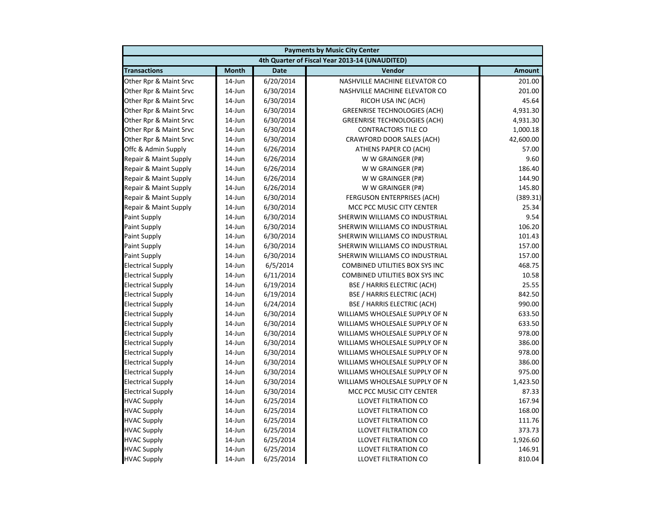| <b>Payments by Music City Center</b> |              |             |                                                |               |
|--------------------------------------|--------------|-------------|------------------------------------------------|---------------|
|                                      |              |             | 4th Quarter of Fiscal Year 2013-14 (UNAUDITED) |               |
| <b>Transactions</b>                  | <b>Month</b> | <b>Date</b> | Vendor                                         | <b>Amount</b> |
| Other Rpr & Maint Srvc               | 14-Jun       | 6/20/2014   | NASHVILLE MACHINE ELEVATOR CO                  | 201.00        |
| Other Rpr & Maint Srvc               | 14-Jun       | 6/30/2014   | NASHVILLE MACHINE ELEVATOR CO                  | 201.00        |
| Other Rpr & Maint Srvc               | 14-Jun       | 6/30/2014   | RICOH USA INC (ACH)                            | 45.64         |
| Other Rpr & Maint Srvc               | 14-Jun       | 6/30/2014   | <b>GREENRISE TECHNOLOGIES (ACH)</b>            | 4,931.30      |
| Other Rpr & Maint Srvc               | $14$ -Jun    | 6/30/2014   | <b>GREENRISE TECHNOLOGIES (ACH)</b>            | 4,931.30      |
| Other Rpr & Maint Srvc               | 14-Jun       | 6/30/2014   | <b>CONTRACTORS TILE CO</b>                     | 1,000.18      |
| Other Rpr & Maint Srvc               | 14-Jun       | 6/30/2014   | CRAWFORD DOOR SALES (ACH)                      | 42,600.00     |
| Offc & Admin Supply                  | $14$ -Jun    | 6/26/2014   | ATHENS PAPER CO (ACH)                          | 57.00         |
| Repair & Maint Supply                | $14$ -Jun    | 6/26/2014   | W W GRAINGER (P#)                              | 9.60          |
| Repair & Maint Supply                | 14-Jun       | 6/26/2014   | W W GRAINGER (P#)                              | 186.40        |
| Repair & Maint Supply                | 14-Jun       | 6/26/2014   | W W GRAINGER (P#)                              | 144.90        |
| Repair & Maint Supply                | 14-Jun       | 6/26/2014   | W W GRAINGER (P#)                              | 145.80        |
| Repair & Maint Supply                | 14-Jun       | 6/30/2014   | <b>FERGUSON ENTERPRISES (ACH)</b>              | (389.31)      |
| Repair & Maint Supply                | $14$ -Jun    | 6/30/2014   | MCC PCC MUSIC CITY CENTER                      | 25.34         |
| <b>Paint Supply</b>                  | $14$ -Jun    | 6/30/2014   | SHERWIN WILLIAMS CO INDUSTRIAL                 | 9.54          |
| <b>Paint Supply</b>                  | 14-Jun       | 6/30/2014   | SHERWIN WILLIAMS CO INDUSTRIAL                 | 106.20        |
| <b>Paint Supply</b>                  | 14-Jun       | 6/30/2014   | SHERWIN WILLIAMS CO INDUSTRIAL                 | 101.43        |
| <b>Paint Supply</b>                  | 14-Jun       | 6/30/2014   | SHERWIN WILLIAMS CO INDUSTRIAL                 | 157.00        |
| <b>Paint Supply</b>                  | 14-Jun       | 6/30/2014   | SHERWIN WILLIAMS CO INDUSTRIAL                 | 157.00        |
| <b>Electrical Supply</b>             | 14-Jun       | 6/5/2014    | COMBINED UTILITIES BOX SYS INC                 | 468.75        |
| <b>Electrical Supply</b>             | 14-Jun       | 6/11/2014   | COMBINED UTILITIES BOX SYS INC                 | 10.58         |
| <b>Electrical Supply</b>             | 14-Jun       | 6/19/2014   | <b>BSE / HARRIS ELECTRIC (ACH)</b>             | 25.55         |
| <b>Electrical Supply</b>             | 14-Jun       | 6/19/2014   | <b>BSE / HARRIS ELECTRIC (ACH)</b>             | 842.50        |
| <b>Electrical Supply</b>             | 14-Jun       | 6/24/2014   | <b>BSE / HARRIS ELECTRIC (ACH)</b>             | 990.00        |
| <b>Electrical Supply</b>             | $14$ -Jun    | 6/30/2014   | WILLIAMS WHOLESALE SUPPLY OF N                 | 633.50        |
| <b>Electrical Supply</b>             | 14-Jun       | 6/30/2014   | WILLIAMS WHOLESALE SUPPLY OF N                 | 633.50        |
| <b>Electrical Supply</b>             | 14-Jun       | 6/30/2014   | WILLIAMS WHOLESALE SUPPLY OF N                 | 978.00        |
| <b>Electrical Supply</b>             | 14-Jun       | 6/30/2014   | WILLIAMS WHOLESALE SUPPLY OF N                 | 386.00        |
| <b>Electrical Supply</b>             | 14-Jun       | 6/30/2014   | WILLIAMS WHOLESALE SUPPLY OF N                 | 978.00        |
| <b>Electrical Supply</b>             | 14-Jun       | 6/30/2014   | WILLIAMS WHOLESALE SUPPLY OF N                 | 386.00        |
| <b>Electrical Supply</b>             | 14-Jun       | 6/30/2014   | WILLIAMS WHOLESALE SUPPLY OF N                 | 975.00        |
| <b>Electrical Supply</b>             | 14-Jun       | 6/30/2014   | WILLIAMS WHOLESALE SUPPLY OF N                 | 1,423.50      |
| <b>Electrical Supply</b>             | 14-Jun       | 6/30/2014   | MCC PCC MUSIC CITY CENTER                      | 87.33         |
| <b>HVAC Supply</b>                   | $14$ -Jun    | 6/25/2014   | <b>LLOVET FILTRATION CO</b>                    | 167.94        |
| <b>HVAC Supply</b>                   | 14-Jun       | 6/25/2014   | LLOVET FILTRATION CO                           | 168.00        |
| <b>HVAC Supply</b>                   | 14-Jun       | 6/25/2014   | <b>LLOVET FILTRATION CO</b>                    | 111.76        |
| <b>HVAC Supply</b>                   | 14-Jun       | 6/25/2014   | <b>LLOVET FILTRATION CO</b>                    | 373.73        |
| <b>HVAC Supply</b>                   | 14-Jun       | 6/25/2014   | LLOVET FILTRATION CO                           | 1,926.60      |
| <b>HVAC Supply</b>                   | 14-Jun       | 6/25/2014   | LLOVET FILTRATION CO                           | 146.91        |
| <b>HVAC Supply</b>                   | 14-Jun       | 6/25/2014   | <b>LLOVET FILTRATION CO</b>                    | 810.04        |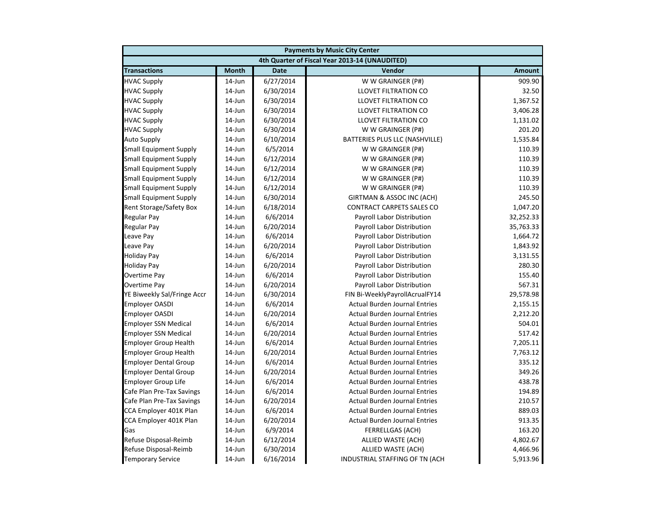| <b>Payments by Music City Center</b> |              |             |                                                |               |
|--------------------------------------|--------------|-------------|------------------------------------------------|---------------|
|                                      |              |             | 4th Quarter of Fiscal Year 2013-14 (UNAUDITED) |               |
| <b>Transactions</b>                  | <b>Month</b> | <b>Date</b> | Vendor                                         | <b>Amount</b> |
| <b>HVAC Supply</b>                   | $14$ -Jun    | 6/27/2014   | W W GRAINGER (P#)                              | 909.90        |
| <b>HVAC Supply</b>                   | 14-Jun       | 6/30/2014   | LLOVET FILTRATION CO                           | 32.50         |
| <b>HVAC Supply</b>                   | 14-Jun       | 6/30/2014   | LLOVET FILTRATION CO                           | 1,367.52      |
| <b>HVAC Supply</b>                   | 14-Jun       | 6/30/2014   | LLOVET FILTRATION CO                           | 3,406.28      |
| <b>HVAC Supply</b>                   | 14-Jun       | 6/30/2014   | LLOVET FILTRATION CO                           | 1,131.02      |
| <b>HVAC Supply</b>                   | 14-Jun       | 6/30/2014   | W W GRAINGER (P#)                              | 201.20        |
| <b>Auto Supply</b>                   | $14$ -Jun    | 6/10/2014   | BATTERIES PLUS LLC (NASHVILLE)                 | 1,535.84      |
| <b>Small Equipment Supply</b>        | 14-Jun       | 6/5/2014    | W W GRAINGER (P#)                              | 110.39        |
| <b>Small Equipment Supply</b>        | 14-Jun       | 6/12/2014   | W W GRAINGER (P#)                              | 110.39        |
| <b>Small Equipment Supply</b>        | 14-Jun       | 6/12/2014   | W W GRAINGER (P#)                              | 110.39        |
| <b>Small Equipment Supply</b>        | 14-Jun       | 6/12/2014   | W W GRAINGER (P#)                              | 110.39        |
| <b>Small Equipment Supply</b>        | $14$ -Jun    | 6/12/2014   | W W GRAINGER (P#)                              | 110.39        |
| <b>Small Equipment Supply</b>        | 14-Jun       | 6/30/2014   | GIRTMAN & ASSOC INC (ACH)                      | 245.50        |
| Rent Storage/Safety Box              | 14-Jun       | 6/18/2014   | <b>CONTRACT CARPETS SALES CO</b>               | 1,047.20      |
| <b>Regular Pay</b>                   | $14$ -Jun    | 6/6/2014    | Payroll Labor Distribution                     | 32,252.33     |
| <b>Regular Pay</b>                   | $14$ -Jun    | 6/20/2014   | Payroll Labor Distribution                     | 35,763.33     |
| Leave Pay                            | 14-Jun       | 6/6/2014    | Payroll Labor Distribution                     | 1,664.72      |
| Leave Pay                            | 14-Jun       | 6/20/2014   | Payroll Labor Distribution                     | 1,843.92      |
| <b>Holiday Pay</b>                   | 14-Jun       | 6/6/2014    | Payroll Labor Distribution                     | 3,131.55      |
| <b>Holiday Pay</b>                   | 14-Jun       | 6/20/2014   | Payroll Labor Distribution                     | 280.30        |
| Overtime Pay                         | 14-Jun       | 6/6/2014    | Payroll Labor Distribution                     | 155.40        |
| <b>Overtime Pay</b>                  | 14-Jun       | 6/20/2014   | Payroll Labor Distribution                     | 567.31        |
| YE Biweekly Sal/Fringe Accr          | $14$ -Jun    | 6/30/2014   | FIN Bi-WeeklyPayrollAcrualFY14                 | 29,578.98     |
| <b>Employer OASDI</b>                | 14-Jun       | 6/6/2014    | <b>Actual Burden Journal Entries</b>           | 2,155.15      |
| <b>Employer OASDI</b>                | 14-Jun       | 6/20/2014   | <b>Actual Burden Journal Entries</b>           | 2,212.20      |
| <b>Employer SSN Medical</b>          | 14-Jun       | 6/6/2014    | <b>Actual Burden Journal Entries</b>           | 504.01        |
| <b>Employer SSN Medical</b>          | 14-Jun       | 6/20/2014   | <b>Actual Burden Journal Entries</b>           | 517.42        |
| <b>Employer Group Health</b>         | 14-Jun       | 6/6/2014    | <b>Actual Burden Journal Entries</b>           | 7,205.11      |
| <b>Employer Group Health</b>         | $14$ -Jun    | 6/20/2014   | <b>Actual Burden Journal Entries</b>           | 7,763.12      |
| <b>Employer Dental Group</b>         | $14$ -Jun    | 6/6/2014    | <b>Actual Burden Journal Entries</b>           | 335.12        |
| <b>Employer Dental Group</b>         | 14-Jun       | 6/20/2014   | <b>Actual Burden Journal Entries</b>           | 349.26        |
| <b>Employer Group Life</b>           | 14-Jun       | 6/6/2014    | <b>Actual Burden Journal Entries</b>           | 438.78        |
| Cafe Plan Pre-Tax Savings            | 14-Jun       | 6/6/2014    | <b>Actual Burden Journal Entries</b>           | 194.89        |
| Cafe Plan Pre-Tax Savings            | $14$ -Jun    | 6/20/2014   | <b>Actual Burden Journal Entries</b>           | 210.57        |
| CCA Employer 401K Plan               | 14-Jun       | 6/6/2014    | <b>Actual Burden Journal Entries</b>           | 889.03        |
| CCA Employer 401K Plan               | $14$ -Jun    | 6/20/2014   | <b>Actual Burden Journal Entries</b>           | 913.35        |
| Gas                                  | 14-Jun       | 6/9/2014    | <b>FERRELLGAS (ACH)</b>                        | 163.20        |
| Refuse Disposal-Reimb                | 14-Jun       | 6/12/2014   | ALLIED WASTE (ACH)                             | 4,802.67      |
| Refuse Disposal-Reimb                | 14-Jun       | 6/30/2014   | ALLIED WASTE (ACH)                             | 4,466.96      |
| <b>Temporary Service</b>             | 14-Jun       | 6/16/2014   | INDUSTRIAL STAFFING OF TN (ACH                 | 5,913.96      |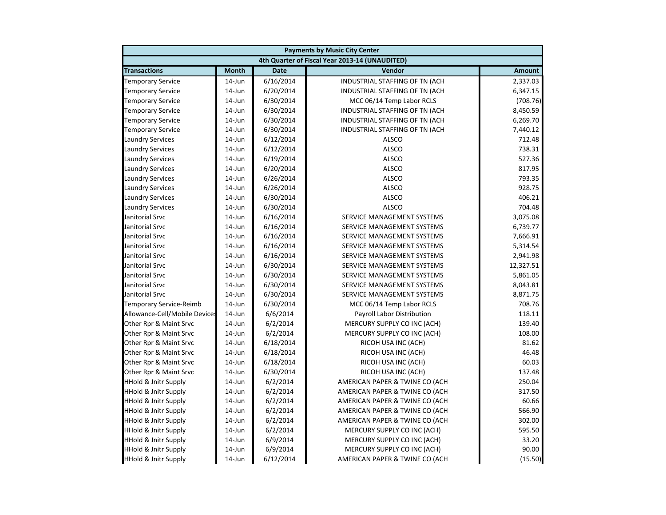| <b>Payments by Music City Center</b> |              |             |                                                |               |
|--------------------------------------|--------------|-------------|------------------------------------------------|---------------|
|                                      |              |             | 4th Quarter of Fiscal Year 2013-14 (UNAUDITED) |               |
| <b>Transactions</b>                  | <b>Month</b> | <b>Date</b> | Vendor                                         | <b>Amount</b> |
| <b>Temporary Service</b>             | $14$ -Jun    | 6/16/2014   | INDUSTRIAL STAFFING OF TN (ACH                 | 2,337.03      |
| <b>Temporary Service</b>             | 14-Jun       | 6/20/2014   | INDUSTRIAL STAFFING OF TN (ACH                 | 6,347.15      |
| <b>Temporary Service</b>             | 14-Jun       | 6/30/2014   | MCC 06/14 Temp Labor RCLS                      | (708.76)      |
| <b>Temporary Service</b>             | 14-Jun       | 6/30/2014   | INDUSTRIAL STAFFING OF TN (ACH                 | 8,450.59      |
| <b>Temporary Service</b>             | $14$ -Jun    | 6/30/2014   | INDUSTRIAL STAFFING OF TN (ACH                 | 6,269.70      |
| <b>Temporary Service</b>             | $14$ -Jun    | 6/30/2014   | INDUSTRIAL STAFFING OF TN (ACH                 | 7,440.12      |
| <b>Laundry Services</b>              | $14$ -Jun    | 6/12/2014   | <b>ALSCO</b>                                   | 712.48        |
| <b>Laundry Services</b>              | 14-Jun       | 6/12/2014   | <b>ALSCO</b>                                   | 738.31        |
| <b>Laundry Services</b>              | 14-Jun       | 6/19/2014   | <b>ALSCO</b>                                   | 527.36        |
| <b>Laundry Services</b>              | 14-Jun       | 6/20/2014   | <b>ALSCO</b>                                   | 817.95        |
| <b>Laundry Services</b>              | 14-Jun       | 6/26/2014   | <b>ALSCO</b>                                   | 793.35        |
| <b>Laundry Services</b>              | 14-Jun       | 6/26/2014   | <b>ALSCO</b>                                   | 928.75        |
| <b>Laundry Services</b>              | 14-Jun       | 6/30/2014   | <b>ALSCO</b>                                   | 406.21        |
| <b>Laundry Services</b>              | 14-Jun       | 6/30/2014   | <b>ALSCO</b>                                   | 704.48        |
| Janitorial Srvc                      | $14$ -Jun    | 6/16/2014   | SERVICE MANAGEMENT SYSTEMS                     | 3,075.08      |
| Janitorial Srvc                      | $14$ -Jun    | 6/16/2014   | SERVICE MANAGEMENT SYSTEMS                     | 6,739.77      |
| Janitorial Srvc                      | 14-Jun       | 6/16/2014   | SERVICE MANAGEMENT SYSTEMS                     | 7,666.91      |
| Janitorial Srvc                      | 14-Jun       | 6/16/2014   | SERVICE MANAGEMENT SYSTEMS                     | 5,314.54      |
| Janitorial Srvc                      | 14-Jun       | 6/16/2014   | SERVICE MANAGEMENT SYSTEMS                     | 2,941.98      |
| Janitorial Srvc                      | 14-Jun       | 6/30/2014   | SERVICE MANAGEMENT SYSTEMS                     | 12,327.51     |
| Janitorial Srvc                      | 14-Jun       | 6/30/2014   | SERVICE MANAGEMENT SYSTEMS                     | 5,861.05      |
| Janitorial Srvc                      | 14-Jun       | 6/30/2014   | SERVICE MANAGEMENT SYSTEMS                     | 8,043.81      |
| Janitorial Srvc                      | $14$ -Jun    | 6/30/2014   | SERVICE MANAGEMENT SYSTEMS                     | 8,871.75      |
| <b>Temporary Service-Reimb</b>       | 14-Jun       | 6/30/2014   | MCC 06/14 Temp Labor RCLS                      | 708.76        |
| Allowance-Cell/Mobile Devices        | 14-Jun       | 6/6/2014    | Payroll Labor Distribution                     | 118.11        |
| Other Rpr & Maint Srvc               | 14-Jun       | 6/2/2014    | MERCURY SUPPLY CO INC (ACH)                    | 139.40        |
| Other Rpr & Maint Srvc               | 14-Jun       | 6/2/2014    | MERCURY SUPPLY CO INC (ACH)                    | 108.00        |
| Other Rpr & Maint Srvc               | 14-Jun       | 6/18/2014   | RICOH USA INC (ACH)                            | 81.62         |
| Other Rpr & Maint Srvc               | $14$ -Jun    | 6/18/2014   | RICOH USA INC (ACH)                            | 46.48         |
| Other Rpr & Maint Srvc               | $14$ -Jun    | 6/18/2014   | RICOH USA INC (ACH)                            | 60.03         |
| Other Rpr & Maint Srvc               | 14-Jun       | 6/30/2014   | RICOH USA INC (ACH)                            | 137.48        |
| <b>HHold &amp; Jnitr Supply</b>      | 14-Jun       | 6/2/2014    | AMERICAN PAPER & TWINE CO (ACH                 | 250.04        |
| <b>HHold &amp; Jnitr Supply</b>      | 14-Jun       | 6/2/2014    | AMERICAN PAPER & TWINE CO (ACH                 | 317.50        |
| <b>HHold &amp; Jnitr Supply</b>      | $14$ -Jun    | 6/2/2014    | AMERICAN PAPER & TWINE CO (ACH                 | 60.66         |
| <b>HHold &amp; Jnitr Supply</b>      | 14-Jun       | 6/2/2014    | AMERICAN PAPER & TWINE CO (ACH                 | 566.90        |
| <b>HHold &amp; Jnitr Supply</b>      | $14$ -Jun    | 6/2/2014    | AMERICAN PAPER & TWINE CO (ACH                 | 302.00        |
| <b>HHold &amp; Jnitr Supply</b>      | 14-Jun       | 6/2/2014    | MERCURY SUPPLY CO INC (ACH)                    | 595.50        |
| <b>HHold &amp; Jnitr Supply</b>      | 14-Jun       | 6/9/2014    | MERCURY SUPPLY CO INC (ACH)                    | 33.20         |
| <b>HHold &amp; Jnitr Supply</b>      | 14-Jun       | 6/9/2014    | MERCURY SUPPLY CO INC (ACH)                    | 90.00         |
| <b>HHold &amp; Jnitr Supply</b>      | 14-Jun       | 6/12/2014   | AMERICAN PAPER & TWINE CO (ACH                 | (15.50)       |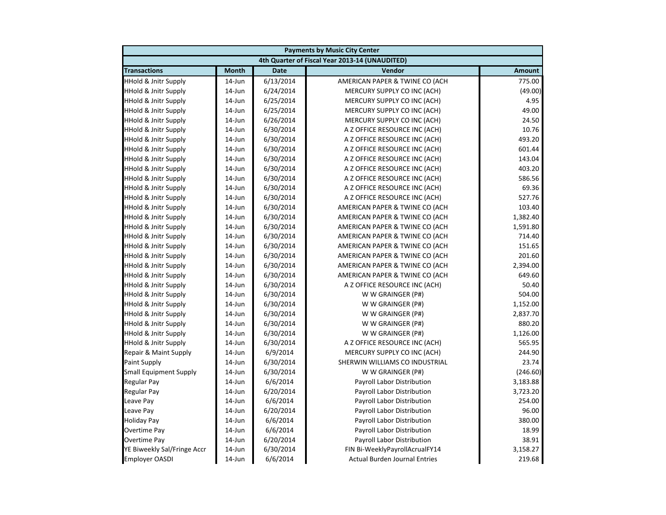| <b>Payments by Music City Center</b> |              |             |                                                |               |
|--------------------------------------|--------------|-------------|------------------------------------------------|---------------|
|                                      |              |             | 4th Quarter of Fiscal Year 2013-14 (UNAUDITED) |               |
| <b>Transactions</b>                  | <b>Month</b> | <b>Date</b> | <b>Vendor</b>                                  | <b>Amount</b> |
| <b>HHold &amp; Jnitr Supply</b>      | $14$ -Jun    | 6/13/2014   | AMERICAN PAPER & TWINE CO (ACH                 | 775.00        |
| <b>HHold &amp; Jnitr Supply</b>      | 14-Jun       | 6/24/2014   | MERCURY SUPPLY CO INC (ACH)                    | (49.00)       |
| <b>HHold &amp; Jnitr Supply</b>      | 14-Jun       | 6/25/2014   | MERCURY SUPPLY CO INC (ACH)                    | 4.95          |
| <b>HHold &amp; Jnitr Supply</b>      | 14-Jun       | 6/25/2014   | MERCURY SUPPLY CO INC (ACH)                    | 49.00         |
| <b>HHold &amp; Jnitr Supply</b>      | 14-Jun       | 6/26/2014   | MERCURY SUPPLY CO INC (ACH)                    | 24.50         |
| <b>HHold &amp; Jnitr Supply</b>      | 14-Jun       | 6/30/2014   | A Z OFFICE RESOURCE INC (ACH)                  | 10.76         |
| <b>HHold &amp; Jnitr Supply</b>      | 14-Jun       | 6/30/2014   | A Z OFFICE RESOURCE INC (ACH)                  | 493.20        |
| <b>HHold &amp; Jnitr Supply</b>      | $14$ -Jun    | 6/30/2014   | A Z OFFICE RESOURCE INC (ACH)                  | 601.44        |
| <b>HHold &amp; Jnitr Supply</b>      | $14$ -Jun    | 6/30/2014   | A Z OFFICE RESOURCE INC (ACH)                  | 143.04        |
| <b>HHold &amp; Jnitr Supply</b>      | 14-Jun       | 6/30/2014   | A Z OFFICE RESOURCE INC (ACH)                  | 403.20        |
| <b>HHold &amp; Jnitr Supply</b>      | $14$ -Jun    | 6/30/2014   | A Z OFFICE RESOURCE INC (ACH)                  | 586.56        |
| <b>HHold &amp; Jnitr Supply</b>      | $14$ -Jun    | 6/30/2014   | A Z OFFICE RESOURCE INC (ACH)                  | 69.36         |
| <b>HHold &amp; Jnitr Supply</b>      | 14-Jun       | 6/30/2014   | A Z OFFICE RESOURCE INC (ACH)                  | 527.76        |
| <b>HHold &amp; Jnitr Supply</b>      | 14-Jun       | 6/30/2014   | AMERICAN PAPER & TWINE CO (ACH                 | 103.40        |
| <b>HHold &amp; Jnitr Supply</b>      | 14-Jun       | 6/30/2014   | AMERICAN PAPER & TWINE CO (ACH                 | 1,382.40      |
| <b>HHold &amp; Jnitr Supply</b>      | 14-Jun       | 6/30/2014   | AMERICAN PAPER & TWINE CO (ACH                 | 1,591.80      |
| <b>HHold &amp; Jnitr Supply</b>      | 14-Jun       | 6/30/2014   | AMERICAN PAPER & TWINE CO (ACH                 | 714.40        |
| <b>HHold &amp; Jnitr Supply</b>      | $14$ -Jun    | 6/30/2014   | AMERICAN PAPER & TWINE CO (ACH                 | 151.65        |
| <b>HHold &amp; Jnitr Supply</b>      | $14$ -Jun    | 6/30/2014   | AMERICAN PAPER & TWINE CO (ACH                 | 201.60        |
| <b>HHold &amp; Jnitr Supply</b>      | $14$ -Jun    | 6/30/2014   | AMERICAN PAPER & TWINE CO (ACH                 | 2,394.00      |
| <b>HHold &amp; Jnitr Supply</b>      | 14-Jun       | 6/30/2014   | AMERICAN PAPER & TWINE CO (ACH                 | 649.60        |
| <b>HHold &amp; Jnitr Supply</b>      | $14$ -Jun    | 6/30/2014   | A Z OFFICE RESOURCE INC (ACH)                  | 50.40         |
| <b>HHold &amp; Jnitr Supply</b>      | 14-Jun       | 6/30/2014   | W W GRAINGER (P#)                              | 504.00        |
| <b>HHold &amp; Jnitr Supply</b>      | 14-Jun       | 6/30/2014   | W W GRAINGER (P#)                              | 1,152.00      |
| <b>HHold &amp; Jnitr Supply</b>      | 14-Jun       | 6/30/2014   | W W GRAINGER (P#)                              | 2,837.70      |
| <b>HHold &amp; Jnitr Supply</b>      | $14$ -Jun    | 6/30/2014   | W W GRAINGER (P#)                              | 880.20        |
| <b>HHold &amp; Jnitr Supply</b>      | $14$ -Jun    | 6/30/2014   | W W GRAINGER (P#)                              | 1,126.00      |
| <b>HHold &amp; Jnitr Supply</b>      | 14-Jun       | 6/30/2014   | A Z OFFICE RESOURCE INC (ACH)                  | 565.95        |
| Repair & Maint Supply                | $14$ -Jun    | 6/9/2014    | MERCURY SUPPLY CO INC (ACH)                    | 244.90        |
| <b>Paint Supply</b>                  | $14$ -Jun    | 6/30/2014   | SHERWIN WILLIAMS CO INDUSTRIAL                 | 23.74         |
| <b>Small Equipment Supply</b>        | $14$ -Jun    | 6/30/2014   | W W GRAINGER (P#)                              | (246.60)      |
| <b>Regular Pay</b>                   | 14-Jun       | 6/6/2014    | Payroll Labor Distribution                     | 3,183.88      |
| <b>Regular Pay</b>                   | 14-Jun       | 6/20/2014   | Payroll Labor Distribution                     | 3,723.20      |
| Leave Pay                            | 14-Jun       | 6/6/2014    | Payroll Labor Distribution                     | 254.00        |
| Leave Pay                            | 14-Jun       | 6/20/2014   | Payroll Labor Distribution                     | 96.00         |
| <b>Holiday Pay</b>                   | 14-Jun       | 6/6/2014    | Payroll Labor Distribution                     | 380.00        |
| Overtime Pay                         | $14$ -Jun    | 6/6/2014    | Payroll Labor Distribution                     | 18.99         |
| <b>Overtime Pay</b>                  | $14$ -Jun    | 6/20/2014   | Payroll Labor Distribution                     | 38.91         |
| YE Biweekly Sal/Fringe Accr          | 14-Jun       | 6/30/2014   | FIN Bi-WeeklyPayrollAcrualFY14                 | 3,158.27      |
| <b>Employer OASDI</b>                | 14-Jun       | 6/6/2014    | <b>Actual Burden Journal Entries</b>           | 219.68        |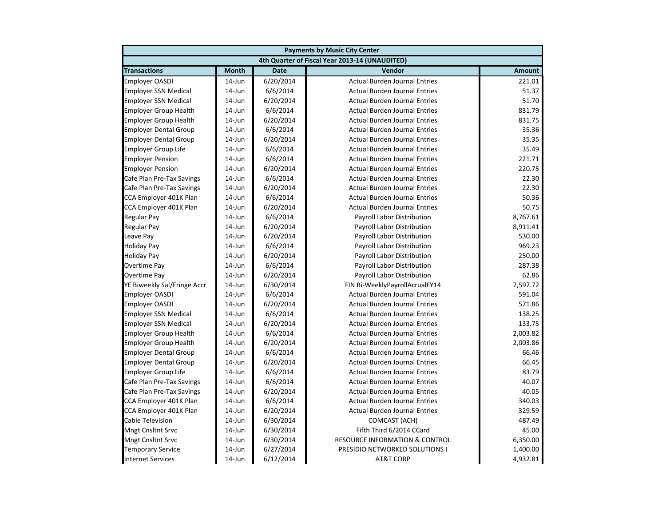| <b>Payments by Music City Center</b> |              |             |                                                |               |
|--------------------------------------|--------------|-------------|------------------------------------------------|---------------|
|                                      |              |             | 4th Quarter of Fiscal Year 2013-14 (UNAUDITED) |               |
| <b>Transactions</b>                  | <b>Month</b> | <b>Date</b> | Vendor                                         | <b>Amount</b> |
| <b>Employer OASDI</b>                | $14$ -Jun    | 6/20/2014   | <b>Actual Burden Journal Entries</b>           | 221.01        |
| <b>Employer SSN Medical</b>          | 14-Jun       | 6/6/2014    | <b>Actual Burden Journal Entries</b>           | 51.37         |
| <b>Employer SSN Medical</b>          | 14-Jun       | 6/20/2014   | <b>Actual Burden Journal Entries</b>           | 51.70         |
| <b>Employer Group Health</b>         | 14-Jun       | 6/6/2014    | <b>Actual Burden Journal Entries</b>           | 831.79        |
| <b>Employer Group Health</b>         | 14-Jun       | 6/20/2014   | <b>Actual Burden Journal Entries</b>           | 831.75        |
| <b>Employer Dental Group</b>         | 14-Jun       | 6/6/2014    | <b>Actual Burden Journal Entries</b>           | 35.36         |
| <b>Employer Dental Group</b>         | $14$ -Jun    | 6/20/2014   | <b>Actual Burden Journal Entries</b>           | 35.35         |
| Employer Group Life                  | $14$ -Jun    | 6/6/2014    | <b>Actual Burden Journal Entries</b>           | 35.49         |
| <b>Employer Pension</b>              | $14$ -Jun    | 6/6/2014    | <b>Actual Burden Journal Entries</b>           | 221.71        |
| <b>Employer Pension</b>              | 14-Jun       | 6/20/2014   | <b>Actual Burden Journal Entries</b>           | 220.75        |
| Cafe Plan Pre-Tax Savings            | 14-Jun       | 6/6/2014    | <b>Actual Burden Journal Entries</b>           | 22.30         |
| Cafe Plan Pre-Tax Savings            | 14-Jun       | 6/20/2014   | <b>Actual Burden Journal Entries</b>           | 22.30         |
| CCA Employer 401K Plan               | 14-Jun       | 6/6/2014    | <b>Actual Burden Journal Entries</b>           | 50.36         |
| CCA Employer 401K Plan               | 14-Jun       | 6/20/2014   | <b>Actual Burden Journal Entries</b>           | 50.75         |
| Regular Pay                          | $14$ -Jun    | 6/6/2014    | Payroll Labor Distribution                     | 8,767.61      |
| Regular Pay                          | $14$ -Jun    | 6/20/2014   | Payroll Labor Distribution                     | 8,911.41      |
| Leave Pay                            | $14$ -Jun    | 6/20/2014   | Payroll Labor Distribution                     | 530.00        |
| <b>Holiday Pay</b>                   | 14-Jun       | 6/6/2014    | Payroll Labor Distribution                     | 969.23        |
| <b>Holiday Pay</b>                   | $14$ -Jun    | 6/20/2014   | Payroll Labor Distribution                     | 250.00        |
| Overtime Pay                         | $14$ -Jun    | 6/6/2014    | <b>Payroll Labor Distribution</b>              | 287.38        |
| Overtime Pay                         | 14-Jun       | 6/20/2014   | Payroll Labor Distribution                     | 62.86         |
| YE Biweekly Sal/Fringe Accr          | 14-Jun       | 6/30/2014   | FIN Bi-WeeklyPayrollAcrualFY14                 | 7,597.72      |
| <b>Employer OASDI</b>                | $14$ -Jun    | 6/6/2014    | <b>Actual Burden Journal Entries</b>           | 591.04        |
| <b>Employer OASDI</b>                | 14-Jun       | 6/20/2014   | <b>Actual Burden Journal Entries</b>           | 571.86        |
| <b>Employer SSN Medical</b>          | 14-Jun       | 6/6/2014    | <b>Actual Burden Journal Entries</b>           | 138.25        |
| <b>Employer SSN Medical</b>          | 14-Jun       | 6/20/2014   | <b>Actual Burden Journal Entries</b>           | 133.75        |
| <b>Employer Group Health</b>         | 14-Jun       | 6/6/2014    | <b>Actual Burden Journal Entries</b>           | 2,003.82      |
| Employer Group Health                | 14-Jun       | 6/20/2014   | <b>Actual Burden Journal Entries</b>           | 2,003.86      |
| <b>Employer Dental Group</b>         | $14$ -Jun    | 6/6/2014    | <b>Actual Burden Journal Entries</b>           | 66.46         |
| <b>Employer Dental Group</b>         | $14$ -Jun    | 6/20/2014   | <b>Actual Burden Journal Entries</b>           | 66.45         |
| <b>Employer Group Life</b>           | $14$ -Jun    | 6/6/2014    | <b>Actual Burden Journal Entries</b>           | 83.79         |
| Cafe Plan Pre-Tax Savings            | 14-Jun       | 6/6/2014    | <b>Actual Burden Journal Entries</b>           | 40.07         |
| Cafe Plan Pre-Tax Savings            | $14$ -Jun    | 6/20/2014   | <b>Actual Burden Journal Entries</b>           | 40.05         |
| CCA Employer 401K Plan               | 14-Jun       | 6/6/2014    | <b>Actual Burden Journal Entries</b>           | 340.03        |
| CCA Employer 401K Plan               | 14-Jun       | 6/20/2014   | <b>Actual Burden Journal Entries</b>           | 329.59        |
| Cable Television                     | 14-Jun       | 6/30/2014   | <b>COMCAST (ACH)</b>                           | 487.49        |
| <b>Mngt Cnsltnt Srvc</b>             | $14$ -Jun    | 6/30/2014   | Fifth Third 6/2014 CCard                       | 45.00         |
| <b>Mngt Cnsltnt Srvc</b>             | $14$ -Jun    | 6/30/2014   | <b>RESOURCE INFORMATION &amp; CONTROL</b>      | 6,350.00      |
| <b>Temporary Service</b>             | 14-Jun       | 6/27/2014   | PRESIDIO NETWORKED SOLUTIONS I                 | 1,400.00      |
| <b>Internet Services</b>             | 14-Jun       | 6/12/2014   | <b>AT&amp;T CORP</b>                           | 4,932.81      |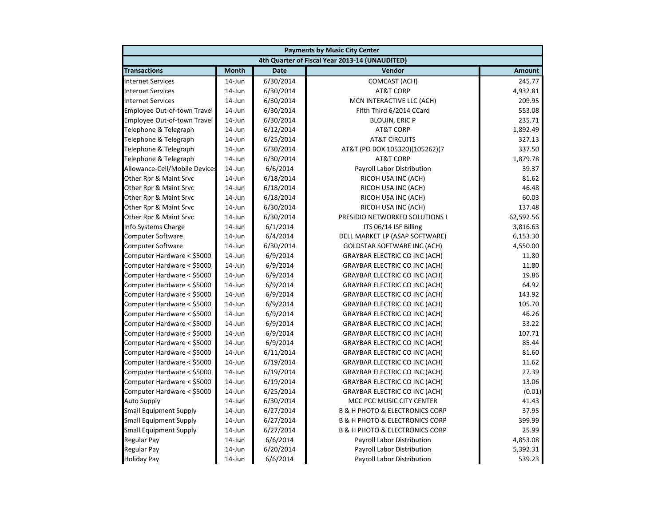| <b>Payments by Music City Center</b> |              |             |                                                |               |
|--------------------------------------|--------------|-------------|------------------------------------------------|---------------|
|                                      |              |             | 4th Quarter of Fiscal Year 2013-14 (UNAUDITED) |               |
| <b>Transactions</b>                  | <b>Month</b> | <b>Date</b> | Vendor                                         | <b>Amount</b> |
| <b>Internet Services</b>             | $14$ -Jun    | 6/30/2014   | COMCAST (ACH)                                  | 245.77        |
| <b>Internet Services</b>             | 14-Jun       | 6/30/2014   | <b>AT&amp;T CORP</b>                           | 4,932.81      |
| <b>Internet Services</b>             | 14-Jun       | 6/30/2014   | MCN INTERACTIVE LLC (ACH)                      | 209.95        |
| Employee Out-of-town Travel          | 14-Jun       | 6/30/2014   | Fifth Third 6/2014 CCard                       | 553.08        |
| Employee Out-of-town Travel          | 14-Jun       | 6/30/2014   | <b>BLOUIN, ERIC P</b>                          | 235.71        |
| Telephone & Telegraph                | 14-Jun       | 6/12/2014   | <b>AT&amp;T CORP</b>                           | 1,892.49      |
| Telephone & Telegraph                | 14-Jun       | 6/25/2014   | <b>AT&amp;T CIRCUITS</b>                       | 327.13        |
| Telephone & Telegraph                | $14$ -Jun    | 6/30/2014   | AT&T (PO BOX 105320)(105262)(7                 | 337.50        |
| Telephone & Telegraph                | $14$ -Jun    | 6/30/2014   | <b>AT&amp;T CORP</b>                           | 1,879.78      |
| Allowance-Cell/Mobile Devices        | 14-Jun       | 6/6/2014    | Payroll Labor Distribution                     | 39.37         |
| Other Rpr & Maint Srvc               | $14$ -Jun    | 6/18/2014   | RICOH USA INC (ACH)                            | 81.62         |
| Other Rpr & Maint Srvc               | $14$ -Jun    | 6/18/2014   | RICOH USA INC (ACH)                            | 46.48         |
| Other Rpr & Maint Srvc               | 14-Jun       | 6/18/2014   | RICOH USA INC (ACH)                            | 60.03         |
| Other Rpr & Maint Srvc               | 14-Jun       | 6/30/2014   | RICOH USA INC (ACH)                            | 137.48        |
| Other Rpr & Maint Srvc               | 14-Jun       | 6/30/2014   | PRESIDIO NETWORKED SOLUTIONS I                 | 62,592.56     |
| Info Systems Charge                  | 14-Jun       | 6/1/2014    | ITS 06/14 ISF Billing                          | 3,816.63      |
| <b>Computer Software</b>             | 14-Jun       | 6/4/2014    | DELL MARKET LP (ASAP SOFTWARE)                 | 6,153.30      |
| <b>Computer Software</b>             | 14-Jun       | 6/30/2014   | <b>GOLDSTAR SOFTWARE INC (ACH)</b>             | 4,550.00      |
| Computer Hardware < \$5000           | $14$ -Jun    | 6/9/2014    | <b>GRAYBAR ELECTRIC CO INC (ACH)</b>           | 11.80         |
| Computer Hardware < \$5000           | $14$ -Jun    | 6/9/2014    | <b>GRAYBAR ELECTRIC CO INC (ACH)</b>           | 11.80         |
| Computer Hardware < \$5000           | 14-Jun       | 6/9/2014    | <b>GRAYBAR ELECTRIC CO INC (ACH)</b>           | 19.86         |
| Computer Hardware < \$5000           | $14$ -Jun    | 6/9/2014    | <b>GRAYBAR ELECTRIC CO INC (ACH)</b>           | 64.92         |
| Computer Hardware < \$5000           | 14-Jun       | 6/9/2014    | <b>GRAYBAR ELECTRIC CO INC (ACH)</b>           | 143.92        |
| Computer Hardware < \$5000           | 14-Jun       | 6/9/2014    | <b>GRAYBAR ELECTRIC CO INC (ACH)</b>           | 105.70        |
| Computer Hardware < \$5000           | 14-Jun       | 6/9/2014    | <b>GRAYBAR ELECTRIC CO INC (ACH)</b>           | 46.26         |
| Computer Hardware < \$5000           | 14-Jun       | 6/9/2014    | <b>GRAYBAR ELECTRIC CO INC (ACH)</b>           | 33.22         |
| Computer Hardware < \$5000           | $14$ -Jun    | 6/9/2014    | <b>GRAYBAR ELECTRIC CO INC (ACH)</b>           | 107.71        |
| Computer Hardware < \$5000           | 14-Jun       | 6/9/2014    | <b>GRAYBAR ELECTRIC CO INC (ACH)</b>           | 85.44         |
| Computer Hardware < \$5000           | $14$ -Jun    | 6/11/2014   | <b>GRAYBAR ELECTRIC CO INC (ACH)</b>           | 81.60         |
| Computer Hardware < \$5000           | 14-Jun       | 6/19/2014   | <b>GRAYBAR ELECTRIC CO INC (ACH)</b>           | 11.62         |
| Computer Hardware < \$5000           | $14$ -Jun    | 6/19/2014   | <b>GRAYBAR ELECTRIC CO INC (ACH)</b>           | 27.39         |
| Computer Hardware < \$5000           | 14-Jun       | 6/19/2014   | <b>GRAYBAR ELECTRIC CO INC (ACH)</b>           | 13.06         |
| Computer Hardware < \$5000           | 14-Jun       | 6/25/2014   | <b>GRAYBAR ELECTRIC CO INC (ACH)</b>           | (0.01)        |
| <b>Auto Supply</b>                   | 14-Jun       | 6/30/2014   | MCC PCC MUSIC CITY CENTER                      | 41.43         |
| <b>Small Equipment Supply</b>        | 14-Jun       | 6/27/2014   | <b>B &amp; H PHOTO &amp; ELECTRONICS CORP</b>  | 37.95         |
| <b>Small Equipment Supply</b>        | 14-Jun       | 6/27/2014   | <b>B &amp; H PHOTO &amp; ELECTRONICS CORP</b>  | 399.99        |
| <b>Small Equipment Supply</b>        | $14$ -Jun    | 6/27/2014   | <b>B &amp; H PHOTO &amp; ELECTRONICS CORP</b>  | 25.99         |
| <b>Regular Pay</b>                   | $14$ -Jun    | 6/6/2014    | Payroll Labor Distribution                     | 4,853.08      |
| <b>Regular Pay</b>                   | 14-Jun       | 6/20/2014   | Payroll Labor Distribution                     | 5,392.31      |
| <b>Holiday Pay</b>                   | 14-Jun       | 6/6/2014    | Payroll Labor Distribution                     | 539.23        |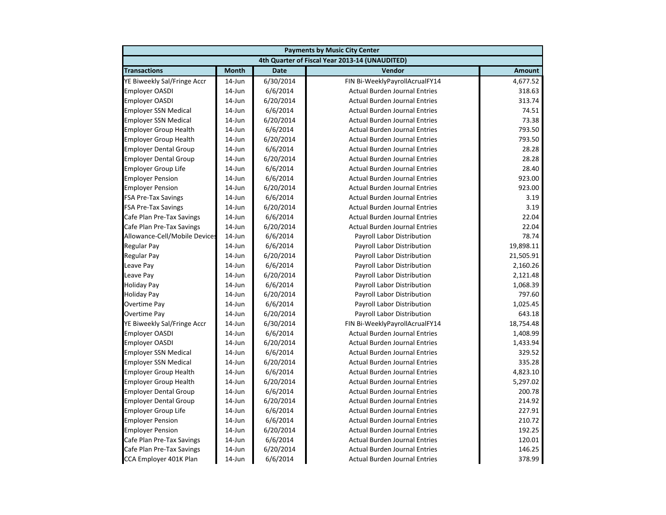| <b>Payments by Music City Center</b> |              |             |                                                |               |
|--------------------------------------|--------------|-------------|------------------------------------------------|---------------|
|                                      |              |             | 4th Quarter of Fiscal Year 2013-14 (UNAUDITED) |               |
| <b>Transactions</b>                  | <b>Month</b> | <b>Date</b> | Vendor                                         | <b>Amount</b> |
| YE Biweekly Sal/Fringe Accr          | $14$ -Jun    | 6/30/2014   | FIN Bi-WeeklyPayrollAcrualFY14                 | 4,677.52      |
| <b>Employer OASDI</b>                | 14-Jun       | 6/6/2014    | <b>Actual Burden Journal Entries</b>           | 318.63        |
| <b>Employer OASDI</b>                | 14-Jun       | 6/20/2014   | <b>Actual Burden Journal Entries</b>           | 313.74        |
| <b>Employer SSN Medical</b>          | 14-Jun       | 6/6/2014    | <b>Actual Burden Journal Entries</b>           | 74.51         |
| <b>Employer SSN Medical</b>          | 14-Jun       | 6/20/2014   | <b>Actual Burden Journal Entries</b>           | 73.38         |
| <b>Employer Group Health</b>         | 14-Jun       | 6/6/2014    | <b>Actual Burden Journal Entries</b>           | 793.50        |
| <b>Employer Group Health</b>         | $14$ -Jun    | 6/20/2014   | <b>Actual Burden Journal Entries</b>           | 793.50        |
| <b>Employer Dental Group</b>         | $14$ -Jun    | 6/6/2014    | <b>Actual Burden Journal Entries</b>           | 28.28         |
| <b>Employer Dental Group</b>         | $14$ -Jun    | 6/20/2014   | <b>Actual Burden Journal Entries</b>           | 28.28         |
| <b>Employer Group Life</b>           | 14-Jun       | 6/6/2014    | <b>Actual Burden Journal Entries</b>           | 28.40         |
| <b>Employer Pension</b>              | 14-Jun       | 6/6/2014    | <b>Actual Burden Journal Entries</b>           | 923.00        |
| <b>Employer Pension</b>              | 14-Jun       | 6/20/2014   | <b>Actual Burden Journal Entries</b>           | 923.00        |
| <b>FSA Pre-Tax Savings</b>           | 14-Jun       | 6/6/2014    | <b>Actual Burden Journal Entries</b>           | 3.19          |
| <b>FSA Pre-Tax Savings</b>           | 14-Jun       | 6/20/2014   | <b>Actual Burden Journal Entries</b>           | 3.19          |
| Cafe Plan Pre-Tax Savings            | $14$ -Jun    | 6/6/2014    | <b>Actual Burden Journal Entries</b>           | 22.04         |
| Cafe Plan Pre-Tax Savings            | $14$ -Jun    | 6/20/2014   | <b>Actual Burden Journal Entries</b>           | 22.04         |
| Allowance-Cell/Mobile Devices        | $14$ -Jun    | 6/6/2014    | Payroll Labor Distribution                     | 78.74         |
| <b>Regular Pay</b>                   | 14-Jun       | 6/6/2014    | Payroll Labor Distribution                     | 19,898.11     |
| <b>Regular Pay</b>                   | $14$ -Jun    | 6/20/2014   | Payroll Labor Distribution                     | 21,505.91     |
| Leave Pay                            | $14$ -Jun    | 6/6/2014    | Payroll Labor Distribution                     | 2,160.26      |
| Leave Pay                            | 14-Jun       | 6/20/2014   | Payroll Labor Distribution                     | 2,121.48      |
| <b>Holiday Pay</b>                   | 14-Jun       | 6/6/2014    | Payroll Labor Distribution                     | 1,068.39      |
| <b>Holiday Pay</b>                   | $14$ -Jun    | 6/20/2014   | Payroll Labor Distribution                     | 797.60        |
| <b>Overtime Pay</b>                  | 14-Jun       | 6/6/2014    | Payroll Labor Distribution                     | 1,025.45      |
| Overtime Pay                         | $14$ -Jun    | 6/20/2014   | Payroll Labor Distribution                     | 643.18        |
| YE Biweekly Sal/Fringe Accr          | 14-Jun       | 6/30/2014   | FIN Bi-WeeklyPayrollAcrualFY14                 | 18,754.48     |
| <b>Employer OASDI</b>                | 14-Jun       | 6/6/2014    | <b>Actual Burden Journal Entries</b>           | 1,408.99      |
| <b>Employer OASDI</b>                | 14-Jun       | 6/20/2014   | <b>Actual Burden Journal Entries</b>           | 1,433.94      |
| <b>Employer SSN Medical</b>          | $14$ -Jun    | 6/6/2014    | <b>Actual Burden Journal Entries</b>           | 329.52        |
| <b>Employer SSN Medical</b>          | $14$ -Jun    | 6/20/2014   | <b>Actual Burden Journal Entries</b>           | 335.28        |
| <b>Employer Group Health</b>         | $14$ -Jun    | 6/6/2014    | <b>Actual Burden Journal Entries</b>           | 4,823.10      |
| <b>Employer Group Health</b>         | 14-Jun       | 6/20/2014   | <b>Actual Burden Journal Entries</b>           | 5,297.02      |
| <b>Employer Dental Group</b>         | $14$ -Jun    | 6/6/2014    | <b>Actual Burden Journal Entries</b>           | 200.78        |
| <b>Employer Dental Group</b>         | 14-Jun       | 6/20/2014   | <b>Actual Burden Journal Entries</b>           | 214.92        |
| <b>Employer Group Life</b>           | 14-Jun       | 6/6/2014    | <b>Actual Burden Journal Entries</b>           | 227.91        |
| <b>Employer Pension</b>              | $14$ -Jun    | 6/6/2014    | <b>Actual Burden Journal Entries</b>           | 210.72        |
| <b>Employer Pension</b>              | $14$ -Jun    | 6/20/2014   | <b>Actual Burden Journal Entries</b>           | 192.25        |
| Cafe Plan Pre-Tax Savings            | $14$ -Jun    | 6/6/2014    | <b>Actual Burden Journal Entries</b>           | 120.01        |
| Cafe Plan Pre-Tax Savings            | 14-Jun       | 6/20/2014   | <b>Actual Burden Journal Entries</b>           | 146.25        |
| CCA Employer 401K Plan               | $14$ -Jun    | 6/6/2014    | <b>Actual Burden Journal Entries</b>           | 378.99        |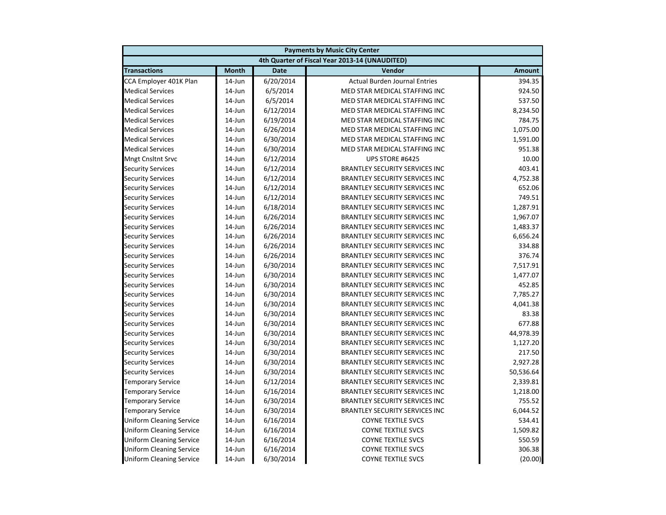|                                 | <b>Payments by Music City Center</b> |             |                                                |               |  |
|---------------------------------|--------------------------------------|-------------|------------------------------------------------|---------------|--|
|                                 |                                      |             | 4th Quarter of Fiscal Year 2013-14 (UNAUDITED) |               |  |
| <b>Transactions</b>             | <b>Month</b>                         | <b>Date</b> | Vendor                                         | <b>Amount</b> |  |
| CCA Employer 401K Plan          | $14$ -Jun                            | 6/20/2014   | <b>Actual Burden Journal Entries</b>           | 394.35        |  |
| <b>Medical Services</b>         | 14-Jun                               | 6/5/2014    | MED STAR MEDICAL STAFFING INC                  | 924.50        |  |
| <b>Medical Services</b>         | 14-Jun                               | 6/5/2014    | MED STAR MEDICAL STAFFING INC                  | 537.50        |  |
| <b>Medical Services</b>         | 14-Jun                               | 6/12/2014   | MED STAR MEDICAL STAFFING INC                  | 8,234.50      |  |
| <b>Medical Services</b>         | 14-Jun                               | 6/19/2014   | MED STAR MEDICAL STAFFING INC                  | 784.75        |  |
| <b>Medical Services</b>         | 14-Jun                               | 6/26/2014   | MED STAR MEDICAL STAFFING INC                  | 1,075.00      |  |
| <b>Medical Services</b>         | 14-Jun                               | 6/30/2014   | MED STAR MEDICAL STAFFING INC                  | 1,591.00      |  |
| <b>Medical Services</b>         | $14$ -Jun                            | 6/30/2014   | MED STAR MEDICAL STAFFING INC                  | 951.38        |  |
| <b>Mngt Cnsltnt Srvc</b>        | $14$ -Jun                            | 6/12/2014   | UPS STORE #6425                                | 10.00         |  |
| <b>Security Services</b>        | 14-Jun                               | 6/12/2014   | <b>BRANTLEY SECURITY SERVICES INC</b>          | 403.41        |  |
| <b>Security Services</b>        | 14-Jun                               | 6/12/2014   | <b>BRANTLEY SECURITY SERVICES INC</b>          | 4,752.38      |  |
| <b>Security Services</b>        | 14-Jun                               | 6/12/2014   | <b>BRANTLEY SECURITY SERVICES INC</b>          | 652.06        |  |
| <b>Security Services</b>        | 14-Jun                               | 6/12/2014   | <b>BRANTLEY SECURITY SERVICES INC</b>          | 749.51        |  |
| <b>Security Services</b>        | 14-Jun                               | 6/18/2014   | <b>BRANTLEY SECURITY SERVICES INC</b>          | 1,287.91      |  |
| <b>Security Services</b>        | 14-Jun                               | 6/26/2014   | <b>BRANTLEY SECURITY SERVICES INC</b>          | 1,967.07      |  |
| <b>Security Services</b>        | 14-Jun                               | 6/26/2014   | <b>BRANTLEY SECURITY SERVICES INC</b>          | 1,483.37      |  |
| <b>Security Services</b>        | 14-Jun                               | 6/26/2014   | <b>BRANTLEY SECURITY SERVICES INC</b>          | 6,656.24      |  |
| <b>Security Services</b>        | 14-Jun                               | 6/26/2014   | <b>BRANTLEY SECURITY SERVICES INC</b>          | 334.88        |  |
| <b>Security Services</b>        | 14-Jun                               | 6/26/2014   | <b>BRANTLEY SECURITY SERVICES INC</b>          | 376.74        |  |
| <b>Security Services</b>        | 14-Jun                               | 6/30/2014   | <b>BRANTLEY SECURITY SERVICES INC</b>          | 7,517.91      |  |
| <b>Security Services</b>        | 14-Jun                               | 6/30/2014   | <b>BRANTLEY SECURITY SERVICES INC</b>          | 1,477.07      |  |
| <b>Security Services</b>        | 14-Jun                               | 6/30/2014   | <b>BRANTLEY SECURITY SERVICES INC</b>          | 452.85        |  |
| <b>Security Services</b>        | 14-Jun                               | 6/30/2014   | <b>BRANTLEY SECURITY SERVICES INC</b>          | 7,785.27      |  |
| <b>Security Services</b>        | 14-Jun                               | 6/30/2014   | <b>BRANTLEY SECURITY SERVICES INC</b>          | 4,041.38      |  |
| <b>Security Services</b>        | 14-Jun                               | 6/30/2014   | <b>BRANTLEY SECURITY SERVICES INC</b>          | 83.38         |  |
| <b>Security Services</b>        | 14-Jun                               | 6/30/2014   | <b>BRANTLEY SECURITY SERVICES INC</b>          | 677.88        |  |
| <b>Security Services</b>        | 14-Jun                               | 6/30/2014   | <b>BRANTLEY SECURITY SERVICES INC</b>          | 44,978.39     |  |
| <b>Security Services</b>        | 14-Jun                               | 6/30/2014   | <b>BRANTLEY SECURITY SERVICES INC</b>          | 1,127.20      |  |
| <b>Security Services</b>        | 14-Jun                               | 6/30/2014   | <b>BRANTLEY SECURITY SERVICES INC</b>          | 217.50        |  |
| <b>Security Services</b>        | $14$ -Jun                            | 6/30/2014   | <b>BRANTLEY SECURITY SERVICES INC</b>          | 2,927.28      |  |
| <b>Security Services</b>        | 14-Jun                               | 6/30/2014   | <b>BRANTLEY SECURITY SERVICES INC</b>          | 50,536.64     |  |
| <b>Temporary Service</b>        | 14-Jun                               | 6/12/2014   | <b>BRANTLEY SECURITY SERVICES INC</b>          | 2,339.81      |  |
| <b>Temporary Service</b>        | 14-Jun                               | 6/16/2014   | <b>BRANTLEY SECURITY SERVICES INC</b>          | 1,218.00      |  |
| <b>Temporary Service</b>        | 14-Jun                               | 6/30/2014   | <b>BRANTLEY SECURITY SERVICES INC</b>          | 755.52        |  |
| <b>Temporary Service</b>        | 14-Jun                               | 6/30/2014   | <b>BRANTLEY SECURITY SERVICES INC</b>          | 6,044.52      |  |
| <b>Uniform Cleaning Service</b> | 14-Jun                               | 6/16/2014   | <b>COYNE TEXTILE SVCS</b>                      | 534.41        |  |
| <b>Uniform Cleaning Service</b> | 14-Jun                               | 6/16/2014   | <b>COYNE TEXTILE SVCS</b>                      | 1,509.82      |  |
| <b>Uniform Cleaning Service</b> | 14-Jun                               | 6/16/2014   | <b>COYNE TEXTILE SVCS</b>                      | 550.59        |  |
| <b>Uniform Cleaning Service</b> | 14-Jun                               | 6/16/2014   | <b>COYNE TEXTILE SVCS</b>                      | 306.38        |  |
| <b>Uniform Cleaning Service</b> | 14-Jun                               | 6/30/2014   | <b>COYNE TEXTILE SVCS</b>                      | (20.00)       |  |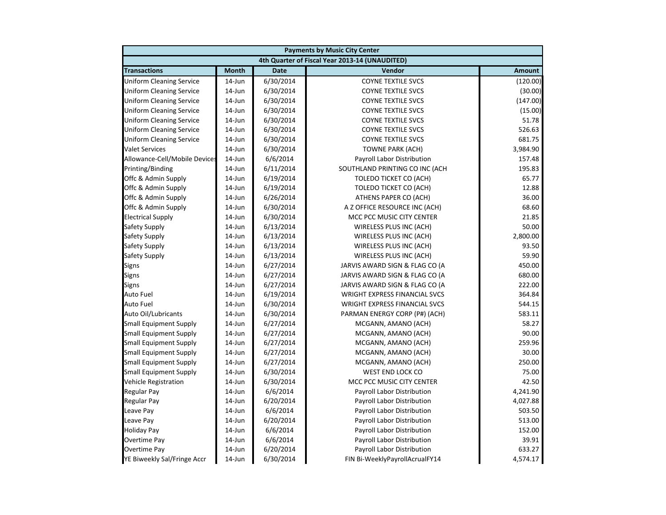| <b>Payments by Music City Center</b> |              |             |                                                |               |  |
|--------------------------------------|--------------|-------------|------------------------------------------------|---------------|--|
|                                      |              |             | 4th Quarter of Fiscal Year 2013-14 (UNAUDITED) |               |  |
| <b>Transactions</b>                  | <b>Month</b> | <b>Date</b> | Vendor                                         | <b>Amount</b> |  |
| <b>Uniform Cleaning Service</b>      | $14$ -Jun    | 6/30/2014   | <b>COYNE TEXTILE SVCS</b>                      | (120.00)      |  |
| <b>Uniform Cleaning Service</b>      | 14-Jun       | 6/30/2014   | <b>COYNE TEXTILE SVCS</b>                      | (30.00)       |  |
| <b>Uniform Cleaning Service</b>      | 14-Jun       | 6/30/2014   | <b>COYNE TEXTILE SVCS</b>                      | (147.00)      |  |
| <b>Uniform Cleaning Service</b>      | 14-Jun       | 6/30/2014   | <b>COYNE TEXTILE SVCS</b>                      | (15.00)       |  |
| <b>Uniform Cleaning Service</b>      | 14-Jun       | 6/30/2014   | <b>COYNE TEXTILE SVCS</b>                      | 51.78         |  |
| <b>Uniform Cleaning Service</b>      | 14-Jun       | 6/30/2014   | <b>COYNE TEXTILE SVCS</b>                      | 526.63        |  |
| <b>Uniform Cleaning Service</b>      | 14-Jun       | 6/30/2014   | <b>COYNE TEXTILE SVCS</b>                      | 681.75        |  |
| <b>Valet Services</b>                | 14-Jun       | 6/30/2014   | <b>TOWNE PARK (ACH)</b>                        | 3,984.90      |  |
| Allowance-Cell/Mobile Devices        | $14$ -Jun    | 6/6/2014    | Payroll Labor Distribution                     | 157.48        |  |
| Printing/Binding                     | 14-Jun       | 6/11/2014   | SOUTHLAND PRINTING CO INC (ACH                 | 195.83        |  |
| Offc & Admin Supply                  | 14-Jun       | 6/19/2014   | TOLEDO TICKET CO (ACH)                         | 65.77         |  |
| Offc & Admin Supply                  | 14-Jun       | 6/19/2014   | <b>TOLEDO TICKET CO (ACH)</b>                  | 12.88         |  |
| Offc & Admin Supply                  | 14-Jun       | 6/26/2014   | ATHENS PAPER CO (ACH)                          | 36.00         |  |
| Offc & Admin Supply                  | 14-Jun       | 6/30/2014   | A Z OFFICE RESOURCE INC (ACH)                  | 68.60         |  |
| <b>Electrical Supply</b>             | 14-Jun       | 6/30/2014   | MCC PCC MUSIC CITY CENTER                      | 21.85         |  |
| Safety Supply                        | $14$ -Jun    | 6/13/2014   | WIRELESS PLUS INC (ACH)                        | 50.00         |  |
| Safety Supply                        | 14-Jun       | 6/13/2014   | WIRELESS PLUS INC (ACH)                        | 2,800.00      |  |
| Safety Supply                        | 14-Jun       | 6/13/2014   | WIRELESS PLUS INC (ACH)                        | 93.50         |  |
| Safety Supply                        | 14-Jun       | 6/13/2014   | WIRELESS PLUS INC (ACH)                        | 59.90         |  |
| Signs                                | 14-Jun       | 6/27/2014   | JARVIS AWARD SIGN & FLAG CO (A                 | 450.00        |  |
| Signs                                | 14-Jun       | 6/27/2014   | JARVIS AWARD SIGN & FLAG CO (A                 | 680.00        |  |
| <b>Signs</b>                         | 14-Jun       | 6/27/2014   | JARVIS AWARD SIGN & FLAG CO (A                 | 222.00        |  |
| <b>Auto Fuel</b>                     | $14$ -Jun    | 6/19/2014   | <b>WRIGHT EXPRESS FINANCIAL SVCS</b>           | 364.84        |  |
| <b>Auto Fuel</b>                     | 14-Jun       | 6/30/2014   | <b>WRIGHT EXPRESS FINANCIAL SVCS</b>           | 544.15        |  |
| Auto Oil/Lubricants                  | 14-Jun       | 6/30/2014   | PARMAN ENERGY CORP (P#) (ACH)                  | 583.11        |  |
| <b>Small Equipment Supply</b>        | 14-Jun       | 6/27/2014   | MCGANN, AMANO (ACH)                            | 58.27         |  |
| <b>Small Equipment Supply</b>        | 14-Jun       | 6/27/2014   | MCGANN, AMANO (ACH)                            | 90.00         |  |
| <b>Small Equipment Supply</b>        | 14-Jun       | 6/27/2014   | MCGANN, AMANO (ACH)                            | 259.96        |  |
| <b>Small Equipment Supply</b>        | 14-Jun       | 6/27/2014   | MCGANN, AMANO (ACH)                            | 30.00         |  |
| <b>Small Equipment Supply</b>        | $14$ -Jun    | 6/27/2014   | MCGANN, AMANO (ACH)                            | 250.00        |  |
| <b>Small Equipment Supply</b>        | $14$ -Jun    | 6/30/2014   | WEST END LOCK CO                               | 75.00         |  |
| Vehicle Registration                 | 14-Jun       | 6/30/2014   | MCC PCC MUSIC CITY CENTER                      | 42.50         |  |
| <b>Regular Pay</b>                   | $14$ -Jun    | 6/6/2014    | Payroll Labor Distribution                     | 4,241.90      |  |
| <b>Regular Pay</b>                   | 14-Jun       | 6/20/2014   | Payroll Labor Distribution                     | 4,027.88      |  |
| Leave Pay                            | 14-Jun       | 6/6/2014    | Payroll Labor Distribution                     | 503.50        |  |
| Leave Pay                            | 14-Jun       | 6/20/2014   | Payroll Labor Distribution                     | 513.00        |  |
| <b>Holiday Pay</b>                   | 14-Jun       | 6/6/2014    | Payroll Labor Distribution                     | 152.00        |  |
| Overtime Pay                         | $14$ -Jun    | 6/6/2014    | Payroll Labor Distribution                     | 39.91         |  |
| Overtime Pay                         | 14-Jun       | 6/20/2014   | Payroll Labor Distribution                     | 633.27        |  |
| YE Biweekly Sal/Fringe Accr          | 14-Jun       | 6/30/2014   | FIN Bi-WeeklyPayrollAcrualFY14                 | 4,574.17      |  |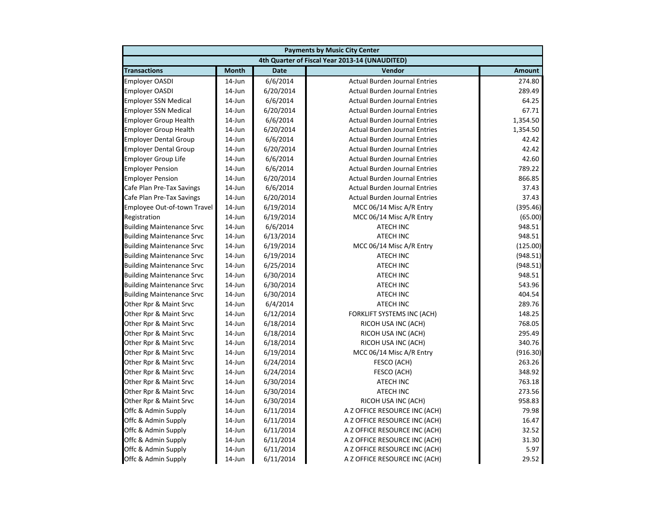| <b>Payments by Music City Center</b> |              |             |                                                |               |
|--------------------------------------|--------------|-------------|------------------------------------------------|---------------|
|                                      |              |             | 4th Quarter of Fiscal Year 2013-14 (UNAUDITED) |               |
| <b>Transactions</b>                  | <b>Month</b> | <b>Date</b> | Vendor                                         | <b>Amount</b> |
| <b>Employer OASDI</b>                | $14$ -Jun    | 6/6/2014    | <b>Actual Burden Journal Entries</b>           | 274.80        |
| <b>Employer OASDI</b>                | 14-Jun       | 6/20/2014   | <b>Actual Burden Journal Entries</b>           | 289.49        |
| <b>Employer SSN Medical</b>          | 14-Jun       | 6/6/2014    | <b>Actual Burden Journal Entries</b>           | 64.25         |
| <b>Employer SSN Medical</b>          | 14-Jun       | 6/20/2014   | <b>Actual Burden Journal Entries</b>           | 67.71         |
| <b>Employer Group Health</b>         | 14-Jun       | 6/6/2014    | <b>Actual Burden Journal Entries</b>           | 1,354.50      |
| <b>Employer Group Health</b>         | 14-Jun       | 6/20/2014   | <b>Actual Burden Journal Entries</b>           | 1,354.50      |
| <b>Employer Dental Group</b>         | $14$ -Jun    | 6/6/2014    | <b>Actual Burden Journal Entries</b>           | 42.42         |
| <b>Employer Dental Group</b>         | $14$ -Jun    | 6/20/2014   | <b>Actual Burden Journal Entries</b>           | 42.42         |
| <b>Employer Group Life</b>           | $14$ -Jun    | 6/6/2014    | <b>Actual Burden Journal Entries</b>           | 42.60         |
| <b>Employer Pension</b>              | 14-Jun       | 6/6/2014    | <b>Actual Burden Journal Entries</b>           | 789.22        |
| <b>Employer Pension</b>              | 14-Jun       | 6/20/2014   | <b>Actual Burden Journal Entries</b>           | 866.85        |
| Cafe Plan Pre-Tax Savings            | 14-Jun       | 6/6/2014    | <b>Actual Burden Journal Entries</b>           | 37.43         |
| Cafe Plan Pre-Tax Savings            | 14-Jun       | 6/20/2014   | <b>Actual Burden Journal Entries</b>           | 37.43         |
| Employee Out-of-town Travel          | 14-Jun       | 6/19/2014   | MCC 06/14 Misc A/R Entry                       | (395.46)      |
| Registration                         | $14$ -Jun    | 6/19/2014   | MCC 06/14 Misc A/R Entry                       | (65.00)       |
| <b>Building Maintenance Srvc</b>     | $14$ -Jun    | 6/6/2014    | <b>ATECH INC</b>                               | 948.51        |
| <b>Building Maintenance Srvc</b>     | 14-Jun       | 6/13/2014   | ATECH INC                                      | 948.51        |
| <b>Building Maintenance Srvc</b>     | 14-Jun       | 6/19/2014   | MCC 06/14 Misc A/R Entry                       | (125.00)      |
| <b>Building Maintenance Srvc</b>     | $14$ -Jun    | 6/19/2014   | <b>ATECH INC</b>                               | (948.51)      |
| <b>Building Maintenance Srvc</b>     | $14$ -Jun    | 6/25/2014   | <b>ATECH INC</b>                               | (948.51)      |
| <b>Building Maintenance Srvc</b>     | 14-Jun       | 6/30/2014   | <b>ATECH INC</b>                               | 948.51        |
| <b>Building Maintenance Srvc</b>     | $14$ -Jun    | 6/30/2014   | <b>ATECH INC</b>                               | 543.96        |
| <b>Building Maintenance Srvc</b>     | $14$ -Jun    | 6/30/2014   | <b>ATECH INC</b>                               | 404.54        |
| Other Rpr & Maint Srvc               | 14-Jun       | 6/4/2014    | <b>ATECH INC</b>                               | 289.76        |
| Other Rpr & Maint Srvc               | 14-Jun       | 6/12/2014   | FORKLIFT SYSTEMS INC (ACH)                     | 148.25        |
| Other Rpr & Maint Srvc               | 14-Jun       | 6/18/2014   | RICOH USA INC (ACH)                            | 768.05        |
| Other Rpr & Maint Srvc               | 14-Jun       | 6/18/2014   | RICOH USA INC (ACH)                            | 295.49        |
| Other Rpr & Maint Srvc               | 14-Jun       | 6/18/2014   | RICOH USA INC (ACH)                            | 340.76        |
| Other Rpr & Maint Srvc               | $14$ -Jun    | 6/19/2014   | MCC 06/14 Misc A/R Entry                       | (916.30)      |
| Other Rpr & Maint Srvc               | 14-Jun       | 6/24/2014   | FESCO (ACH)                                    | 263.26        |
| Other Rpr & Maint Srvc               | 14-Jun       | 6/24/2014   | FESCO (ACH)                                    | 348.92        |
| Other Rpr & Maint Srvc               | 14-Jun       | 6/30/2014   | <b>ATECH INC</b>                               | 763.18        |
| Other Rpr & Maint Srvc               | $14$ -Jun    | 6/30/2014   | <b>ATECH INC</b>                               | 273.56        |
| Other Rpr & Maint Srvc               | 14-Jun       | 6/30/2014   | RICOH USA INC (ACH)                            | 958.83        |
| Offc & Admin Supply                  | 14-Jun       | 6/11/2014   | A Z OFFICE RESOURCE INC (ACH)                  | 79.98         |
| Offc & Admin Supply                  | 14-Jun       | 6/11/2014   | A Z OFFICE RESOURCE INC (ACH)                  | 16.47         |
| Offc & Admin Supply                  | 14-Jun       | 6/11/2014   | A Z OFFICE RESOURCE INC (ACH)                  | 32.52         |
| Offc & Admin Supply                  | 14-Jun       | 6/11/2014   | A Z OFFICE RESOURCE INC (ACH)                  | 31.30         |
| Offc & Admin Supply                  | 14-Jun       | 6/11/2014   | A Z OFFICE RESOURCE INC (ACH)                  | 5.97          |
| Offc & Admin Supply                  | 14-Jun       | 6/11/2014   | A Z OFFICE RESOURCE INC (ACH)                  | 29.52         |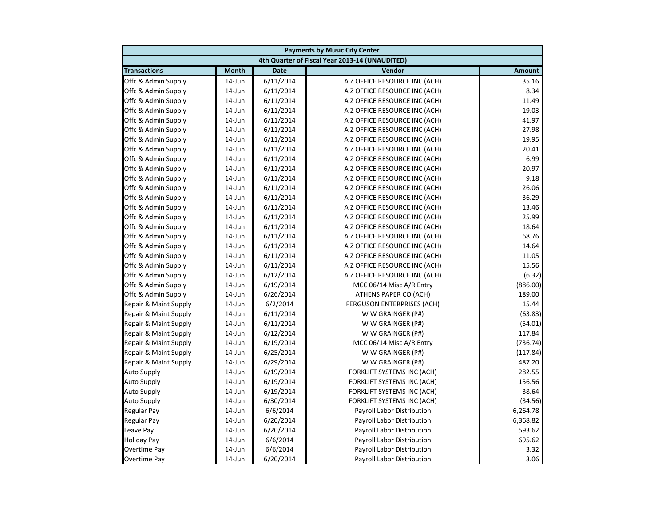| <b>Payments by Music City Center</b> |              |             |                                                |               |
|--------------------------------------|--------------|-------------|------------------------------------------------|---------------|
|                                      |              |             | 4th Quarter of Fiscal Year 2013-14 (UNAUDITED) |               |
| <b>Transactions</b>                  | <b>Month</b> | <b>Date</b> | Vendor                                         | <b>Amount</b> |
| Offc & Admin Supply                  | $14$ -Jun    | 6/11/2014   | A Z OFFICE RESOURCE INC (ACH)                  | 35.16         |
| Offc & Admin Supply                  | 14-Jun       | 6/11/2014   | A Z OFFICE RESOURCE INC (ACH)                  | 8.34          |
| Offc & Admin Supply                  | 14-Jun       | 6/11/2014   | A Z OFFICE RESOURCE INC (ACH)                  | 11.49         |
| Offc & Admin Supply                  | 14-Jun       | 6/11/2014   | A Z OFFICE RESOURCE INC (ACH)                  | 19.03         |
| Offc & Admin Supply                  | 14-Jun       | 6/11/2014   | A Z OFFICE RESOURCE INC (ACH)                  | 41.97         |
| Offc & Admin Supply                  | 14-Jun       | 6/11/2014   | A Z OFFICE RESOURCE INC (ACH)                  | 27.98         |
| Offc & Admin Supply                  | 14-Jun       | 6/11/2014   | A Z OFFICE RESOURCE INC (ACH)                  | 19.95         |
| Offc & Admin Supply                  | 14-Jun       | 6/11/2014   | A Z OFFICE RESOURCE INC (ACH)                  | 20.41         |
| Offc & Admin Supply                  | $14$ -Jun    | 6/11/2014   | A Z OFFICE RESOURCE INC (ACH)                  | 6.99          |
| Offc & Admin Supply                  | 14-Jun       | 6/11/2014   | A Z OFFICE RESOURCE INC (ACH)                  | 20.97         |
| Offc & Admin Supply                  | 14-Jun       | 6/11/2014   | A Z OFFICE RESOURCE INC (ACH)                  | 9.18          |
| Offc & Admin Supply                  | $14$ -Jun    | 6/11/2014   | A Z OFFICE RESOURCE INC (ACH)                  | 26.06         |
| Offc & Admin Supply                  | 14-Jun       | 6/11/2014   | A Z OFFICE RESOURCE INC (ACH)                  | 36.29         |
| Offc & Admin Supply                  | 14-Jun       | 6/11/2014   | A Z OFFICE RESOURCE INC (ACH)                  | 13.46         |
| Offc & Admin Supply                  | 14-Jun       | 6/11/2014   | A Z OFFICE RESOURCE INC (ACH)                  | 25.99         |
| Offc & Admin Supply                  | 14-Jun       | 6/11/2014   | A Z OFFICE RESOURCE INC (ACH)                  | 18.64         |
| Offc & Admin Supply                  | 14-Jun       | 6/11/2014   | A Z OFFICE RESOURCE INC (ACH)                  | 68.76         |
| Offc & Admin Supply                  | 14-Jun       | 6/11/2014   | A Z OFFICE RESOURCE INC (ACH)                  | 14.64         |
| Offc & Admin Supply                  | 14-Jun       | 6/11/2014   | A Z OFFICE RESOURCE INC (ACH)                  | 11.05         |
| Offc & Admin Supply                  | 14-Jun       | 6/11/2014   | A Z OFFICE RESOURCE INC (ACH)                  | 15.56         |
| Offc & Admin Supply                  | 14-Jun       | 6/12/2014   | A Z OFFICE RESOURCE INC (ACH)                  | (6.32)        |
| Offc & Admin Supply                  | $14$ -Jun    | 6/19/2014   | MCC 06/14 Misc A/R Entry                       | (886.00)      |
| Offc & Admin Supply                  | 14-Jun       | 6/26/2014   | ATHENS PAPER CO (ACH)                          | 189.00        |
| Repair & Maint Supply                | 14-Jun       | 6/2/2014    | <b>FERGUSON ENTERPRISES (ACH)</b>              | 15.44         |
| Repair & Maint Supply                | 14-Jun       | 6/11/2014   | W W GRAINGER (P#)                              | (63.83)       |
| Repair & Maint Supply                | 14-Jun       | 6/11/2014   | W W GRAINGER (P#)                              | (54.01)       |
| Repair & Maint Supply                | 14-Jun       | 6/12/2014   | W W GRAINGER (P#)                              | 117.84        |
| Repair & Maint Supply                | 14-Jun       | 6/19/2014   | MCC 06/14 Misc A/R Entry                       | (736.74)      |
| Repair & Maint Supply                | 14-Jun       | 6/25/2014   | W W GRAINGER (P#)                              | (117.84)      |
| Repair & Maint Supply                | $14$ -Jun    | 6/29/2014   | W W GRAINGER (P#)                              | 487.20        |
| <b>Auto Supply</b>                   | $14$ -Jun    | 6/19/2014   | FORKLIFT SYSTEMS INC (ACH)                     | 282.55        |
| <b>Auto Supply</b>                   | 14-Jun       | 6/19/2014   | FORKLIFT SYSTEMS INC (ACH)                     | 156.56        |
| <b>Auto Supply</b>                   | 14-Jun       | 6/19/2014   | FORKLIFT SYSTEMS INC (ACH)                     | 38.64         |
| <b>Auto Supply</b>                   | 14-Jun       | 6/30/2014   | FORKLIFT SYSTEMS INC (ACH)                     | (34.56)       |
| <b>Regular Pay</b>                   | 14-Jun       | 6/6/2014    | Payroll Labor Distribution                     | 6,264.78      |
| Regular Pay                          | 14-Jun       | 6/20/2014   | Payroll Labor Distribution                     | 6,368.82      |
| Leave Pay                            | $14$ -Jun    | 6/20/2014   | Payroll Labor Distribution                     | 593.62        |
| <b>Holiday Pay</b>                   | $14$ -Jun    | 6/6/2014    | Payroll Labor Distribution                     | 695.62        |
| Overtime Pay                         | 14-Jun       | 6/6/2014    | Payroll Labor Distribution                     | 3.32          |
| Overtime Pay                         | 14-Jun       | 6/20/2014   | <b>Payroll Labor Distribution</b>              | 3.06          |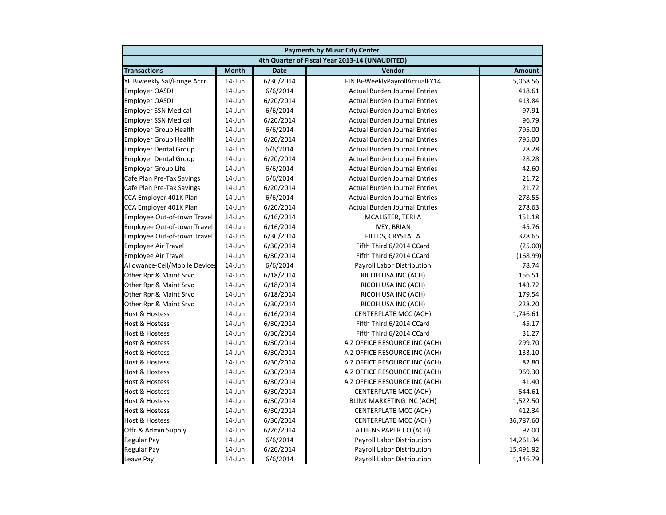| <b>Payments by Music City Center</b> |              |             |                                                |               |  |
|--------------------------------------|--------------|-------------|------------------------------------------------|---------------|--|
|                                      |              |             | 4th Quarter of Fiscal Year 2013-14 (UNAUDITED) |               |  |
| <b>Transactions</b>                  | <b>Month</b> | <b>Date</b> | Vendor                                         | <b>Amount</b> |  |
| YE Biweekly Sal/Fringe Accr          | $14$ -Jun    | 6/30/2014   | FIN Bi-WeeklyPayrollAcrualFY14                 | 5,068.56      |  |
| <b>Employer OASDI</b>                | 14-Jun       | 6/6/2014    | <b>Actual Burden Journal Entries</b>           | 418.61        |  |
| <b>Employer OASDI</b>                | 14-Jun       | 6/20/2014   | <b>Actual Burden Journal Entries</b>           | 413.84        |  |
| <b>Employer SSN Medical</b>          | 14-Jun       | 6/6/2014    | <b>Actual Burden Journal Entries</b>           | 97.91         |  |
| <b>Employer SSN Medical</b>          | 14-Jun       | 6/20/2014   | <b>Actual Burden Journal Entries</b>           | 96.79         |  |
| <b>Employer Group Health</b>         | 14-Jun       | 6/6/2014    | <b>Actual Burden Journal Entries</b>           | 795.00        |  |
| <b>Employer Group Health</b>         | $14$ -Jun    | 6/20/2014   | <b>Actual Burden Journal Entries</b>           | 795.00        |  |
| <b>Employer Dental Group</b>         | 14-Jun       | 6/6/2014    | <b>Actual Burden Journal Entries</b>           | 28.28         |  |
| <b>Employer Dental Group</b>         | $14$ -Jun    | 6/20/2014   | <b>Actual Burden Journal Entries</b>           | 28.28         |  |
| Employer Group Life                  | 14-Jun       | 6/6/2014    | <b>Actual Burden Journal Entries</b>           | 42.60         |  |
| Cafe Plan Pre-Tax Savings            | 14-Jun       | 6/6/2014    | <b>Actual Burden Journal Entries</b>           | 21.72         |  |
| Cafe Plan Pre-Tax Savings            | 14-Jun       | 6/20/2014   | <b>Actual Burden Journal Entries</b>           | 21.72         |  |
| CCA Employer 401K Plan               | 14-Jun       | 6/6/2014    | <b>Actual Burden Journal Entries</b>           | 278.55        |  |
| CCA Employer 401K Plan               | 14-Jun       | 6/20/2014   | <b>Actual Burden Journal Entries</b>           | 278.63        |  |
| Employee Out-of-town Travel          | $14$ -Jun    | 6/16/2014   | MCALISTER, TERI A                              | 151.18        |  |
| Employee Out-of-town Travel          | 14-Jun       | 6/16/2014   | <b>IVEY, BRIAN</b>                             | 45.76         |  |
| Employee Out-of-town Travel          | 14-Jun       | 6/30/2014   | FIELDS, CRYSTAL A                              | 328.65        |  |
| <b>Employee Air Travel</b>           | 14-Jun       | 6/30/2014   | Fifth Third 6/2014 CCard                       | (25.00)       |  |
| <b>Employee Air Travel</b>           | 14-Jun       | 6/30/2014   | Fifth Third 6/2014 CCard                       | (168.99)      |  |
| Allowance-Cell/Mobile Devices        | 14-Jun       | 6/6/2014    | Payroll Labor Distribution                     | 78.74         |  |
| Other Rpr & Maint Srvc               | 14-Jun       | 6/18/2014   | RICOH USA INC (ACH)                            | 156.51        |  |
| Other Rpr & Maint Srvc               | 14-Jun       | 6/18/2014   | RICOH USA INC (ACH)                            | 143.72        |  |
| Other Rpr & Maint Srvc               | 14-Jun       | 6/18/2014   | RICOH USA INC (ACH)                            | 179.54        |  |
| Other Rpr & Maint Srvc               | 14-Jun       | 6/30/2014   | RICOH USA INC (ACH)                            | 228.20        |  |
| <b>Host &amp; Hostess</b>            | 14-Jun       | 6/16/2014   | <b>CENTERPLATE MCC (ACH)</b>                   | 1,746.61      |  |
| <b>Host &amp; Hostess</b>            | 14-Jun       | 6/30/2014   | Fifth Third 6/2014 CCard                       | 45.17         |  |
| Host & Hostess                       | 14-Jun       | 6/30/2014   | Fifth Third 6/2014 CCard                       | 31.27         |  |
| <b>Host &amp; Hostess</b>            | 14-Jun       | 6/30/2014   | A Z OFFICE RESOURCE INC (ACH)                  | 299.70        |  |
| Host & Hostess                       | $14$ -Jun    | 6/30/2014   | A Z OFFICE RESOURCE INC (ACH)                  | 133.10        |  |
| <b>Host &amp; Hostess</b>            | 14-Jun       | 6/30/2014   | A Z OFFICE RESOURCE INC (ACH)                  | 82.80         |  |
| <b>Host &amp; Hostess</b>            | 14-Jun       | 6/30/2014   | A Z OFFICE RESOURCE INC (ACH)                  | 969.30        |  |
| Host & Hostess                       | 14-Jun       | 6/30/2014   | A Z OFFICE RESOURCE INC (ACH)                  | 41.40         |  |
| <b>Host &amp; Hostess</b>            | $14$ -Jun    | 6/30/2014   | <b>CENTERPLATE MCC (ACH)</b>                   | 544.61        |  |
| <b>Host &amp; Hostess</b>            | 14-Jun       | 6/30/2014   | BLINK MARKETING INC (ACH)                      | 1,522.50      |  |
| <b>Host &amp; Hostess</b>            | 14-Jun       | 6/30/2014   | <b>CENTERPLATE MCC (ACH)</b>                   | 412.34        |  |
| Host & Hostess                       | 14-Jun       | 6/30/2014   | <b>CENTERPLATE MCC (ACH)</b>                   | 36,787.60     |  |
| Offc & Admin Supply                  | $14$ -Jun    | 6/26/2014   | ATHENS PAPER CO (ACH)                          | 97.00         |  |
| Regular Pay                          | $14$ -Jun    | 6/6/2014    | Payroll Labor Distribution                     | 14,261.34     |  |
| <b>Regular Pay</b>                   | 14-Jun       | 6/20/2014   | Payroll Labor Distribution                     | 15,491.92     |  |
| Leave Pay                            | 14-Jun       | 6/6/2014    | <b>Payroll Labor Distribution</b>              | 1,146.79      |  |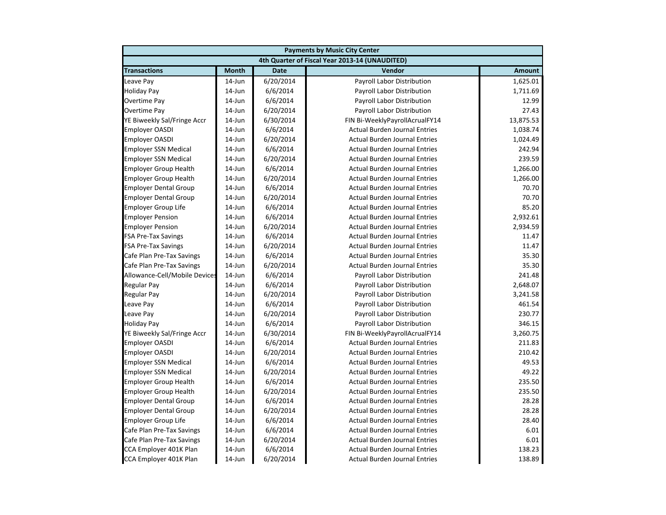| <b>Payments by Music City Center</b> |              |             |                                                |               |
|--------------------------------------|--------------|-------------|------------------------------------------------|---------------|
|                                      |              |             | 4th Quarter of Fiscal Year 2013-14 (UNAUDITED) |               |
| <b>Transactions</b>                  | <b>Month</b> | <b>Date</b> | Vendor                                         | <b>Amount</b> |
| Leave Pay                            | $14$ -Jun    | 6/20/2014   | Payroll Labor Distribution                     | 1,625.01      |
| <b>Holiday Pay</b>                   | 14-Jun       | 6/6/2014    | Payroll Labor Distribution                     | 1,711.69      |
| <b>Overtime Pay</b>                  | 14-Jun       | 6/6/2014    | Payroll Labor Distribution                     | 12.99         |
| Overtime Pay                         | 14-Jun       | 6/20/2014   | Payroll Labor Distribution                     | 27.43         |
| YE Biweekly Sal/Fringe Accr          | 14-Jun       | 6/30/2014   | FIN Bi-WeeklyPayrollAcrualFY14                 | 13,875.53     |
| <b>Employer OASDI</b>                | 14-Jun       | 6/6/2014    | <b>Actual Burden Journal Entries</b>           | 1,038.74      |
| <b>Employer OASDI</b>                | $14$ -Jun    | 6/20/2014   | <b>Actual Burden Journal Entries</b>           | 1,024.49      |
| <b>Employer SSN Medical</b>          | $14$ -Jun    | 6/6/2014    | <b>Actual Burden Journal Entries</b>           | 242.94        |
| <b>Employer SSN Medical</b>          | $14$ -Jun    | 6/20/2014   | <b>Actual Burden Journal Entries</b>           | 239.59        |
| <b>Employer Group Health</b>         | 14-Jun       | 6/6/2014    | <b>Actual Burden Journal Entries</b>           | 1,266.00      |
| <b>Employer Group Health</b>         | 14-Jun       | 6/20/2014   | <b>Actual Burden Journal Entries</b>           | 1,266.00      |
| <b>Employer Dental Group</b>         | 14-Jun       | 6/6/2014    | <b>Actual Burden Journal Entries</b>           | 70.70         |
| <b>Employer Dental Group</b>         | 14-Jun       | 6/20/2014   | <b>Actual Burden Journal Entries</b>           | 70.70         |
| <b>Employer Group Life</b>           | 14-Jun       | 6/6/2014    | <b>Actual Burden Journal Entries</b>           | 85.20         |
| <b>Employer Pension</b>              | 14-Jun       | 6/6/2014    | <b>Actual Burden Journal Entries</b>           | 2,932.61      |
| <b>Employer Pension</b>              | 14-Jun       | 6/20/2014   | <b>Actual Burden Journal Entries</b>           | 2,934.59      |
| <b>FSA Pre-Tax Savings</b>           | 14-Jun       | 6/6/2014    | <b>Actual Burden Journal Entries</b>           | 11.47         |
| <b>FSA Pre-Tax Savings</b>           | 14-Jun       | 6/20/2014   | <b>Actual Burden Journal Entries</b>           | 11.47         |
| Cafe Plan Pre-Tax Savings            | $14$ -Jun    | 6/6/2014    | <b>Actual Burden Journal Entries</b>           | 35.30         |
| Cafe Plan Pre-Tax Savings            | 14-Jun       | 6/20/2014   | <b>Actual Burden Journal Entries</b>           | 35.30         |
| Allowance-Cell/Mobile Devices        | 14-Jun       | 6/6/2014    | Payroll Labor Distribution                     | 241.48        |
| <b>Regular Pay</b>                   | 14-Jun       | 6/6/2014    | Payroll Labor Distribution                     | 2,648.07      |
| <b>Regular Pay</b>                   | 14-Jun       | 6/20/2014   | Payroll Labor Distribution                     | 3,241.58      |
| Leave Pay                            | 14-Jun       | 6/6/2014    | Payroll Labor Distribution                     | 461.54        |
| Leave Pay                            | 14-Jun       | 6/20/2014   | Payroll Labor Distribution                     | 230.77        |
| <b>Holiday Pay</b>                   | 14-Jun       | 6/6/2014    | Payroll Labor Distribution                     | 346.15        |
| YE Biweekly Sal/Fringe Accr          | 14-Jun       | 6/30/2014   | FIN Bi-WeeklyPayrollAcrualFY14                 | 3,260.75      |
| <b>Employer OASDI</b>                | 14-Jun       | 6/6/2014    | <b>Actual Burden Journal Entries</b>           | 211.83        |
| <b>Employer OASDI</b>                | $14$ -Jun    | 6/20/2014   | <b>Actual Burden Journal Entries</b>           | 210.42        |
| <b>Employer SSN Medical</b>          | $14$ -Jun    | 6/6/2014    | <b>Actual Burden Journal Entries</b>           | 49.53         |
| <b>Employer SSN Medical</b>          | $14$ -Jun    | 6/20/2014   | <b>Actual Burden Journal Entries</b>           | 49.22         |
| <b>Employer Group Health</b>         | 14-Jun       | 6/6/2014    | <b>Actual Burden Journal Entries</b>           | 235.50        |
| <b>Employer Group Health</b>         | $14$ -Jun    | 6/20/2014   | <b>Actual Burden Journal Entries</b>           | 235.50        |
| <b>Employer Dental Group</b>         | 14-Jun       | 6/6/2014    | <b>Actual Burden Journal Entries</b>           | 28.28         |
| <b>Employer Dental Group</b>         | 14-Jun       | 6/20/2014   | <b>Actual Burden Journal Entries</b>           | 28.28         |
| <b>Employer Group Life</b>           | 14-Jun       | 6/6/2014    | <b>Actual Burden Journal Entries</b>           | 28.40         |
| Cafe Plan Pre-Tax Savings            | $14$ -Jun    | 6/6/2014    | <b>Actual Burden Journal Entries</b>           | 6.01          |
| Cafe Plan Pre-Tax Savings            | 14-Jun       | 6/20/2014   | <b>Actual Burden Journal Entries</b>           | 6.01          |
| CCA Employer 401K Plan               | 14-Jun       | 6/6/2014    | <b>Actual Burden Journal Entries</b>           | 138.23        |
| CCA Employer 401K Plan               | 14-Jun       | 6/20/2014   | <b>Actual Burden Journal Entries</b>           | 138.89        |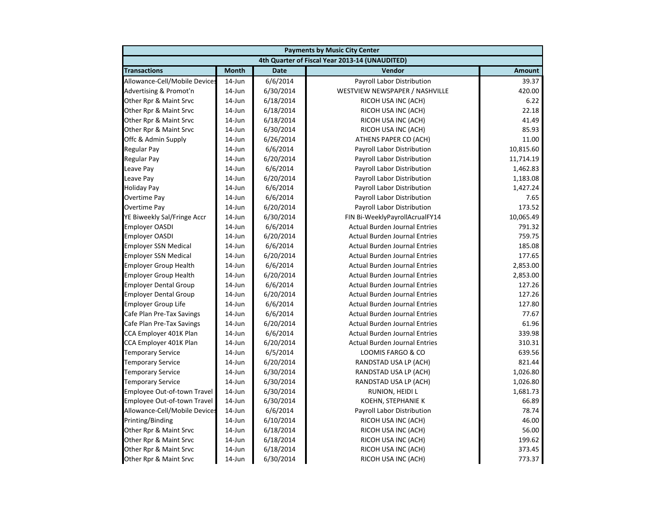|                               | <b>Payments by Music City Center</b> |             |                                                |               |  |
|-------------------------------|--------------------------------------|-------------|------------------------------------------------|---------------|--|
|                               |                                      |             | 4th Quarter of Fiscal Year 2013-14 (UNAUDITED) |               |  |
| <b>Transactions</b>           | <b>Month</b>                         | <b>Date</b> | Vendor                                         | <b>Amount</b> |  |
| Allowance-Cell/Mobile Devices | $14$ -Jun                            | 6/6/2014    | Payroll Labor Distribution                     | 39.37         |  |
| Advertising & Promot'n        | 14-Jun                               | 6/30/2014   | WESTVIEW NEWSPAPER / NASHVILLE                 | 420.00        |  |
| Other Rpr & Maint Srvc        | 14-Jun                               | 6/18/2014   | RICOH USA INC (ACH)                            | 6.22          |  |
| Other Rpr & Maint Srvc        | 14-Jun                               | 6/18/2014   | RICOH USA INC (ACH)                            | 22.18         |  |
| Other Rpr & Maint Srvc        | 14-Jun                               | 6/18/2014   | RICOH USA INC (ACH)                            | 41.49         |  |
| Other Rpr & Maint Srvc        | 14-Jun                               | 6/30/2014   | RICOH USA INC (ACH)                            | 85.93         |  |
| Offc & Admin Supply           | 14-Jun                               | 6/26/2014   | ATHENS PAPER CO (ACH)                          | 11.00         |  |
| <b>Regular Pay</b>            | $14$ -Jun                            | 6/6/2014    | Payroll Labor Distribution                     | 10,815.60     |  |
| <b>Regular Pay</b>            | $14$ -Jun                            | 6/20/2014   | <b>Payroll Labor Distribution</b>              | 11,714.19     |  |
| Leave Pay                     | 14-Jun                               | 6/6/2014    | Payroll Labor Distribution                     | 1,462.83      |  |
| Leave Pay                     | 14-Jun                               | 6/20/2014   | Payroll Labor Distribution                     | 1,183.08      |  |
| <b>Holiday Pay</b>            | 14-Jun                               | 6/6/2014    | Payroll Labor Distribution                     | 1,427.24      |  |
| <b>Overtime Pay</b>           | 14-Jun                               | 6/6/2014    | Payroll Labor Distribution                     | 7.65          |  |
| Overtime Pay                  | 14-Jun                               | 6/20/2014   | Payroll Labor Distribution                     | 173.52        |  |
| YE Biweekly Sal/Fringe Accr   | 14-Jun                               | 6/30/2014   | FIN Bi-WeeklyPayrollAcrualFY14                 | 10,065.49     |  |
| <b>Employer OASDI</b>         | 14-Jun                               | 6/6/2014    | <b>Actual Burden Journal Entries</b>           | 791.32        |  |
| <b>Employer OASDI</b>         | 14-Jun                               | 6/20/2014   | <b>Actual Burden Journal Entries</b>           | 759.75        |  |
| <b>Employer SSN Medical</b>   | 14-Jun                               | 6/6/2014    | <b>Actual Burden Journal Entries</b>           | 185.08        |  |
| <b>Employer SSN Medical</b>   | $14$ -Jun                            | 6/20/2014   | <b>Actual Burden Journal Entries</b>           | 177.65        |  |
| <b>Employer Group Health</b>  | $14$ -Jun                            | 6/6/2014    | <b>Actual Burden Journal Entries</b>           | 2,853.00      |  |
| <b>Employer Group Health</b>  | 14-Jun                               | 6/20/2014   | <b>Actual Burden Journal Entries</b>           | 2,853.00      |  |
| <b>Employer Dental Group</b>  | 14-Jun                               | 6/6/2014    | <b>Actual Burden Journal Entries</b>           | 127.26        |  |
| <b>Employer Dental Group</b>  | 14-Jun                               | 6/20/2014   | <b>Actual Burden Journal Entries</b>           | 127.26        |  |
| <b>Employer Group Life</b>    | 14-Jun                               | 6/6/2014    | <b>Actual Burden Journal Entries</b>           | 127.80        |  |
| Cafe Plan Pre-Tax Savings     | 14-Jun                               | 6/6/2014    | <b>Actual Burden Journal Entries</b>           | 77.67         |  |
| Cafe Plan Pre-Tax Savings     | 14-Jun                               | 6/20/2014   | <b>Actual Burden Journal Entries</b>           | 61.96         |  |
| CCA Employer 401K Plan        | 14-Jun                               | 6/6/2014    | <b>Actual Burden Journal Entries</b>           | 339.98        |  |
| CCA Employer 401K Plan        | 14-Jun                               | 6/20/2014   | <b>Actual Burden Journal Entries</b>           | 310.31        |  |
| <b>Temporary Service</b>      | $14$ -Jun                            | 6/5/2014    | LOOMIS FARGO & CO                              | 639.56        |  |
| <b>Temporary Service</b>      | $14$ -Jun                            | 6/20/2014   | RANDSTAD USA LP (ACH)                          | 821.44        |  |
| <b>Temporary Service</b>      | $14$ -Jun                            | 6/30/2014   | RANDSTAD USA LP (ACH)                          | 1,026.80      |  |
| <b>Temporary Service</b>      | 14-Jun                               | 6/30/2014   | RANDSTAD USA LP (ACH)                          | 1,026.80      |  |
| Employee Out-of-town Travel   | 14-Jun                               | 6/30/2014   | RUNION, HEIDI L                                | 1,681.73      |  |
| Employee Out-of-town Travel   | 14-Jun                               | 6/30/2014   | KOEHN, STEPHANIE K                             | 66.89         |  |
| Allowance-Cell/Mobile Devices | 14-Jun                               | 6/6/2014    | Payroll Labor Distribution                     | 78.74         |  |
| Printing/Binding              | 14-Jun                               | 6/10/2014   | RICOH USA INC (ACH)                            | 46.00         |  |
| Other Rpr & Maint Srvc        | 14-Jun                               | 6/18/2014   | RICOH USA INC (ACH)                            | 56.00         |  |
| Other Rpr & Maint Srvc        | 14-Jun                               | 6/18/2014   | RICOH USA INC (ACH)                            | 199.62        |  |
| Other Rpr & Maint Srvc        | 14-Jun                               | 6/18/2014   | RICOH USA INC (ACH)                            | 373.45        |  |
| Other Rpr & Maint Srvc        | 14-Jun                               | 6/30/2014   | RICOH USA INC (ACH)                            | 773.37        |  |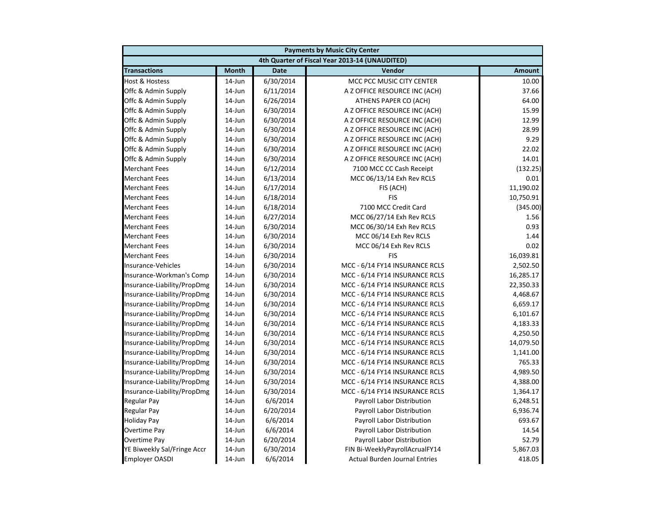| <b>Payments by Music City Center</b> |              |             |                                                |               |
|--------------------------------------|--------------|-------------|------------------------------------------------|---------------|
|                                      |              |             | 4th Quarter of Fiscal Year 2013-14 (UNAUDITED) |               |
| <b>Transactions</b>                  | <b>Month</b> | <b>Date</b> | Vendor                                         | <b>Amount</b> |
| <b>Host &amp; Hostess</b>            | $14$ -Jun    | 6/30/2014   | MCC PCC MUSIC CITY CENTER                      | 10.00         |
| Offc & Admin Supply                  | 14-Jun       | 6/11/2014   | A Z OFFICE RESOURCE INC (ACH)                  | 37.66         |
| Offc & Admin Supply                  | 14-Jun       | 6/26/2014   | ATHENS PAPER CO (ACH)                          | 64.00         |
| Offc & Admin Supply                  | 14-Jun       | 6/30/2014   | A Z OFFICE RESOURCE INC (ACH)                  | 15.99         |
| Offc & Admin Supply                  | 14-Jun       | 6/30/2014   | A Z OFFICE RESOURCE INC (ACH)                  | 12.99         |
| Offc & Admin Supply                  | 14-Jun       | 6/30/2014   | A Z OFFICE RESOURCE INC (ACH)                  | 28.99         |
| Offc & Admin Supply                  | 14-Jun       | 6/30/2014   | A Z OFFICE RESOURCE INC (ACH)                  | 9.29          |
| Offc & Admin Supply                  | $14$ -Jun    | 6/30/2014   | A Z OFFICE RESOURCE INC (ACH)                  | 22.02         |
| Offc & Admin Supply                  | $14$ -Jun    | 6/30/2014   | A Z OFFICE RESOURCE INC (ACH)                  | 14.01         |
| <b>Merchant Fees</b>                 | 14-Jun       | 6/12/2014   | 7100 MCC CC Cash Receipt                       | (132.25)      |
| <b>Merchant Fees</b>                 | 14-Jun       | 6/13/2014   | MCC 06/13/14 Exh Rev RCLS                      | 0.01          |
| <b>Merchant Fees</b>                 | 14-Jun       | 6/17/2014   | FIS (ACH)                                      | 11,190.02     |
| <b>Merchant Fees</b>                 | 14-Jun       | 6/18/2014   | <b>FIS</b>                                     | 10,750.91     |
| <b>Merchant Fees</b>                 | 14-Jun       | 6/18/2014   | 7100 MCC Credit Card                           | (345.00)      |
| <b>Merchant Fees</b>                 | 14-Jun       | 6/27/2014   | MCC 06/27/14 Exh Rev RCLS                      | 1.56          |
| <b>Merchant Fees</b>                 | 14-Jun       | 6/30/2014   | MCC 06/30/14 Exh Rev RCLS                      | 0.93          |
| <b>Merchant Fees</b>                 | 14-Jun       | 6/30/2014   | MCC 06/14 Exh Rev RCLS                         | 1.44          |
| <b>Merchant Fees</b>                 | 14-Jun       | 6/30/2014   | MCC 06/14 Exh Rev RCLS                         | 0.02          |
| <b>Merchant Fees</b>                 | 14-Jun       | 6/30/2014   | <b>FIS</b>                                     | 16,039.81     |
| Insurance-Vehicles                   | 14-Jun       | 6/30/2014   | MCC - 6/14 FY14 INSURANCE RCLS                 | 2,502.50      |
| Insurance-Workman's Comp             | 14-Jun       | 6/30/2014   | MCC - 6/14 FY14 INSURANCE RCLS                 | 16,285.17     |
| Insurance-Liability/PropDmg          | 14-Jun       | 6/30/2014   | MCC - 6/14 FY14 INSURANCE RCLS                 | 22,350.33     |
| Insurance-Liability/PropDmg          | 14-Jun       | 6/30/2014   | MCC - 6/14 FY14 INSURANCE RCLS                 | 4,468.67      |
| Insurance-Liability/PropDmg          | 14-Jun       | 6/30/2014   | MCC - 6/14 FY14 INSURANCE RCLS                 | 6,659.17      |
| Insurance-Liability/PropDmg          | 14-Jun       | 6/30/2014   | MCC - 6/14 FY14 INSURANCE RCLS                 | 6,101.67      |
| Insurance-Liability/PropDmg          | 14-Jun       | 6/30/2014   | MCC - 6/14 FY14 INSURANCE RCLS                 | 4,183.33      |
| Insurance-Liability/PropDmg          | 14-Jun       | 6/30/2014   | MCC - 6/14 FY14 INSURANCE RCLS                 | 4,250.50      |
| Insurance-Liability/PropDmg          | 14-Jun       | 6/30/2014   | MCC - 6/14 FY14 INSURANCE RCLS                 | 14,079.50     |
| Insurance-Liability/PropDmg          | 14-Jun       | 6/30/2014   | MCC - 6/14 FY14 INSURANCE RCLS                 | 1,141.00      |
| Insurance-Liability/PropDmg          | $14$ -Jun    | 6/30/2014   | MCC - 6/14 FY14 INSURANCE RCLS                 | 765.33        |
| Insurance-Liability/PropDmg          | 14-Jun       | 6/30/2014   | MCC - 6/14 FY14 INSURANCE RCLS                 | 4,989.50      |
| Insurance-Liability/PropDmg          | 14-Jun       | 6/30/2014   | MCC - 6/14 FY14 INSURANCE RCLS                 | 4,388.00      |
| Insurance-Liability/PropDmg          | 14-Jun       | 6/30/2014   | MCC - 6/14 FY14 INSURANCE RCLS                 | 1,364.17      |
| <b>Regular Pay</b>                   | 14-Jun       | 6/6/2014    | Payroll Labor Distribution                     | 6,248.51      |
| <b>Regular Pay</b>                   | 14-Jun       | 6/20/2014   | Payroll Labor Distribution                     | 6,936.74      |
| <b>Holiday Pay</b>                   | 14-Jun       | 6/6/2014    | Payroll Labor Distribution                     | 693.67        |
| Overtime Pay                         | 14-Jun       | 6/6/2014    | Payroll Labor Distribution                     | 14.54         |
| <b>Overtime Pay</b>                  | 14-Jun       | 6/20/2014   | Payroll Labor Distribution                     | 52.79         |
| YE Biweekly Sal/Fringe Accr          | 14-Jun       | 6/30/2014   | FIN Bi-WeeklyPayrollAcrualFY14                 | 5,867.03      |
| <b>Employer OASDI</b>                | 14-Jun       | 6/6/2014    | <b>Actual Burden Journal Entries</b>           | 418.05        |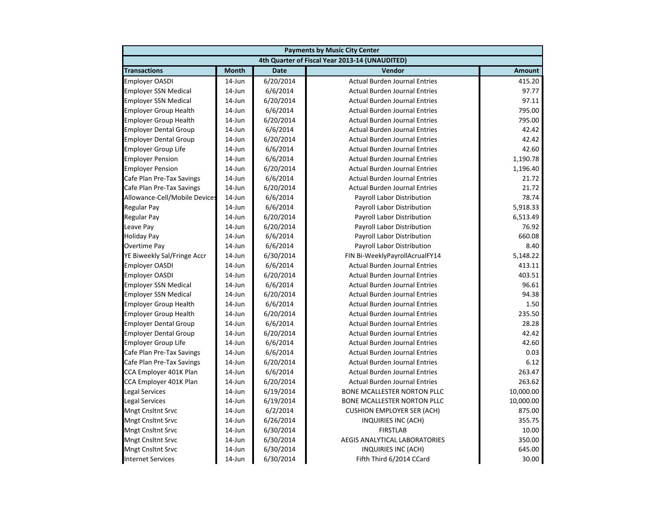|                               | <b>Payments by Music City Center</b> |             |                                                |               |  |
|-------------------------------|--------------------------------------|-------------|------------------------------------------------|---------------|--|
|                               |                                      |             | 4th Quarter of Fiscal Year 2013-14 (UNAUDITED) |               |  |
| <b>Transactions</b>           | <b>Month</b>                         | <b>Date</b> | Vendor                                         | <b>Amount</b> |  |
| <b>Employer OASDI</b>         | $14$ -Jun                            | 6/20/2014   | <b>Actual Burden Journal Entries</b>           | 415.20        |  |
| <b>Employer SSN Medical</b>   | 14-Jun                               | 6/6/2014    | <b>Actual Burden Journal Entries</b>           | 97.77         |  |
| <b>Employer SSN Medical</b>   | 14-Jun                               | 6/20/2014   | <b>Actual Burden Journal Entries</b>           | 97.11         |  |
| <b>Employer Group Health</b>  | 14-Jun                               | 6/6/2014    | <b>Actual Burden Journal Entries</b>           | 795.00        |  |
| <b>Employer Group Health</b>  | 14-Jun                               | 6/20/2014   | <b>Actual Burden Journal Entries</b>           | 795.00        |  |
| <b>Employer Dental Group</b>  | 14-Jun                               | 6/6/2014    | <b>Actual Burden Journal Entries</b>           | 42.42         |  |
| <b>Employer Dental Group</b>  | 14-Jun                               | 6/20/2014   | <b>Actual Burden Journal Entries</b>           | 42.42         |  |
| <b>Employer Group Life</b>    | $14$ -Jun                            | 6/6/2014    | <b>Actual Burden Journal Entries</b>           | 42.60         |  |
| <b>Employer Pension</b>       | $14$ -Jun                            | 6/6/2014    | <b>Actual Burden Journal Entries</b>           | 1,190.78      |  |
| <b>Employer Pension</b>       | 14-Jun                               | 6/20/2014   | <b>Actual Burden Journal Entries</b>           | 1,196.40      |  |
| Cafe Plan Pre-Tax Savings     | $14$ -Jun                            | 6/6/2014    | <b>Actual Burden Journal Entries</b>           | 21.72         |  |
| Cafe Plan Pre-Tax Savings     | $14$ -Jun                            | 6/20/2014   | <b>Actual Burden Journal Entries</b>           | 21.72         |  |
| Allowance-Cell/Mobile Devices | 14-Jun                               | 6/6/2014    | Payroll Labor Distribution                     | 78.74         |  |
| <b>Regular Pay</b>            | 14-Jun                               | 6/6/2014    | Payroll Labor Distribution                     | 5,918.33      |  |
| <b>Regular Pay</b>            | 14-Jun                               | 6/20/2014   | Payroll Labor Distribution                     | 6,513.49      |  |
| Leave Pay                     | 14-Jun                               | 6/20/2014   | Payroll Labor Distribution                     | 76.92         |  |
| <b>Holiday Pay</b>            | 14-Jun                               | 6/6/2014    | Payroll Labor Distribution                     | 660.08        |  |
| Overtime Pay                  | $14$ -Jun                            | 6/6/2014    | Payroll Labor Distribution                     | 8.40          |  |
| YE Biweekly Sal/Fringe Accr   | $14$ -Jun                            | 6/30/2014   | FIN Bi-WeeklyPayrollAcrualFY14                 | 5,148.22      |  |
| <b>Employer OASDI</b>         | $14$ -Jun                            | 6/6/2014    | <b>Actual Burden Journal Entries</b>           | 413.11        |  |
| <b>Employer OASDI</b>         | 14-Jun                               | 6/20/2014   | <b>Actual Burden Journal Entries</b>           | 403.51        |  |
| <b>Employer SSN Medical</b>   | $14$ -Jun                            | 6/6/2014    | <b>Actual Burden Journal Entries</b>           | 96.61         |  |
| <b>Employer SSN Medical</b>   | 14-Jun                               | 6/20/2014   | <b>Actual Burden Journal Entries</b>           | 94.38         |  |
| <b>Employer Group Health</b>  | 14-Jun                               | 6/6/2014    | <b>Actual Burden Journal Entries</b>           | 1.50          |  |
| <b>Employer Group Health</b>  | 14-Jun                               | 6/20/2014   | <b>Actual Burden Journal Entries</b>           | 235.50        |  |
| <b>Employer Dental Group</b>  | $14$ -Jun                            | 6/6/2014    | <b>Actual Burden Journal Entries</b>           | 28.28         |  |
| <b>Employer Dental Group</b>  | $14$ -Jun                            | 6/20/2014   | <b>Actual Burden Journal Entries</b>           | 42.42         |  |
| <b>Employer Group Life</b>    | $14$ -Jun                            | 6/6/2014    | <b>Actual Burden Journal Entries</b>           | 42.60         |  |
| Cafe Plan Pre-Tax Savings     | $14$ -Jun                            | 6/6/2014    | <b>Actual Burden Journal Entries</b>           | 0.03          |  |
| Cafe Plan Pre-Tax Savings     | $14$ -Jun                            | 6/20/2014   | <b>Actual Burden Journal Entries</b>           | 6.12          |  |
| CCA Employer 401K Plan        | $14$ -Jun                            | 6/6/2014    | <b>Actual Burden Journal Entries</b>           | 263.47        |  |
| CCA Employer 401K Plan        | 14-Jun                               | 6/20/2014   | <b>Actual Burden Journal Entries</b>           | 263.62        |  |
| <b>Legal Services</b>         | 14-Jun                               | 6/19/2014   | BONE MCALLESTER NORTON PLLC                    | 10,000.00     |  |
| <b>Legal Services</b>         | 14-Jun                               | 6/19/2014   | BONE MCALLESTER NORTON PLLC                    | 10,000.00     |  |
| <b>Mngt Cnsltnt Srvc</b>      | 14-Jun                               | 6/2/2014    | <b>CUSHION EMPLOYER SER (ACH)</b>              | 875.00        |  |
| <b>Mngt Cnsltnt Srvc</b>      | 14-Jun                               | 6/26/2014   | <b>INQUIRIES INC (ACH)</b>                     | 355.75        |  |
| <b>Mngt Cnsltnt Srvc</b>      | $14$ -Jun                            | 6/30/2014   | <b>FIRSTLAB</b>                                | 10.00         |  |
| <b>Mngt Cnsltnt Srvc</b>      | $14$ -Jun                            | 6/30/2014   | AEGIS ANALYTICAL LABORATORIES                  | 350.00        |  |
| <b>Mngt Cnsltnt Srvc</b>      | 14-Jun                               | 6/30/2014   | INQUIRIES INC (ACH)                            | 645.00        |  |
| <b>Internet Services</b>      | 14-Jun                               | 6/30/2014   | Fifth Third 6/2014 CCard                       | 30.00         |  |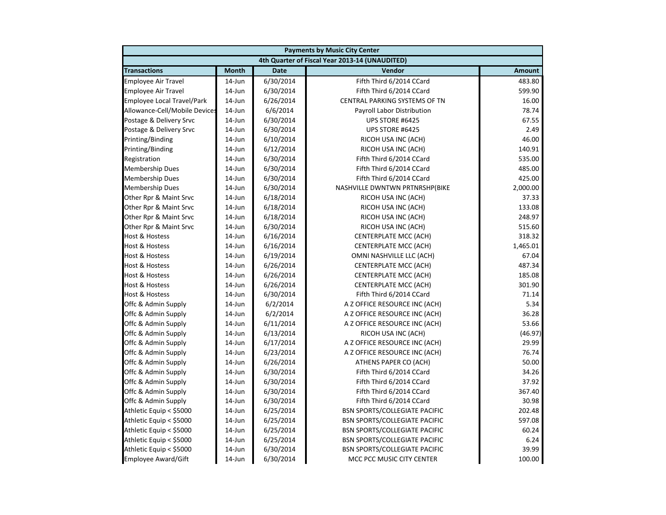|                               | <b>Payments by Music City Center</b> |             |                                                |               |  |  |
|-------------------------------|--------------------------------------|-------------|------------------------------------------------|---------------|--|--|
|                               |                                      |             | 4th Quarter of Fiscal Year 2013-14 (UNAUDITED) |               |  |  |
| <b>Transactions</b>           | <b>Month</b>                         | <b>Date</b> | Vendor                                         | <b>Amount</b> |  |  |
| <b>Employee Air Travel</b>    | 14-Jun                               | 6/30/2014   | Fifth Third 6/2014 CCard                       | 483.80        |  |  |
| <b>Employee Air Travel</b>    | $14$ -Jun                            | 6/30/2014   | Fifth Third 6/2014 CCard                       | 599.90        |  |  |
| Employee Local Travel/Park    | 14-Jun                               | 6/26/2014   | CENTRAL PARKING SYSTEMS OF TN                  | 16.00         |  |  |
| Allowance-Cell/Mobile Devices | 14-Jun                               | 6/6/2014    | Payroll Labor Distribution                     | 78.74         |  |  |
| Postage & Delivery Srvc       | 14-Jun                               | 6/30/2014   | UPS STORE #6425                                | 67.55         |  |  |
| Postage & Delivery Srvc       | 14-Jun                               | 6/30/2014   | UPS STORE #6425                                | 2.49          |  |  |
| Printing/Binding              | $14$ -Jun                            | 6/10/2014   | RICOH USA INC (ACH)                            | 46.00         |  |  |
| Printing/Binding              | 14-Jun                               | 6/12/2014   | RICOH USA INC (ACH)                            | 140.91        |  |  |
| Registration                  | $14$ -Jun                            | 6/30/2014   | Fifth Third 6/2014 CCard                       | 535.00        |  |  |
| <b>Membership Dues</b>        | 14-Jun                               | 6/30/2014   | Fifth Third 6/2014 CCard                       | 485.00        |  |  |
| <b>Membership Dues</b>        | 14-Jun                               | 6/30/2014   | Fifth Third 6/2014 CCard                       | 425.00        |  |  |
| <b>Membership Dues</b>        | 14-Jun                               | 6/30/2014   | NASHVILLE DWNTWN PRTNRSHP(BIKE                 | 2,000.00      |  |  |
| Other Rpr & Maint Srvc        | 14-Jun                               | 6/18/2014   | RICOH USA INC (ACH)                            | 37.33         |  |  |
| Other Rpr & Maint Srvc        | 14-Jun                               | 6/18/2014   | RICOH USA INC (ACH)                            | 133.08        |  |  |
| Other Rpr & Maint Srvc        | 14-Jun                               | 6/18/2014   | RICOH USA INC (ACH)                            | 248.97        |  |  |
| Other Rpr & Maint Srvc        | 14-Jun                               | 6/30/2014   | RICOH USA INC (ACH)                            | 515.60        |  |  |
| <b>Host &amp; Hostess</b>     | 14-Jun                               | 6/16/2014   | CENTERPLATE MCC (ACH)                          | 318.32        |  |  |
| <b>Host &amp; Hostess</b>     | $14$ -Jun                            | 6/16/2014   | <b>CENTERPLATE MCC (ACH)</b>                   | 1,465.01      |  |  |
| <b>Host &amp; Hostess</b>     | 14-Jun                               | 6/19/2014   | OMNI NASHVILLE LLC (ACH)                       | 67.04         |  |  |
| <b>Host &amp; Hostess</b>     | 14-Jun                               | 6/26/2014   | <b>CENTERPLATE MCC (ACH)</b>                   | 487.34        |  |  |
| Host & Hostess                | 14-Jun                               | 6/26/2014   | <b>CENTERPLATE MCC (ACH)</b>                   | 185.08        |  |  |
| <b>Host &amp; Hostess</b>     | 14-Jun                               | 6/26/2014   | <b>CENTERPLATE MCC (ACH)</b>                   | 301.90        |  |  |
| Host & Hostess                | 14-Jun                               | 6/30/2014   | Fifth Third 6/2014 CCard                       | 71.14         |  |  |
| Offc & Admin Supply           | 14-Jun                               | 6/2/2014    | A Z OFFICE RESOURCE INC (ACH)                  | 5.34          |  |  |
| Offc & Admin Supply           | 14-Jun                               | 6/2/2014    | A Z OFFICE RESOURCE INC (ACH)                  | 36.28         |  |  |
| Offc & Admin Supply           | 14-Jun                               | 6/11/2014   | A Z OFFICE RESOURCE INC (ACH)                  | 53.66         |  |  |
| Offc & Admin Supply           | 14-Jun                               | 6/13/2014   | RICOH USA INC (ACH)                            | (46.97)       |  |  |
| Offc & Admin Supply           | 14-Jun                               | 6/17/2014   | A Z OFFICE RESOURCE INC (ACH)                  | 29.99         |  |  |
| Offc & Admin Supply           | 14-Jun                               | 6/23/2014   | A Z OFFICE RESOURCE INC (ACH)                  | 76.74         |  |  |
| Offc & Admin Supply           | 14-Jun                               | 6/26/2014   | ATHENS PAPER CO (ACH)                          | 50.00         |  |  |
| Offc & Admin Supply           | 14-Jun                               | 6/30/2014   | Fifth Third 6/2014 CCard                       | 34.26         |  |  |
| Offc & Admin Supply           | 14-Jun                               | 6/30/2014   | Fifth Third 6/2014 CCard                       | 37.92         |  |  |
| Offc & Admin Supply           | $14$ -Jun                            | 6/30/2014   | Fifth Third 6/2014 CCard                       | 367.40        |  |  |
| Offc & Admin Supply           | 14-Jun                               | 6/30/2014   | Fifth Third 6/2014 CCard                       | 30.98         |  |  |
| Athletic Equip < \$5000       | 14-Jun                               | 6/25/2014   | <b>BSN SPORTS/COLLEGIATE PACIFIC</b>           | 202.48        |  |  |
| Athletic Equip < \$5000       | $14$ -Jun                            | 6/25/2014   | <b>BSN SPORTS/COLLEGIATE PACIFIC</b>           | 597.08        |  |  |
| Athletic Equip < \$5000       | $14$ -Jun                            | 6/25/2014   | <b>BSN SPORTS/COLLEGIATE PACIFIC</b>           | 60.24         |  |  |
| Athletic Equip < \$5000       | $14$ -Jun                            | 6/25/2014   | <b>BSN SPORTS/COLLEGIATE PACIFIC</b>           | 6.24          |  |  |
| Athletic Equip < \$5000       | 14-Jun                               | 6/30/2014   | <b>BSN SPORTS/COLLEGIATE PACIFIC</b>           | 39.99         |  |  |
| <b>Employee Award/Gift</b>    | 14-Jun                               | 6/30/2014   | MCC PCC MUSIC CITY CENTER                      | 100.00        |  |  |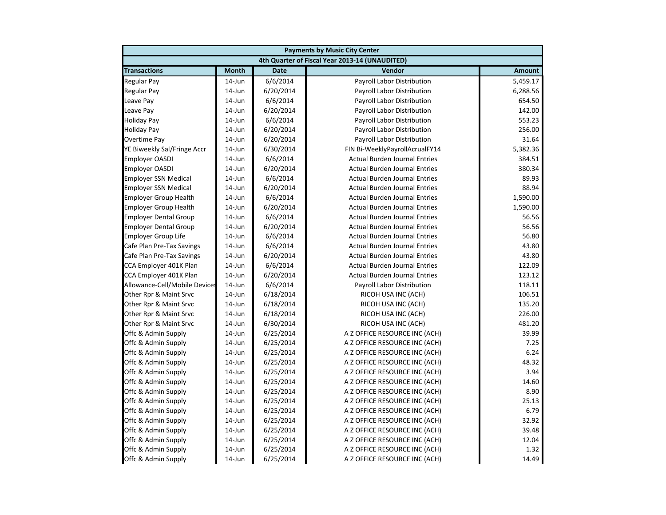| <b>Payments by Music City Center</b> |              |             |                                                |               |
|--------------------------------------|--------------|-------------|------------------------------------------------|---------------|
|                                      |              |             | 4th Quarter of Fiscal Year 2013-14 (UNAUDITED) |               |
| <b>Transactions</b>                  | <b>Month</b> | <b>Date</b> | Vendor                                         | <b>Amount</b> |
| <b>Regular Pay</b>                   | $14$ -Jun    | 6/6/2014    | Payroll Labor Distribution                     | 5,459.17      |
| <b>Regular Pay</b>                   | 14-Jun       | 6/20/2014   | Payroll Labor Distribution                     | 6,288.56      |
| Leave Pay                            | 14-Jun       | 6/6/2014    | Payroll Labor Distribution                     | 654.50        |
| Leave Pay                            | 14-Jun       | 6/20/2014   | Payroll Labor Distribution                     | 142.00        |
| <b>Holiday Pay</b>                   | 14-Jun       | 6/6/2014    | Payroll Labor Distribution                     | 553.23        |
| <b>Holiday Pay</b>                   | 14-Jun       | 6/20/2014   | Payroll Labor Distribution                     | 256.00        |
| Overtime Pay                         | 14-Jun       | 6/20/2014   | Payroll Labor Distribution                     | 31.64         |
| YE Biweekly Sal/Fringe Accr          | $14$ -Jun    | 6/30/2014   | FIN Bi-WeeklyPayrollAcrualFY14                 | 5,382.36      |
| <b>Employer OASDI</b>                | $14$ -Jun    | 6/6/2014    | <b>Actual Burden Journal Entries</b>           | 384.51        |
| <b>Employer OASDI</b>                | 14-Jun       | 6/20/2014   | <b>Actual Burden Journal Entries</b>           | 380.34        |
| <b>Employer SSN Medical</b>          | 14-Jun       | 6/6/2014    | <b>Actual Burden Journal Entries</b>           | 89.93         |
| <b>Employer SSN Medical</b>          | 14-Jun       | 6/20/2014   | <b>Actual Burden Journal Entries</b>           | 88.94         |
| <b>Employer Group Health</b>         | 14-Jun       | 6/6/2014    | <b>Actual Burden Journal Entries</b>           | 1,590.00      |
| <b>Employer Group Health</b>         | 14-Jun       | 6/20/2014   | <b>Actual Burden Journal Entries</b>           | 1,590.00      |
| <b>Employer Dental Group</b>         | 14-Jun       | 6/6/2014    | <b>Actual Burden Journal Entries</b>           | 56.56         |
| <b>Employer Dental Group</b>         | $14$ -Jun    | 6/20/2014   | <b>Actual Burden Journal Entries</b>           | 56.56         |
| <b>Employer Group Life</b>           | 14-Jun       | 6/6/2014    | <b>Actual Burden Journal Entries</b>           | 56.80         |
| Cafe Plan Pre-Tax Savings            | 14-Jun       | 6/6/2014    | <b>Actual Burden Journal Entries</b>           | 43.80         |
| Cafe Plan Pre-Tax Savings            | 14-Jun       | 6/20/2014   | <b>Actual Burden Journal Entries</b>           | 43.80         |
| CCA Employer 401K Plan               | 14-Jun       | 6/6/2014    | <b>Actual Burden Journal Entries</b>           | 122.09        |
| CCA Employer 401K Plan               | 14-Jun       | 6/20/2014   | <b>Actual Burden Journal Entries</b>           | 123.12        |
| Allowance-Cell/Mobile Devices        | 14-Jun       | 6/6/2014    | Payroll Labor Distribution                     | 118.11        |
| Other Rpr & Maint Srvc               | 14-Jun       | 6/18/2014   | RICOH USA INC (ACH)                            | 106.51        |
| Other Rpr & Maint Srvc               | 14-Jun       | 6/18/2014   | RICOH USA INC (ACH)                            | 135.20        |
| Other Rpr & Maint Srvc               | 14-Jun       | 6/18/2014   | RICOH USA INC (ACH)                            | 226.00        |
| Other Rpr & Maint Srvc               | 14-Jun       | 6/30/2014   | RICOH USA INC (ACH)                            | 481.20        |
| Offc & Admin Supply                  | 14-Jun       | 6/25/2014   | A Z OFFICE RESOURCE INC (ACH)                  | 39.99         |
| Offc & Admin Supply                  | 14-Jun       | 6/25/2014   | A Z OFFICE RESOURCE INC (ACH)                  | 7.25          |
| Offc & Admin Supply                  | $14$ -Jun    | 6/25/2014   | A Z OFFICE RESOURCE INC (ACH)                  | 6.24          |
| Offc & Admin Supply                  | $14$ -Jun    | 6/25/2014   | A Z OFFICE RESOURCE INC (ACH)                  | 48.32         |
| Offc & Admin Supply                  | $14$ -Jun    | 6/25/2014   | A Z OFFICE RESOURCE INC (ACH)                  | 3.94          |
| Offc & Admin Supply                  | 14-Jun       | 6/25/2014   | A Z OFFICE RESOURCE INC (ACH)                  | 14.60         |
| Offc & Admin Supply                  | $14$ -Jun    | 6/25/2014   | A Z OFFICE RESOURCE INC (ACH)                  | 8.90          |
| Offc & Admin Supply                  | 14-Jun       | 6/25/2014   | A Z OFFICE RESOURCE INC (ACH)                  | 25.13         |
| Offc & Admin Supply                  | 14-Jun       | 6/25/2014   | A Z OFFICE RESOURCE INC (ACH)                  | 6.79          |
| Offc & Admin Supply                  | 14-Jun       | 6/25/2014   | A Z OFFICE RESOURCE INC (ACH)                  | 32.92         |
| Offc & Admin Supply                  | 14-Jun       | 6/25/2014   | A Z OFFICE RESOURCE INC (ACH)                  | 39.48         |
| Offc & Admin Supply                  | 14-Jun       | 6/25/2014   | A Z OFFICE RESOURCE INC (ACH)                  | 12.04         |
| Offc & Admin Supply                  | 14-Jun       | 6/25/2014   | A Z OFFICE RESOURCE INC (ACH)                  | 1.32          |
| Offc & Admin Supply                  | 14-Jun       | 6/25/2014   | A Z OFFICE RESOURCE INC (ACH)                  | 14.49         |